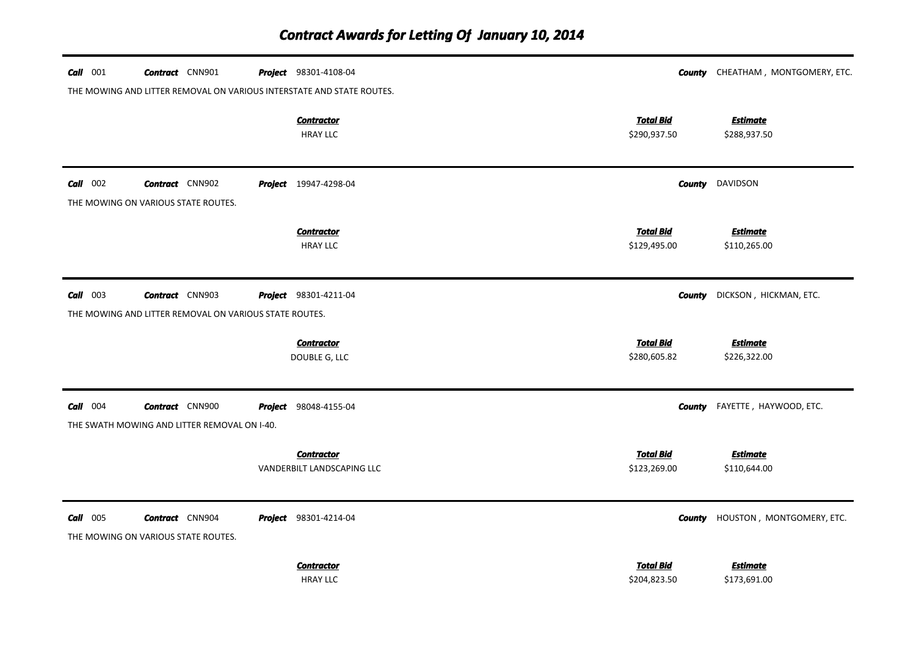| $Call$ 001 | <b>Contract</b> CNN901                                                           | <b>Project</b> 98301-4108-04                    |                                  | <b>County</b> CHEATHAM, MONTGOMERY, ETC. |
|------------|----------------------------------------------------------------------------------|-------------------------------------------------|----------------------------------|------------------------------------------|
|            | THE MOWING AND LITTER REMOVAL ON VARIOUS INTERSTATE AND STATE ROUTES.            | <b>Contractor</b><br><b>HRAY LLC</b>            | <b>Total Bid</b><br>\$290,937.50 | <b>Estimate</b><br>\$288,937.50          |
| $Call$ 002 | <b>Contract</b> CNN902<br>THE MOWING ON VARIOUS STATE ROUTES.                    | <b>Project</b> 19947-4298-04                    | County                           | DAVIDSON                                 |
|            |                                                                                  | <b>Contractor</b><br><b>HRAY LLC</b>            | <b>Total Bid</b><br>\$129,495.00 | <b>Estimate</b><br>\$110,265.00          |
| $Call$ 003 | <b>Contract</b> CNN903<br>THE MOWING AND LITTER REMOVAL ON VARIOUS STATE ROUTES. | <b>Project</b> 98301-4211-04                    | <b>County</b>                    | DICKSON, HICKMAN, ETC.                   |
|            |                                                                                  | <b>Contractor</b><br>DOUBLE G, LLC              | <b>Total Bid</b><br>\$280,605.82 | <b>Estimate</b><br>\$226,322.00          |
| $Call$ 004 | <b>Contract</b> CNN900<br>THE SWATH MOWING AND LITTER REMOVAL ON I-40.           | <b>Project</b> 98048-4155-04                    | County                           | FAYETTE, HAYWOOD, ETC.                   |
|            |                                                                                  | <b>Contractor</b><br>VANDERBILT LANDSCAPING LLC | <b>Total Bid</b><br>\$123,269.00 | <b>Estimate</b><br>\$110,644.00          |
| $Call$ 005 | <b>Contract</b> CNN904<br>THE MOWING ON VARIOUS STATE ROUTES.                    | <b>Project</b> 98301-4214-04                    | County                           | HOUSTON, MONTGOMERY, ETC.                |
|            |                                                                                  | <b>Contractor</b><br><b>HRAY LLC</b>            | <b>Total Bid</b><br>\$204,823.50 | <b>Estimate</b><br>\$173,691.00          |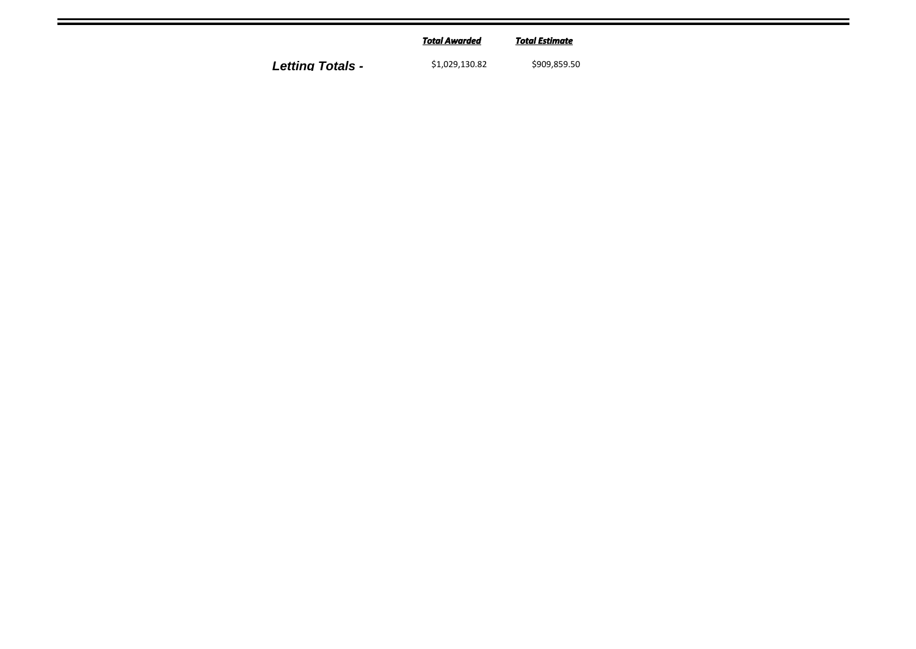|                         | <b>Total Awarded</b> | Total Estimate |
|-------------------------|----------------------|----------------|
| <b>Letting Totals -</b> | \$1,029,130.82       | \$909,859.50   |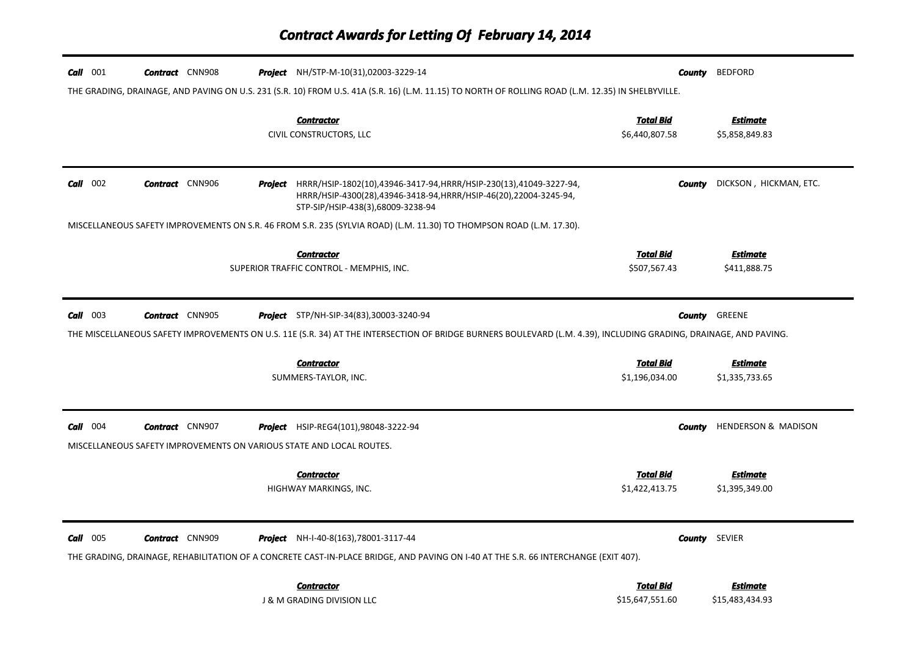| $Call$ 001 | <b>Contract</b> CNN908                                                                         |         | <b>Project</b> NH/STP-M-10(31),02003-3229-14                                                                                                                               | County                             | <b>BEDFORD</b>                    |
|------------|------------------------------------------------------------------------------------------------|---------|----------------------------------------------------------------------------------------------------------------------------------------------------------------------------|------------------------------------|-----------------------------------|
|            |                                                                                                |         | THE GRADING, DRAINAGE, AND PAVING ON U.S. 231 (S.R. 10) FROM U.S. 41A (S.R. 16) (L.M. 11.15) TO NORTH OF ROLLING ROAD (L.M. 12.35) IN SHELBYVILLE.                         |                                    |                                   |
|            |                                                                                                |         | <b>Contractor</b><br>CIVIL CONSTRUCTORS, LLC                                                                                                                               | <b>Total Bid</b><br>\$6,440,807.58 | Estimate<br>\$5,858,849.83        |
| $Call$ 002 | <b>Contract</b> CNN906                                                                         | Project | HRRR/HSIP-1802(10),43946-3417-94,HRRR/HSIP-230(13),41049-3227-94,<br>HRRR/HSIP-4300(28),43946-3418-94,HRRR/HSIP-46(20),22004-3245-94,<br>STP-SIP/HSIP-438(3),68009-3238-94 | <b>County</b>                      | DICKSON, HICKMAN, ETC.            |
|            |                                                                                                |         | MISCELLANEOUS SAFETY IMPROVEMENTS ON S.R. 46 FROM S.R. 235 (SYLVIA ROAD) (L.M. 11.30) TO THOMPSON ROAD (L.M. 17.30).                                                       |                                    |                                   |
|            |                                                                                                |         | <b>Contractor</b><br>SUPERIOR TRAFFIC CONTROL - MEMPHIS, INC.                                                                                                              | Total Bid<br>\$507,567.43          | <b>Estimate</b><br>\$411,888.75   |
| Call 003   | <b>Contract</b> CNN905                                                                         |         | <b>Project</b> STP/NH-SIP-34(83),30003-3240-94                                                                                                                             |                                    | <b>County</b> GREENE              |
|            |                                                                                                |         | THE MISCELLANEOUS SAFETY IMPROVEMENTS ON U.S. 11E (S.R. 34) AT THE INTERSECTION OF BRIDGE BURNERS BOULEVARD (L.M. 4.39), INCLUDING GRADING, DRAINAGE, AND PAVING.          |                                    |                                   |
|            |                                                                                                |         | <b>Contractor</b><br>SUMMERS-TAYLOR, INC.                                                                                                                                  | <b>Total Bid</b><br>\$1,196,034.00 | Estimate<br>\$1,335,733.65        |
| $Call$ 004 | <b>Contract</b> CNN907<br>MISCELLANEOUS SAFETY IMPROVEMENTS ON VARIOUS STATE AND LOCAL ROUTES. |         | <b>Project</b> HSIP-REG4(101),98048-3222-94                                                                                                                                | County                             | <b>HENDERSON &amp; MADISON</b>    |
|            |                                                                                                |         | <b>Contractor</b><br>HIGHWAY MARKINGS, INC.                                                                                                                                | <b>Total Bid</b><br>\$1,422,413.75 | <b>Estimate</b><br>\$1,395,349.00 |
| $Call$ 005 | <b>Contract</b> CNN909                                                                         |         | <b>Project</b> NH-I-40-8(163), 78001-3117-44                                                                                                                               |                                    | <b>County</b> SEVIER              |
|            |                                                                                                |         | THE GRADING, DRAINAGE, REHABILITATION OF A CONCRETE CAST-IN-PLACE BRIDGE, AND PAVING ON I-40 AT THE S.R. 66 INTERCHANGE (EXIT 407).                                        |                                    |                                   |
|            |                                                                                                |         | <b>Contractor</b>                                                                                                                                                          | Total Bid                          | <b>Estimate</b>                   |
|            |                                                                                                |         | <b>J &amp; M GRADING DIVISION LLC</b>                                                                                                                                      | \$15,647,551.60                    | \$15,483,434.93                   |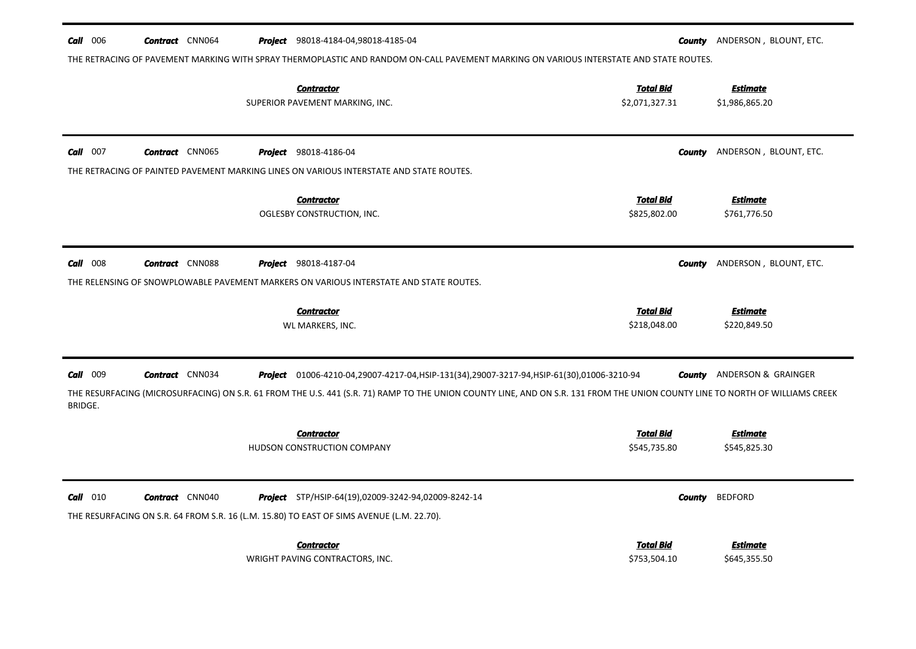| $Call$ 006          | <b>Contract</b> CNN064 | <b>Project</b> 98018-4184-04,98018-4185-04<br>THE RETRACING OF PAVEMENT MARKING WITH SPRAY THERMOPLASTIC AND RANDOM ON-CALL PAVEMENT MARKING ON VARIOUS INTERSTATE AND STATE ROUTES.                                                                                         |                                    | <b>County</b> ANDERSON, BLOUNT, ETC. |
|---------------------|------------------------|------------------------------------------------------------------------------------------------------------------------------------------------------------------------------------------------------------------------------------------------------------------------------|------------------------------------|--------------------------------------|
|                     |                        | <b>Contractor</b><br>SUPERIOR PAVEMENT MARKING, INC.                                                                                                                                                                                                                         | <b>Total Bid</b><br>\$2,071,327.31 | <b>Estimate</b><br>\$1,986,865.20    |
| $Call$ 007          | <b>Contract</b> CNN065 | <b>Project</b> 98018-4186-04<br>THE RETRACING OF PAINTED PAVEMENT MARKING LINES ON VARIOUS INTERSTATE AND STATE ROUTES.                                                                                                                                                      | County                             | ANDERSON, BLOUNT, ETC.               |
|                     |                        | <b>Contractor</b><br>OGLESBY CONSTRUCTION, INC.                                                                                                                                                                                                                              | <u>Total Bid</u><br>\$825,802.00   | <b>Estimate</b><br>\$761,776.50      |
| $Call$ 008          | <b>Contract</b> CNN088 | <b>Project</b> 98018-4187-04<br>THE RELENSING OF SNOWPLOWABLE PAVEMENT MARKERS ON VARIOUS INTERSTATE AND STATE ROUTES.                                                                                                                                                       | County                             | ANDERSON, BLOUNT, ETC.               |
|                     |                        | <b>Contractor</b><br>WL MARKERS, INC.                                                                                                                                                                                                                                        | <b>Total Bid</b><br>\$218,048.00   | <b>Estimate</b><br>\$220,849.50      |
| Call 009<br>BRIDGE. | <b>Contract</b> CNN034 | Project 01006-4210-04,29007-4217-04, HSIP-131(34), 29007-3217-94, HSIP-61(30), 01006-3210-94<br>THE RESURFACING (MICROSURFACING) ON S.R. 61 FROM THE U.S. 441 (S.R. 71) RAMP TO THE UNION COUNTY LINE, AND ON S.R. 131 FROM THE UNION COUNTY LINE TO NORTH OF WILLIAMS CREEK |                                    | <b>County</b> ANDERSON & GRAINGER    |
|                     |                        | <b>Contractor</b><br>HUDSON CONSTRUCTION COMPANY                                                                                                                                                                                                                             | Total Bid<br>\$545,735.80          | <b>Estimate</b><br>\$545,825.30      |
| $Call$ 010          | <b>Contract</b> CNN040 | <b>Project</b> STP/HSIP-64(19),02009-3242-94,02009-8242-14<br>THE RESURFACING ON S.R. 64 FROM S.R. 16 (L.M. 15.80) TO EAST OF SIMS AVENUE (L.M. 22.70).                                                                                                                      | County                             | <b>BEDFORD</b>                       |
|                     |                        | <b>Contractor</b><br>WRIGHT PAVING CONTRACTORS, INC.                                                                                                                                                                                                                         | <b>Total Bid</b><br>\$753,504.10   | <b>Estimate</b><br>\$645,355.50      |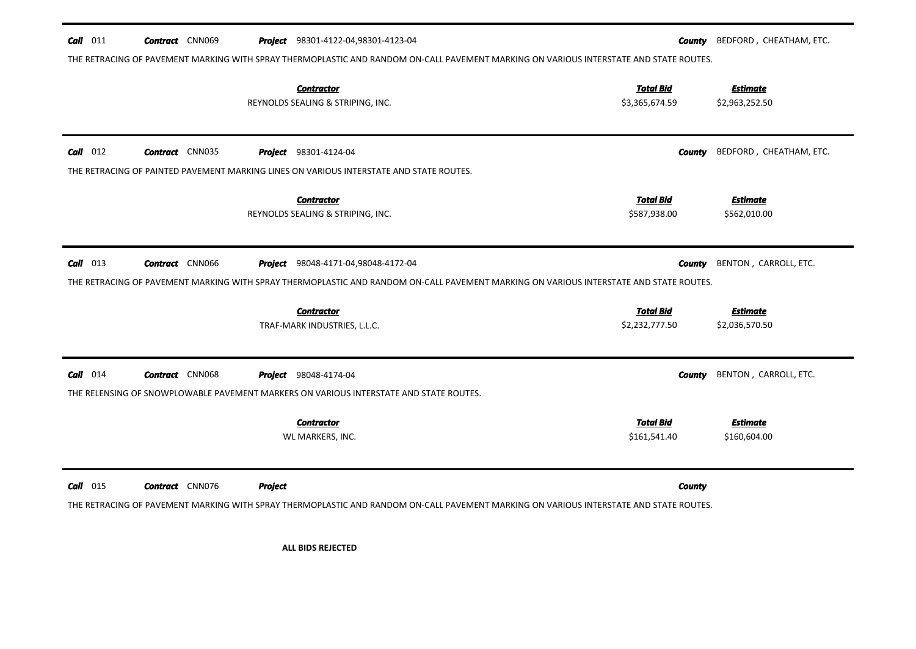| $Call$ 011 | <b>Contract</b> CNN069 |                | Project 98301-4122-04,98301-4123-04<br>THE RETRACING OF PAVEMENT MARKING WITH SPRAY THERMOPLASTIC AND RANDOM ON-CALL PAVEMENT MARKING ON VARIOUS INTERSTATE AND STATE ROUTES. | County                             | BEDFORD, CHEATHAM, ETC.           |
|------------|------------------------|----------------|-------------------------------------------------------------------------------------------------------------------------------------------------------------------------------|------------------------------------|-----------------------------------|
|            |                        |                | <b>Contractor</b><br>REYNOLDS SEALING & STRIPING, INC.                                                                                                                        | <b>Total Bid</b><br>\$3,365,674.59 | <b>Estimate</b><br>\$2,963,252.50 |
| $Call$ 012 | <b>Contract</b> CNN035 |                | <b>Project</b> 98301-4124-04                                                                                                                                                  | County                             | BEDFORD, CHEATHAM, ETC.           |
|            |                        |                | THE RETRACING OF PAINTED PAVEMENT MARKING LINES ON VARIOUS INTERSTATE AND STATE ROUTES.                                                                                       |                                    |                                   |
|            |                        |                | <b>Contractor</b><br>REYNOLDS SEALING & STRIPING, INC.                                                                                                                        | <b>Total Bid</b><br>\$587,938.00   | <b>Estimate</b><br>\$562,010.00   |
| $Call$ 013 | <b>Contract</b> CNN066 |                | <b>Project</b> 98048-4171-04,98048-4172-04                                                                                                                                    | County                             | BENTON, CARROLL, ETC.             |
|            |                        |                | THE RETRACING OF PAVEMENT MARKING WITH SPRAY THERMOPLASTIC AND RANDOM ON-CALL PAVEMENT MARKING ON VARIOUS INTERSTATE AND STATE ROUTES.                                        |                                    |                                   |
|            |                        |                | <b>Contractor</b><br>TRAF-MARK INDUSTRIES, L.L.C.                                                                                                                             | <b>Total Bid</b><br>\$2,232,777.50 | <b>Estimate</b><br>\$2,036,570.50 |
| $Call$ 014 | <b>Contract</b> CNN068 |                | <b>Project</b> 98048-4174-04                                                                                                                                                  | County                             | BENTON, CARROLL, ETC.             |
|            |                        |                | THE RELENSING OF SNOWPLOWABLE PAVEMENT MARKERS ON VARIOUS INTERSTATE AND STATE ROUTES.                                                                                        |                                    |                                   |
|            |                        |                | <b>Contractor</b><br>WL MARKERS, INC.                                                                                                                                         | <b>Total Bid</b><br>\$161,541.40   | <b>Estimate</b><br>\$160,604.00   |
| $Call$ 015 | <b>Contract</b> CNN076 | <b>Project</b> | THE RETRACING OF PAVEMENT MARKING WITH SPRAY THERMOPLASTIC AND RANDOM ON-CALL PAVEMENT MARKING ON VARIOUS INTERSTATE AND STATE ROUTES.                                        | <b>County</b>                      |                                   |
|            |                        |                | <b>ALL BIDS REJECTED</b>                                                                                                                                                      |                                    |                                   |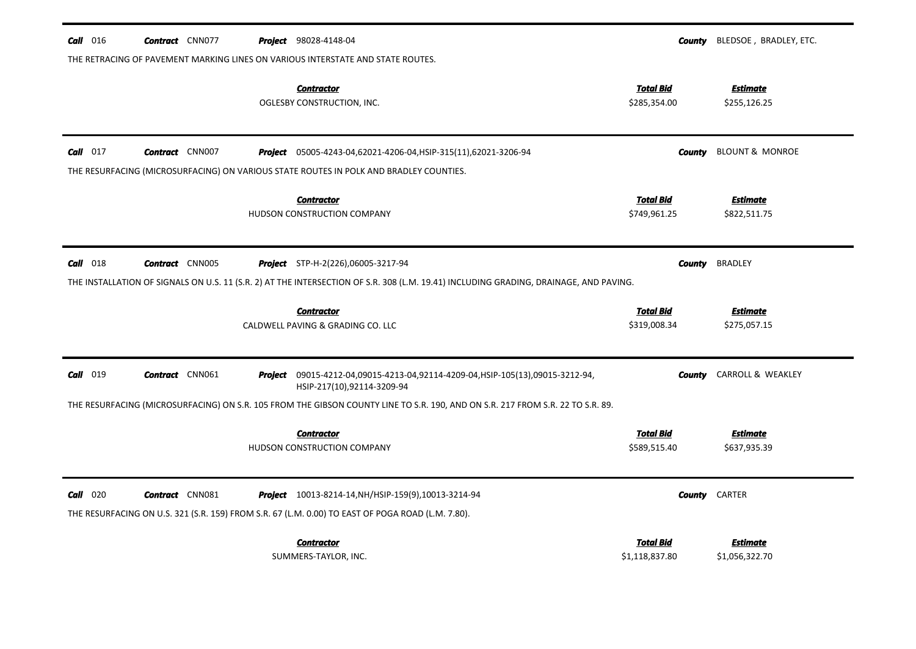| $\text{Call}$ 016 | <b>Contract</b> CNN077 |  | <b>Project</b> 98028-4148-04                                                                                                                                     | County                             | BLEDSOE, BRADLEY, ETC.          |
|-------------------|------------------------|--|------------------------------------------------------------------------------------------------------------------------------------------------------------------|------------------------------------|---------------------------------|
|                   |                        |  | THE RETRACING OF PAVEMENT MARKING LINES ON VARIOUS INTERSTATE AND STATE ROUTES.                                                                                  |                                    |                                 |
|                   |                        |  | <b>Contractor</b><br>OGLESBY CONSTRUCTION, INC.                                                                                                                  | <u>Total Bid</u><br>\$285,354.00   | <b>Estimate</b><br>\$255,126.25 |
| $Call$ 017        | <b>Contract</b> CNN007 |  | <b>Project</b> 05005-4243-04,62021-4206-04, HSIP-315(11),62021-3206-94<br>THE RESURFACING (MICROSURFACING) ON VARIOUS STATE ROUTES IN POLK AND BRADLEY COUNTIES. | <b>County</b>                      | <b>BLOUNT &amp; MONROE</b>      |
|                   |                        |  | <b>Contractor</b><br>HUDSON CONSTRUCTION COMPANY                                                                                                                 | <b>Total Bid</b><br>\$749,961.25   | Estimate<br>\$822,511.75        |
| $Call$ 018        | <b>Contract</b> CNN005 |  | Project STP-H-2(226),06005-3217-94                                                                                                                               | County                             | <b>BRADLEY</b>                  |
|                   |                        |  | THE INSTALLATION OF SIGNALS ON U.S. 11 (S.R. 2) AT THE INTERSECTION OF S.R. 308 (L.M. 19.41) INCLUDING GRADING, DRAINAGE, AND PAVING.                            |                                    |                                 |
|                   |                        |  | <b>Contractor</b><br>CALDWELL PAVING & GRADING CO. LLC                                                                                                           | Total Bid<br>\$319,008.34          | <b>Estimate</b><br>\$275,057.15 |
| Call 019          | <b>Contract</b> CNN061 |  | Project 09015-4212-04,09015-4213-04,92114-4209-04, HSIP-105(13),09015-3212-94,<br>HSIP-217(10),92114-3209-94                                                     | County                             | CARROLL & WEAKLEY               |
|                   |                        |  | THE RESURFACING (MICROSURFACING) ON S.R. 105 FROM THE GIBSON COUNTY LINE TO S.R. 190, AND ON S.R. 217 FROM S.R. 22 TO S.R. 89.                                   |                                    |                                 |
|                   |                        |  | <b>Contractor</b><br>HUDSON CONSTRUCTION COMPANY                                                                                                                 | <u>Total Bid</u><br>\$589,515.40   | <b>Estimate</b><br>\$637,935.39 |
| $Call$ 020        | <b>Contract</b> CNN081 |  | <b>Project</b> 10013-8214-14, NH/HSIP-159(9), 10013-3214-94<br>THE RESURFACING ON U.S. 321 (S.R. 159) FROM S.R. 67 (L.M. 0.00) TO EAST OF POGA ROAD (L.M. 7.80). |                                    | <b>County</b> CARTER            |
|                   |                        |  | <b>Contractor</b><br>SUMMERS-TAYLOR, INC.                                                                                                                        | <u>Total Bid</u><br>\$1,118,837.80 | Estimate<br>\$1,056,322.70      |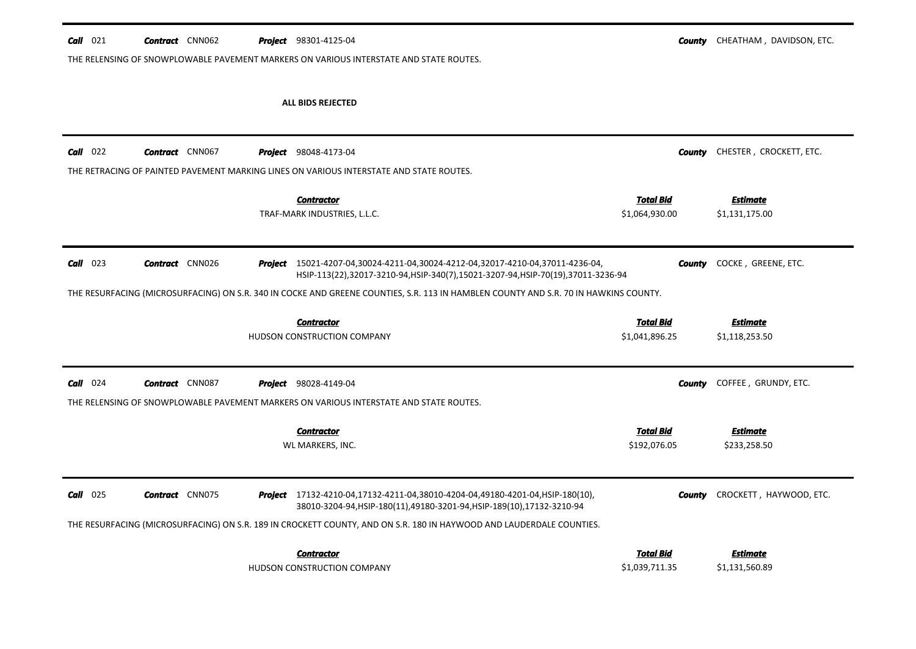| $Call$ 021 | <b>Contract</b> CNN062 |         | <b>Project</b> 98301-4125-04                                                                                                                             | County                             | CHEATHAM, DAVIDSON, ETC.          |
|------------|------------------------|---------|----------------------------------------------------------------------------------------------------------------------------------------------------------|------------------------------------|-----------------------------------|
|            |                        |         | THE RELENSING OF SNOWPLOWABLE PAVEMENT MARKERS ON VARIOUS INTERSTATE AND STATE ROUTES.                                                                   |                                    |                                   |
|            |                        |         |                                                                                                                                                          |                                    |                                   |
|            |                        |         | ALL BIDS REJECTED                                                                                                                                        |                                    |                                   |
|            |                        |         |                                                                                                                                                          |                                    |                                   |
|            |                        |         |                                                                                                                                                          |                                    |                                   |
| $Call$ 022 | <b>Contract</b> CNN067 | Project | 98048-4173-04                                                                                                                                            | County                             | CHESTER, CROCKETT, ETC.           |
|            |                        |         | THE RETRACING OF PAINTED PAVEMENT MARKING LINES ON VARIOUS INTERSTATE AND STATE ROUTES.                                                                  |                                    |                                   |
|            |                        |         | <b>Contractor</b>                                                                                                                                        | <b>Total Bid</b>                   | <b>Estimate</b>                   |
|            |                        |         | TRAF-MARK INDUSTRIES, L.L.C.                                                                                                                             | \$1,064,930.00                     | \$1,131,175.00                    |
|            |                        |         |                                                                                                                                                          |                                    |                                   |
| $Call$ 023 | <b>Contract</b> CNN026 | Project | 15021-4207-04,30024-4211-04,30024-4212-04,32017-4210-04,37011-4236-04,<br>HSIP-113(22),32017-3210-94,HSIP-340(7),15021-3207-94,HSIP-70(19),37011-3236-94 | County                             | COCKE, GREENE, ETC.               |
|            |                        |         | THE RESURFACING (MICROSURFACING) ON S.R. 340 IN COCKE AND GREENE COUNTIES, S.R. 113 IN HAMBLEN COUNTY AND S.R. 70 IN HAWKINS COUNTY.                     |                                    |                                   |
|            |                        |         |                                                                                                                                                          |                                    |                                   |
|            |                        |         |                                                                                                                                                          |                                    |                                   |
|            |                        |         | <b>Contractor</b>                                                                                                                                        | <b>Total Bid</b>                   | <b>Estimate</b>                   |
|            |                        |         | HUDSON CONSTRUCTION COMPANY                                                                                                                              | \$1,041,896.25                     | \$1,118,253.50                    |
|            |                        |         |                                                                                                                                                          |                                    |                                   |
| $Call$ 024 | <b>Contract</b> CNN087 |         | <b>Project</b> 98028-4149-04                                                                                                                             | County                             | COFFEE, GRUNDY, ETC.              |
|            |                        |         | THE RELENSING OF SNOWPLOWABLE PAVEMENT MARKERS ON VARIOUS INTERSTATE AND STATE ROUTES.                                                                   |                                    |                                   |
|            |                        |         |                                                                                                                                                          |                                    |                                   |
|            |                        |         | <b>Contractor</b>                                                                                                                                        | <b>Total Bid</b>                   | <b>Estimate</b>                   |
|            |                        |         | WL MARKERS, INC.                                                                                                                                         | \$192,076.05                       | \$233,258.50                      |
|            |                        |         |                                                                                                                                                          |                                    |                                   |
| $Call$ 025 | <b>Contract</b> CNN075 |         | Project 17132-4210-04,17132-4211-04,38010-4204-04,49180-4201-04,HSIP-180(10),<br>38010-3204-94, HSIP-180(11), 49180-3201-94, HSIP-189(10), 17132-3210-94 | County                             | CROCKETT, HAYWOOD, ETC.           |
|            |                        |         | THE RESURFACING (MICROSURFACING) ON S.R. 189 IN CROCKETT COUNTY, AND ON S.R. 180 IN HAYWOOD AND LAUDERDALE COUNTIES.                                     |                                    |                                   |
|            |                        |         |                                                                                                                                                          |                                    |                                   |
|            |                        |         | <b>Contractor</b><br>HUDSON CONSTRUCTION COMPANY                                                                                                         | <b>Total Bid</b><br>\$1,039,711.35 | <b>Estimate</b><br>\$1,131,560.89 |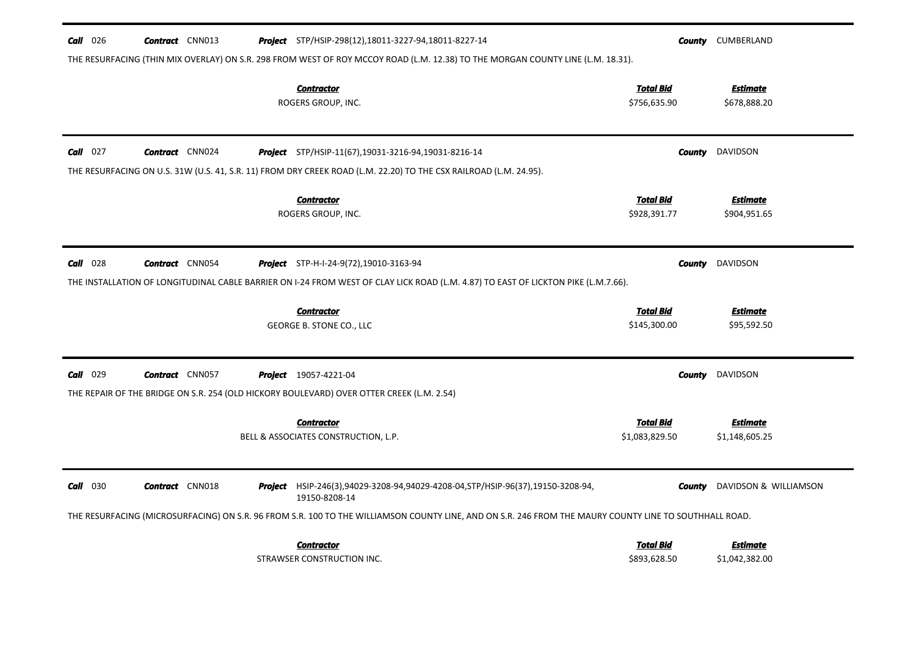| <b>Call</b> 026 | <b>Contract</b> CNN013 |         | <b>Project</b> STP/HSIP-298(12), 18011-3227-94, 18011-8227-14<br>THE RESURFACING (THIN MIX OVERLAY) ON S.R. 298 FROM WEST OF ROY MCCOY ROAD (L.M. 12.38) TO THE MORGAN COUNTY LINE (L.M. 18.31). | County                             | CUMBERLAND                        |
|-----------------|------------------------|---------|--------------------------------------------------------------------------------------------------------------------------------------------------------------------------------------------------|------------------------------------|-----------------------------------|
|                 |                        |         | <b>Contractor</b><br>ROGERS GROUP, INC.                                                                                                                                                          | <b>Total Bid</b><br>\$756,635.90   | <b>Estimate</b><br>\$678,888.20   |
| $Call$ 027      | <b>Contract</b> CNN024 |         | Project STP/HSIP-11(67),19031-3216-94,19031-8216-14<br>THE RESURFACING ON U.S. 31W (U.S. 41, S.R. 11) FROM DRY CREEK ROAD (L.M. 22.20) TO THE CSX RAILROAD (L.M. 24.95).                         | County                             | DAVIDSON                          |
|                 |                        |         | <b>Contractor</b><br>ROGERS GROUP, INC.                                                                                                                                                          | <b>Total Bid</b><br>\$928,391.77   | <b>Estimate</b><br>\$904,951.65   |
| <b>Call</b> 028 | <b>Contract</b> CNN054 |         | <b>Project</b> STP-H-I-24-9(72), 19010-3163-94                                                                                                                                                   | County                             | DAVIDSON                          |
|                 |                        |         | THE INSTALLATION OF LONGITUDINAL CABLE BARRIER ON I-24 FROM WEST OF CLAY LICK ROAD (L.M. 4.87) TO EAST OF LICKTON PIKE (L.M.7.66).                                                               |                                    |                                   |
|                 |                        |         | <b>Contractor</b><br>GEORGE B. STONE CO., LLC                                                                                                                                                    | <b>Total Bid</b><br>\$145,300.00   | <b>Estimate</b><br>\$95,592.50    |
| <b>Call</b> 029 | <b>Contract</b> CNN057 |         | <b>Project</b> 19057-4221-04<br>THE REPAIR OF THE BRIDGE ON S.R. 254 (OLD HICKORY BOULEVARD) OVER OTTER CREEK (L.M. 2.54)                                                                        | <b>County</b>                      | DAVIDSON                          |
|                 |                        |         | <b>Contractor</b><br>BELL & ASSOCIATES CONSTRUCTION, L.P.                                                                                                                                        | <b>Total Bid</b><br>\$1,083,829.50 | <b>Estimate</b><br>\$1,148,605.25 |
| $Call$ 030      | <b>Contract</b> CNN018 | Project | HSIP-246(3),94029-3208-94,94029-4208-04, STP/HSIP-96(37), 19150-3208-94,<br>19150-8208-14                                                                                                        | County                             | DAVIDSON & WILLIAMSON             |
|                 |                        |         | THE RESURFACING (MICROSURFACING) ON S.R. 96 FROM S.R. 100 TO THE WILLIAMSON COUNTY LINE, AND ON S.R. 246 FROM THE MAURY COUNTY LINE TO SOUTHHALL ROAD.                                           |                                    |                                   |
|                 |                        |         | <b>Contractor</b><br>STRAWSER CONSTRUCTION INC.                                                                                                                                                  | <b>Total Bid</b><br>\$893,628.50   | <b>Estimate</b><br>\$1,042,382.00 |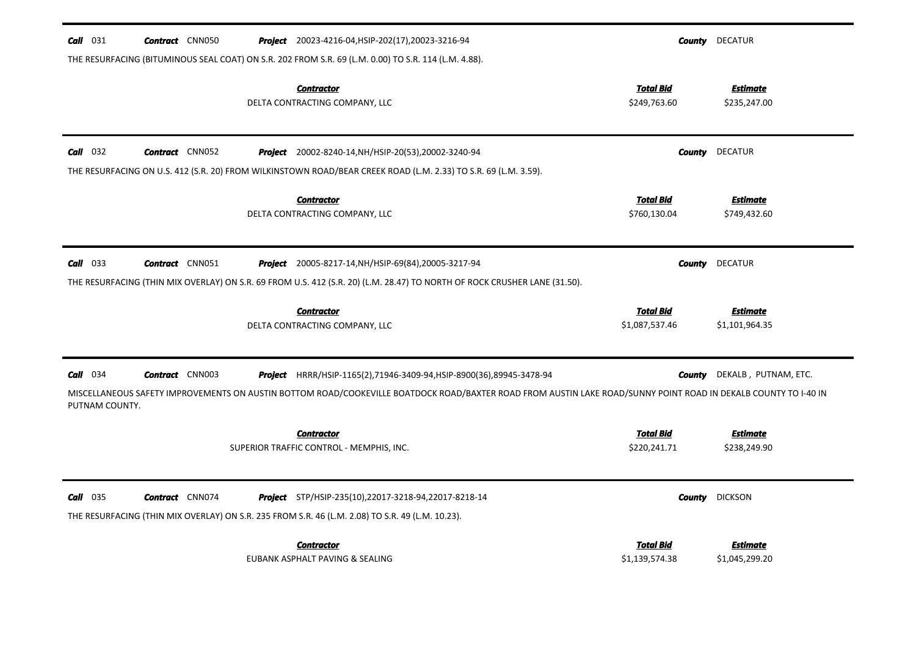| $Call$ 031     | <b>Contract</b> CNN050 | <b>Project</b> 20023-4216-04, HSIP-202(17), 20023-3216-94                                                                                                                      | County                             | <b>DECATUR</b>                    |
|----------------|------------------------|--------------------------------------------------------------------------------------------------------------------------------------------------------------------------------|------------------------------------|-----------------------------------|
|                |                        | THE RESURFACING (BITUMINOUS SEAL COAT) ON S.R. 202 FROM S.R. 69 (L.M. 0.00) TO S.R. 114 (L.M. 4.88).                                                                           |                                    |                                   |
|                |                        | <b>Contractor</b><br>DELTA CONTRACTING COMPANY, LLC                                                                                                                            | <u>Total Bid</u><br>\$249,763.60   | <b>Estimate</b><br>\$235,247.00   |
| $Call$ 032     | <b>Contract</b> CNN052 | <b>Project</b> 20002-8240-14, NH/HSIP-20(53), 20002-3240-94<br>THE RESURFACING ON U.S. 412 (S.R. 20) FROM WILKINSTOWN ROAD/BEAR CREEK ROAD (L.M. 2.33) TO S.R. 69 (L.M. 3.59). | <b>County</b>                      | <b>DECATUR</b>                    |
|                |                        | <b>Contractor</b><br>DELTA CONTRACTING COMPANY, LLC                                                                                                                            | <b>Total Bid</b><br>\$760,130.04   | <u>Estimate</u><br>\$749,432.60   |
| $Call$ 033     | <b>Contract</b> CNN051 | <b>Project</b> 20005-8217-14, NH/HSIP-69(84), 20005-3217-94                                                                                                                    | County                             | <b>DECATUR</b>                    |
|                |                        | THE RESURFACING (THIN MIX OVERLAY) ON S.R. 69 FROM U.S. 412 (S.R. 20) (L.M. 28.47) TO NORTH OF ROCK CRUSHER LANE (31.50).                                                      |                                    |                                   |
|                |                        | <b>Contractor</b><br>DELTA CONTRACTING COMPANY, LLC                                                                                                                            | <b>Total Bid</b><br>\$1,087,537.46 | <b>Estimate</b><br>\$1,101,964.35 |
| $Call$ 034     | <b>Contract</b> CNN003 | <b>Project</b> HRRR/HSIP-1165(2),71946-3409-94,HSIP-8900(36),89945-3478-94                                                                                                     | County                             | DEKALB, PUTNAM, ETC.              |
| PUTNAM COUNTY. |                        | MISCELLANEOUS SAFETY IMPROVEMENTS ON AUSTIN BOTTOM ROAD/COOKEVILLE BOATDOCK ROAD/BAXTER ROAD FROM AUSTIN LAKE ROAD/SUNNY POINT ROAD IN DEKALB COUNTY TO I-40 IN                |                                    |                                   |
|                |                        | <b>Contractor</b><br>SUPERIOR TRAFFIC CONTROL - MEMPHIS, INC.                                                                                                                  | <b>Total Bid</b><br>\$220,241.71   | <b>Estimate</b><br>\$238,249.90   |
| $Call$ 035     | <b>Contract</b> CNN074 | <b>Project</b> STP/HSIP-235(10),22017-3218-94,22017-8218-14<br>THE RESURFACING (THIN MIX OVERLAY) ON S.R. 235 FROM S.R. 46 (L.M. 2.08) TO S.R. 49 (L.M. 10.23).                | County                             | <b>DICKSON</b>                    |
|                |                        | <b>Contractor</b><br>EUBANK ASPHALT PAVING & SEALING                                                                                                                           | <b>Total Bid</b><br>\$1,139,574.38 | <b>Estimate</b><br>\$1,045,299.20 |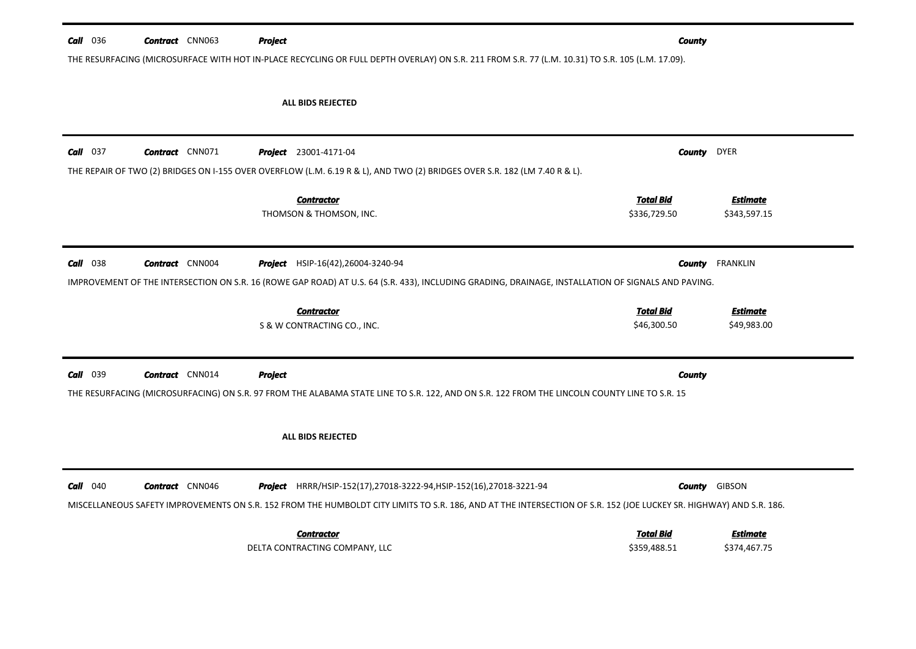| <b>Call</b> 036 | <b>Contract</b> CNN063                                                                                                                                                                                                                                 |  | Project                                                                                                                                                                                                                                    | <b>County</b>                    |                                 |  |
|-----------------|--------------------------------------------------------------------------------------------------------------------------------------------------------------------------------------------------------------------------------------------------------|--|--------------------------------------------------------------------------------------------------------------------------------------------------------------------------------------------------------------------------------------------|----------------------------------|---------------------------------|--|
|                 |                                                                                                                                                                                                                                                        |  | THE RESURFACING (MICROSURFACE WITH HOT IN-PLACE RECYCLING OR FULL DEPTH OVERLAY) ON S.R. 211 FROM S.R. 77 (L.M. 10.31) TO S.R. 105 (L.M. 17.09).                                                                                           |                                  |                                 |  |
|                 |                                                                                                                                                                                                                                                        |  | <b>ALL BIDS REJECTED</b>                                                                                                                                                                                                                   |                                  |                                 |  |
| $Call$ 037      | <b>Contract</b> CNN071                                                                                                                                                                                                                                 |  | Project 23001-4171-04<br>THE REPAIR OF TWO (2) BRIDGES ON I-155 OVER OVERFLOW (L.M. 6.19 R & L), AND TWO (2) BRIDGES OVER S.R. 182 (LM 7.40 R & L).                                                                                        | <b>County</b>                    | <b>DYER</b>                     |  |
|                 |                                                                                                                                                                                                                                                        |  | <b>Contractor</b><br>THOMSON & THOMSON, INC.                                                                                                                                                                                               | <b>Total Bid</b><br>\$336,729.50 | <b>Estimate</b><br>\$343,597.15 |  |
| $Call$ 038      | <b>Contract</b> CNN004<br><b>FRANKLIN</b><br>Project HSIP-16(42), 26004-3240-94<br><b>County</b><br>IMPROVEMENT OF THE INTERSECTION ON S.R. 16 (ROWE GAP ROAD) AT U.S. 64 (S.R. 433), INCLUDING GRADING, DRAINAGE, INSTALLATION OF SIGNALS AND PAVING. |  |                                                                                                                                                                                                                                            |                                  |                                 |  |
|                 |                                                                                                                                                                                                                                                        |  | <b>Contractor</b><br>S & W CONTRACTING CO., INC.                                                                                                                                                                                           | <b>Total Bid</b><br>\$46,300.50  | <b>Estimate</b><br>\$49,983.00  |  |
| Call 039        | <b>Contract</b> CNN014                                                                                                                                                                                                                                 |  | <b>Project</b><br>THE RESURFACING (MICROSURFACING) ON S.R. 97 FROM THE ALABAMA STATE LINE TO S.R. 122, AND ON S.R. 122 FROM THE LINCOLN COUNTY LINE TO S.R. 15                                                                             | <b>County</b>                    |                                 |  |
|                 |                                                                                                                                                                                                                                                        |  | <b>ALL BIDS REJECTED</b>                                                                                                                                                                                                                   |                                  |                                 |  |
| 040<br>Call     | <b>Contract</b> CNN046                                                                                                                                                                                                                                 |  | Project HRRR/HSIP-152(17),27018-3222-94, HSIP-152(16),27018-3221-94<br>MISCELLANEOUS SAFETY IMPROVEMENTS ON S.R. 152 FROM THE HUMBOLDT CITY LIMITS TO S.R. 186, AND AT THE INTERSECTION OF S.R. 152 (JOE LUCKEY SR. HIGHWAY) AND S.R. 186. |                                  | <b>County GIBSON</b>            |  |
|                 |                                                                                                                                                                                                                                                        |  |                                                                                                                                                                                                                                            |                                  |                                 |  |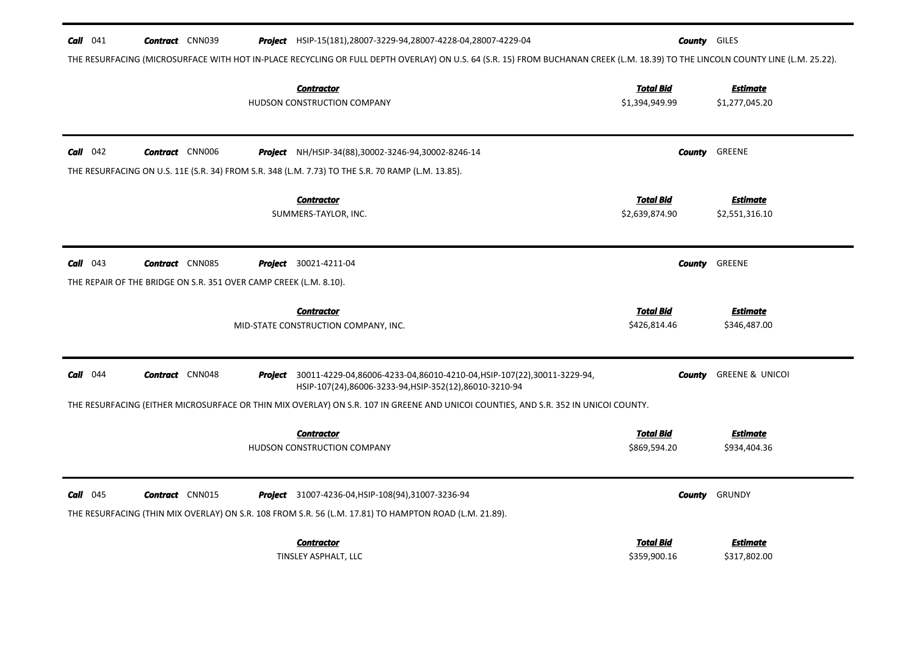| $Call$ 041                                                                    | <b>Contract</b> CNN039 |  | <b>Project</b> HSIP-15(181),28007-3229-94,28007-4228-04,28007-4229-04                                                                                                           | <b>County</b> GILES                |                                   |
|-------------------------------------------------------------------------------|------------------------|--|---------------------------------------------------------------------------------------------------------------------------------------------------------------------------------|------------------------------------|-----------------------------------|
|                                                                               |                        |  | THE RESURFACING (MICROSURFACE WITH HOT IN-PLACE RECYCLING OR FULL DEPTH OVERLAY) ON U.S. 64 (S.R. 15) FROM BUCHANAN CREEK (L.M. 18.39) TO THE LINCOLN COUNTY LINE (L.M. 25.22). |                                    |                                   |
|                                                                               |                        |  | <b>Contractor</b><br>HUDSON CONSTRUCTION COMPANY                                                                                                                                | <b>Total Bid</b><br>\$1,394,949.99 | <b>Estimate</b><br>\$1,277,045.20 |
| $Call$ 042                                                                    | <b>Contract</b> CNN006 |  | <b>Project</b> NH/HSIP-34(88), 30002-3246-94, 30002-8246-14<br>THE RESURFACING ON U.S. 11E (S.R. 34) FROM S.R. 348 (L.M. 7.73) TO THE S.R. 70 RAMP (L.M. 13.85).                | County                             | GREENE                            |
|                                                                               |                        |  | <b>Contractor</b><br>SUMMERS-TAYLOR, INC.                                                                                                                                       | Total Bid<br>\$2,639,874.90        | <b>Estimate</b><br>\$2,551,316.10 |
| Call 043<br>THE REPAIR OF THE BRIDGE ON S.R. 351 OVER CAMP CREEK (L.M. 8.10). | <b>Contract</b> CNN085 |  | <b>Project</b> 30021-4211-04                                                                                                                                                    | County                             | GREENE                            |
|                                                                               |                        |  | <b>Contractor</b><br>MID-STATE CONSTRUCTION COMPANY, INC.                                                                                                                       | <b>Total Bid</b><br>\$426,814.46   | <b>Estimate</b><br>\$346,487.00   |
| $Call$ 044                                                                    | <b>Contract</b> CNN048 |  | Project 30011-4229-04,86006-4233-04,86010-4210-04, HSIP-107(22),30011-3229-94,<br>HSIP-107(24),86006-3233-94,HSIP-352(12),86010-3210-94                                         | County                             | <b>GREENE &amp; UNICOI</b>        |
|                                                                               |                        |  | THE RESURFACING (EITHER MICROSURFACE OR THIN MIX OVERLAY) ON S.R. 107 IN GREENE AND UNICOI COUNTIES, AND S.R. 352 IN UNICOI COUNTY.                                             |                                    |                                   |
|                                                                               |                        |  | <b>Contractor</b><br>HUDSON CONSTRUCTION COMPANY                                                                                                                                | <b>Total Bid</b><br>\$869,594.20   | <b>Estimate</b><br>\$934,404.36   |
| $Call$ 045                                                                    | <b>Contract</b> CNN015 |  | <b>Project</b> 31007-4236-04, HSIP-108(94), 31007-3236-94<br>THE RESURFACING (THIN MIX OVERLAY) ON S.R. 108 FROM S.R. 56 (L.M. 17.81) TO HAMPTON ROAD (L.M. 21.89).             | County                             | GRUNDY                            |
|                                                                               |                        |  | <b>Contractor</b><br>TINSLEY ASPHALT, LLC                                                                                                                                       | Total Bid<br>\$359,900.16          | <b>Estimate</b><br>\$317,802.00   |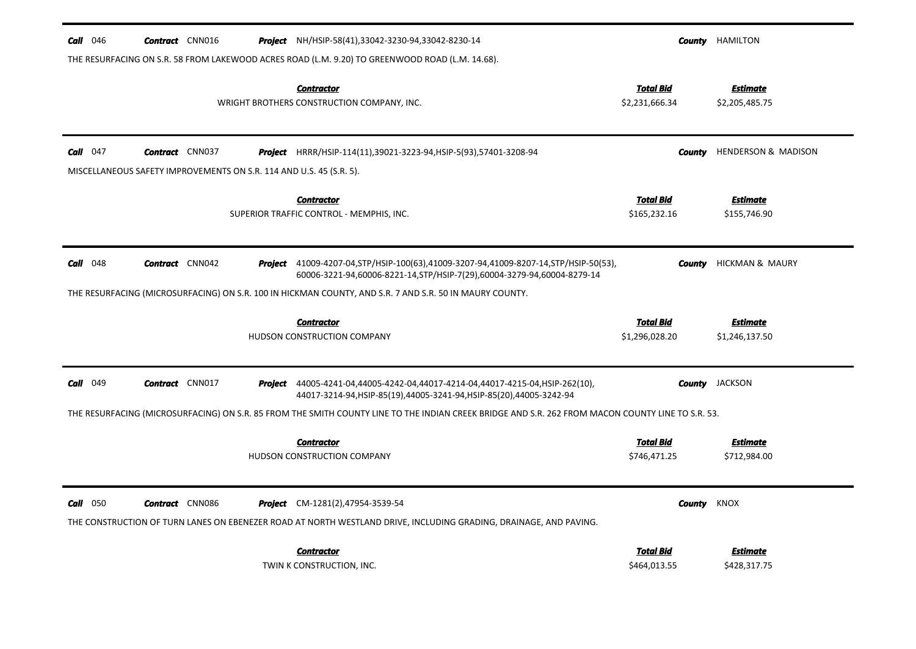| 046<br>Call | <b>Contract</b> CNN016                                              |         | <b>Project</b> NH/HSIP-58(41),33042-3230-94,33042-8230-14                                                                                                                |                                    | <b>County</b> HAMILTON            |
|-------------|---------------------------------------------------------------------|---------|--------------------------------------------------------------------------------------------------------------------------------------------------------------------------|------------------------------------|-----------------------------------|
|             |                                                                     |         | THE RESURFACING ON S.R. 58 FROM LAKEWOOD ACRES ROAD (L.M. 9.20) TO GREENWOOD ROAD (L.M. 14.68).                                                                          |                                    |                                   |
|             |                                                                     |         | Contractor<br>WRIGHT BROTHERS CONSTRUCTION COMPANY, INC.                                                                                                                 | <b>Total Bid</b><br>\$2,231,666.34 | <b>Estimate</b><br>\$2,205,485.75 |
| Call<br>047 | <b>Contract</b> CNN037                                              |         | <b>Project</b> HRRR/HSIP-114(11),39021-3223-94, HSIP-5(93),57401-3208-94                                                                                                 | County                             | HENDERSON & MADISON               |
|             | MISCELLANEOUS SAFETY IMPROVEMENTS ON S.R. 114 AND U.S. 45 (S.R. 5). |         |                                                                                                                                                                          |                                    |                                   |
|             |                                                                     |         | <b>Contractor</b><br>SUPERIOR TRAFFIC CONTROL - MEMPHIS, INC.                                                                                                            | <b>Total Bid</b><br>\$165,232.16   | <b>Estimate</b><br>\$155,746.90   |
| Call<br>048 | <b>Contract</b> CNN042                                              |         | <b>Project</b> 41009-4207-04, STP/HSIP-100(63), 41009-3207-94, 41009-8207-14, STP/HSIP-50(53),<br>60006-3221-94,60006-8221-14,STP/HSIP-7(29),60004-3279-94,60004-8279-14 | County                             | <b>HICKMAN &amp; MAURY</b>        |
|             |                                                                     |         | THE RESURFACING (MICROSURFACING) ON S.R. 100 IN HICKMAN COUNTY, AND S.R. 7 AND S.R. 50 IN MAURY COUNTY.                                                                  |                                    |                                   |
|             |                                                                     |         | <b>Contractor</b><br>HUDSON CONSTRUCTION COMPANY                                                                                                                         | <b>Total Bid</b><br>\$1,296,028.20 | <b>Estimate</b><br>\$1,246,137.50 |
| 049<br>Call | <b>Contract</b> CNN017                                              |         | <b>Project</b> 44005-4241-04,44005-4242-04,44017-4214-04,44017-4215-04,HSIP-262(10),<br>44017-3214-94, HSIP-85(19), 44005-3241-94, HSIP-85(20), 44005-3242-94            |                                    | <b>County</b> JACKSON             |
|             |                                                                     |         | THE RESURFACING (MICROSURFACING) ON S.R. 85 FROM THE SMITH COUNTY LINE TO THE INDIAN CREEK BRIDGE AND S.R. 262 FROM MACON COUNTY LINE TO S.R. 53.                        |                                    |                                   |
|             |                                                                     |         | Contractor<br>HUDSON CONSTRUCTION COMPANY                                                                                                                                | <b>Total Bid</b><br>\$746,471.25   | <b>Estimate</b><br>\$712,984.00   |
| $Call$ 050  | <b>Contract</b> CNN086                                              | Project | CM-1281(2),47954-3539-54<br>THE CONSTRUCTION OF TURN LANES ON EBENEZER ROAD AT NORTH WESTLAND DRIVE, INCLUDING GRADING, DRAINAGE, AND PAVING.                            | County                             | KNOX                              |
|             |                                                                     |         | <b>Contractor</b><br>TWIN K CONSTRUCTION, INC.                                                                                                                           | <b>Total Bid</b><br>\$464,013.55   | <b>Estimate</b><br>\$428,317.75   |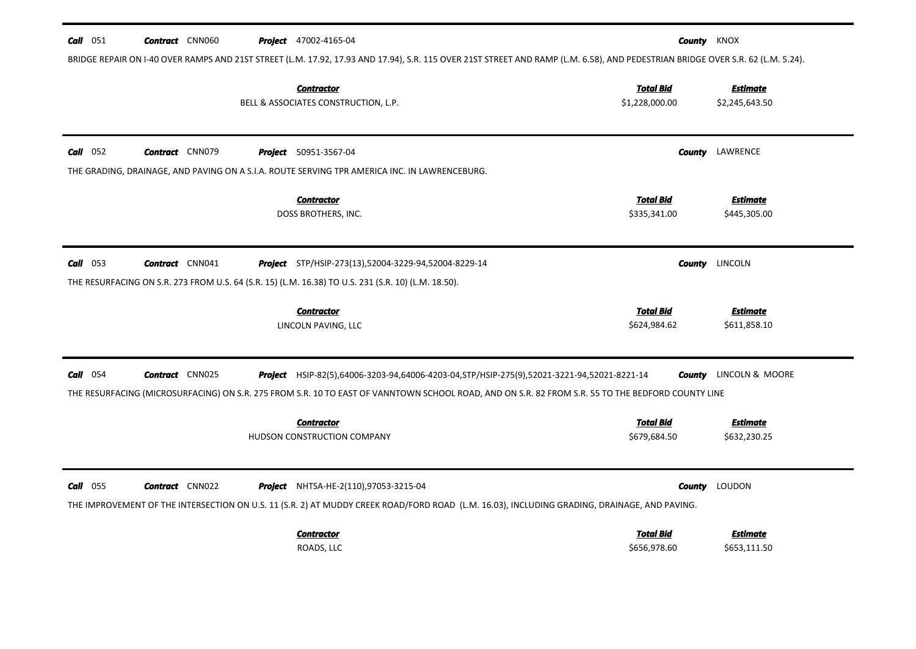| $Call$ 051<br><b>Contract</b> CNN060 | <b>Project</b> 47002-4165-04                                                                                                                                       | <b>County</b> KNOX<br>BRIDGE REPAIR ON I-40 OVER RAMPS AND 21ST STREET (L.M. 17.92, 17.93 AND 17.94), S.R. 115 OVER 21ST STREET AND RAMP (L.M. 6.58), AND PEDESTRIAN BRIDGE OVER S.R. 62 (L.M. 5.24).                                                                        |
|--------------------------------------|--------------------------------------------------------------------------------------------------------------------------------------------------------------------|------------------------------------------------------------------------------------------------------------------------------------------------------------------------------------------------------------------------------------------------------------------------------|
|                                      | <b>Contractor</b><br>BELL & ASSOCIATES CONSTRUCTION, L.P.                                                                                                          | <b>Total Bid</b><br><b>Estimate</b><br>\$1,228,000.00<br>\$2,245,643.50                                                                                                                                                                                                      |
| $Call$ 052<br><b>Contract</b> CNN079 | <b>Project</b> 50951-3567-04<br>THE GRADING, DRAINAGE, AND PAVING ON A S.I.A. ROUTE SERVING TPR AMERICA INC. IN LAWRENCEBURG.                                      | LAWRENCE<br>County                                                                                                                                                                                                                                                           |
|                                      | <b>Contractor</b><br>DOSS BROTHERS, INC.                                                                                                                           | <u>Total Bid</u><br><b>Estimate</b><br>\$335,341.00<br>\$445,305.00                                                                                                                                                                                                          |
| $Call$ 053<br><b>Contract</b> CNN041 | <b>Project</b> STP/HSIP-273(13),52004-3229-94,52004-8229-14<br>THE RESURFACING ON S.R. 273 FROM U.S. 64 (S.R. 15) (L.M. 16.38) TO U.S. 231 (S.R. 10) (L.M. 18.50). | <b>County</b> LINCOLN                                                                                                                                                                                                                                                        |
|                                      | <b>Contractor</b><br>LINCOLN PAVING, LLC                                                                                                                           | <b>Total Bid</b><br><b>Estimate</b><br>\$624,984.62<br>\$611,858.10                                                                                                                                                                                                          |
| $Call$ 054<br><b>Contract</b> CNN025 |                                                                                                                                                                    | Project HSIP-82(5),64006-3203-94,64006-4203-04,STP/HSIP-275(9),52021-3221-94,52021-8221-14<br>LINCOLN & MOORE<br>County<br>THE RESURFACING (MICROSURFACING) ON S.R. 275 FROM S.R. 10 TO EAST OF VANNTOWN SCHOOL ROAD, AND ON S.R. 82 FROM S.R. 55 TO THE BEDFORD COUNTY LINE |
|                                      | <b>Contractor</b><br>HUDSON CONSTRUCTION COMPANY                                                                                                                   | Total Bid<br>Estimate<br>\$679,684.50<br>\$632,230.25                                                                                                                                                                                                                        |
| $Call$ 055<br><b>Contract</b> CNN022 | <b>Project</b> NHTSA-HE-2(110),97053-3215-04                                                                                                                       | LOUDON<br>County<br>THE IMPROVEMENT OF THE INTERSECTION ON U.S. 11 (S.R. 2) AT MUDDY CREEK ROAD/FORD ROAD (L.M. 16.03), INCLUDING GRADING, DRAINAGE, AND PAVING.                                                                                                             |
|                                      | <b>Contractor</b><br>ROADS, LLC                                                                                                                                    | <b>Total Bid</b><br><b>Estimate</b><br>\$656,978.60<br>\$653,111.50                                                                                                                                                                                                          |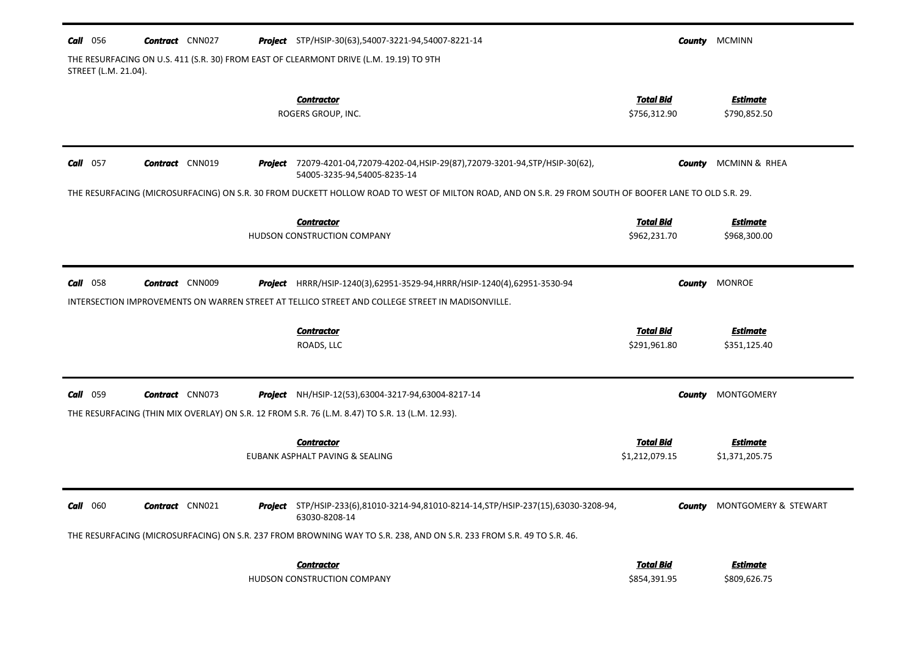| <b>Call</b> 056                                                                                                | <b>Contract</b> CNN027 |  |  | <b>Project</b> STP/HSIP-30(63),54007-3221-94,54007-8221-14                                                                                                                   |                                    | <b>County MCMINN</b>               |  |  |
|----------------------------------------------------------------------------------------------------------------|------------------------|--|--|------------------------------------------------------------------------------------------------------------------------------------------------------------------------------|------------------------------------|------------------------------------|--|--|
| THE RESURFACING ON U.S. 411 (S.R. 30) FROM EAST OF CLEARMONT DRIVE (L.M. 19.19) TO 9TH<br>STREET (L.M. 21.04). |                        |  |  |                                                                                                                                                                              |                                    |                                    |  |  |
|                                                                                                                |                        |  |  | <b>Contractor</b><br>ROGERS GROUP, INC.                                                                                                                                      | <b>Total Bid</b><br>\$756,312.90   | <b>Estimate</b><br>\$790,852.50    |  |  |
| $Call$ 057                                                                                                     | <b>Contract</b> CNN019 |  |  | Project 72079-4201-04,72079-4202-04, HSIP-29(87), 72079-3201-94, STP/HSIP-30(62),<br>54005-3235-94,54005-8235-14                                                             | County                             | MCMINN & RHEA                      |  |  |
|                                                                                                                |                        |  |  | THE RESURFACING (MICROSURFACING) ON S.R. 30 FROM DUCKETT HOLLOW ROAD TO WEST OF MILTON ROAD, AND ON S.R. 29 FROM SOUTH OF BOOFER LANE TO OLD S.R. 29.                        |                                    |                                    |  |  |
|                                                                                                                |                        |  |  | <b>Contractor</b><br>HUDSON CONSTRUCTION COMPANY                                                                                                                             | <b>Total Bid</b><br>\$962,231.70   | <b>Estimate</b><br>\$968,300.00    |  |  |
| <b>Call</b> 058                                                                                                | <b>Contract</b> CNN009 |  |  | Project HRRR/HSIP-1240(3),62951-3529-94, HRRR/HSIP-1240(4),62951-3530-94<br>INTERSECTION IMPROVEMENTS ON WARREN STREET AT TELLICO STREET AND COLLEGE STREET IN MADISONVILLE. |                                    | <b>County</b> MONROE               |  |  |
|                                                                                                                |                        |  |  |                                                                                                                                                                              |                                    |                                    |  |  |
|                                                                                                                |                        |  |  | <b>Contractor</b><br>ROADS, LLC                                                                                                                                              | <b>Total Bid</b><br>\$291,961.80   | <b>Estimate</b><br>\$351,125.40    |  |  |
| Call 059                                                                                                       | <b>Contract</b> CNN073 |  |  | <b>Project</b> NH/HSIP-12(53),63004-3217-94,63004-8217-14                                                                                                                    | County                             | MONTGOMERY                         |  |  |
|                                                                                                                |                        |  |  | THE RESURFACING (THIN MIX OVERLAY) ON S.R. 12 FROM S.R. 76 (L.M. 8.47) TO S.R. 13 (L.M. 12.93).                                                                              |                                    |                                    |  |  |
|                                                                                                                |                        |  |  | <b>Contractor</b><br>EUBANK ASPHALT PAVING & SEALING                                                                                                                         | <b>Total Bid</b><br>\$1,212,079.15 | <b>Estimate</b><br>\$1,371,205.75  |  |  |
| Call 060                                                                                                       | <b>Contract</b> CNN021 |  |  | Project STP/HSIP-233(6),81010-3214-94,81010-8214-14, STP/HSIP-237(15),63030-3208-94,<br>63030-8208-14                                                                        |                                    | <b>County</b> MONTGOMERY & STEWART |  |  |
|                                                                                                                |                        |  |  | THE RESURFACING (MICROSURFACING) ON S.R. 237 FROM BROWNING WAY TO S.R. 238, AND ON S.R. 233 FROM S.R. 49 TO S.R. 46.                                                         |                                    |                                    |  |  |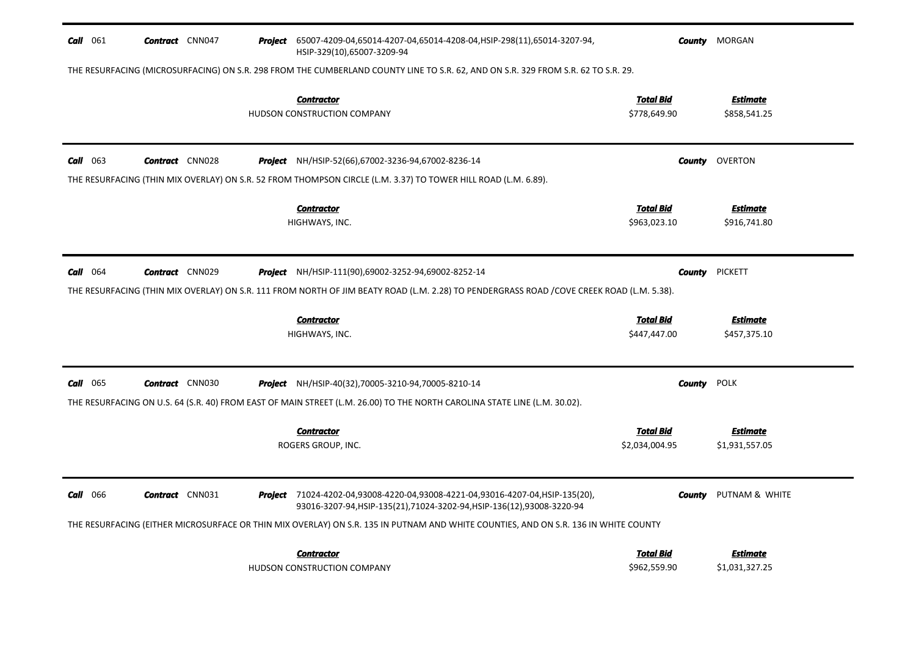| <b>Call</b> 061                                                                                                                   | <b>Contract</b> CNN047                                                                                                                    | Project | 65007-4209-04,65014-4207-04,65014-4208-04,HSIP-298(11),65014-3207-94,<br>HSIP-329(10),65007-3209-94                                                       |                                    | <b>County</b> MORGAN              |  |  |
|-----------------------------------------------------------------------------------------------------------------------------------|-------------------------------------------------------------------------------------------------------------------------------------------|---------|-----------------------------------------------------------------------------------------------------------------------------------------------------------|------------------------------------|-----------------------------------|--|--|
| THE RESURFACING (MICROSURFACING) ON S.R. 298 FROM THE CUMBERLAND COUNTY LINE TO S.R. 62, AND ON S.R. 329 FROM S.R. 62 TO S.R. 29. |                                                                                                                                           |         |                                                                                                                                                           |                                    |                                   |  |  |
|                                                                                                                                   |                                                                                                                                           |         | <b>Contractor</b><br>HUDSON CONSTRUCTION COMPANY                                                                                                          | <b>Total Bid</b><br>\$778,649.90   | <b>Estimate</b><br>\$858,541.25   |  |  |
| <b>Call</b> 063                                                                                                                   | <b>Contract</b> CNN028                                                                                                                    | Project | NH/HSIP-52(66),67002-3236-94,67002-8236-14                                                                                                                | County                             | OVERTON                           |  |  |
|                                                                                                                                   |                                                                                                                                           |         | THE RESURFACING (THIN MIX OVERLAY) ON S.R. 52 FROM THOMPSON CIRCLE (L.M. 3.37) TO TOWER HILL ROAD (L.M. 6.89).                                            |                                    |                                   |  |  |
|                                                                                                                                   |                                                                                                                                           |         | <b>Contractor</b><br>HIGHWAYS, INC.                                                                                                                       | <b>Total Bid</b><br>\$963,023.10   | <u>Estimate</u><br>\$916,741.80   |  |  |
| <b>Call</b> 064                                                                                                                   | <b>Contract</b> CNN029                                                                                                                    |         | <b>Project</b> NH/HSIP-111(90),69002-3252-94,69002-8252-14                                                                                                | <b>County</b>                      | <b>PICKETT</b>                    |  |  |
|                                                                                                                                   | THE RESURFACING (THIN MIX OVERLAY) ON S.R. 111 FROM NORTH OF JIM BEATY ROAD (L.M. 2.28) TO PENDERGRASS ROAD /COVE CREEK ROAD (L.M. 5.38). |         |                                                                                                                                                           |                                    |                                   |  |  |
|                                                                                                                                   |                                                                                                                                           |         | <b>Contractor</b><br>HIGHWAYS, INC.                                                                                                                       | <b>Total Bid</b><br>\$447,447.00   | <b>Estimate</b><br>\$457,375.10   |  |  |
| <b>Call</b> 065                                                                                                                   | <b>Contract</b> CNN030                                                                                                                    |         | <b>Project</b> NH/HSIP-40(32),70005-3210-94,70005-8210-14                                                                                                 | <b>County</b>                      | <b>POLK</b>                       |  |  |
|                                                                                                                                   |                                                                                                                                           |         | THE RESURFACING ON U.S. 64 (S.R. 40) FROM EAST OF MAIN STREET (L.M. 26.00) TO THE NORTH CAROLINA STATE LINE (L.M. 30.02).                                 |                                    |                                   |  |  |
|                                                                                                                                   |                                                                                                                                           |         | <b>Contractor</b><br>ROGERS GROUP, INC.                                                                                                                   | <b>Total Bid</b><br>\$2,034,004.95 | <b>Estimate</b><br>\$1,931,557.05 |  |  |
| <b>Call</b> 066                                                                                                                   | <b>Contract</b> CNN031                                                                                                                    |         | Project 71024-4202-04,93008-4220-04,93008-4221-04,93016-4207-04, HSIP-135(20),<br>93016-3207-94, HSIP-135(21), 71024-3202-94, HSIP-136(12), 93008-3220-94 | County                             | PUTNAM & WHITE                    |  |  |
|                                                                                                                                   |                                                                                                                                           |         | THE RESURFACING (EITHER MICROSURFACE OR THIN MIX OVERLAY) ON S.R. 135 IN PUTNAM AND WHITE COUNTIES, AND ON S.R. 136 IN WHITE COUNTY                       |                                    |                                   |  |  |
|                                                                                                                                   |                                                                                                                                           |         | <b>Contractor</b><br>HUDSON CONSTRUCTION COMPANY                                                                                                          | <b>Total Bid</b><br>\$962,559.90   | <b>Estimate</b><br>\$1,031,327.25 |  |  |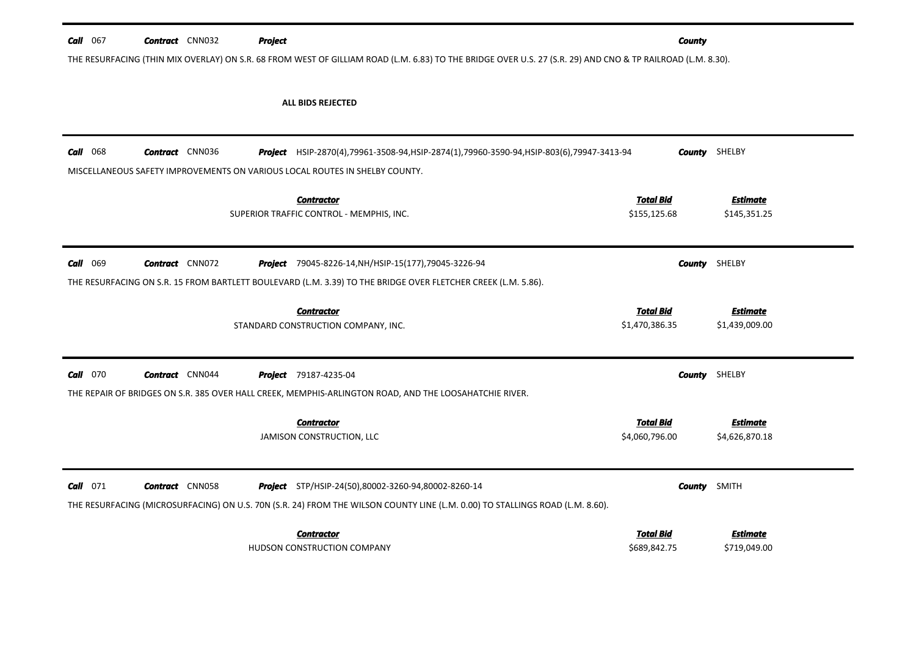| <b>Call</b> $067$                                                                                                                                           | <b>Contract</b> CNN032 | <b>Project</b>                                                                                                                | <b>County</b>                      |                                   |  |  |  |
|-------------------------------------------------------------------------------------------------------------------------------------------------------------|------------------------|-------------------------------------------------------------------------------------------------------------------------------|------------------------------------|-----------------------------------|--|--|--|
| THE RESURFACING (THIN MIX OVERLAY) ON S.R. 68 FROM WEST OF GILLIAM ROAD (L.M. 6.83) TO THE BRIDGE OVER U.S. 27 (S.R. 29) AND CNO & TP RAILROAD (L.M. 8.30). |                        |                                                                                                                               |                                    |                                   |  |  |  |
|                                                                                                                                                             |                        |                                                                                                                               |                                    |                                   |  |  |  |
|                                                                                                                                                             |                        | ALL BIDS REJECTED                                                                                                             |                                    |                                   |  |  |  |
|                                                                                                                                                             |                        |                                                                                                                               |                                    |                                   |  |  |  |
|                                                                                                                                                             |                        |                                                                                                                               |                                    |                                   |  |  |  |
| <b>Call</b> 068                                                                                                                                             | <b>Contract</b> CNN036 | Project HSIP-2870(4),79961-3508-94,HSIP-2874(1),79960-3590-94,HSIP-803(6),79947-3413-94                                       |                                    | <b>County</b> SHELBY              |  |  |  |
|                                                                                                                                                             |                        | MISCELLANEOUS SAFETY IMPROVEMENTS ON VARIOUS LOCAL ROUTES IN SHELBY COUNTY.                                                   |                                    |                                   |  |  |  |
|                                                                                                                                                             |                        | <b>Contractor</b>                                                                                                             | <b>Total Bid</b>                   | <b>Estimate</b>                   |  |  |  |
|                                                                                                                                                             |                        | SUPERIOR TRAFFIC CONTROL - MEMPHIS, INC.                                                                                      | \$155,125.68                       | \$145,351.25                      |  |  |  |
|                                                                                                                                                             |                        |                                                                                                                               |                                    |                                   |  |  |  |
| $Call$ 069                                                                                                                                                  | <b>Contract</b> CNN072 | <b>Project</b> 79045-8226-14, NH/HSIP-15(177), 79045-3226-94                                                                  | County                             | SHELBY                            |  |  |  |
|                                                                                                                                                             |                        | THE RESURFACING ON S.R. 15 FROM BARTLETT BOULEVARD (L.M. 3.39) TO THE BRIDGE OVER FLETCHER CREEK (L.M. 5.86).                 |                                    |                                   |  |  |  |
|                                                                                                                                                             |                        |                                                                                                                               |                                    |                                   |  |  |  |
|                                                                                                                                                             |                        | <b>Contractor</b>                                                                                                             | <b>Total Bid</b>                   | <b>Estimate</b>                   |  |  |  |
|                                                                                                                                                             |                        | STANDARD CONSTRUCTION COMPANY, INC.                                                                                           | \$1,470,386.35                     | \$1,439,009.00                    |  |  |  |
|                                                                                                                                                             |                        |                                                                                                                               |                                    |                                   |  |  |  |
| <b>Call</b> 070                                                                                                                                             | <b>Contract</b> CNN044 | <b>Project</b> 79187-4235-04                                                                                                  | County                             | SHELBY                            |  |  |  |
|                                                                                                                                                             |                        | THE REPAIR OF BRIDGES ON S.R. 385 OVER HALL CREEK, MEMPHIS-ARLINGTON ROAD, AND THE LOOSAHATCHIE RIVER.                        |                                    |                                   |  |  |  |
|                                                                                                                                                             |                        |                                                                                                                               |                                    |                                   |  |  |  |
|                                                                                                                                                             |                        | <b>Contractor</b>                                                                                                             | <b>Total Bid</b><br>\$4,060,796.00 | <b>Estimate</b><br>\$4,626,870.18 |  |  |  |
|                                                                                                                                                             |                        | JAMISON CONSTRUCTION, LLC                                                                                                     |                                    |                                   |  |  |  |
|                                                                                                                                                             |                        |                                                                                                                               |                                    |                                   |  |  |  |
| $Call$ 071                                                                                                                                                  | <b>Contract</b> CNN058 | <b>Project</b> STP/HSIP-24(50),80002-3260-94,80002-8260-14                                                                    | County                             | <b>SMITH</b>                      |  |  |  |
|                                                                                                                                                             |                        | THE RESURFACING (MICROSURFACING) ON U.S. 70N (S.R. 24) FROM THE WILSON COUNTY LINE (L.M. 0.00) TO STALLINGS ROAD (L.M. 8.60). |                                    |                                   |  |  |  |
|                                                                                                                                                             |                        |                                                                                                                               |                                    |                                   |  |  |  |
|                                                                                                                                                             |                        | <b>Contractor</b><br>HUDSON CONSTRUCTION COMPANY                                                                              | Total Bid<br>\$689,842.75          | Estimate<br>\$719,049.00          |  |  |  |
|                                                                                                                                                             |                        |                                                                                                                               |                                    |                                   |  |  |  |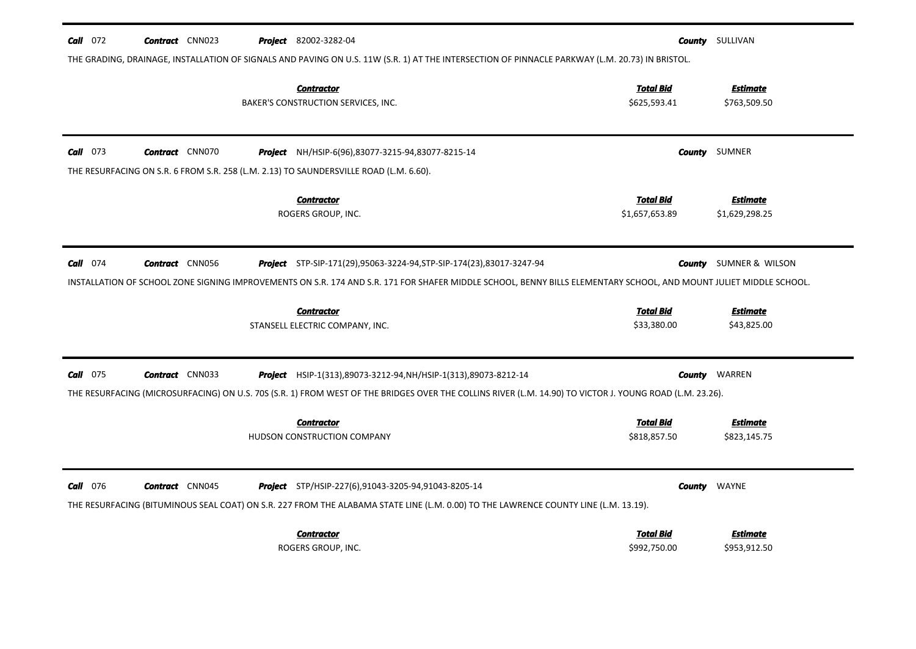| $Call$ 072      | <b>Contract</b> CNN023                                                                                                                          |  | Project 82002-3282-04                                                                                                                                              |                                  | <b>County</b> SULLIVAN          |  |  |  |  |
|-----------------|-------------------------------------------------------------------------------------------------------------------------------------------------|--|--------------------------------------------------------------------------------------------------------------------------------------------------------------------|----------------------------------|---------------------------------|--|--|--|--|
|                 | THE GRADING, DRAINAGE, INSTALLATION OF SIGNALS AND PAVING ON U.S. 11W (S.R. 1) AT THE INTERSECTION OF PINNACLE PARKWAY (L.M. 20.73) IN BRISTOL. |  |                                                                                                                                                                    |                                  |                                 |  |  |  |  |
|                 |                                                                                                                                                 |  | <b>Contractor</b>                                                                                                                                                  | <b>Total Bid</b>                 | <b>Estimate</b>                 |  |  |  |  |
|                 |                                                                                                                                                 |  | BAKER'S CONSTRUCTION SERVICES, INC.                                                                                                                                | \$625,593.41                     | \$763,509.50                    |  |  |  |  |
|                 |                                                                                                                                                 |  |                                                                                                                                                                    |                                  |                                 |  |  |  |  |
| $Call$ 073      | <b>Contract</b> CNN070                                                                                                                          |  | <b>Project</b> NH/HSIP-6(96),83077-3215-94,83077-8215-14                                                                                                           |                                  | <b>County</b> SUMNER            |  |  |  |  |
|                 |                                                                                                                                                 |  | THE RESURFACING ON S.R. 6 FROM S.R. 258 (L.M. 2.13) TO SAUNDERSVILLE ROAD (L.M. 6.60).                                                                             |                                  |                                 |  |  |  |  |
|                 |                                                                                                                                                 |  | <b>Contractor</b>                                                                                                                                                  | <b>Total Bid</b>                 | <b>Estimate</b>                 |  |  |  |  |
|                 |                                                                                                                                                 |  | ROGERS GROUP, INC.                                                                                                                                                 | \$1,657,653.89                   | \$1,629,298.25                  |  |  |  |  |
|                 |                                                                                                                                                 |  |                                                                                                                                                                    |                                  |                                 |  |  |  |  |
| $Call$ 074      | <b>Contract</b> CNN056                                                                                                                          |  | <b>Project</b> STP-SIP-171(29),95063-3224-94, STP-SIP-174(23), 83017-3247-94                                                                                       | County                           | SUMNER & WILSON                 |  |  |  |  |
|                 |                                                                                                                                                 |  | INSTALLATION OF SCHOOL ZONE SIGNING IMPROVEMENTS ON S.R. 174 AND S.R. 171 FOR SHAFER MIDDLE SCHOOL, BENNY BILLS ELEMENTARY SCHOOL, AND MOUNT JULIET MIDDLE SCHOOL. |                                  |                                 |  |  |  |  |
|                 |                                                                                                                                                 |  | <b>Contractor</b>                                                                                                                                                  | <b>Total Bid</b>                 | <b>Estimate</b>                 |  |  |  |  |
|                 |                                                                                                                                                 |  | STANSELL ELECTRIC COMPANY, INC.                                                                                                                                    | \$33,380.00                      | \$43,825.00                     |  |  |  |  |
|                 |                                                                                                                                                 |  |                                                                                                                                                                    |                                  |                                 |  |  |  |  |
| <b>Call</b> 075 | <b>Contract</b> CNN033                                                                                                                          |  | <b>Project</b> HSIP-1(313), 89073-3212-94, NH/HSIP-1(313), 89073-8212-14                                                                                           | <b>County</b>                    | WARREN                          |  |  |  |  |
|                 |                                                                                                                                                 |  | THE RESURFACING (MICROSURFACING) ON U.S. 70S (S.R. 1) FROM WEST OF THE BRIDGES OVER THE COLLINS RIVER (L.M. 14.90) TO VICTOR J. YOUNG ROAD (L.M. 23.26).           |                                  |                                 |  |  |  |  |
|                 |                                                                                                                                                 |  |                                                                                                                                                                    |                                  |                                 |  |  |  |  |
|                 |                                                                                                                                                 |  | <b>Contractor</b><br>HUDSON CONSTRUCTION COMPANY                                                                                                                   | <b>Total Bid</b><br>\$818,857.50 | <b>Estimate</b><br>\$823,145.75 |  |  |  |  |
|                 |                                                                                                                                                 |  |                                                                                                                                                                    |                                  |                                 |  |  |  |  |
|                 |                                                                                                                                                 |  |                                                                                                                                                                    |                                  |                                 |  |  |  |  |
| <b>Call</b> 076 | <b>Contract</b> CNN045                                                                                                                          |  | Project STP/HSIP-227(6),91043-3205-94,91043-8205-14                                                                                                                | County                           | WAYNE                           |  |  |  |  |
|                 |                                                                                                                                                 |  | THE RESURFACING (BITUMINOUS SEAL COAT) ON S.R. 227 FROM THE ALABAMA STATE LINE (L.M. 0.00) TO THE LAWRENCE COUNTY LINE (L.M. 13.19).                               |                                  |                                 |  |  |  |  |
|                 |                                                                                                                                                 |  | <b>Contractor</b>                                                                                                                                                  | <b>Total Bid</b>                 | Estimate                        |  |  |  |  |
|                 |                                                                                                                                                 |  | ROGERS GROUP, INC.                                                                                                                                                 | \$992,750.00                     | \$953,912.50                    |  |  |  |  |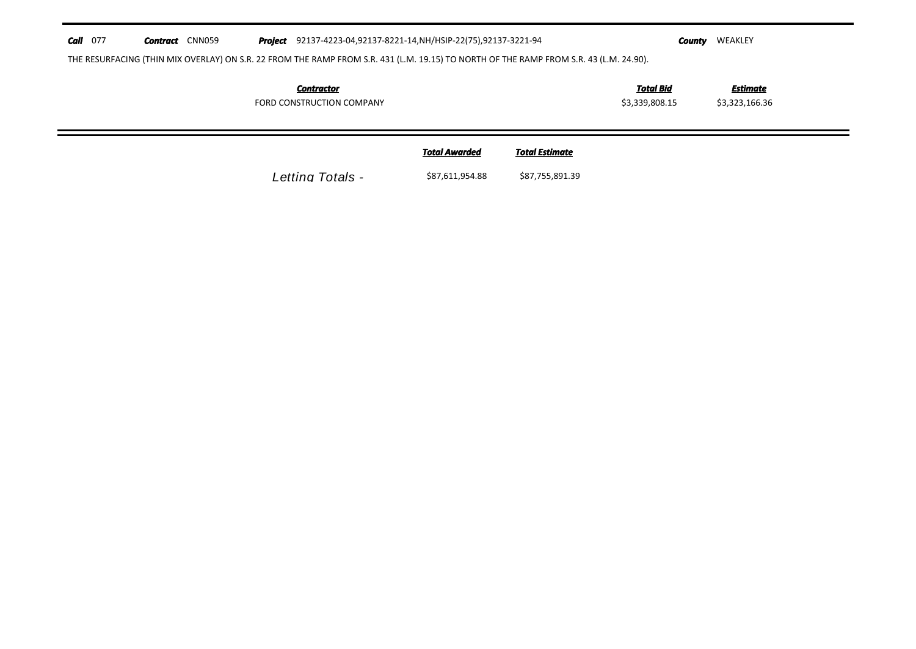## $Call$  077 *Contract* **CNN059** Project 92137-4223-04,92137-8221-14, NH/HSIP-22(75), 92137-3221-94

*County* **WEAKLEY** 

THE RESURFACING (THIN MIX OVERLAY) ON S.R. 22 FROM THE RAMP FROM S.R. 431 (L.M. 19.15) TO NORTH OF THE RAMP FROM S.R. 43 (L.M. 24.90).

| Contractor                | <b>Total Bid</b> | Estimate       |
|---------------------------|------------------|----------------|
| FORD CONSTRUCTION COMPANY | \$3,339,808.15   | \$3,323,166.36 |

| <b>Total Awarded</b> | <b>Total Estimate</b> |
|----------------------|-----------------------|
|                      |                       |

*Letting Totals -* \$87,611,954.88 \$87,755,891.39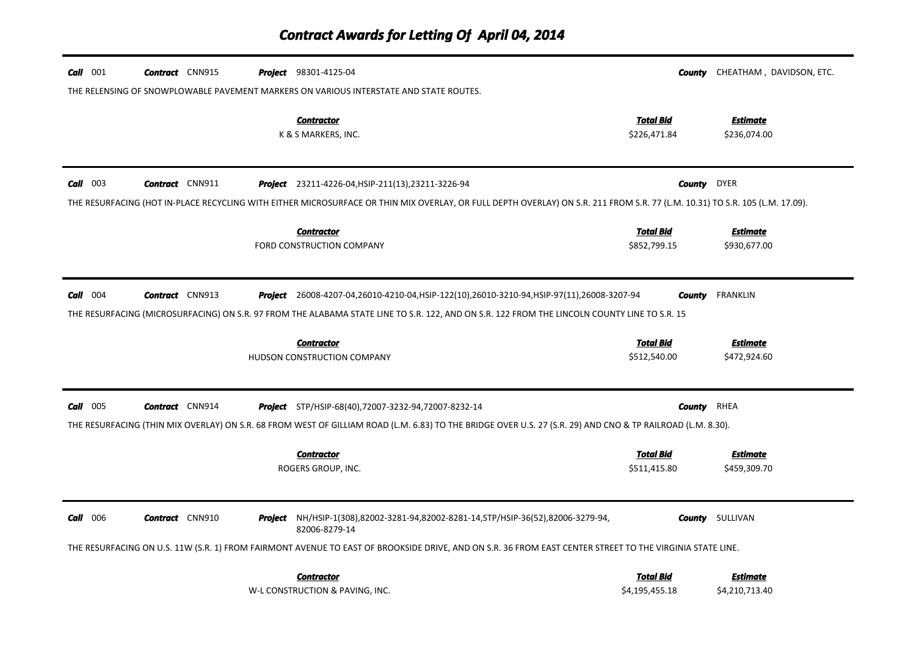| $Call$ 001 | <b>Contract</b> CNN915 | <b>Project</b> 98301-4125-04<br>THE RELENSING OF SNOWPLOWABLE PAVEMENT MARKERS ON VARIOUS INTERSTATE AND STATE ROUTES.                                                                                                                       |                                  | <b>County</b> CHEATHAM, DAVIDSON, ETC. |
|------------|------------------------|----------------------------------------------------------------------------------------------------------------------------------------------------------------------------------------------------------------------------------------------|----------------------------------|----------------------------------------|
|            |                        | <b>Contractor</b><br>K & S MARKERS, INC.                                                                                                                                                                                                     | Total Bid<br>\$226,471.84        | <b>Estimate</b><br>\$236,074.00        |
| $Call$ 003 | <b>Contract</b> CNN911 | <b>Project</b> 23211-4226-04, HSIP-211(13), 23211-3226-94                                                                                                                                                                                    | <b>County</b> DYER               |                                        |
|            |                        | THE RESURFACING (HOT IN-PLACE RECYCLING WITH EITHER MICROSURFACE OR THIN MIX OVERLAY, OR FULL DEPTH OVERLAY) ON S.R. 211 FROM S.R. 77 (L.M. 10.31) TO S.R. 105 (L.M. 17.09).                                                                 |                                  |                                        |
|            |                        | <b>Contractor</b><br>FORD CONSTRUCTION COMPANY                                                                                                                                                                                               | <b>Total Bid</b><br>\$852,799.15 | <b>Estimate</b><br>\$930,677.00        |
| $Call$ 004 | <b>Contract</b> CNN913 | Project 26008-4207-04,26010-4210-04, HSIP-122(10), 26010-3210-94, HSIP-97(11), 26008-3207-94<br>THE RESURFACING (MICROSURFACING) ON S.R. 97 FROM THE ALABAMA STATE LINE TO S.R. 122, AND ON S.R. 122 FROM THE LINCOLN COUNTY LINE TO S.R. 15 | County                           | <b>FRANKLIN</b>                        |
|            |                        | <b>Contractor</b><br>HUDSON CONSTRUCTION COMPANY                                                                                                                                                                                             | <b>Total Bid</b><br>\$512,540.00 | <b>Estimate</b><br>\$472,924.60        |
| $Call$ 005 | <b>Contract</b> CNN914 | <b>Project</b> STP/HSIP-68(40),72007-3232-94,72007-8232-14                                                                                                                                                                                   | <b>County</b> RHEA               |                                        |
|            |                        | THE RESURFACING (THIN MIX OVERLAY) ON S.R. 68 FROM WEST OF GILLIAM ROAD (L.M. 6.83) TO THE BRIDGE OVER U.S. 27 (S.R. 29) AND CNO & TP RAILROAD (L.M. 8.30).                                                                                  |                                  |                                        |
|            |                        | <b>Contractor</b><br>ROGERS GROUP, INC.                                                                                                                                                                                                      | <b>Total Bid</b><br>\$511,415.80 | Estimate<br>\$459,309.70               |
| $Call$ 006 | <b>Contract</b> CNN910 | <b>Project</b> NH/HSIP-1(308),82002-3281-94,82002-8281-14, STP/HSIP-36(52),82006-3279-94,<br>82006-8279-14                                                                                                                                   |                                  | <b>County</b> SULLIVAN                 |
|            |                        | THE RESURFACING ON U.S. 11W (S.R. 1) FROM FAIRMONT AVENUE TO EAST OF BROOKSIDE DRIVE, AND ON S.R. 36 FROM EAST CENTER STREET TO THE VIRGINIA STATE LINE.                                                                                     |                                  |                                        |
|            |                        | <b>Contractor</b><br>W-L CONSTRUCTION & PAVING, INC.                                                                                                                                                                                         | Total Bid<br>\$4,195,455.18      | Estimate<br>\$4,210,713.40             |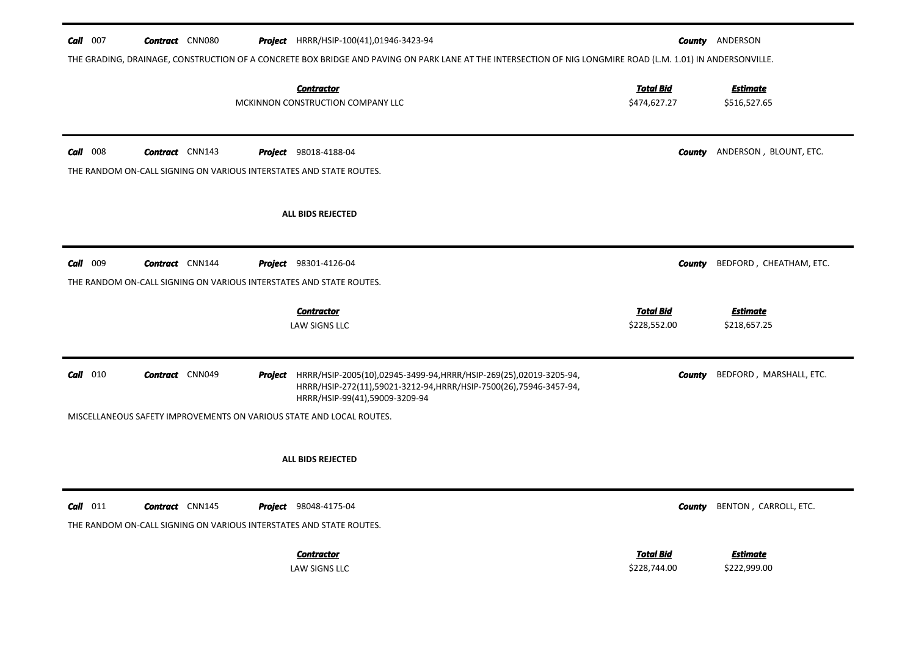| $Call$ 007 | <b>Contract</b> CNN080 | <b>Project</b> HRRR/HSIP-100(41),01946-3423-94<br>THE GRADING, DRAINAGE, CONSTRUCTION OF A CONCRETE BOX BRIDGE AND PAVING ON PARK LANE AT THE INTERSECTION OF NIG LONGMIRE ROAD (L.M. 1.01) IN ANDERSONVILLE. |                                  | <b>County</b> ANDERSON              |
|------------|------------------------|---------------------------------------------------------------------------------------------------------------------------------------------------------------------------------------------------------------|----------------------------------|-------------------------------------|
|            |                        | <b>Contractor</b><br>MCKINNON CONSTRUCTION COMPANY LLC                                                                                                                                                        | <b>Total Bid</b><br>\$474,627.27 | <b>Estimate</b><br>\$516,527.65     |
| $Call$ 008 | <b>Contract</b> CNN143 | <b>Project</b> 98018-4188-04<br>THE RANDOM ON-CALL SIGNING ON VARIOUS INTERSTATES AND STATE ROUTES.                                                                                                           | County                           | ANDERSON, BLOUNT, ETC.              |
|            |                        | ALL BIDS REJECTED                                                                                                                                                                                             |                                  |                                     |
| Call 009   | <b>Contract</b> CNN144 | <b>Project</b> 98301-4126-04<br>THE RANDOM ON-CALL SIGNING ON VARIOUS INTERSTATES AND STATE ROUTES.                                                                                                           | County                           | BEDFORD, CHEATHAM, ETC.             |
|            |                        | <b>Contractor</b>                                                                                                                                                                                             | <b>Total Bid</b>                 | <b>Estimate</b>                     |
|            |                        | LAW SIGNS LLC                                                                                                                                                                                                 | \$228,552.00                     | \$218,657.25                        |
| $Call$ 010 | <b>Contract</b> CNN049 | Project HRRR/HSIP-2005(10),02945-3499-94, HRRR/HSIP-269(25),02019-3205-94,<br>HRRR/HSIP-272(11),59021-3212-94, HRRR/HSIP-7500(26),75946-3457-94,<br>HRRR/HSIP-99(41),59009-3209-94                            | County                           | BEDFORD, MARSHALL, ETC.             |
|            |                        | MISCELLANEOUS SAFETY IMPROVEMENTS ON VARIOUS STATE AND LOCAL ROUTES.                                                                                                                                          |                                  |                                     |
|            |                        | <b>ALL BIDS REJECTED</b>                                                                                                                                                                                      |                                  |                                     |
| $Call$ 011 | <b>Contract</b> CNN145 | <b>Project</b> 98048-4175-04<br>THE RANDOM ON-CALL SIGNING ON VARIOUS INTERSTATES AND STATE ROUTES.                                                                                                           |                                  | <b>County</b> BENTON, CARROLL, ETC. |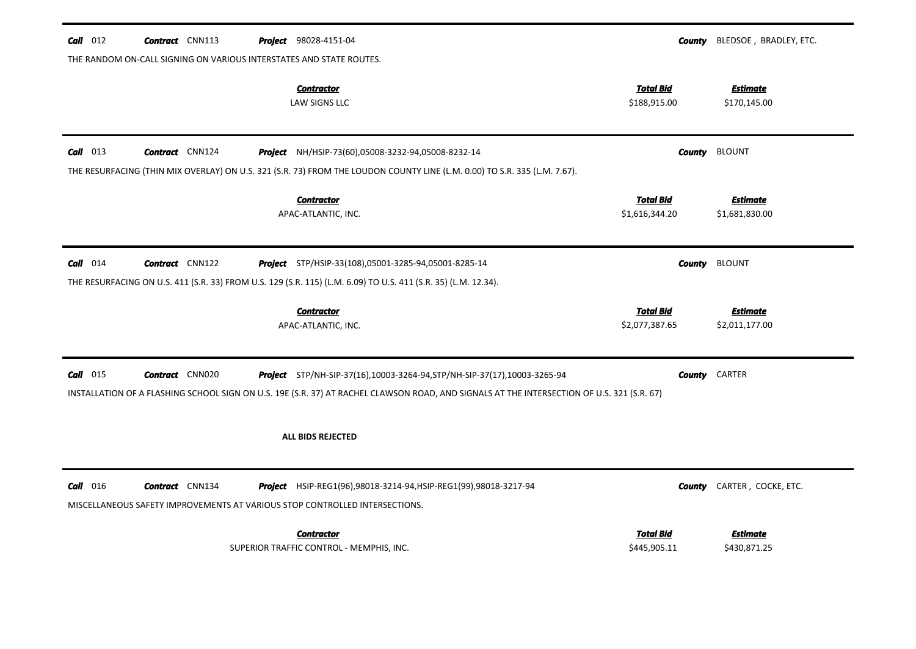| $Call$ 012                                                          | <b>Contract</b> CNN113 |  | <b>Project</b> 98028-4151-04                                                                                                               |                                    |        | <b>County</b> BLEDSOE, BRADLEY, ETC. |  |
|---------------------------------------------------------------------|------------------------|--|--------------------------------------------------------------------------------------------------------------------------------------------|------------------------------------|--------|--------------------------------------|--|
| THE RANDOM ON-CALL SIGNING ON VARIOUS INTERSTATES AND STATE ROUTES. |                        |  |                                                                                                                                            |                                    |        |                                      |  |
|                                                                     |                        |  | <b>Contractor</b><br><b>LAW SIGNS LLC</b>                                                                                                  | <b>Total Bid</b><br>\$188,915.00   |        | <b>Estimate</b><br>\$170,145.00      |  |
| $Call$ 013                                                          | <b>Contract</b> CNN124 |  | Project NH/HSIP-73(60),05008-3232-94,05008-8232-14                                                                                         |                                    | County | <b>BLOUNT</b>                        |  |
|                                                                     |                        |  | THE RESURFACING (THIN MIX OVERLAY) ON U.S. 321 (S.R. 73) FROM THE LOUDON COUNTY LINE (L.M. 0.00) TO S.R. 335 (L.M. 7.67).                  |                                    |        |                                      |  |
|                                                                     |                        |  | <b>Contractor</b>                                                                                                                          | <b>Total Bid</b>                   |        | <b>Estimate</b>                      |  |
|                                                                     |                        |  | APAC-ATLANTIC, INC.                                                                                                                        | \$1,616,344.20                     |        | \$1,681,830.00                       |  |
| $Call$ 014                                                          | <b>Contract</b> CNN122 |  | Project STP/HSIP-33(108),05001-3285-94,05001-8285-14                                                                                       |                                    | County | <b>BLOUNT</b>                        |  |
|                                                                     |                        |  | THE RESURFACING ON U.S. 411 (S.R. 33) FROM U.S. 129 (S.R. 115) (L.M. 6.09) TO U.S. 411 (S.R. 35) (L.M. 12.34).                             |                                    |        |                                      |  |
|                                                                     |                        |  |                                                                                                                                            |                                    |        |                                      |  |
|                                                                     |                        |  |                                                                                                                                            |                                    |        |                                      |  |
|                                                                     |                        |  | <b>Contractor</b><br>APAC-ATLANTIC, INC.                                                                                                   | <b>Total Bid</b><br>\$2,077,387.65 |        | <b>Estimate</b><br>\$2,011,177.00    |  |
| $Call$ 015                                                          | <b>Contract</b> CNN020 |  | <b>Project</b> STP/NH-SIP-37(16),10003-3264-94, STP/NH-SIP-37(17), 10003-3265-94                                                           |                                    | County | CARTER                               |  |
|                                                                     |                        |  | INSTALLATION OF A FLASHING SCHOOL SIGN ON U.S. 19E (S.R. 37) AT RACHEL CLAWSON ROAD, AND SIGNALS AT THE INTERSECTION OF U.S. 321 (S.R. 67) |                                    |        |                                      |  |
|                                                                     |                        |  | ALL BIDS REJECTED                                                                                                                          |                                    |        |                                      |  |
|                                                                     |                        |  |                                                                                                                                            |                                    |        |                                      |  |
| $Call$ 016                                                          | <b>Contract</b> CNN134 |  | <b>Project</b> HSIP-REG1(96),98018-3214-94, HSIP-REG1(99),98018-3217-94                                                                    |                                    | County | CARTER, COCKE, ETC.                  |  |
|                                                                     |                        |  | MISCELLANEOUS SAFETY IMPROVEMENTS AT VARIOUS STOP CONTROLLED INTERSECTIONS.                                                                |                                    |        |                                      |  |
|                                                                     |                        |  | <b>Contractor</b>                                                                                                                          | <b>Total Bid</b>                   |        | <b>Estimate</b>                      |  |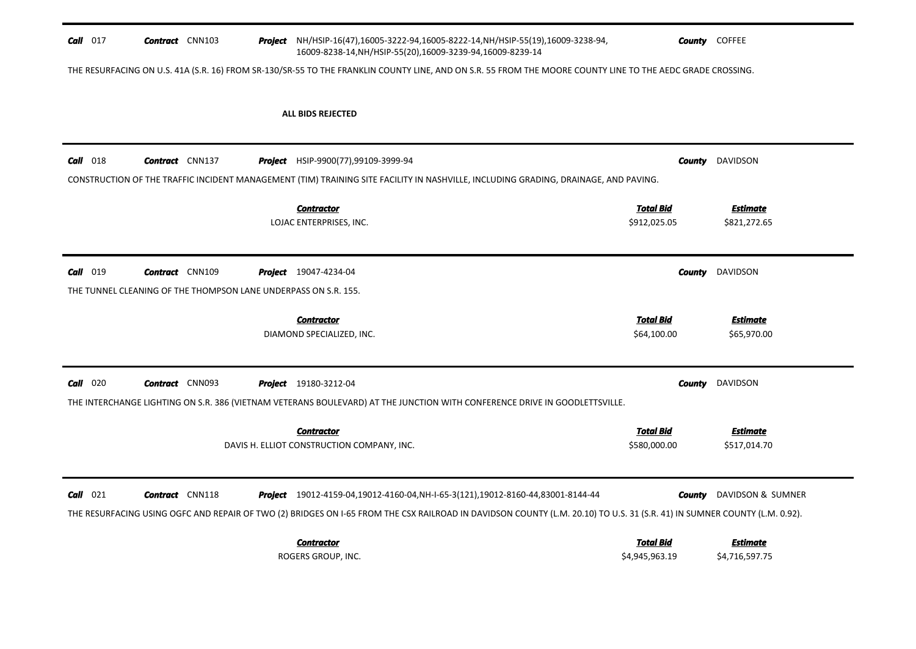| $Call$ 017 | <b>Contract</b> CNN103 |                                                                 | Project NH/HSIP-16(47),16005-3222-94,16005-8222-14,NH/HSIP-55(19),16009-3238-94,<br>16009-8238-14, NH/HSIP-55(20), 16009-3239-94, 16009-8239-14                           |                             | <b>County</b> COFFEE            |
|------------|------------------------|-----------------------------------------------------------------|---------------------------------------------------------------------------------------------------------------------------------------------------------------------------|-----------------------------|---------------------------------|
|            |                        |                                                                 | THE RESURFACING ON U.S. 41A (S.R. 16) FROM SR-130/SR-55 TO THE FRANKLIN COUNTY LINE, AND ON S.R. 55 FROM THE MOORE COUNTY LINE TO THE AEDC GRADE CROSSING.                |                             |                                 |
|            |                        |                                                                 | <b>ALL BIDS REJECTED</b>                                                                                                                                                  |                             |                                 |
|            |                        |                                                                 |                                                                                                                                                                           |                             |                                 |
| $Call$ 018 | <b>Contract</b> CNN137 |                                                                 | <b>Project</b> HSIP-9900(77),99109-3999-94                                                                                                                                | County                      | DAVIDSON                        |
|            |                        |                                                                 | CONSTRUCTION OF THE TRAFFIC INCIDENT MANAGEMENT (TIM) TRAINING SITE FACILITY IN NASHVILLE, INCLUDING GRADING, DRAINAGE, AND PAVING.                                       |                             |                                 |
|            |                        |                                                                 | <b>Contractor</b>                                                                                                                                                         | <b>Total Bid</b>            | Estimate                        |
|            |                        |                                                                 | LOJAC ENTERPRISES, INC.                                                                                                                                                   | \$912,025.05                | \$821,272.65                    |
| Call 019   | <b>Contract</b> CNN109 |                                                                 | <b>Project</b> 19047-4234-04                                                                                                                                              | County                      | DAVIDSON                        |
|            |                        | THE TUNNEL CLEANING OF THE THOMPSON LANE UNDERPASS ON S.R. 155. |                                                                                                                                                                           |                             |                                 |
|            |                        |                                                                 | <b>Contractor</b>                                                                                                                                                         | <b>Total Bid</b>            | <b>Estimate</b>                 |
|            |                        |                                                                 | DIAMOND SPECIALIZED, INC.                                                                                                                                                 | \$64,100.00                 | \$65,970.00                     |
| $Call$ 020 | <b>Contract</b> CNN093 |                                                                 | <b>Project</b> 19180-3212-04                                                                                                                                              | <b>County</b>               | DAVIDSON                        |
|            |                        |                                                                 | THE INTERCHANGE LIGHTING ON S.R. 386 (VIETNAM VETERANS BOULEVARD) AT THE JUNCTION WITH CONFERENCE DRIVE IN GOODLETTSVILLE.                                                |                             |                                 |
|            |                        |                                                                 | <b>Contractor</b>                                                                                                                                                         | <b>Total Bid</b>            | <b>Estimate</b>                 |
|            |                        |                                                                 | DAVIS H. ELLIOT CONSTRUCTION COMPANY, INC.                                                                                                                                | \$580,000.00                | \$517,014.70                    |
|            |                        | <b>Contract</b> CNN118                                          | <b>Project</b> 19012-4159-04,19012-4160-04, NH-I-65-3(121), 19012-8160-44, 83001-8144-44                                                                                  |                             | <b>County</b> DAVIDSON & SUMNER |
|            |                        |                                                                 |                                                                                                                                                                           |                             |                                 |
|            |                        |                                                                 | THE RESURFACING USING OGFC AND REPAIR OF TWO (2) BRIDGES ON 1-65 FROM THE CSX RAILROAD IN DAVIDSON COUNTY (L.M. 20.10) TO U.S. 31 (S.R. 41) IN SUMNER COUNTY (L.M. 0.92). |                             |                                 |
| $Call$ 021 |                        |                                                                 | <b>Contractor</b>                                                                                                                                                         | Total Bid<br>\$4,945,963.19 | <b>Estimate</b>                 |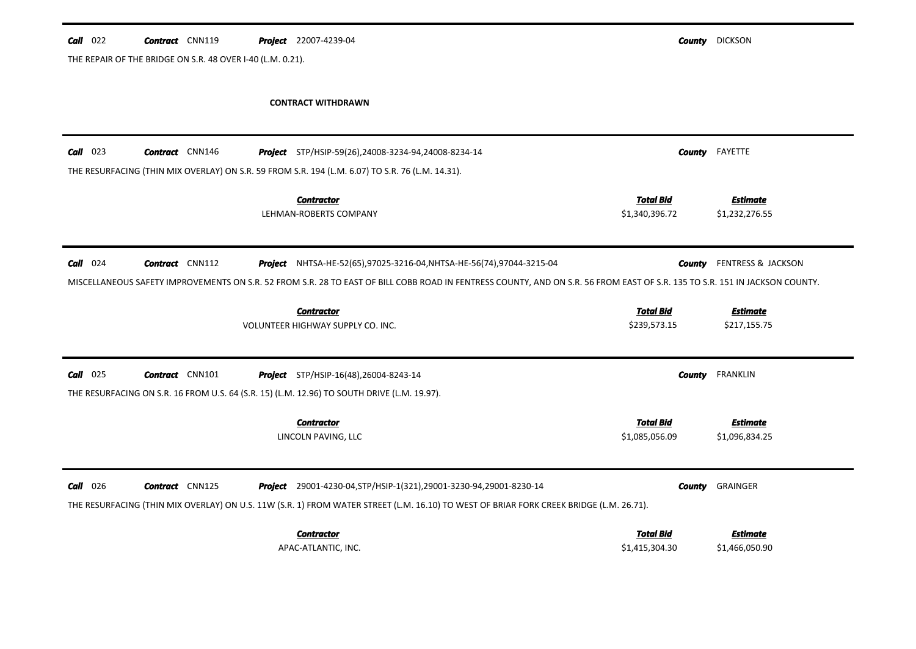| $Call$ 022 | <b>Contract</b> CNN119                                     | Project 22007-4239-04                                                                                                                                                       |                  | <b>County</b> DICKSON         |
|------------|------------------------------------------------------------|-----------------------------------------------------------------------------------------------------------------------------------------------------------------------------|------------------|-------------------------------|
|            | THE REPAIR OF THE BRIDGE ON S.R. 48 OVER I-40 (L.M. 0.21). |                                                                                                                                                                             |                  |                               |
|            |                                                            |                                                                                                                                                                             |                  |                               |
|            |                                                            | <b>CONTRACT WITHDRAWN</b>                                                                                                                                                   |                  |                               |
|            |                                                            |                                                                                                                                                                             |                  |                               |
| $Call$ 023 | <b>Contract</b> CNN146                                     | <b>Project</b> STP/HSIP-59(26),24008-3234-94,24008-8234-14                                                                                                                  |                  | <b>County</b> FAYETTE         |
|            |                                                            | THE RESURFACING (THIN MIX OVERLAY) ON S.R. 59 FROM S.R. 194 (L.M. 6.07) TO S.R. 76 (L.M. 14.31).                                                                            |                  |                               |
|            |                                                            | <b>Contractor</b>                                                                                                                                                           | <b>Total Bid</b> | <b>Estimate</b>               |
|            |                                                            | LEHMAN-ROBERTS COMPANY                                                                                                                                                      | \$1,340,396.72   | \$1,232,276.55                |
|            |                                                            |                                                                                                                                                                             |                  |                               |
| $Call$ 024 | <b>Contract</b> CNN112                                     | Project NHTSA-HE-52(65),97025-3216-04, NHTSA-HE-56(74),97044-3215-04                                                                                                        | <b>County</b>    | <b>FENTRESS &amp; JACKSON</b> |
|            |                                                            | MISCELLANEOUS SAFETY IMPROVEMENTS ON S.R. 52 FROM S.R. 28 TO EAST OF BILL COBB ROAD IN FENTRESS COUNTY, AND ON S.R. 56 FROM EAST OF S.R. 135 TO S.R. 151 IN JACKSON COUNTY. |                  |                               |
|            |                                                            |                                                                                                                                                                             |                  |                               |
|            |                                                            | <b>Contractor</b>                                                                                                                                                           | <b>Total Bid</b> | <b>Estimate</b>               |
|            |                                                            | VOLUNTEER HIGHWAY SUPPLY CO. INC.                                                                                                                                           | \$239,573.15     | \$217,155.75                  |
|            |                                                            |                                                                                                                                                                             |                  |                               |
| $Call$ 025 | <b>Contract</b> CNN101                                     | <b>Project</b> STP/HSIP-16(48),26004-8243-14                                                                                                                                |                  | <b>County</b> FRANKLIN        |
|            |                                                            | THE RESURFACING ON S.R. 16 FROM U.S. 64 (S.R. 15) (L.M. 12.96) TO SOUTH DRIVE (L.M. 19.97).                                                                                 |                  |                               |
|            |                                                            | <b>Contractor</b>                                                                                                                                                           | <b>Total Bid</b> | <b>Estimate</b>               |
|            |                                                            | LINCOLN PAVING, LLC                                                                                                                                                         | \$1,085,056.09   | \$1,096,834.25                |
|            |                                                            |                                                                                                                                                                             |                  |                               |
| $Call$ 026 | <b>Contract</b> CNN125                                     | Project 29001-4230-04, STP/HSIP-1(321), 29001-3230-94, 29001-8230-14                                                                                                        | County           | GRAINGER                      |
|            |                                                            | THE RESURFACING (THIN MIX OVERLAY) ON U.S. 11W (S.R. 1) FROM WATER STREET (L.M. 16.10) TO WEST OF BRIAR FORK CREEK BRIDGE (L.M. 26.71).                                     |                  |                               |
|            |                                                            |                                                                                                                                                                             |                  |                               |
|            |                                                            | <b>Contractor</b>                                                                                                                                                           | <b>Total Bid</b> | Estimate                      |
|            |                                                            | APAC-ATLANTIC, INC.                                                                                                                                                         | \$1,415,304.30   | \$1,466,050.90                |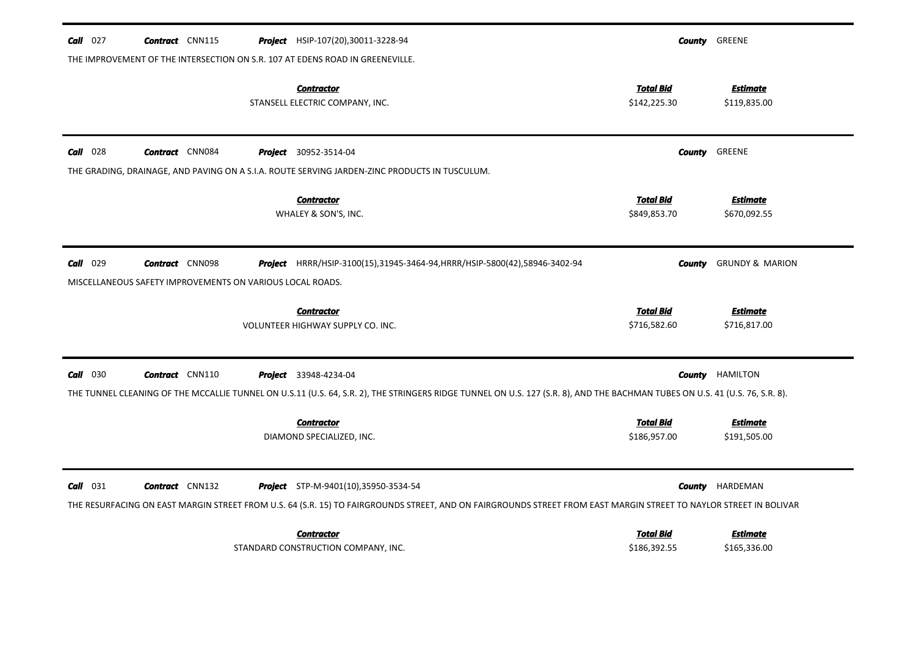| $Call$ 027<br><b>Contract</b> CNN115<br><b>Project</b> HSIP-107(20),30011-3228-94                                                                                                                                                                        | <b>County GREENE</b>                                                |
|----------------------------------------------------------------------------------------------------------------------------------------------------------------------------------------------------------------------------------------------------------|---------------------------------------------------------------------|
| THE IMPROVEMENT OF THE INTERSECTION ON S.R. 107 AT EDENS ROAD IN GREENEVILLE.<br><b>Contractor</b><br>STANSELL ELECTRIC COMPANY, INC.                                                                                                                    | <b>Total Bid</b><br><b>Estimate</b><br>\$142,225.30<br>\$119,835.00 |
| $Call$ 028<br><b>Contract</b> CNN084<br><b>Project</b> 30952-3514-04                                                                                                                                                                                     | <b>County GREENE</b>                                                |
| THE GRADING, DRAINAGE, AND PAVING ON A S.I.A. ROUTE SERVING JARDEN-ZINC PRODUCTS IN TUSCULUM.<br><b>Contractor</b><br>WHALEY & SON'S, INC.                                                                                                               | <b>Total Bid</b><br><b>Estimate</b><br>\$849,853.70<br>\$670,092.55 |
| 029<br><b>Contract</b> CNN098<br>Call<br>Project HRRR/HSIP-3100(15),31945-3464-94, HRRR/HSIP-5800(42),58946-3402-94                                                                                                                                      | <b>GRUNDY &amp; MARION</b><br>County                                |
| MISCELLANEOUS SAFETY IMPROVEMENTS ON VARIOUS LOCAL ROADS.<br><b>Contractor</b><br>VOLUNTEER HIGHWAY SUPPLY CO. INC.                                                                                                                                      | <b>Total Bid</b><br><b>Estimate</b><br>\$716,582.60<br>\$716,817.00 |
| $Call$ 030<br><b>Contract</b> CNN110<br><b>Project</b> 33948-4234-04                                                                                                                                                                                     | <b>County</b> HAMILTON                                              |
| THE TUNNEL CLEANING OF THE MCCALLIE TUNNEL ON U.S.11 (U.S. 64, S.R. 2), THE STRINGERS RIDGE TUNNEL ON U.S. 127 (S.R. 8), AND THE BACHMAN TUBES ON U.S. 41 (U.S. 76, S.R. 8).<br><b>Contractor</b><br>DIAMOND SPECIALIZED, INC.                           | <b>Total Bid</b><br><b>Estimate</b><br>\$186,957.00<br>\$191,505.00 |
| $Call$ 031<br><b>Contract</b> CNN132<br><b>Project</b> STP-M-9401(10),35950-3534-54<br>THE RESURFACING ON EAST MARGIN STREET FROM U.S. 64 (S.R. 15) TO FAIRGROUNDS STREET, AND ON FAIRGROUNDS STREET FROM EAST MARGIN STREET TO NAYLOR STREET IN BOLIVAR | HARDEMAN<br>County                                                  |
| <b>Contractor</b><br>STANDARD CONSTRUCTION COMPANY, INC.                                                                                                                                                                                                 | <b>Total Bid</b><br><b>Estimate</b><br>\$186,392.55<br>\$165,336.00 |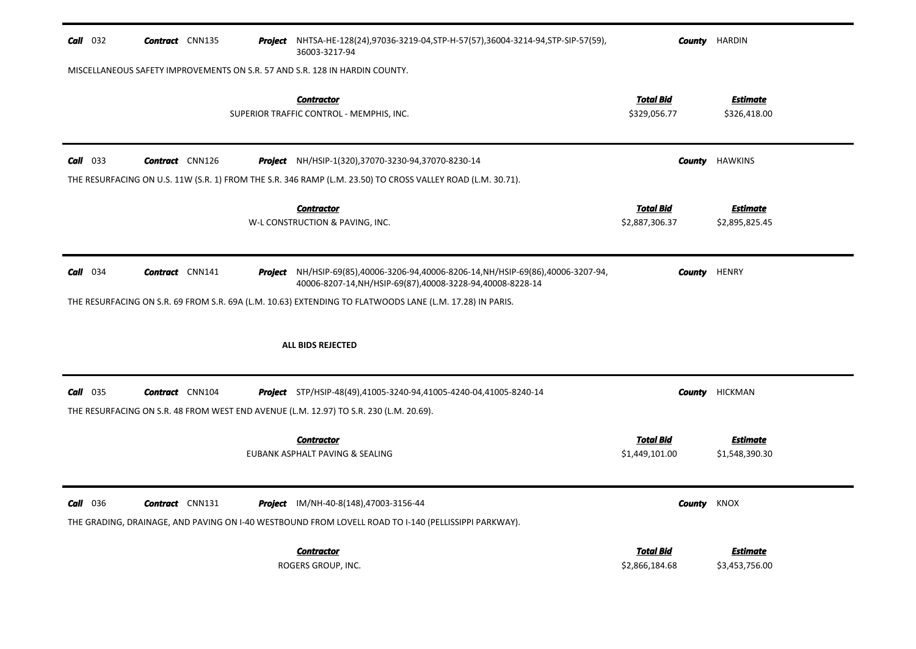| $Call$ 032 | <b>Contract</b> CNN135 | <b>Project</b> NHTSA-HE-128(24),97036-3219-04,STP-H-57(57),36004-3214-94,STP-SIP-57(59),<br>36003-3217-94                                              | County                             | HARDIN                            |
|------------|------------------------|--------------------------------------------------------------------------------------------------------------------------------------------------------|------------------------------------|-----------------------------------|
|            |                        | MISCELLANEOUS SAFETY IMPROVEMENTS ON S.R. 57 AND S.R. 128 IN HARDIN COUNTY.                                                                            |                                    |                                   |
|            |                        | <b>Contractor</b><br>SUPERIOR TRAFFIC CONTROL - MEMPHIS, INC.                                                                                          | <u>Total Bid</u><br>\$329,056.77   | <u>Estimate</u><br>\$326,418.00   |
| $Call$ 033 | <b>Contract</b> CNN126 | <b>Project</b> NH/HSIP-1(320),37070-3230-94,37070-8230-14                                                                                              | County                             | <b>HAWKINS</b>                    |
|            |                        | THE RESURFACING ON U.S. 11W (S.R. 1) FROM THE S.R. 346 RAMP (L.M. 23.50) TO CROSS VALLEY ROAD (L.M. 30.71).                                            |                                    |                                   |
|            |                        | <b>Contractor</b><br>W-L CONSTRUCTION & PAVING, INC.                                                                                                   | <b>Total Bid</b><br>\$2,887,306.37 | <u>Estimate</u><br>\$2,895,825.45 |
| $Call$ 034 | <b>Contract</b> CNN141 | <b>Project</b> NH/HSIP-69(85),40006-3206-94,40006-8206-14,NH/HSIP-69(86),40006-3207-94,<br>40006-8207-14, NH/HSIP-69(87), 40008-3228-94, 40008-8228-14 | County                             | <b>HENRY</b>                      |
|            |                        | THE RESURFACING ON S.R. 69 FROM S.R. 69A (L.M. 10.63) EXTENDING TO FLATWOODS LANE (L.M. 17.28) IN PARIS.                                               |                                    |                                   |
|            |                        | ALL BIDS REJECTED                                                                                                                                      |                                    |                                   |
| $Call$ 035 | <b>Contract</b> CNN104 | <b>Project</b> STP/HSIP-48(49),41005-3240-94,41005-4240-04,41005-8240-14                                                                               | County                             | <b>HICKMAN</b>                    |
|            |                        | THE RESURFACING ON S.R. 48 FROM WEST END AVENUE (L.M. 12.97) TO S.R. 230 (L.M. 20.69).                                                                 |                                    |                                   |
|            |                        | <b>Contractor</b><br>EUBANK ASPHALT PAVING & SEALING                                                                                                   | <u>Total Bid</u><br>\$1,449,101.00 | <b>Estimate</b><br>\$1,548,390.30 |
| Call 036   | <b>Contract</b> CNN131 | <b>Project</b> IM/NH-40-8(148),47003-3156-44<br>THE GRADING, DRAINAGE, AND PAVING ON I-40 WESTBOUND FROM LOVELL ROAD TO I-140 (PELLISSIPPI PARKWAY).   | County                             | <b>KNOX</b>                       |
|            |                        | <b>Contractor</b><br>ROGERS GROUP, INC.                                                                                                                | <b>Total Bid</b><br>\$2,866,184.68 | <b>Estimate</b><br>\$3,453,756.00 |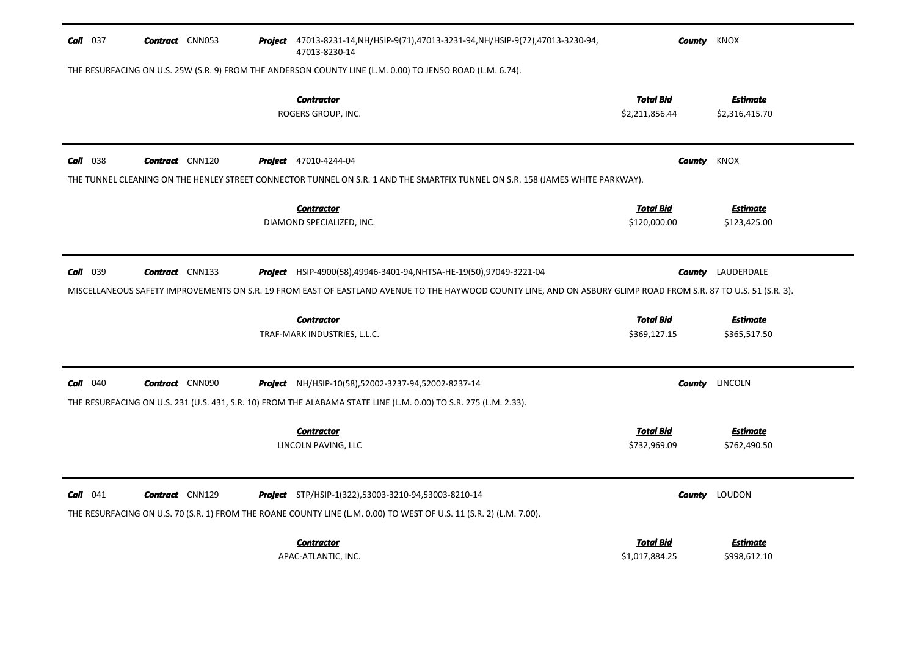| <b>Call</b> 037 | <b>Contract</b> CNN053 | Project 47013-8231-14, NH/HSIP-9(71), 47013-3231-94, NH/HSIP-9(72), 47013-3230-94,<br>47013-8230-14                                                                        |                                    | <b>County</b> KNOX                |
|-----------------|------------------------|----------------------------------------------------------------------------------------------------------------------------------------------------------------------------|------------------------------------|-----------------------------------|
|                 |                        | THE RESURFACING ON U.S. 25W (S.R. 9) FROM THE ANDERSON COUNTY LINE (L.M. 0.00) TO JENSO ROAD (L.M. 6.74).                                                                  |                                    |                                   |
|                 |                        | <b>Contractor</b><br>ROGERS GROUP, INC.                                                                                                                                    | <b>Total Bid</b><br>\$2,211,856.44 | <b>Estimate</b><br>\$2,316,415.70 |
| <b>Call</b> 038 | <b>Contract</b> CNN120 | <b>Project</b> 47010-4244-04                                                                                                                                               |                                    | <b>County</b> KNOX                |
|                 |                        | THE TUNNEL CLEANING ON THE HENLEY STREET CONNECTOR TUNNEL ON S.R. 1 AND THE SMARTFIX TUNNEL ON S.R. 158 (JAMES WHITE PARKWAY).                                             |                                    |                                   |
|                 |                        | <b>Contractor</b><br>DIAMOND SPECIALIZED, INC.                                                                                                                             | <b>Total Bid</b><br>\$120,000.00   | <b>Estimate</b><br>\$123,425.00   |
| Call 039        | <b>Contract</b> CNN133 | Project HSIP-4900(58),49946-3401-94, NHTSA-HE-19(50),97049-3221-04                                                                                                         |                                    | <b>County</b> LAUDERDALE          |
|                 |                        | MISCELLANEOUS SAFETY IMPROVEMENTS ON S.R. 19 FROM EAST OF EASTLAND AVENUE TO THE HAYWOOD COUNTY LINE, AND ON ASBURY GLIMP ROAD FROM S.R. 87 TO U.S. 51 (S.R. 3).           |                                    |                                   |
|                 |                        | <b>Contractor</b>                                                                                                                                                          | <b>Total Bid</b>                   | <b>Estimate</b>                   |
|                 |                        | TRAF-MARK INDUSTRIES, L.L.C.                                                                                                                                               | \$369,127.15                       | \$365,517.50                      |
| $Call$ 040      | <b>Contract</b> CNN090 | <b>Project</b> NH/HSIP-10(58),52002-3237-94,52002-8237-14                                                                                                                  | County                             | LINCOLN                           |
|                 |                        | THE RESURFACING ON U.S. 231 (U.S. 431, S.R. 10) FROM THE ALABAMA STATE LINE (L.M. 0.00) TO S.R. 275 (L.M. 2.33).                                                           |                                    |                                   |
|                 |                        | <b>Contractor</b>                                                                                                                                                          | <b>Total Bid</b>                   | <b>Estimate</b>                   |
|                 |                        | LINCOLN PAVING, LLC                                                                                                                                                        | \$732,969.09                       | \$762,490.50                      |
| $Call$ 041      | <b>Contract</b> CNN129 | Project STP/HSIP-1(322),53003-3210-94,53003-8210-14<br>THE RESURFACING ON U.S. 70 (S.R. 1) FROM THE ROANE COUNTY LINE (L.M. 0.00) TO WEST OF U.S. 11 (S.R. 2) (L.M. 7.00). |                                    | <b>County</b> LOUDON              |
|                 |                        | <b>Contractor</b><br>APAC-ATLANTIC, INC.                                                                                                                                   | <b>Total Bid</b><br>\$1,017,884.25 | Estimate<br>\$998,612.10          |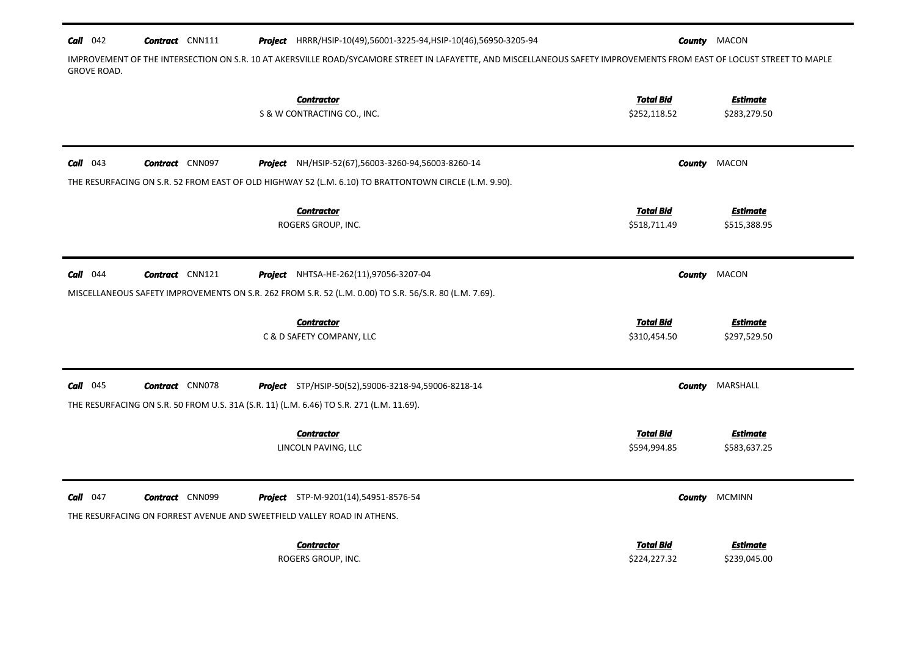| $Call$ 042         | <b>Contract</b> CNN111 | <b>Project</b> HRRR/HSIP-10(49),56001-3225-94, HSIP-10(46),56950-3205-94                               | <b>County MACON</b>                                                                                                                                                   |
|--------------------|------------------------|--------------------------------------------------------------------------------------------------------|-----------------------------------------------------------------------------------------------------------------------------------------------------------------------|
| <b>GROVE ROAD.</b> |                        |                                                                                                        | IMPROVEMENT OF THE INTERSECTION ON S.R. 10 AT AKERSVILLE ROAD/SYCAMORE STREET IN LAFAYETTE, AND MISCELLANEOUS SAFETY IMPROVEMENTS FROM EAST OF LOCUST STREET TO MAPLE |
|                    |                        | <b>Contractor</b>                                                                                      | <b>Total Bid</b><br><u>Estimate</u>                                                                                                                                   |
|                    |                        | S & W CONTRACTING CO., INC.                                                                            | \$252,118.52<br>\$283,279.50                                                                                                                                          |
|                    |                        |                                                                                                        |                                                                                                                                                                       |
| $Call$ 043         | <b>Contract</b> CNN097 | Project NH/HSIP-52(67),56003-3260-94,56003-8260-14                                                     | <b>MACON</b><br>County                                                                                                                                                |
|                    |                        | THE RESURFACING ON S.R. 52 FROM EAST OF OLD HIGHWAY 52 (L.M. 6.10) TO BRATTONTOWN CIRCLE (L.M. 9.90).  |                                                                                                                                                                       |
|                    |                        | <b>Contractor</b>                                                                                      | <b>Total Bid</b><br><b>Estimate</b>                                                                                                                                   |
|                    |                        | ROGERS GROUP, INC.                                                                                     | \$518,711.49<br>\$515,388.95                                                                                                                                          |
|                    |                        |                                                                                                        |                                                                                                                                                                       |
| $Call$ 044         | <b>Contract</b> CNN121 | Project NHTSA-HE-262(11),97056-3207-04                                                                 | MACON<br>County                                                                                                                                                       |
|                    |                        | MISCELLANEOUS SAFETY IMPROVEMENTS ON S.R. 262 FROM S.R. 52 (L.M. 0.00) TO S.R. 56/S.R. 80 (L.M. 7.69). |                                                                                                                                                                       |
|                    |                        | <b>Contractor</b>                                                                                      | <b>Total Bid</b><br><b>Estimate</b>                                                                                                                                   |
|                    |                        | C & D SAFETY COMPANY, LLC                                                                              | \$310,454.50<br>\$297,529.50                                                                                                                                          |
|                    |                        |                                                                                                        |                                                                                                                                                                       |
| $Call$ 045         | <b>Contract</b> CNN078 | Project STP/HSIP-50(52),59006-3218-94,59006-8218-14                                                    | MARSHALL<br>County                                                                                                                                                    |
|                    |                        | THE RESURFACING ON S.R. 50 FROM U.S. 31A (S.R. 11) (L.M. 6.46) TO S.R. 271 (L.M. 11.69).               |                                                                                                                                                                       |
|                    |                        | <b>Contractor</b>                                                                                      | <b>Total Bid</b><br><b>Estimate</b>                                                                                                                                   |
|                    |                        | LINCOLN PAVING, LLC                                                                                    | \$594,994.85<br>\$583,637.25                                                                                                                                          |
|                    |                        |                                                                                                        |                                                                                                                                                                       |
| $Call$ 047         | <b>Contract</b> CNN099 | <b>Project</b> STP-M-9201(14),54951-8576-54                                                            | <b>MCMINN</b><br>County                                                                                                                                               |
|                    |                        | THE RESURFACING ON FORREST AVENUE AND SWEETFIELD VALLEY ROAD IN ATHENS.                                |                                                                                                                                                                       |
|                    |                        | <b>Contractor</b>                                                                                      | <b>Total Bid</b><br>Estimate                                                                                                                                          |
|                    |                        | ROGERS GROUP, INC.                                                                                     | \$224,227.32<br>\$239,045.00                                                                                                                                          |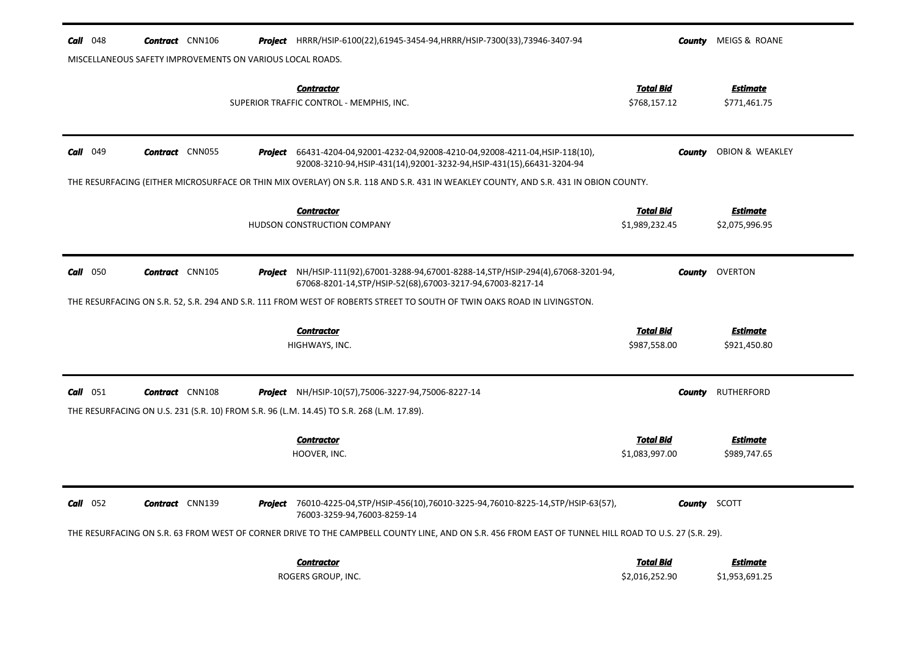| <b>Call</b> 048                                           | <b>Contract</b> CNN106 |         | <b>Project</b> HRRR/HSIP-6100(22),61945-3454-94, HRRR/HSIP-7300(33), 73946-3407-94                                                                                                                                                                                              | County                             | MEIGS & ROANE                     |
|-----------------------------------------------------------|------------------------|---------|---------------------------------------------------------------------------------------------------------------------------------------------------------------------------------------------------------------------------------------------------------------------------------|------------------------------------|-----------------------------------|
| MISCELLANEOUS SAFETY IMPROVEMENTS ON VARIOUS LOCAL ROADS. |                        |         |                                                                                                                                                                                                                                                                                 |                                    |                                   |
|                                                           |                        |         | <b>Contractor</b><br>SUPERIOR TRAFFIC CONTROL - MEMPHIS, INC.                                                                                                                                                                                                                   | <b>Total Bid</b><br>\$768,157.12   | <b>Estimate</b><br>\$771,461.75   |
| Call<br>049                                               | <b>Contract</b> CNN055 | Project | 66431-4204-04,92001-4232-04,92008-4210-04,92008-4211-04,HSIP-118(10),<br>92008-3210-94, HSIP-431(14), 92001-3232-94, HSIP-431(15), 66431-3204-94                                                                                                                                | County                             | OBION & WEAKLEY                   |
|                                                           |                        |         | THE RESURFACING (EITHER MICROSURFACE OR THIN MIX OVERLAY) ON S.R. 118 AND S.R. 431 IN WEAKLEY COUNTY, AND S.R. 431 IN OBION COUNTY.                                                                                                                                             |                                    |                                   |
|                                                           |                        |         | <b>Contractor</b><br>HUDSON CONSTRUCTION COMPANY                                                                                                                                                                                                                                | <b>Total Bid</b><br>\$1,989,232.45 | <b>Estimate</b><br>\$2,075,996.95 |
| $Call$ 050                                                | <b>Contract</b> CNN105 | Project | NH/HSIP-111(92),67001-3288-94,67001-8288-14,STP/HSIP-294(4),67068-3201-94,<br>67068-8201-14, STP/HSIP-52(68), 67003-3217-94, 67003-8217-14                                                                                                                                      |                                    | <b>County</b> OVERTON             |
|                                                           |                        |         | THE RESURFACING ON S.R. 52, S.R. 294 AND S.R. 111 FROM WEST OF ROBERTS STREET TO SOUTH OF TWIN OAKS ROAD IN LIVINGSTON.                                                                                                                                                         |                                    |                                   |
|                                                           |                        |         | <b>Contractor</b>                                                                                                                                                                                                                                                               | <b>Total Bid</b>                   | <b>Estimate</b>                   |
|                                                           |                        |         | HIGHWAYS, INC.                                                                                                                                                                                                                                                                  | \$987,558.00                       | \$921,450.80                      |
| Call 051                                                  | <b>Contract</b> CNN108 |         | <b>Project</b> NH/HSIP-10(57),75006-3227-94,75006-8227-14<br>THE RESURFACING ON U.S. 231 (S.R. 10) FROM S.R. 96 (L.M. 14.45) TO S.R. 268 (L.M. 17.89).                                                                                                                          | County                             | RUTHERFORD                        |
|                                                           |                        |         | <b>Contractor</b><br>HOOVER, INC.                                                                                                                                                                                                                                               | <b>Total Bid</b><br>\$1,083,997.00 | <b>Estimate</b><br>\$989,747.65   |
| $Call$ 052                                                | <b>Contract</b> CNN139 |         | Project 76010-4225-04, STP/HSIP-456(10), 76010-3225-94, 76010-8225-14, STP/HSIP-63(57),<br>76003-3259-94,76003-8259-14<br>THE RESURFACING ON S.R. 63 FROM WEST OF CORNER DRIVE TO THE CAMPBELL COUNTY LINE, AND ON S.R. 456 FROM EAST OF TUNNEL HILL ROAD TO U.S. 27 (S.R. 29). |                                    | <b>County</b> SCOTT               |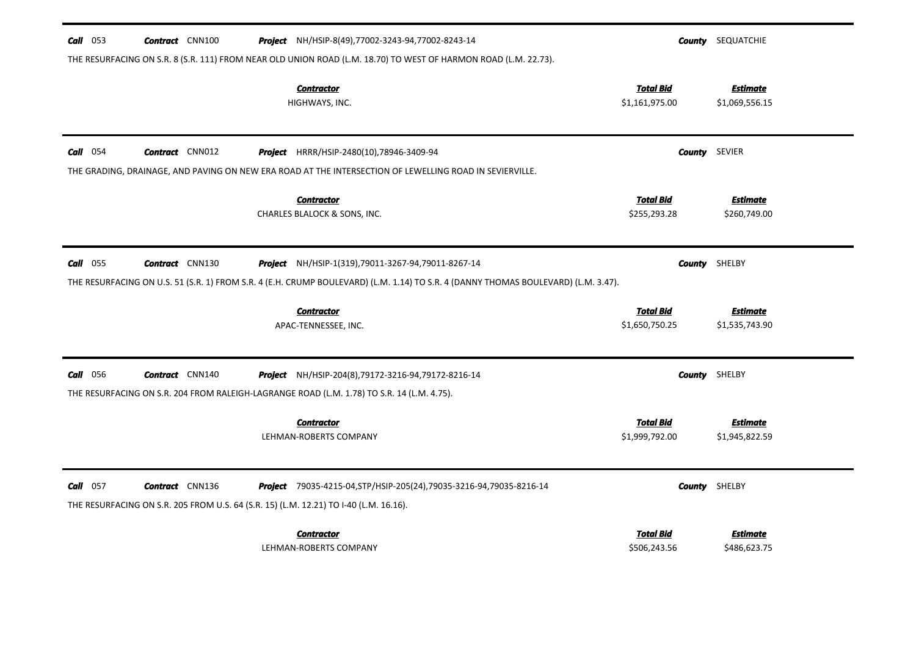| $Call$ 053      | <b>Contract</b> CNN100 | Project NH/HSIP-8(49),77002-3243-94,77002-8243-14                                                                                                                                        |                                    | <b>County</b> SEQUATCHIE          |
|-----------------|------------------------|------------------------------------------------------------------------------------------------------------------------------------------------------------------------------------------|------------------------------------|-----------------------------------|
|                 |                        | THE RESURFACING ON S.R. 8 (S.R. 111) FROM NEAR OLD UNION ROAD (L.M. 18.70) TO WEST OF HARMON ROAD (L.M. 22.73).                                                                          |                                    |                                   |
|                 |                        | <b>Contractor</b><br>HIGHWAYS, INC.                                                                                                                                                      | <b>Total Bid</b><br>\$1,161,975.00 | <b>Estimate</b><br>\$1,069,556.15 |
| $Call$ 054      | <b>Contract</b> CNN012 | <b>Project</b> HRRR/HSIP-2480(10),78946-3409-94                                                                                                                                          |                                    | <b>County</b> SEVIER              |
|                 |                        | THE GRADING, DRAINAGE, AND PAVING ON NEW ERA ROAD AT THE INTERSECTION OF LEWELLING ROAD IN SEVIERVILLE.                                                                                  |                                    |                                   |
|                 |                        | <b>Contractor</b><br>CHARLES BLALOCK & SONS, INC.                                                                                                                                        | <b>Total Bid</b><br>\$255,293.28   | <b>Estimate</b><br>\$260,749.00   |
| <b>Call</b> 055 | <b>Contract</b> CNN130 | Project NH/HSIP-1(319),79011-3267-94,79011-8267-14<br>THE RESURFACING ON U.S. 51 (S.R. 1) FROM S.R. 4 (E.H. CRUMP BOULEVARD) (L.M. 1.14) TO S.R. 4 (DANNY THOMAS BOULEVARD) (L.M. 3.47). |                                    | <b>County</b> SHELBY              |
|                 |                        |                                                                                                                                                                                          |                                    |                                   |
|                 |                        | <b>Contractor</b><br>APAC-TENNESSEE, INC.                                                                                                                                                | <b>Total Bid</b><br>\$1,650,750.25 | <b>Estimate</b><br>\$1,535,743.90 |
| <b>Call</b> 056 | <b>Contract</b> CNN140 | <b>Project</b> NH/HSIP-204(8), 79172-3216-94, 79172-8216-14                                                                                                                              |                                    | <b>County</b> SHELBY              |
|                 |                        | THE RESURFACING ON S.R. 204 FROM RALEIGH-LAGRANGE ROAD (L.M. 1.78) TO S.R. 14 (L.M. 4.75).                                                                                               |                                    |                                   |
|                 |                        | <b>Contractor</b><br>LEHMAN-ROBERTS COMPANY                                                                                                                                              | <b>Total Bid</b><br>\$1,999,792.00 | <b>Estimate</b><br>\$1,945,822.59 |
| $Call$ 057      | <b>Contract</b> CNN136 | Project 79035-4215-04, STP/HSIP-205(24), 79035-3216-94, 79035-8216-14<br>THE RESURFACING ON S.R. 205 FROM U.S. 64 (S.R. 15) (L.M. 12.21) TO I-40 (L.M. 16.16).                           |                                    | <b>County</b> SHELBY              |
|                 |                        | Contractor<br>LEHMAN-ROBERTS COMPANY                                                                                                                                                     | <b>Total Bid</b><br>\$506,243.56   | Estimate<br>\$486,623.75          |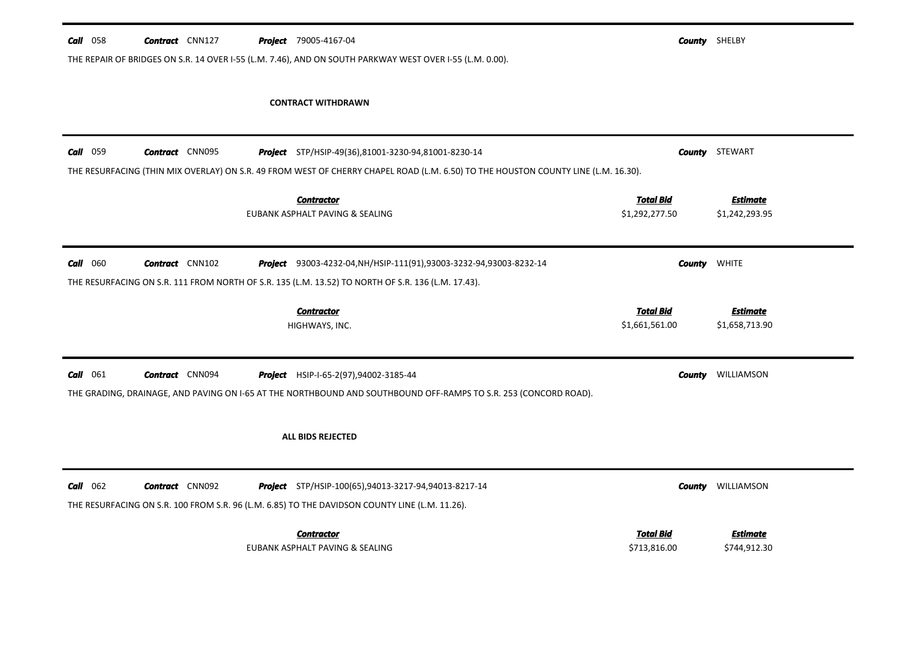| $Call$ 058<br><b>Contract</b> CNN127<br><b>Project</b> 79005-4167-04<br>THE REPAIR OF BRIDGES ON S.R. 14 OVER I-55 (L.M. 7.46), AND ON SOUTH PARKWAY WEST OVER I-55 (L.M. 0.00).                      | <b>County</b> SHELBY               |                                   |
|-------------------------------------------------------------------------------------------------------------------------------------------------------------------------------------------------------|------------------------------------|-----------------------------------|
| <b>CONTRACT WITHDRAWN</b>                                                                                                                                                                             |                                    |                                   |
| Call 059<br><b>Contract</b> CNN095<br>Project STP/HSIP-49(36),81001-3230-94,81001-8230-14                                                                                                             |                                    | <b>County</b> STEWART             |
| THE RESURFACING (THIN MIX OVERLAY) ON S.R. 49 FROM WEST OF CHERRY CHAPEL ROAD (L.M. 6.50) TO THE HOUSTON COUNTY LINE (L.M. 16.30).<br><b>Contractor</b><br>EUBANK ASPHALT PAVING & SEALING            | <b>Total Bid</b><br>\$1,292,277.50 | <b>Estimate</b><br>\$1,242,293.95 |
| <b>Contract</b> CNN102<br>$Call$ 060<br>Project 93003-4232-04, NH/HSIP-111(91), 93003-3232-94, 93003-8232-14                                                                                          | County                             | <b>WHITE</b>                      |
| THE RESURFACING ON S.R. 111 FROM NORTH OF S.R. 135 (L.M. 13.52) TO NORTH OF S.R. 136 (L.M. 17.43).<br><b>Contractor</b><br>HIGHWAYS, INC.                                                             | <b>Total Bid</b><br>\$1,661,561.00 | <b>Estimate</b><br>\$1,658,713.90 |
|                                                                                                                                                                                                       |                                    |                                   |
| $Call$ 061<br><b>Contract</b> CNN094<br><b>Project</b> HSIP-I-65-2(97),94002-3185-44                                                                                                                  | <b>County</b>                      | WILLIAMSON                        |
| THE GRADING, DRAINAGE, AND PAVING ON I-65 AT THE NORTHBOUND AND SOUTHBOUND OFF-RAMPS TO S.R. 253 (CONCORD ROAD).<br>ALL BIDS REJECTED                                                                 |                                    |                                   |
| $Call$ 062<br><b>Contract</b> CNN092<br><b>Project</b> STP/HSIP-100(65),94013-3217-94,94013-8217-14<br>THE RESURFACING ON S.R. 100 FROM S.R. 96 (L.M. 6.85) TO THE DAVIDSON COUNTY LINE (L.M. 11.26). | <b>County</b>                      | WILLIAMSON                        |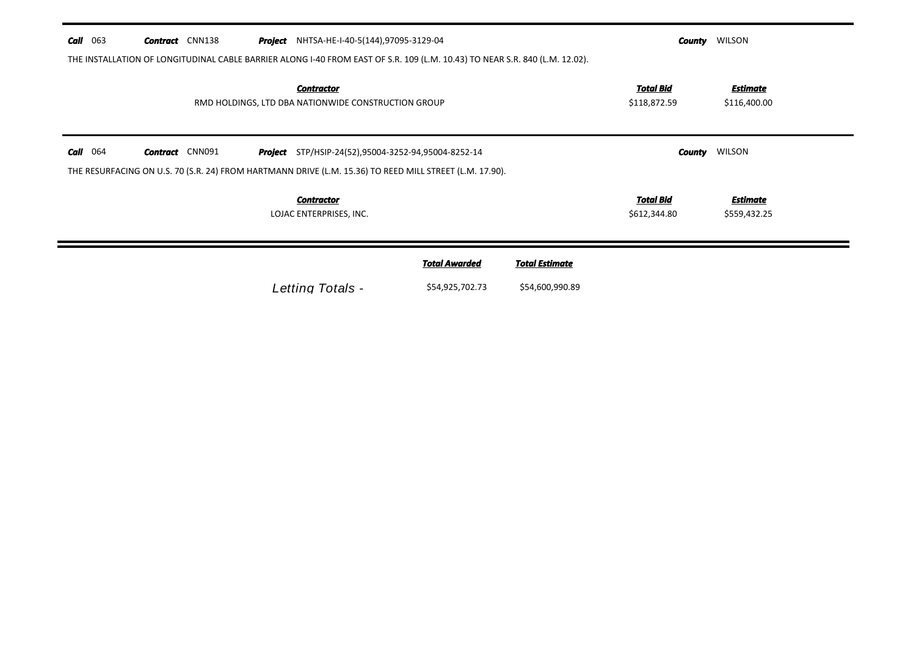| Call | 063 | <b>Contract</b> CNN138 |  | <b>Project</b> NHTSA-HE-I-40-5(144),97095-3129-04                        |                                                                                                                             | County                           | <b>WILSON</b>                   |  |
|------|-----|------------------------|--|--------------------------------------------------------------------------|-----------------------------------------------------------------------------------------------------------------------------|----------------------------------|---------------------------------|--|
|      |     |                        |  |                                                                          | THE INSTALLATION OF LONGITUDINAL CABLE BARRIER ALONG I-40 FROM EAST OF S.R. 109 (L.M. 10.43) TO NEAR S.R. 840 (L.M. 12.02). |                                  |                                 |  |
|      |     |                        |  | <b>Contractor</b><br>RMD HOLDINGS, LTD DBA NATIONWIDE CONSTRUCTION GROUP |                                                                                                                             | <b>Total Bid</b><br>\$118,872.59 | <b>Estimate</b><br>\$116,400.00 |  |
| Call | 064 | <b>Contract</b> CNN091 |  | <b>Project</b> STP/HSIP-24(52),95004-3252-94,95004-8252-14               | THE RESURFACING ON U.S. 70 (S.R. 24) FROM HARTMANN DRIVE (L.M. 15.36) TO REED MILL STREET (L.M. 17.90).                     | County                           | <b>WILSON</b>                   |  |
|      |     |                        |  | <b>Contractor</b><br>LOJAC ENTERPRISES, INC.                             |                                                                                                                             | <b>Total Bid</b><br>\$612,344.80 | <b>Estimate</b><br>\$559,432.25 |  |
|      |     |                        |  |                                                                          |                                                                                                                             |                                  |                                 |  |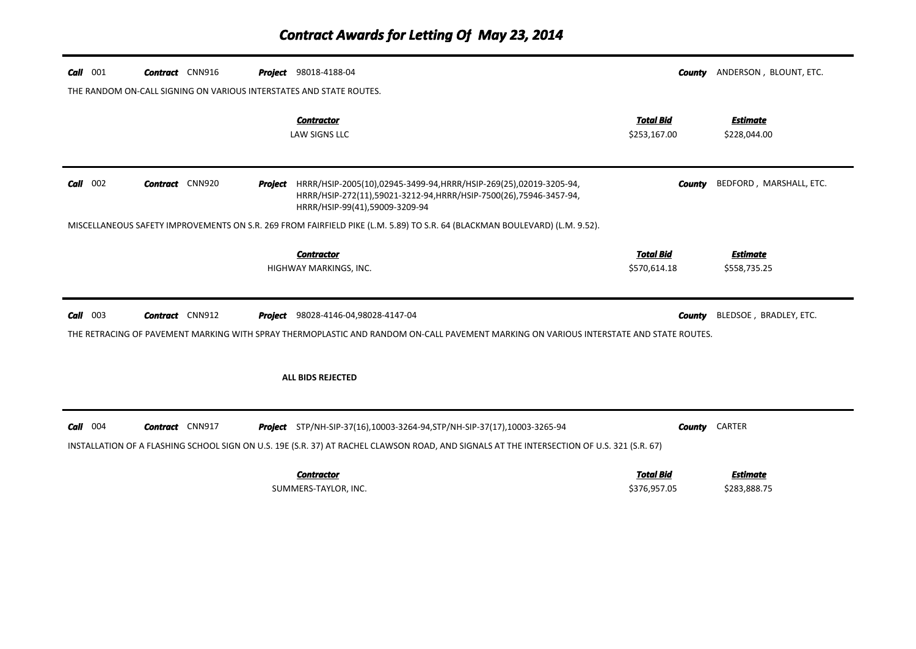| $Call$ 001 | <b>Contract</b> CNN916 |         | <b>Project</b> 98018-4188-04                                                                                                                                                                                                   | County                           | ANDERSON, BLOUNT, ETC.          |
|------------|------------------------|---------|--------------------------------------------------------------------------------------------------------------------------------------------------------------------------------------------------------------------------------|----------------------------------|---------------------------------|
|            |                        |         | THE RANDOM ON-CALL SIGNING ON VARIOUS INTERSTATES AND STATE ROUTES.                                                                                                                                                            |                                  |                                 |
|            |                        |         | <b>Contractor</b><br><b>LAW SIGNS LLC</b>                                                                                                                                                                                      | <b>Total Bid</b><br>\$253,167.00 | <b>Estimate</b><br>\$228,044.00 |
| $Call$ 002 | <b>Contract</b> CNN920 | Project | HRRR/HSIP-2005(10),02945-3499-94,HRRR/HSIP-269(25),02019-3205-94,<br>HRRR/HSIP-272(11),59021-3212-94,HRRR/HSIP-7500(26),75946-3457-94,<br>HRRR/HSIP-99(41),59009-3209-94                                                       | <b>County</b>                    | BEDFORD, MARSHALL, ETC.         |
|            |                        |         | MISCELLANEOUS SAFETY IMPROVEMENTS ON S.R. 269 FROM FAIRFIELD PIKE (L.M. 5.89) TO S.R. 64 (BLACKMAN BOULEVARD) (L.M. 9.52).                                                                                                     |                                  |                                 |
|            |                        |         | <b>Contractor</b><br>HIGHWAY MARKINGS, INC.                                                                                                                                                                                    | <b>Total Bid</b><br>\$570,614.18 | <b>Estimate</b><br>\$558,735.25 |
| $Call$ 003 | <b>Contract</b> CNN912 | Project | 98028-4146-04,98028-4147-04<br>THE RETRACING OF PAVEMENT MARKING WITH SPRAY THERMOPLASTIC AND RANDOM ON-CALL PAVEMENT MARKING ON VARIOUS INTERSTATE AND STATE ROUTES.                                                          | <b>County</b>                    | BLEDSOE, BRADLEY, ETC.          |
|            |                        |         | ALL BIDS REJECTED                                                                                                                                                                                                              |                                  |                                 |
| $Call$ 004 | <b>Contract</b> CNN917 |         | <b>Project</b> STP/NH-SIP-37(16),10003-3264-94, STP/NH-SIP-37(17), 10003-3265-94<br>INSTALLATION OF A FLASHING SCHOOL SIGN ON U.S. 19E (S.R. 37) AT RACHEL CLAWSON ROAD, AND SIGNALS AT THE INTERSECTION OF U.S. 321 (S.R. 67) |                                  | <b>County CARTER</b>            |
|            |                        |         | <b>Contractor</b><br>SUMMERS-TAYLOR, INC.                                                                                                                                                                                      | <b>Total Bid</b><br>\$376,957.05 | <b>Estimate</b><br>\$283,888.75 |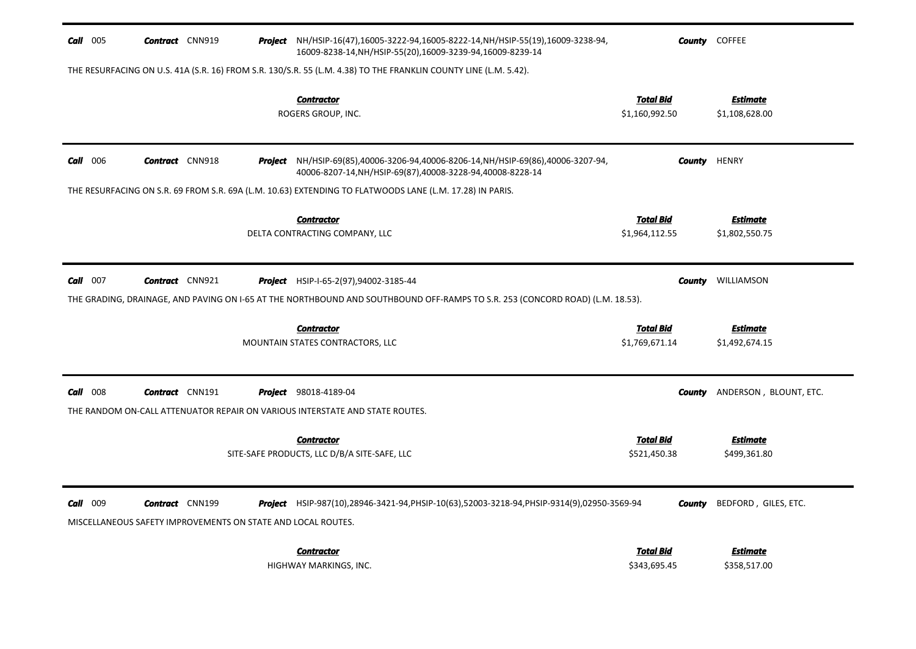| $Call$ 005 | <b>Contract</b> CNN919                                                                 |         | Project NH/HSIP-16(47),16005-3222-94,16005-8222-14,NH/HSIP-55(19),16009-3238-94,<br>16009-8238-14, NH/HSIP-55(20), 16009-3239-94, 16009-8239-14 |                                    | <b>County</b> COFFEE              |
|------------|----------------------------------------------------------------------------------------|---------|-------------------------------------------------------------------------------------------------------------------------------------------------|------------------------------------|-----------------------------------|
|            |                                                                                        |         | THE RESURFACING ON U.S. 41A (S.R. 16) FROM S.R. 130/S.R. 55 (L.M. 4.38) TO THE FRANKLIN COUNTY LINE (L.M. 5.42).                                |                                    |                                   |
|            |                                                                                        |         | <b>Contractor</b><br>ROGERS GROUP, INC.                                                                                                         | <b>Total Bid</b><br>\$1,160,992.50 | <u>Estimate</u><br>\$1,108,628.00 |
| $Call$ 006 | <b>Contract</b> CNN918                                                                 | Project | NH/HSIP-69(85),40006-3206-94,40006-8206-14,NH/HSIP-69(86),40006-3207-94,<br>40006-8207-14, NH/HSIP-69(87), 40008-3228-94, 40008-8228-14         | County                             | <b>HENRY</b>                      |
|            |                                                                                        |         | THE RESURFACING ON S.R. 69 FROM S.R. 69A (L.M. 10.63) EXTENDING TO FLATWOODS LANE (L.M. 17.28) IN PARIS.                                        |                                    |                                   |
|            |                                                                                        |         | <b>Contractor</b><br>DELTA CONTRACTING COMPANY, LLC                                                                                             | <b>Total Bid</b><br>\$1,964,112.55 | Estimate<br>\$1,802,550.75        |
| $Call$ 007 | <b>Contract</b> CNN921                                                                 |         | <b>Project</b> HSIP-I-65-2(97),94002-3185-44                                                                                                    | County                             | WILLIAMSON                        |
|            |                                                                                        |         | THE GRADING, DRAINAGE, AND PAVING ON I-65 AT THE NORTHBOUND AND SOUTHBOUND OFF-RAMPS TO S.R. 253 (CONCORD ROAD) (L.M. 18.53).                   |                                    |                                   |
|            |                                                                                        |         | <b>Contractor</b>                                                                                                                               | <b>Total Bid</b>                   | Estimate                          |
|            |                                                                                        |         | MOUNTAIN STATES CONTRACTORS, LLC                                                                                                                | \$1,769,671.14                     | \$1,492,674.15                    |
|            |                                                                                        |         |                                                                                                                                                 |                                    |                                   |
| $Call$ 008 | <b>Contract</b> CNN191                                                                 |         | <b>Project</b> 98018-4189-04                                                                                                                    | County                             | ANDERSON, BLOUNT, ETC.            |
|            |                                                                                        |         | THE RANDOM ON-CALL ATTENUATOR REPAIR ON VARIOUS INTERSTATE AND STATE ROUTES.                                                                    |                                    |                                   |
|            |                                                                                        |         | <b>Contractor</b><br>SITE-SAFE PRODUCTS, LLC D/B/A SITE-SAFE, LLC                                                                               | <b>Total Bid</b><br>\$521,450.38   | <u>Estimate</u><br>\$499,361.80   |
| Call 009   | <b>Contract</b> CNN199<br>MISCELLANEOUS SAFETY IMPROVEMENTS ON STATE AND LOCAL ROUTES. |         | <b>Project</b> HSIP-987(10),28946-3421-94,PHSIP-10(63),52003-3218-94,PHSIP-9314(9),02950-3569-94                                                | County                             | BEDFORD, GILES, ETC.              |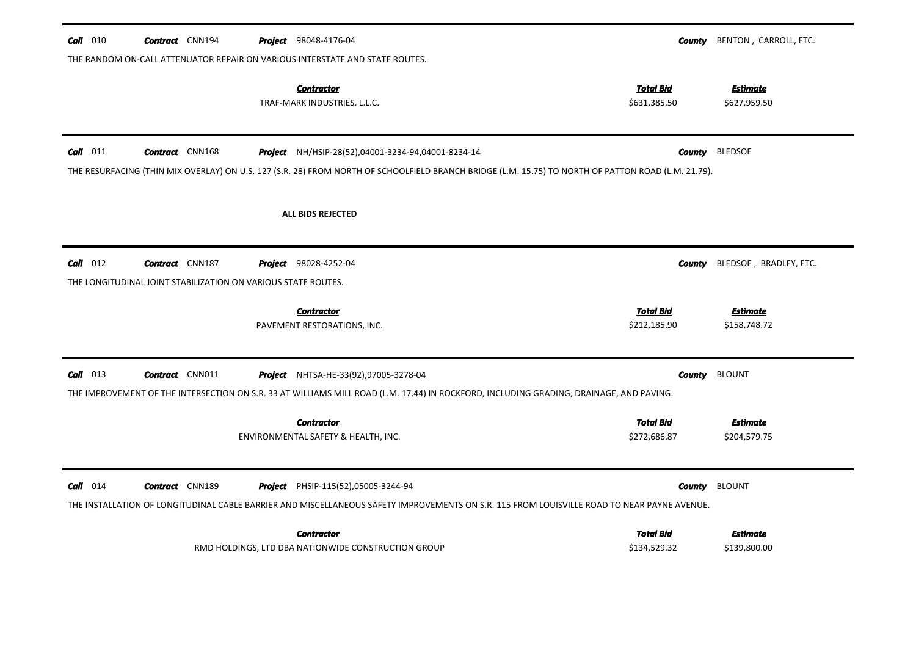| <b>Call</b> 010 | <b>Contract</b> CNN194                                        | <b>Project</b> 98048-4176-04                                                                                                                                                                                     | <b>County</b>                    | BENTON, CARROLL, ETC.           |
|-----------------|---------------------------------------------------------------|------------------------------------------------------------------------------------------------------------------------------------------------------------------------------------------------------------------|----------------------------------|---------------------------------|
|                 |                                                               | THE RANDOM ON-CALL ATTENUATOR REPAIR ON VARIOUS INTERSTATE AND STATE ROUTES.                                                                                                                                     |                                  |                                 |
|                 |                                                               | <b>Contractor</b><br>TRAF-MARK INDUSTRIES, L.L.C.                                                                                                                                                                | <b>Total Bid</b><br>\$631,385.50 | <b>Estimate</b><br>\$627,959.50 |
| Call 011        | <b>Contract</b> CNN168                                        | <b>Project</b> NH/HSIP-28(52),04001-3234-94,04001-8234-14<br>THE RESURFACING (THIN MIX OVERLAY) ON U.S. 127 (S.R. 28) FROM NORTH OF SCHOOLFIELD BRANCH BRIDGE (L.M. 15.75) TO NORTH OF PATTON ROAD (L.M. 21.79). | <b>County</b>                    | <b>BLEDSOE</b>                  |
|                 |                                                               | <b>ALL BIDS REJECTED</b>                                                                                                                                                                                         |                                  |                                 |
| $Call$ 012      | <b>Contract</b> CNN187                                        | <b>Project</b> 98028-4252-04                                                                                                                                                                                     | <b>County</b>                    | BLEDSOE, BRADLEY, ETC.          |
|                 | THE LONGITUDINAL JOINT STABILIZATION ON VARIOUS STATE ROUTES. |                                                                                                                                                                                                                  |                                  |                                 |
|                 |                                                               |                                                                                                                                                                                                                  |                                  |                                 |
|                 |                                                               | <b>Contractor</b><br>PAVEMENT RESTORATIONS, INC.                                                                                                                                                                 | <b>Total Bid</b><br>\$212,185.90 | <b>Estimate</b><br>\$158,748.72 |
| Call 013        | <b>Contract</b> CNN011                                        | Project NHTSA-HE-33(92),97005-3278-04                                                                                                                                                                            | <b>County</b>                    | <b>BLOUNT</b>                   |
|                 |                                                               | THE IMPROVEMENT OF THE INTERSECTION ON S.R. 33 AT WILLIAMS MILL ROAD (L.M. 17.44) IN ROCKFORD, INCLUDING GRADING, DRAINAGE, AND PAVING.                                                                          |                                  |                                 |
|                 |                                                               | <b>Contractor</b><br>ENVIRONMENTAL SAFETY & HEALTH, INC.                                                                                                                                                         | <b>Total Bid</b><br>\$272,686.87 | <b>Estimate</b><br>\$204,579.75 |
| Call 014        | <b>Contract</b> CNN189                                        | <b>Project</b> PHSIP-115(52),05005-3244-94<br>THE INSTALLATION OF LONGITUDINAL CABLE BARRIER AND MISCELLANEOUS SAFETY IMPROVEMENTS ON S.R. 115 FROM LOUISVILLE ROAD TO NEAR PAYNE AVENUE.                        | <b>County</b>                    | <b>BLOUNT</b>                   |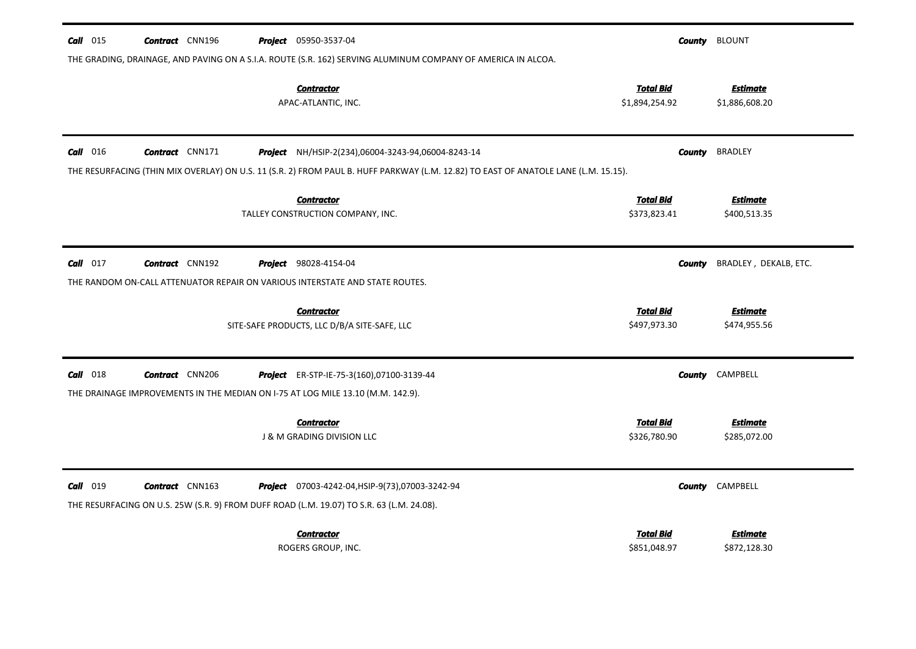| $Call$ 015 | <b>Contract</b> CNN196 | <b>Project</b> 05950-3537-04                                                                                                        |                                    | <b>County</b> BLOUNT              |
|------------|------------------------|-------------------------------------------------------------------------------------------------------------------------------------|------------------------------------|-----------------------------------|
|            |                        | THE GRADING, DRAINAGE, AND PAVING ON A S.I.A. ROUTE (S.R. 162) SERVING ALUMINUM COMPANY OF AMERICA IN ALCOA.                        |                                    |                                   |
|            |                        | <b>Contractor</b><br>APAC-ATLANTIC, INC.                                                                                            | <b>Total Bid</b><br>\$1,894,254.92 | <b>Estimate</b><br>\$1,886,608.20 |
| $Call$ 016 | <b>Contract</b> CNN171 | <b>Project</b> NH/HSIP-2(234),06004-3243-94,06004-8243-14                                                                           | County                             | <b>BRADLEY</b>                    |
|            |                        | THE RESURFACING (THIN MIX OVERLAY) ON U.S. 11 (S.R. 2) FROM PAUL B. HUFF PARKWAY (L.M. 12.82) TO EAST OF ANATOLE LANE (L.M. 15.15). |                                    |                                   |
|            |                        | <b>Contractor</b>                                                                                                                   | <b>Total Bid</b>                   | <b>Estimate</b>                   |
|            |                        | TALLEY CONSTRUCTION COMPANY, INC.                                                                                                   | \$373,823.41                       | \$400,513.35                      |
| $Call$ 017 | <b>Contract</b> CNN192 | <b>Project</b> 98028-4154-04                                                                                                        | County                             | BRADLEY, DEKALB, ETC.             |
|            |                        | THE RANDOM ON-CALL ATTENUATOR REPAIR ON VARIOUS INTERSTATE AND STATE ROUTES.                                                        |                                    |                                   |
|            |                        | <b>Contractor</b>                                                                                                                   | <b>Total Bid</b>                   | <b>Estimate</b>                   |
|            |                        | SITE-SAFE PRODUCTS, LLC D/B/A SITE-SAFE, LLC                                                                                        | \$497,973.30                       | \$474,955.56                      |
| $Call$ 018 | <b>Contract</b> CNN206 | <b>Project</b> ER-STP-IE-75-3(160),07100-3139-44                                                                                    | <b>County</b>                      | CAMPBELL                          |
|            |                        | THE DRAINAGE IMPROVEMENTS IN THE MEDIAN ON I-75 AT LOG MILE 13.10 (M.M. 142.9).                                                     |                                    |                                   |
|            |                        | <b>Contractor</b>                                                                                                                   | <b>Total Bid</b>                   | <b>Estimate</b>                   |
|            |                        | J & M GRADING DIVISION LLC                                                                                                          | \$326,780.90                       | \$285,072.00                      |
| $Call$ 019 | <b>Contract</b> CNN163 | <b>Project</b> 07003-4242-04, HSIP-9(73), 07003-3242-94                                                                             | County                             | CAMPBELL                          |
|            |                        | THE RESURFACING ON U.S. 25W (S.R. 9) FROM DUFF ROAD (L.M. 19.07) TO S.R. 63 (L.M. 24.08).                                           |                                    |                                   |
|            |                        | <b>Contractor</b>                                                                                                                   | Total Bid                          | Estimate                          |
|            |                        | ROGERS GROUP, INC.                                                                                                                  | \$851,048.97                       | \$872,128.30                      |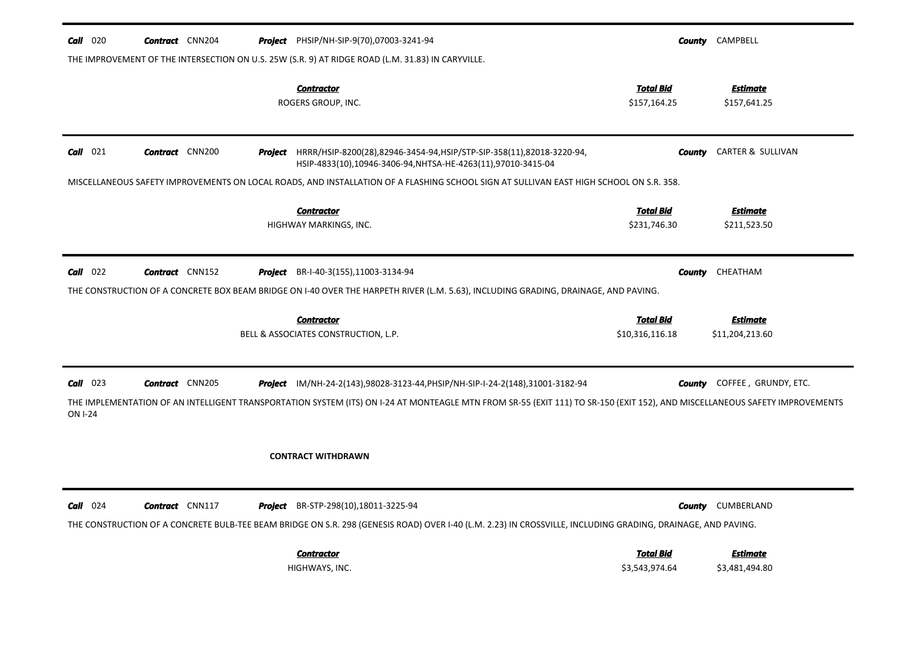| $Call$ 020                                                                                                                             | <b>Contract</b> CNN204 |  | <b>Project</b> PHSIP/NH-SIP-9(70),07003-3241-94                                                                                                                                                                                                                     |                                     | <b>County</b> CAMPBELL             |
|----------------------------------------------------------------------------------------------------------------------------------------|------------------------|--|---------------------------------------------------------------------------------------------------------------------------------------------------------------------------------------------------------------------------------------------------------------------|-------------------------------------|------------------------------------|
| THE IMPROVEMENT OF THE INTERSECTION ON U.S. 25W (S.R. 9) AT RIDGE ROAD (L.M. 31.83) IN CARYVILLE.                                      |                        |  |                                                                                                                                                                                                                                                                     |                                     |                                    |
|                                                                                                                                        |                        |  | <b>Contractor</b><br>ROGERS GROUP, INC.                                                                                                                                                                                                                             | <b>Total Bid</b><br>\$157,164.25    | <b>Estimate</b><br>\$157,641.25    |
| $Call$ 021                                                                                                                             | <b>Contract</b> CNN200 |  | Project HRRR/HSIP-8200(28),82946-3454-94,HSIP/STP-SIP-358(11),82018-3220-94,<br>HSIP-4833(10),10946-3406-94, NHTSA-HE-4263(11),97010-3415-04                                                                                                                        | County                              | CARTER & SULLIVAN                  |
| MISCELLANEOUS SAFETY IMPROVEMENTS ON LOCAL ROADS, AND INSTALLATION OF A FLASHING SCHOOL SIGN AT SULLIVAN EAST HIGH SCHOOL ON S.R. 358. |                        |  |                                                                                                                                                                                                                                                                     |                                     |                                    |
|                                                                                                                                        |                        |  | <b>Contractor</b><br>HIGHWAY MARKINGS, INC.                                                                                                                                                                                                                         | <b>Total Bid</b><br>\$231,746.30    | <u>Estimate</u><br>\$211,523.50    |
| $Call$ 022                                                                                                                             | <b>Contract</b> CNN152 |  | <b>Project</b> BR-I-40-3(155), 11003-3134-94                                                                                                                                                                                                                        | <b>County</b>                       | CHEATHAM                           |
| THE CONSTRUCTION OF A CONCRETE BOX BEAM BRIDGE ON 1-40 OVER THE HARPETH RIVER (L.M. 5.63), INCLUDING GRADING, DRAINAGE, AND PAVING.    |                        |  |                                                                                                                                                                                                                                                                     |                                     |                                    |
|                                                                                                                                        |                        |  | <b>Contractor</b><br>BELL & ASSOCIATES CONSTRUCTION, L.P.                                                                                                                                                                                                           | <b>Total Bid</b><br>\$10,316,116.18 | <b>Estimate</b><br>\$11,204,213.60 |
| $Call$ 023<br><b>ON I-24</b>                                                                                                           | <b>Contract</b> CNN205 |  | <b>Project</b> IM/NH-24-2(143),98028-3123-44, PHSIP/NH-SIP-I-24-2(148),31001-3182-94<br>THE IMPLEMENTATION OF AN INTELLIGENT TRANSPORTATION SYSTEM (ITS) ON I-24 AT MONTEAGLE MTN FROM SR-55 (EXIT 111) TO SR-150 (EXIT 152), AND MISCELLANEOUS SAFETY IMPROVEMENTS | County                              | COFFEE, GRUNDY, ETC.               |
|                                                                                                                                        |                        |  | <b>CONTRACT WITHDRAWN</b>                                                                                                                                                                                                                                           |                                     |                                    |
| $Call$ 024                                                                                                                             | <b>Contract</b> CNN117 |  | Project BR-STP-298(10),18011-3225-94<br>THE CONSTRUCTION OF A CONCRETE BULB-TEE BEAM BRIDGE ON S.R. 298 (GENESIS ROAD) OVER I-40 (L.M. 2.23) IN CROSSVILLE, INCLUDING GRADING, DRAINAGE, AND PAVING.                                                                |                                     | <b>County</b> CUMBERLAND           |
|                                                                                                                                        |                        |  | <b>Contractor</b><br>HIGHWAYS, INC.                                                                                                                                                                                                                                 | <b>Total Bid</b><br>\$3,543,974.64  | <u>Estimate</u><br>\$3,481,494.80  |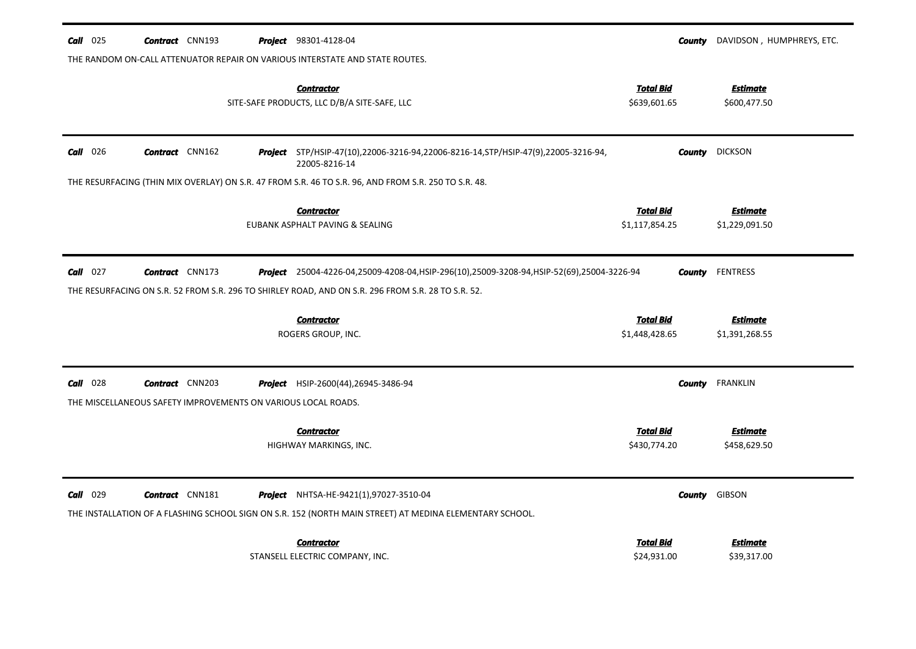| $Call$ 025                                                                   | <b>Contract</b> CNN193                                        |  | <b>Project</b> 98301-4128-04                                                                                                                                                                       | County                             | DAVIDSON, HUMPHREYS, ETC.         |  |  |  |  |
|------------------------------------------------------------------------------|---------------------------------------------------------------|--|----------------------------------------------------------------------------------------------------------------------------------------------------------------------------------------------------|------------------------------------|-----------------------------------|--|--|--|--|
| THE RANDOM ON-CALL ATTENUATOR REPAIR ON VARIOUS INTERSTATE AND STATE ROUTES. |                                                               |  |                                                                                                                                                                                                    |                                    |                                   |  |  |  |  |
|                                                                              |                                                               |  | <b>Contractor</b><br>SITE-SAFE PRODUCTS, LLC D/B/A SITE-SAFE, LLC                                                                                                                                  | <b>Total Bid</b><br>\$639,601.65   | <b>Estimate</b><br>\$600,477.50   |  |  |  |  |
| $Call$ 026                                                                   | <b>Contract</b> CNN162                                        |  | Project STP/HSIP-47(10),22006-3216-94,22006-8216-14, STP/HSIP-47(9), 22005-3216-94,<br>22005-8216-14                                                                                               | County                             | <b>DICKSON</b>                    |  |  |  |  |
|                                                                              |                                                               |  | THE RESURFACING (THIN MIX OVERLAY) ON S.R. 47 FROM S.R. 46 TO S.R. 96, AND FROM S.R. 250 TO S.R. 48.                                                                                               |                                    |                                   |  |  |  |  |
|                                                                              |                                                               |  | <b>Contractor</b><br>EUBANK ASPHALT PAVING & SEALING                                                                                                                                               | <b>Total Bid</b><br>\$1,117,854.25 | <b>Estimate</b><br>\$1,229,091.50 |  |  |  |  |
| $Call$ 027                                                                   | <b>Contract</b> CNN173                                        |  | Project 25004-4226-04,25009-4208-04, HSIP-296(10), 25009-3208-94, HSIP-52(69), 25004-3226-94<br>THE RESURFACING ON S.R. 52 FROM S.R. 296 TO SHIRLEY ROAD, AND ON S.R. 296 FROM S.R. 28 TO S.R. 52. |                                    | <b>County</b> FENTRESS            |  |  |  |  |
|                                                                              |                                                               |  | <b>Contractor</b><br>ROGERS GROUP, INC.                                                                                                                                                            | <b>Total Bid</b><br>\$1,448,428.65 | <b>Estimate</b><br>\$1,391,268.55 |  |  |  |  |
|                                                                              |                                                               |  |                                                                                                                                                                                                    |                                    |                                   |  |  |  |  |
| <b>Call</b> $028$                                                            | <b>Contract</b> CNN203                                        |  | Project HSIP-2600(44), 26945-3486-94                                                                                                                                                               |                                    | <b>County</b> FRANKLIN            |  |  |  |  |
|                                                                              | THE MISCELLANEOUS SAFETY IMPROVEMENTS ON VARIOUS LOCAL ROADS. |  |                                                                                                                                                                                                    |                                    |                                   |  |  |  |  |
|                                                                              |                                                               |  | <b>Contractor</b><br>HIGHWAY MARKINGS, INC.                                                                                                                                                        | <b>Total Bid</b><br>\$430,774.20   | <b>Estimate</b><br>\$458,629.50   |  |  |  |  |
| $Call$ 029                                                                   | <b>Contract</b> CNN181                                        |  | <b>Project</b> NHTSA-HE-9421(1),97027-3510-04                                                                                                                                                      |                                    | <b>County</b> GIBSON              |  |  |  |  |
|                                                                              |                                                               |  | THE INSTALLATION OF A FLASHING SCHOOL SIGN ON S.R. 152 (NORTH MAIN STREET) AT MEDINA ELEMENTARY SCHOOL.                                                                                            |                                    |                                   |  |  |  |  |
|                                                                              |                                                               |  | <b>Contractor</b><br>STANSELL ELECTRIC COMPANY, INC.                                                                                                                                               | <b>Total Bid</b><br>\$24,931.00    | <b>Estimate</b><br>\$39,317.00    |  |  |  |  |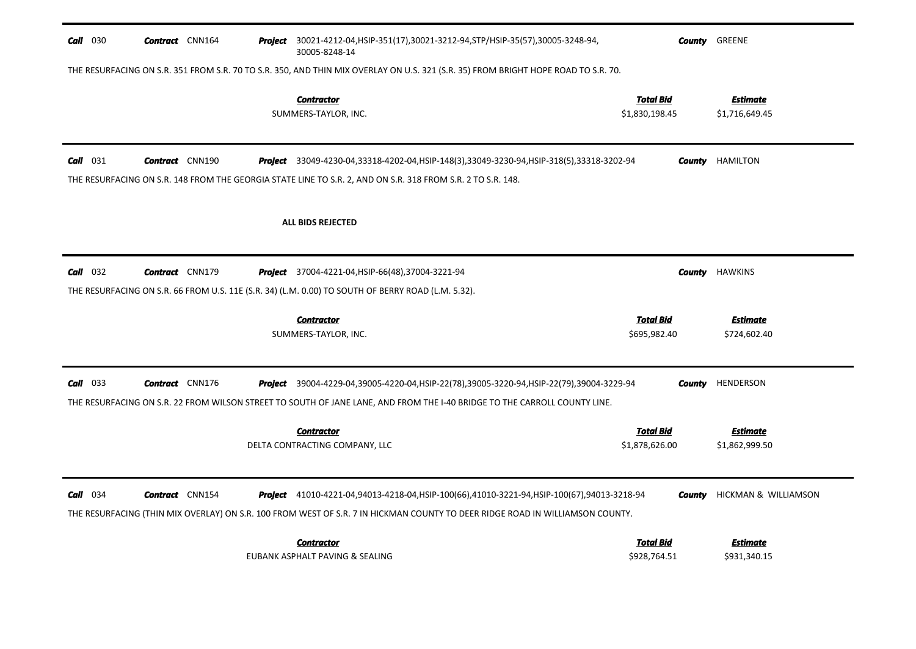| $Call$ 030                                                                                                                         | <b>Contract</b> CNN164 |  | <b>Project</b> 30021-4212-04,HSIP-351(17),30021-3212-94,STP/HSIP-35(57),30005-3248-94,<br>30005-8248-14                                                                                                                           |                                    |        | <b>County GREENE</b>              |  |
|------------------------------------------------------------------------------------------------------------------------------------|------------------------|--|-----------------------------------------------------------------------------------------------------------------------------------------------------------------------------------------------------------------------------------|------------------------------------|--------|-----------------------------------|--|
| THE RESURFACING ON S.R. 351 FROM S.R. 70 TO S.R. 350, AND THIN MIX OVERLAY ON U.S. 321 (S.R. 35) FROM BRIGHT HOPE ROAD TO S.R. 70. |                        |  |                                                                                                                                                                                                                                   |                                    |        |                                   |  |
|                                                                                                                                    |                        |  | <b>Contractor</b><br>SUMMERS-TAYLOR, INC.                                                                                                                                                                                         | <b>Total Bid</b><br>\$1,830,198.45 |        | <b>Estimate</b><br>\$1,716,649.45 |  |
| Call 031                                                                                                                           | <b>Contract</b> CNN190 |  | Project 33049-4230-04,33318-4202-04,HSIP-148(3),33049-3230-94,HSIP-318(5),33318-3202-94                                                                                                                                           |                                    |        | <b>County</b> HAMILTON            |  |
|                                                                                                                                    |                        |  | THE RESURFACING ON S.R. 148 FROM THE GEORGIA STATE LINE TO S.R. 2, AND ON S.R. 318 FROM S.R. 2 TO S.R. 148.                                                                                                                       |                                    |        |                                   |  |
|                                                                                                                                    |                        |  | <b>ALL BIDS REJECTED</b>                                                                                                                                                                                                          |                                    |        |                                   |  |
| $Call$ 032                                                                                                                         | <b>Contract</b> CNN179 |  | <b>Project</b> 37004-4221-04, HSIP-66(48), 37004-3221-94                                                                                                                                                                          |                                    | County | <b>HAWKINS</b>                    |  |
|                                                                                                                                    |                        |  | THE RESURFACING ON S.R. 66 FROM U.S. 11E (S.R. 34) (L.M. 0.00) TO SOUTH OF BERRY ROAD (L.M. 5.32).                                                                                                                                |                                    |        |                                   |  |
|                                                                                                                                    |                        |  |                                                                                                                                                                                                                                   |                                    |        |                                   |  |
|                                                                                                                                    |                        |  | <b>Contractor</b><br>SUMMERS-TAYLOR, INC.                                                                                                                                                                                         | <b>Total Bid</b><br>\$695,982.40   |        | Estimate<br>\$724,602.40          |  |
| $Call$ 033                                                                                                                         | <b>Contract</b> CNN176 |  | Project 39004-4229-04,39005-4220-04, HSIP-22(78), 39005-3220-94, HSIP-22(79), 39004-3229-94<br>THE RESURFACING ON S.R. 22 FROM WILSON STREET TO SOUTH OF JANE LANE, AND FROM THE I-40 BRIDGE TO THE CARROLL COUNTY LINE.          |                                    | County | HENDERSON                         |  |
|                                                                                                                                    |                        |  | <b>Contractor</b><br>DELTA CONTRACTING COMPANY, LLC                                                                                                                                                                               | <b>Total Bid</b><br>\$1,878,626.00 |        | <b>Estimate</b><br>\$1,862,999.50 |  |
| $Call$ 034                                                                                                                         | <b>Contract</b> CNN154 |  | <b>Project</b> 41010-4221-04,94013-4218-04,HSIP-100(66),41010-3221-94,HSIP-100(67),94013-3218-94<br>THE RESURFACING (THIN MIX OVERLAY) ON S.R. 100 FROM WEST OF S.R. 7 IN HICKMAN COUNTY TO DEER RIDGE ROAD IN WILLIAMSON COUNTY. |                                    | County | HICKMAN & WILLIAMSON              |  |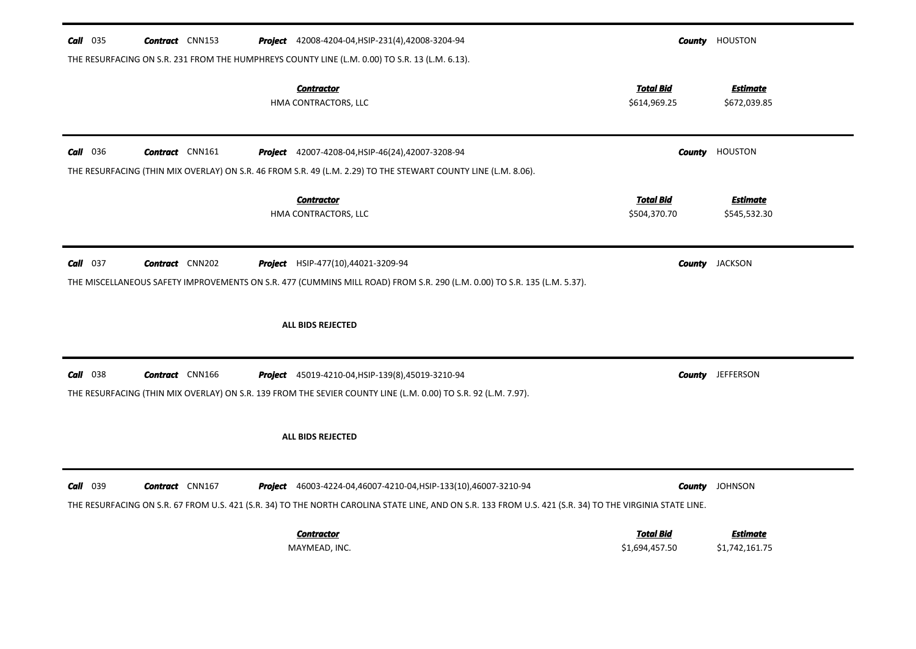| $Call$ 035<br><b>Contract</b> CNN153      | <b>Project</b> 42008-4204-04, HSIP-231(4), 42008-3204-94<br>THE RESURFACING ON S.R. 231 FROM THE HUMPHREYS COUNTY LINE (L.M. 0.00) TO S.R. 13 (L.M. 6.13).                                                                   |                                    | <b>County HOUSTON</b>             |
|-------------------------------------------|------------------------------------------------------------------------------------------------------------------------------------------------------------------------------------------------------------------------------|------------------------------------|-----------------------------------|
|                                           | <b>Contractor</b><br>HMA CONTRACTORS, LLC                                                                                                                                                                                    | <b>Total Bid</b><br>\$614,969.25   | <b>Estimate</b><br>\$672,039.85   |
| <b>Call</b> 036<br><b>Contract</b> CNN161 | Project 42007-4208-04, HSIP-46(24), 42007-3208-94<br>THE RESURFACING (THIN MIX OVERLAY) ON S.R. 46 FROM S.R. 49 (L.M. 2.29) TO THE STEWART COUNTY LINE (L.M. 8.06).                                                          |                                    | <b>County</b> HOUSTON             |
|                                           | <b>Contractor</b><br>HMA CONTRACTORS, LLC                                                                                                                                                                                    | <b>Total Bid</b><br>\$504,370.70   | <b>Estimate</b><br>\$545,532.30   |
| $Call$ 037<br><b>Contract</b> CNN202      | Project HSIP-477(10),44021-3209-94<br>THE MISCELLANEOUS SAFETY IMPROVEMENTS ON S.R. 477 (CUMMINS MILL ROAD) FROM S.R. 290 (L.M. 0.00) TO S.R. 135 (L.M. 5.37).                                                               |                                    | <b>County</b> JACKSON             |
|                                           | ALL BIDS REJECTED                                                                                                                                                                                                            |                                    |                                   |
| $Call$ 038<br><b>Contract</b> CNN166      | Project 45019-4210-04, HSIP-139(8), 45019-3210-94<br>THE RESURFACING (THIN MIX OVERLAY) ON S.R. 139 FROM THE SEVIER COUNTY LINE (L.M. 0.00) TO S.R. 92 (L.M. 7.97).                                                          |                                    | <b>County</b> JEFFERSON           |
|                                           | ALL BIDS REJECTED                                                                                                                                                                                                            |                                    |                                   |
| Call 039<br><b>Contract</b> CNN167        | Project 46003-4224-04,46007-4210-04, HSIP-133(10), 46007-3210-94<br>THE RESURFACING ON S.R. 67 FROM U.S. 421 (S.R. 34) TO THE NORTH CAROLINA STATE LINE, AND ON S.R. 133 FROM U.S. 421 (S.R. 34) TO THE VIRGINIA STATE LINE. |                                    | <b>County</b> JOHNSON             |
|                                           | <b>Contractor</b><br>MAYMEAD, INC.                                                                                                                                                                                           | <b>Total Bid</b><br>\$1,694,457.50 | <u>Estimate</u><br>\$1,742,161.75 |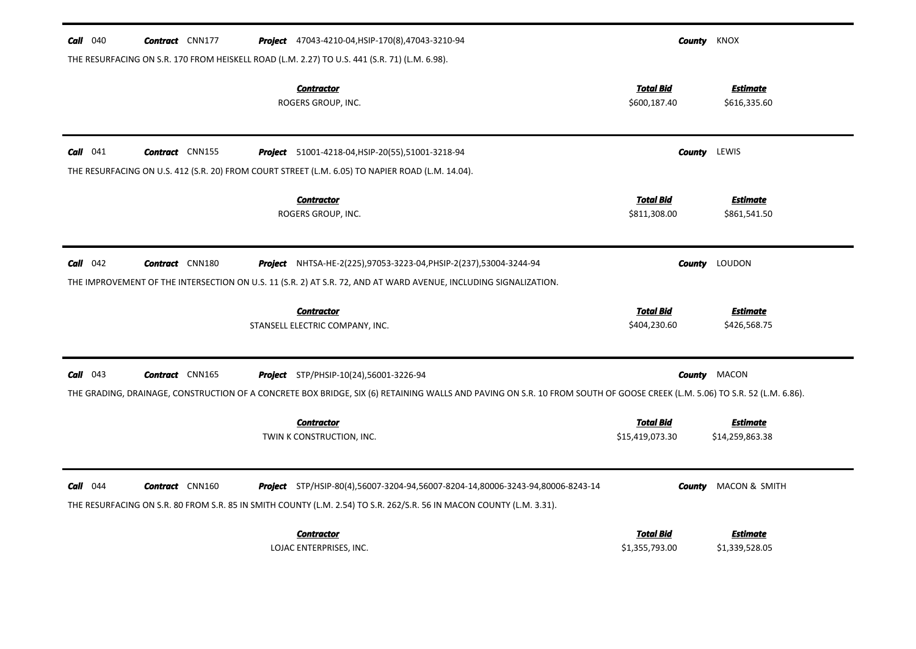| 040<br>Call | <b>Contract</b> CNN177 | <b>Project</b> 47043-4210-04, HSIP-170(8), 47043-3210-94                                                                                                                                               |                                     | <b>County</b> KNOX  |                                    |
|-------------|------------------------|--------------------------------------------------------------------------------------------------------------------------------------------------------------------------------------------------------|-------------------------------------|---------------------|------------------------------------|
|             |                        | THE RESURFACING ON S.R. 170 FROM HEISKELL ROAD (L.M. 2.27) TO U.S. 441 (S.R. 71) (L.M. 6.98).                                                                                                          |                                     |                     |                                    |
|             |                        | <b>Contractor</b><br>ROGERS GROUP, INC.                                                                                                                                                                | <b>Total Bid</b><br>\$600,187.40    |                     | <b>Estimate</b><br>\$616,335.60    |
| $Call$ 041  | <b>Contract</b> CNN155 | <b>Project</b> 51001-4218-04, HSIP-20(55), 51001-3218-94                                                                                                                                               |                                     | <b>County</b> LEWIS |                                    |
|             |                        | THE RESURFACING ON U.S. 412 (S.R. 20) FROM COURT STREET (L.M. 6.05) TO NAPIER ROAD (L.M. 14.04).                                                                                                       |                                     |                     |                                    |
|             |                        | <b>Contractor</b><br>ROGERS GROUP, INC.                                                                                                                                                                | <b>Total Bid</b><br>\$811,308.00    |                     | <b>Estimate</b><br>\$861,541.50    |
| $Call$ 042  | <b>Contract</b> CNN180 | <b>Project</b> NHTSA-HE-2(225),97053-3223-04,PHSIP-2(237),53004-3244-94                                                                                                                                |                                     | County              | LOUDON                             |
|             |                        | THE IMPROVEMENT OF THE INTERSECTION ON U.S. 11 (S.R. 2) AT S.R. 72, AND AT WARD AVENUE, INCLUDING SIGNALIZATION.                                                                                       |                                     |                     |                                    |
|             |                        | <b>Contractor</b><br>STANSELL ELECTRIC COMPANY, INC.                                                                                                                                                   | <b>Total Bid</b><br>\$404,230.60    |                     | <b>Estimate</b><br>\$426,568.75    |
| 043<br>Call | <b>Contract</b> CNN165 | <b>Project</b> STP/PHSIP-10(24),56001-3226-94                                                                                                                                                          |                                     |                     | <b>County</b> MACON                |
|             |                        | THE GRADING, DRAINAGE, CONSTRUCTION OF A CONCRETE BOX BRIDGE, SIX (6) RETAINING WALLS AND PAVING ON S.R. 10 FROM SOUTH OF GOOSE CREEK (L.M. 5.06) TO S.R. 52 (L.M. 6.86).                              |                                     |                     |                                    |
|             |                        | <b>Contractor</b><br>TWIN K CONSTRUCTION, INC.                                                                                                                                                         | <b>Total Bid</b><br>\$15,419,073.30 |                     | <b>Estimate</b><br>\$14,259,863.38 |
| $Call$ 044  | <b>Contract</b> CNN160 | Project STP/HSIP-80(4),56007-3204-94,56007-8204-14,80006-3243-94,80006-8243-14<br>THE RESURFACING ON S.R. 80 FROM S.R. 85 IN SMITH COUNTY (L.M. 2.54) TO S.R. 262/S.R. 56 IN MACON COUNTY (L.M. 3.31). |                                     | County              | MACON & SMITH                      |
|             |                        | <b>Contractor</b><br>LOJAC ENTERPRISES, INC.                                                                                                                                                           | <b>Total Bid</b><br>\$1,355,793.00  |                     | <b>Estimate</b><br>\$1,339,528.05  |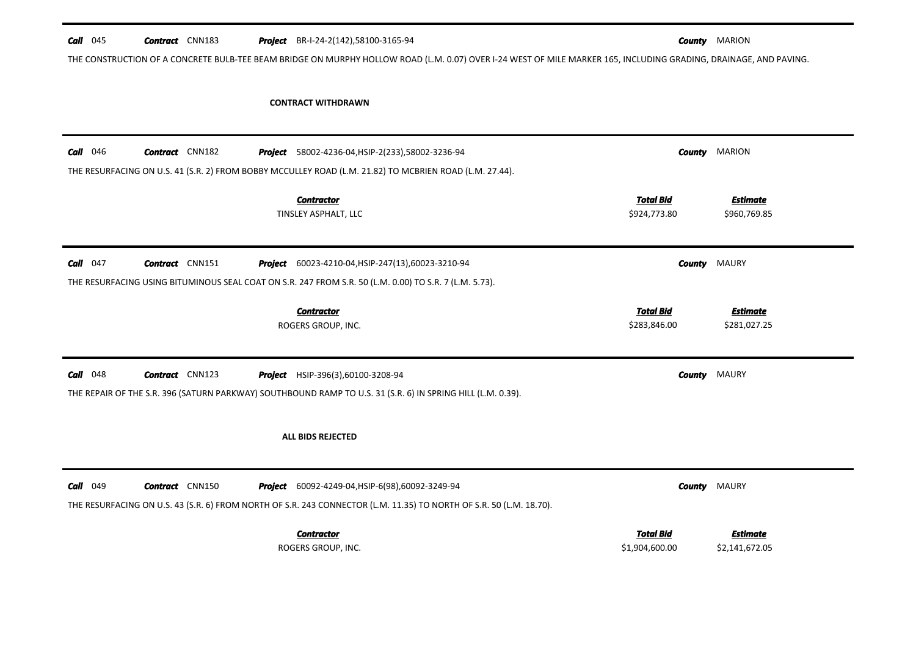| $Call$ 045      | <b>Contract</b> CNN183 | Project BR-I-24-2(142),58100-3165-94                                                                                                                              |                                  | <b>County MARION</b>            |
|-----------------|------------------------|-------------------------------------------------------------------------------------------------------------------------------------------------------------------|----------------------------------|---------------------------------|
|                 |                        | THE CONSTRUCTION OF A CONCRETE BULB-TEE BEAM BRIDGE ON MURPHY HOLLOW ROAD (L.M. 0.07) OVER I-24 WEST OF MILE MARKER 165, INCLUDING GRADING, DRAINAGE, AND PAVING. |                                  |                                 |
|                 |                        |                                                                                                                                                                   |                                  |                                 |
|                 |                        | <b>CONTRACT WITHDRAWN</b>                                                                                                                                         |                                  |                                 |
|                 |                        |                                                                                                                                                                   |                                  |                                 |
|                 |                        |                                                                                                                                                                   |                                  |                                 |
| <b>Call</b> 046 | <b>Contract</b> CNN182 | Project 58002-4236-04, HSIP-2(233), 58002-3236-94                                                                                                                 | County                           | <b>MARION</b>                   |
|                 |                        | THE RESURFACING ON U.S. 41 (S.R. 2) FROM BOBBY MCCULLEY ROAD (L.M. 21.82) TO MCBRIEN ROAD (L.M. 27.44).                                                           |                                  |                                 |
|                 |                        |                                                                                                                                                                   |                                  |                                 |
|                 |                        | <b>Contractor</b><br>TINSLEY ASPHALT, LLC                                                                                                                         | <b>Total Bid</b><br>\$924,773.80 | <b>Estimate</b><br>\$960,769.85 |
|                 |                        |                                                                                                                                                                   |                                  |                                 |
|                 |                        |                                                                                                                                                                   |                                  |                                 |
| $Call$ 047      | <b>Contract</b> CNN151 | <b>Project</b> 60023-4210-04, HSIP-247(13), 60023-3210-94                                                                                                         | County                           | MAURY                           |
|                 |                        | THE RESURFACING USING BITUMINOUS SEAL COAT ON S.R. 247 FROM S.R. 50 (L.M. 0.00) TO S.R. 7 (L.M. 5.73).                                                            |                                  |                                 |
|                 |                        |                                                                                                                                                                   |                                  |                                 |
|                 |                        | <b>Contractor</b><br>ROGERS GROUP, INC.                                                                                                                           | <b>Total Bid</b><br>\$283,846.00 | <b>Estimate</b><br>\$281,027.25 |
|                 |                        |                                                                                                                                                                   |                                  |                                 |
|                 |                        |                                                                                                                                                                   |                                  |                                 |
| $Call$ 048      | <b>Contract</b> CNN123 | <b>Project</b> HSIP-396(3),60100-3208-94                                                                                                                          | <b>County</b>                    | <b>MAURY</b>                    |
|                 |                        | THE REPAIR OF THE S.R. 396 (SATURN PARKWAY) SOUTHBOUND RAMP TO U.S. 31 (S.R. 6) IN SPRING HILL (L.M. 0.39).                                                       |                                  |                                 |
|                 |                        |                                                                                                                                                                   |                                  |                                 |
|                 |                        | <b>ALL BIDS REJECTED</b>                                                                                                                                          |                                  |                                 |
|                 |                        |                                                                                                                                                                   |                                  |                                 |
|                 |                        |                                                                                                                                                                   |                                  |                                 |
|                 |                        |                                                                                                                                                                   |                                  |                                 |
| Call 049        | <b>Contract</b> CNN150 | <b>Project</b> 60092-4249-04, HSIP-6(98), 60092-3249-94                                                                                                           |                                  | <b>County</b> MAURY             |
|                 |                        | THE RESURFACING ON U.S. 43 (S.R. 6) FROM NORTH OF S.R. 243 CONNECTOR (L.M. 11.35) TO NORTH OF S.R. 50 (L.M. 18.70).                                               |                                  |                                 |
|                 |                        | <b>Contractor</b>                                                                                                                                                 | <b>Total Bid</b>                 | Estimate                        |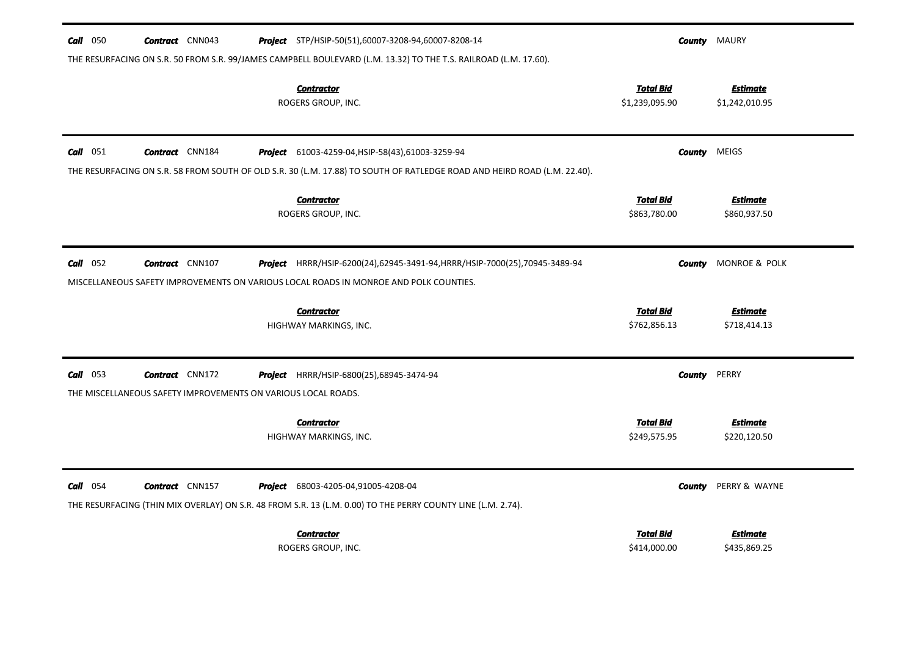| 050<br>Call | <b>Contract</b> CNN043                                        | Project STP/HSIP-50(51),60007-3208-94,60007-8208-14                                                                      |                                    | <b>County MAURY</b>               |
|-------------|---------------------------------------------------------------|--------------------------------------------------------------------------------------------------------------------------|------------------------------------|-----------------------------------|
|             |                                                               | THE RESURFACING ON S.R. 50 FROM S.R. 99/JAMES CAMPBELL BOULEVARD (L.M. 13.32) TO THE T.S. RAILROAD (L.M. 17.60).         |                                    |                                   |
|             |                                                               | <b>Contractor</b><br>ROGERS GROUP, INC.                                                                                  | <b>Total Bid</b><br>\$1,239,095.90 | <b>Estimate</b><br>\$1,242,010.95 |
| $Call$ 051  | <b>Contract</b> CNN184                                        | Project 61003-4259-04, HSIP-58(43), 61003-3259-94                                                                        | County                             | <b>MEIGS</b>                      |
|             |                                                               | THE RESURFACING ON S.R. 58 FROM SOUTH OF OLD S.R. 30 (L.M. 17.88) TO SOUTH OF RATLEDGE ROAD AND HEIRD ROAD (L.M. 22.40). |                                    |                                   |
|             |                                                               | <b>Contractor</b>                                                                                                        | <b>Total Bid</b>                   | <b>Estimate</b>                   |
|             |                                                               | ROGERS GROUP, INC.                                                                                                       | \$863,780.00                       | \$860,937.50                      |
| $Call$ 052  | <b>Contract</b> CNN107                                        | Project HRRR/HSIP-6200(24),62945-3491-94, HRRR/HSIP-7000(25),70945-3489-94                                               | County                             | MONROE & POLK                     |
|             |                                                               | MISCELLANEOUS SAFETY IMPROVEMENTS ON VARIOUS LOCAL ROADS IN MONROE AND POLK COUNTIES.                                    |                                    |                                   |
|             |                                                               | <b>Contractor</b>                                                                                                        | <b>Total Bid</b>                   | <b>Estimate</b>                   |
|             |                                                               | HIGHWAY MARKINGS, INC.                                                                                                   | \$762,856.13                       | \$718,414.13                      |
| $Call$ 053  | <b>Contract</b> CNN172                                        | Project HRRR/HSIP-6800(25),68945-3474-94                                                                                 | <b>County</b>                      | PERRY                             |
|             | THE MISCELLANEOUS SAFETY IMPROVEMENTS ON VARIOUS LOCAL ROADS. |                                                                                                                          |                                    |                                   |
|             |                                                               | <b>Contractor</b>                                                                                                        | <b>Total Bid</b>                   | <b>Estimate</b>                   |
|             |                                                               | HIGHWAY MARKINGS, INC.                                                                                                   | \$249,575.95                       | \$220,120.50                      |
| $Call$ 054  | <b>Contract</b> CNN157                                        | <b>Project</b> 68003-4205-04,91005-4208-04                                                                               | <b>County</b>                      | PERRY & WAYNE                     |
|             |                                                               | THE RESURFACING (THIN MIX OVERLAY) ON S.R. 48 FROM S.R. 13 (L.M. 0.00) TO THE PERRY COUNTY LINE (L.M. 2.74).             |                                    |                                   |
|             |                                                               | <b>Contractor</b>                                                                                                        | <b>Total Bid</b>                   | Estimate                          |
|             |                                                               | ROGERS GROUP, INC.                                                                                                       | \$414,000.00                       | \$435,869.25                      |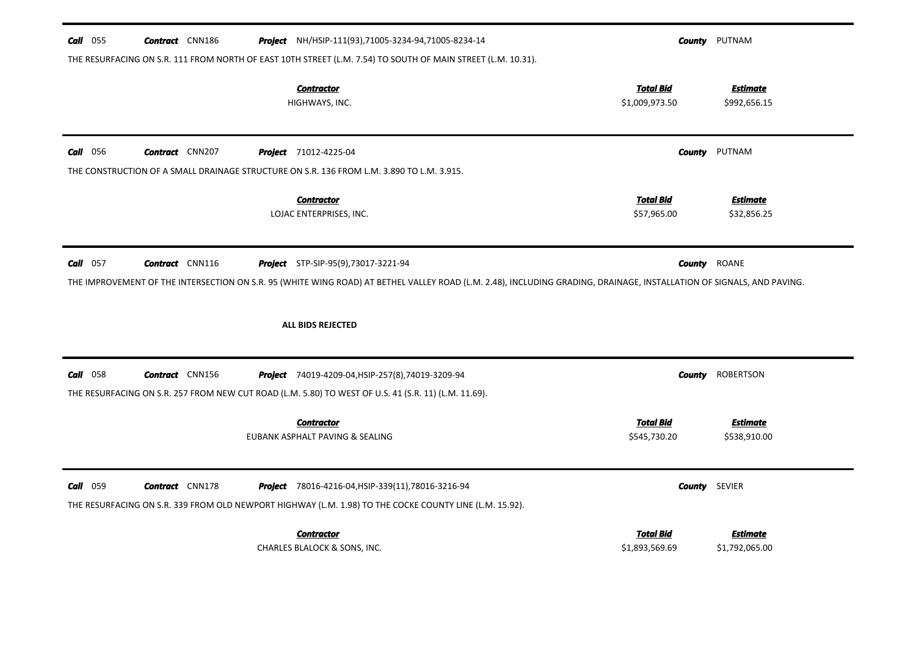| $Call$ 055      | <b>Contract</b> CNN186 | <b>Project</b> NH/HSIP-111(93),71005-3234-94,71005-8234-14                                                                                                                                                          |                                    | <b>County</b> PUTNAM              |
|-----------------|------------------------|---------------------------------------------------------------------------------------------------------------------------------------------------------------------------------------------------------------------|------------------------------------|-----------------------------------|
|                 |                        | THE RESURFACING ON S.R. 111 FROM NORTH OF EAST 10TH STREET (L.M. 7.54) TO SOUTH OF MAIN STREET (L.M. 10.31).                                                                                                        |                                    |                                   |
|                 |                        | <b>Contractor</b><br>HIGHWAYS, INC.                                                                                                                                                                                 | <b>Total Bid</b><br>\$1,009,973.50 | <b>Estimate</b><br>\$992,656.15   |
| <b>Call</b> 056 | Contract CNN207        | <b>Project</b> 71012-4225-04                                                                                                                                                                                        |                                    | <b>County PUTNAM</b>              |
|                 |                        | THE CONSTRUCTION OF A SMALL DRAINAGE STRUCTURE ON S.R. 136 FROM L.M. 3.890 TO L.M. 3.915.                                                                                                                           |                                    |                                   |
|                 |                        | <b>Contractor</b><br>LOJAC ENTERPRISES, INC.                                                                                                                                                                        | <b>Total Bid</b><br>\$57,965.00    | <b>Estimate</b><br>\$32,856.25    |
| $Call$ 057      | <b>Contract</b> CNN116 | <b>Project</b> STP-SIP-95(9),73017-3221-94<br>THE IMPROVEMENT OF THE INTERSECTION ON S.R. 95 (WHITE WING ROAD) AT BETHEL VALLEY ROAD (L.M. 2.48), INCLUDING GRADING, DRAINAGE, INSTALLATION OF SIGNALS, AND PAVING. | County                             | ROANE                             |
|                 |                        | ALL BIDS REJECTED                                                                                                                                                                                                   |                                    |                                   |
| Call<br>058     | <b>Contract</b> CNN156 | Project 74019-4209-04, HSIP-257(8), 74019-3209-94                                                                                                                                                                   | County                             | <b>ROBERTSON</b>                  |
|                 |                        | THE RESURFACING ON S.R. 257 FROM NEW CUT ROAD (L.M. 5.80) TO WEST OF U.S. 41 (S.R. 11) (L.M. 11.69).                                                                                                                |                                    |                                   |
|                 |                        | <b>Contractor</b><br>EUBANK ASPHALT PAVING & SEALING                                                                                                                                                                | <b>Total Bid</b><br>\$545,730.20   | <b>Estimate</b><br>\$538,910.00   |
| Call 059        | <b>Contract</b> CNN178 | <b>Project</b> 78016-4216-04, HSIP-339(11), 78016-3216-94<br>THE RESURFACING ON S.R. 339 FROM OLD NEWPORT HIGHWAY (L.M. 1.98) TO THE COCKE COUNTY LINE (L.M. 15.92).                                                |                                    | <b>County</b> SEVIER              |
|                 |                        | <b>Contractor</b><br>CHARLES BLALOCK & SONS, INC.                                                                                                                                                                   | <b>Total Bid</b><br>\$1,893,569.69 | <u>Estimate</u><br>\$1,792,065.00 |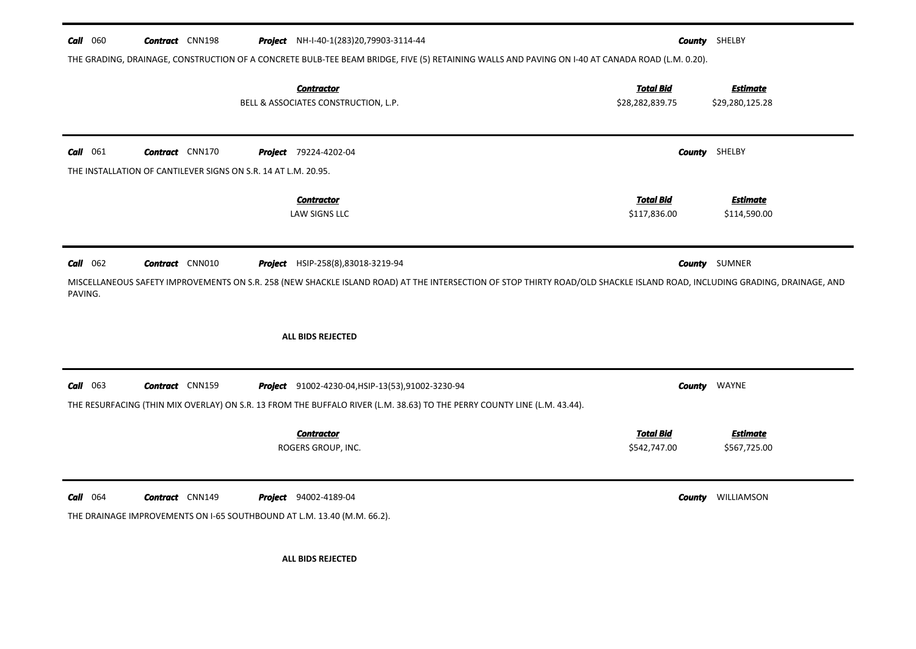| $Call$ 060                             | <b>Contract</b> CNN198                                                  | <b>Project</b> NH-I-40-1(283)20,79903-3114-44                                                                                                                             |                                  | <b>County</b> SHELBY            |
|----------------------------------------|-------------------------------------------------------------------------|---------------------------------------------------------------------------------------------------------------------------------------------------------------------------|----------------------------------|---------------------------------|
|                                        |                                                                         | THE GRADING, DRAINAGE, CONSTRUCTION OF A CONCRETE BULB-TEE BEAM BRIDGE, FIVE (5) RETAINING WALLS AND PAVING ON I-40 AT CANADA ROAD (L.M. 0.20).                           |                                  |                                 |
|                                        |                                                                         | <b>Contractor</b>                                                                                                                                                         | <b>Total Bid</b>                 | <b>Estimate</b>                 |
|                                        |                                                                         | BELL & ASSOCIATES CONSTRUCTION, L.P.                                                                                                                                      | \$28,282,839.75                  | \$29,280,125.28                 |
| $Call$ 061                             | <b>Contract</b> CNN170                                                  | <b>Project</b> 79224-4202-04                                                                                                                                              |                                  | <b>County</b> SHELBY            |
|                                        | THE INSTALLATION OF CANTILEVER SIGNS ON S.R. 14 AT L.M. 20.95.          |                                                                                                                                                                           |                                  |                                 |
|                                        |                                                                         | <b>Contractor</b>                                                                                                                                                         | <b>Total Bid</b>                 | <b>Estimate</b>                 |
|                                        |                                                                         | <b>LAW SIGNS LLC</b>                                                                                                                                                      | \$117,836.00                     | \$114,590.00                    |
|                                        |                                                                         | Project HSIP-258(8),83018-3219-94                                                                                                                                         |                                  | <b>County</b> SUMNER            |
|                                        | <b>Contract</b> CNN010                                                  |                                                                                                                                                                           |                                  |                                 |
| PAVING.                                |                                                                         | MISCELLANEOUS SAFETY IMPROVEMENTS ON S.R. 258 (NEW SHACKLE ISLAND ROAD) AT THE INTERSECTION OF STOP THIRTY ROAD/OLD SHACKLE ISLAND ROAD, INCLUDING GRADING, DRAINAGE, AND |                                  |                                 |
|                                        |                                                                         | ALL BIDS REJECTED                                                                                                                                                         |                                  |                                 |
|                                        | <b>Contract</b> CNN159                                                  | Project 91002-4230-04, HSIP-13(53), 91002-3230-94                                                                                                                         | County                           | WAYNE                           |
|                                        |                                                                         | THE RESURFACING (THIN MIX OVERLAY) ON S.R. 13 FROM THE BUFFALO RIVER (L.M. 38.63) TO THE PERRY COUNTY LINE (L.M. 43.44).                                                  |                                  |                                 |
|                                        |                                                                         | <b>Contractor</b><br>ROGERS GROUP, INC.                                                                                                                                   | <b>Total Bid</b><br>\$542,747.00 | <b>Estimate</b><br>\$567,725.00 |
| $Call$ 062<br>$Call$ 063<br>$Call$ 064 | <b>Contract</b> CNN149                                                  | <b>Project</b> 94002-4189-04                                                                                                                                              |                                  | <b>County WILLIAMSON</b>        |
|                                        | THE DRAINAGE IMPROVEMENTS ON I-65 SOUTHBOUND AT L.M. 13.40 (M.M. 66.2). |                                                                                                                                                                           |                                  |                                 |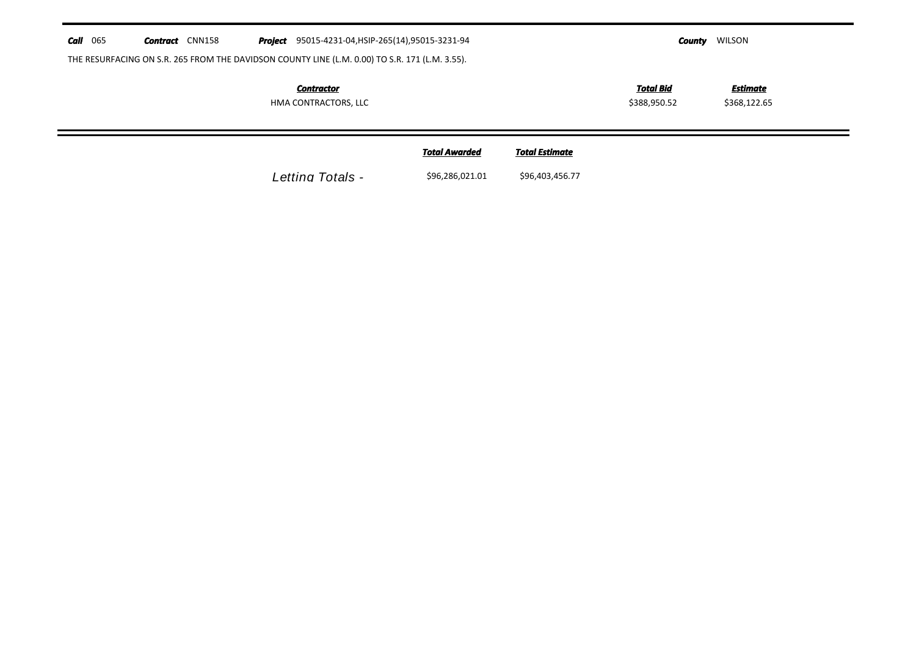|  | <b>Call</b> 065 | Contract | CNN158 |  | <b>Project</b> 95015-4231-04, HSIP-265(14), 95015-3231-94 | County | <b>WILSON</b> |
|--|-----------------|----------|--------|--|-----------------------------------------------------------|--------|---------------|
|--|-----------------|----------|--------|--|-----------------------------------------------------------|--------|---------------|

THE RESURFACING ON S.R. 265 FROM THE DAVIDSON COUNTY LINE (L.M. 0.00) TO S.R. 171 (L.M. 3.55).

*Contractor*

HMA CONTRACTORS, LLC

\$388,950.52 \$368,122.65 *Total Bid*

*Estimate*

*Total Estimate* Letting Totals -  $$96,286,021.01$   $$96,403,456.77$ *Total Awarded*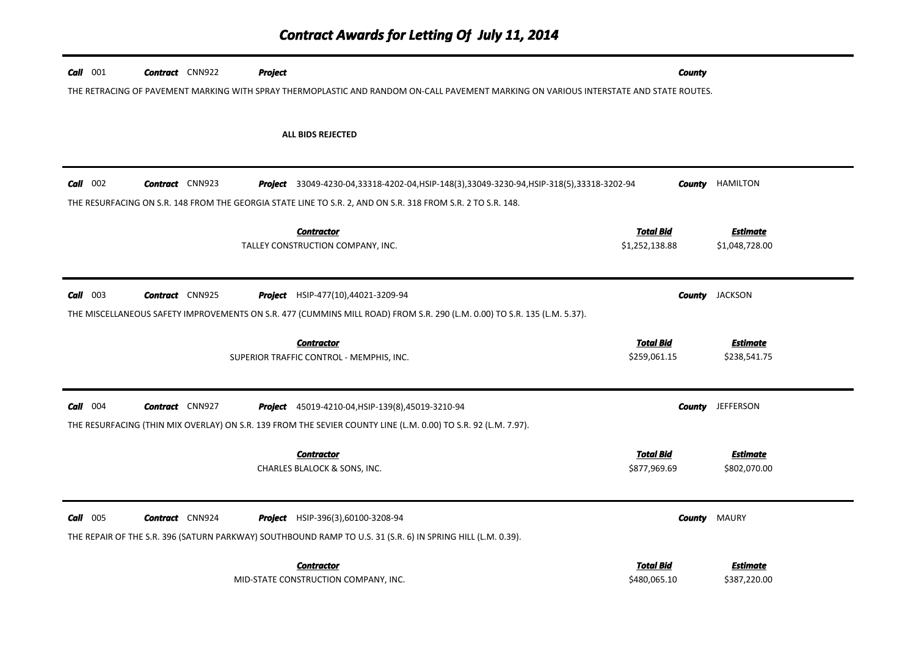| $Call$ 001 | <b>Contract</b> CNN922 | <b>Project</b> |                                                                                                                                        | <b>County</b>    |                  |
|------------|------------------------|----------------|----------------------------------------------------------------------------------------------------------------------------------------|------------------|------------------|
|            |                        |                | THE RETRACING OF PAVEMENT MARKING WITH SPRAY THERMOPLASTIC AND RANDOM ON-CALL PAVEMENT MARKING ON VARIOUS INTERSTATE AND STATE ROUTES. |                  |                  |
|            |                        |                |                                                                                                                                        |                  |                  |
|            |                        |                | ALL BIDS REJECTED                                                                                                                      |                  |                  |
|            |                        |                |                                                                                                                                        |                  |                  |
| $Call$ 002 | <b>Contract</b> CNN923 |                | Project 33049-4230-04,33318-4202-04,HSIP-148(3),33049-3230-94,HSIP-318(5),33318-3202-94                                                | County           | <b>HAMILTON</b>  |
|            |                        |                | THE RESURFACING ON S.R. 148 FROM THE GEORGIA STATE LINE TO S.R. 2, AND ON S.R. 318 FROM S.R. 2 TO S.R. 148.                            |                  |                  |
|            |                        |                | <b>Contractor</b>                                                                                                                      | <b>Total Bid</b> | <b>Estimate</b>  |
|            |                        |                | TALLEY CONSTRUCTION COMPANY, INC.                                                                                                      | \$1,252,138.88   | \$1,048,728.00   |
|            |                        |                |                                                                                                                                        |                  |                  |
| $Call$ 003 | <b>Contract</b> CNN925 |                | <b>Project</b> HSIP-477(10),44021-3209-94                                                                                              | County           | <b>JACKSON</b>   |
|            |                        |                | THE MISCELLANEOUS SAFETY IMPROVEMENTS ON S.R. 477 (CUMMINS MILL ROAD) FROM S.R. 290 (L.M. 0.00) TO S.R. 135 (L.M. 5.37).               |                  |                  |
|            |                        |                | <b>Contractor</b>                                                                                                                      | <b>Total Bid</b> | Estimate         |
|            |                        |                | SUPERIOR TRAFFIC CONTROL - MEMPHIS, INC.                                                                                               | \$259,061.15     | \$238,541.75     |
|            |                        |                |                                                                                                                                        |                  |                  |
| $Call$ 004 | <b>Contract</b> CNN927 |                | <b>Project</b> 45019-4210-04, HSIP-139(8), 45019-3210-94                                                                               | County           | <b>JEFFERSON</b> |
|            |                        |                | THE RESURFACING (THIN MIX OVERLAY) ON S.R. 139 FROM THE SEVIER COUNTY LINE (L.M. 0.00) TO S.R. 92 (L.M. 7.97).                         |                  |                  |
|            |                        |                | <b>Contractor</b>                                                                                                                      | <b>Total Bid</b> | <b>Estimate</b>  |
|            |                        |                | CHARLES BLALOCK & SONS, INC.                                                                                                           | \$877,969.69     | \$802,070.00     |
|            |                        |                |                                                                                                                                        |                  |                  |
| $Call$ 005 | <b>Contract</b> CNN924 |                | Project HSIP-396(3),60100-3208-94                                                                                                      | County           | <b>MAURY</b>     |
|            |                        |                | THE REPAIR OF THE S.R. 396 (SATURN PARKWAY) SOUTHBOUND RAMP TO U.S. 31 (S.R. 6) IN SPRING HILL (L.M. 0.39).                            |                  |                  |
|            |                        |                | <b>Contractor</b>                                                                                                                      | <b>Total Bid</b> | Estimate         |
|            |                        |                | MID-STATE CONSTRUCTION COMPANY, INC.                                                                                                   | \$480,065.10     | \$387,220.00     |

<u>e an</u>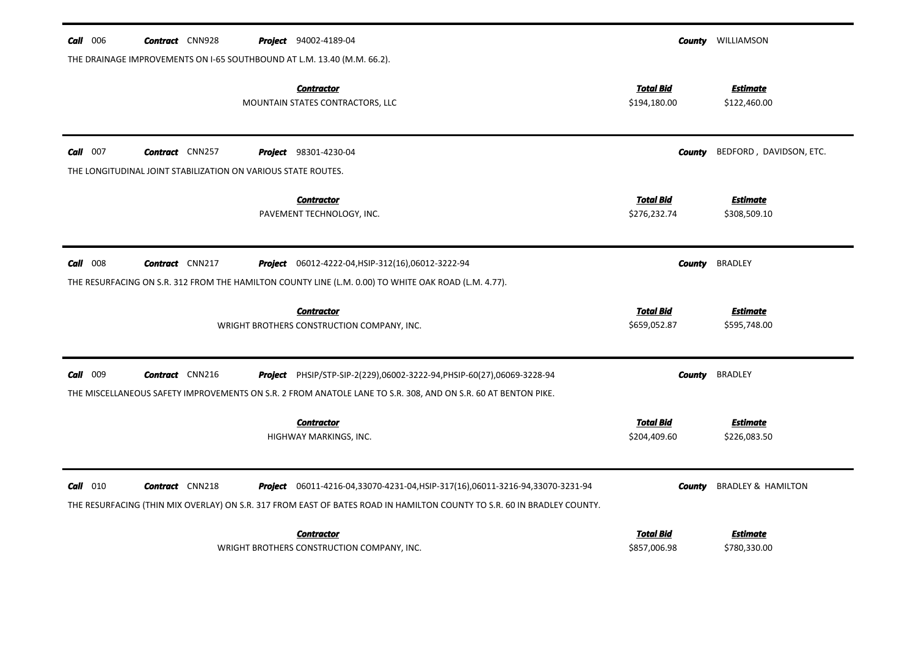| $Call$ 006                                                              | <b>Contract</b> CNN928                                        |  | <b>Project</b> 94002-4189-04                                                                                                                                                                                     |                                  | <b>County</b> WILLIAMSON        |  |  |  |
|-------------------------------------------------------------------------|---------------------------------------------------------------|--|------------------------------------------------------------------------------------------------------------------------------------------------------------------------------------------------------------------|----------------------------------|---------------------------------|--|--|--|
| THE DRAINAGE IMPROVEMENTS ON I-65 SOUTHBOUND AT L.M. 13.40 (M.M. 66.2). |                                                               |  |                                                                                                                                                                                                                  |                                  |                                 |  |  |  |
|                                                                         |                                                               |  | <b>Contractor</b><br>MOUNTAIN STATES CONTRACTORS, LLC                                                                                                                                                            | <b>Total Bid</b><br>\$194,180.00 | <b>Estimate</b><br>\$122,460.00 |  |  |  |
| $Call$ 007                                                              | <b>Contract</b> CNN257                                        |  | <b>Project</b> 98301-4230-04                                                                                                                                                                                     | County                           | BEDFORD, DAVIDSON, ETC.         |  |  |  |
|                                                                         | THE LONGITUDINAL JOINT STABILIZATION ON VARIOUS STATE ROUTES. |  |                                                                                                                                                                                                                  |                                  |                                 |  |  |  |
|                                                                         |                                                               |  | <b>Contractor</b><br>PAVEMENT TECHNOLOGY, INC.                                                                                                                                                                   | <b>Total Bid</b><br>\$276,232.74 | <b>Estimate</b><br>\$308,509.10 |  |  |  |
| $Call$ 008                                                              | <b>Contract</b> CNN217                                        |  | Project 06012-4222-04, HSIP-312(16), 06012-3222-94                                                                                                                                                               | County                           | <b>BRADLEY</b>                  |  |  |  |
|                                                                         |                                                               |  | THE RESURFACING ON S.R. 312 FROM THE HAMILTON COUNTY LINE (L.M. 0.00) TO WHITE OAK ROAD (L.M. 4.77).                                                                                                             |                                  |                                 |  |  |  |
|                                                                         |                                                               |  | <b>Contractor</b><br>WRIGHT BROTHERS CONSTRUCTION COMPANY, INC.                                                                                                                                                  | <b>Total Bid</b><br>\$659,052.87 | <b>Estimate</b><br>\$595,748.00 |  |  |  |
| Call 009                                                                | <b>Contract</b> CNN216                                        |  | Project PHSIP/STP-SIP-2(229),06002-3222-94, PHSIP-60(27),06069-3228-94                                                                                                                                           | <b>County</b>                    | <b>BRADLEY</b>                  |  |  |  |
|                                                                         |                                                               |  | THE MISCELLANEOUS SAFETY IMPROVEMENTS ON S.R. 2 FROM ANATOLE LANE TO S.R. 308, AND ON S.R. 60 AT BENTON PIKE.                                                                                                    |                                  |                                 |  |  |  |
|                                                                         |                                                               |  | <b>Contractor</b><br>HIGHWAY MARKINGS, INC.                                                                                                                                                                      | <b>Total Bid</b><br>\$204,409.60 | <b>Estimate</b><br>\$226,083.50 |  |  |  |
| Call<br>010                                                             | <b>Contract</b> CNN218                                        |  | <b>Project</b> 06011-4216-04,33070-4231-04, HSIP-317(16), 06011-3216-94,33070-3231-94<br>THE RESURFACING (THIN MIX OVERLAY) ON S.R. 317 FROM EAST OF BATES ROAD IN HAMILTON COUNTY TO S.R. 60 IN BRADLEY COUNTY. | County                           | <b>BRADLEY &amp; HAMILTON</b>   |  |  |  |
|                                                                         |                                                               |  | <b>Contractor</b>                                                                                                                                                                                                | Total Bid                        | Estimate                        |  |  |  |
|                                                                         |                                                               |  | WRIGHT BROTHERS CONSTRUCTION COMPANY, INC.                                                                                                                                                                       | \$857,006.98                     | \$780,330.00                    |  |  |  |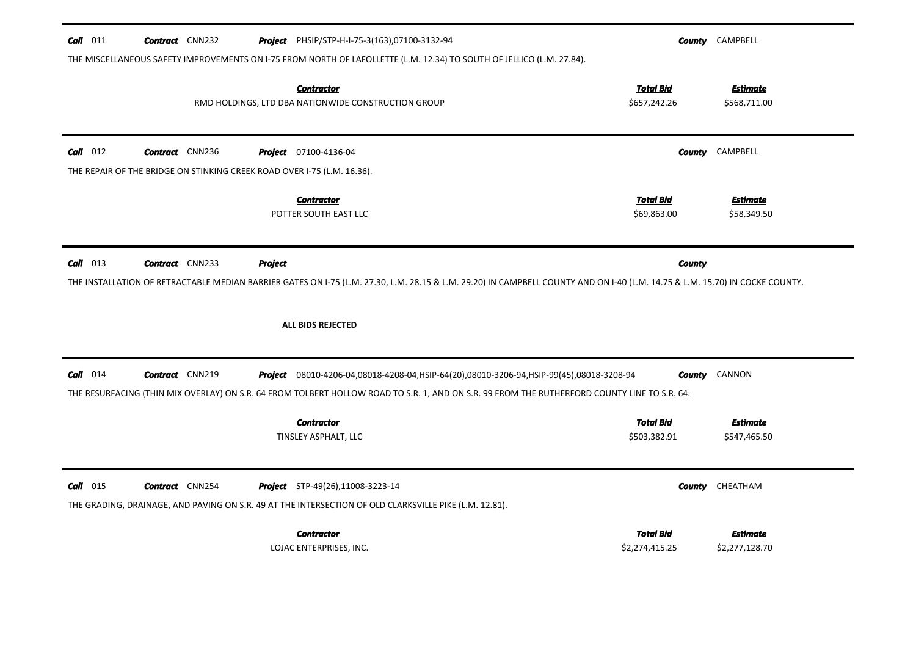| $Call$ 011<br><b>Contract</b> CNN232                                    | <b>Project</b> PHSIP/STP-H-I-75-3(163),07100-3132-94<br>THE MISCELLANEOUS SAFETY IMPROVEMENTS ON I-75 FROM NORTH OF LAFOLLETTE (L.M. 12.34) TO SOUTH OF JELLICO (L.M. 27.84).                                                                  |                                    | <b>County</b> CAMPBELL            |
|-------------------------------------------------------------------------|------------------------------------------------------------------------------------------------------------------------------------------------------------------------------------------------------------------------------------------------|------------------------------------|-----------------------------------|
|                                                                         | <b>Contractor</b><br>RMD HOLDINGS, LTD DBA NATIONWIDE CONSTRUCTION GROUP                                                                                                                                                                       | <b>Total Bid</b><br>\$657,242.26   | <b>Estimate</b><br>\$568,711.00   |
| $Call$ 012<br><b>Contract</b> CNN236                                    | <b>Project</b> 07100-4136-04                                                                                                                                                                                                                   | County                             | CAMPBELL                          |
| THE REPAIR OF THE BRIDGE ON STINKING CREEK ROAD OVER 1-75 (L.M. 16.36). |                                                                                                                                                                                                                                                |                                    |                                   |
|                                                                         | <b>Contractor</b><br>POTTER SOUTH EAST LLC                                                                                                                                                                                                     | <b>Total Bid</b><br>\$69,863.00    | <b>Estimate</b><br>\$58,349.50    |
| $Call$ 013<br><b>Contract</b> CNN233                                    | <b>Project</b><br>THE INSTALLATION OF RETRACTABLE MEDIAN BARRIER GATES ON 1-75 (L.M. 27.30, L.M. 28.15 & L.M. 29.20) IN CAMPBELL COUNTY AND ON 1-40 (L.M. 14.75 & L.M. 15.70) IN COCKE COUNTY.<br>ALL BIDS REJECTED                            | County                             |                                   |
| $Call$ 014<br><b>Contract</b> CNN219                                    | <b>Project</b> 08010-4206-04,08018-4208-04,HSIP-64(20),08010-3206-94,HSIP-99(45),08018-3208-94<br>THE RESURFACING (THIN MIX OVERLAY) ON S.R. 64 FROM TOLBERT HOLLOW ROAD TO S.R. 1, AND ON S.R. 99 FROM THE RUTHERFORD COUNTY LINE TO S.R. 64. | County                             | CANNON                            |
|                                                                         | <b>Contractor</b><br>TINSLEY ASPHALT, LLC                                                                                                                                                                                                      | <b>Total Bid</b><br>\$503,382.91   | <b>Estimate</b><br>\$547,465.50   |
| $Call$ 015<br><b>Contract</b> CNN254                                    | <b>Project</b> STP-49(26),11008-3223-14<br>THE GRADING, DRAINAGE, AND PAVING ON S.R. 49 AT THE INTERSECTION OF OLD CLARKSVILLE PIKE (L.M. 12.81).                                                                                              | County                             | CHEATHAM                          |
|                                                                         | <b>Contractor</b><br>LOJAC ENTERPRISES, INC.                                                                                                                                                                                                   | <b>Total Bid</b><br>\$2,274,415.25 | <b>Estimate</b><br>\$2,277,128.70 |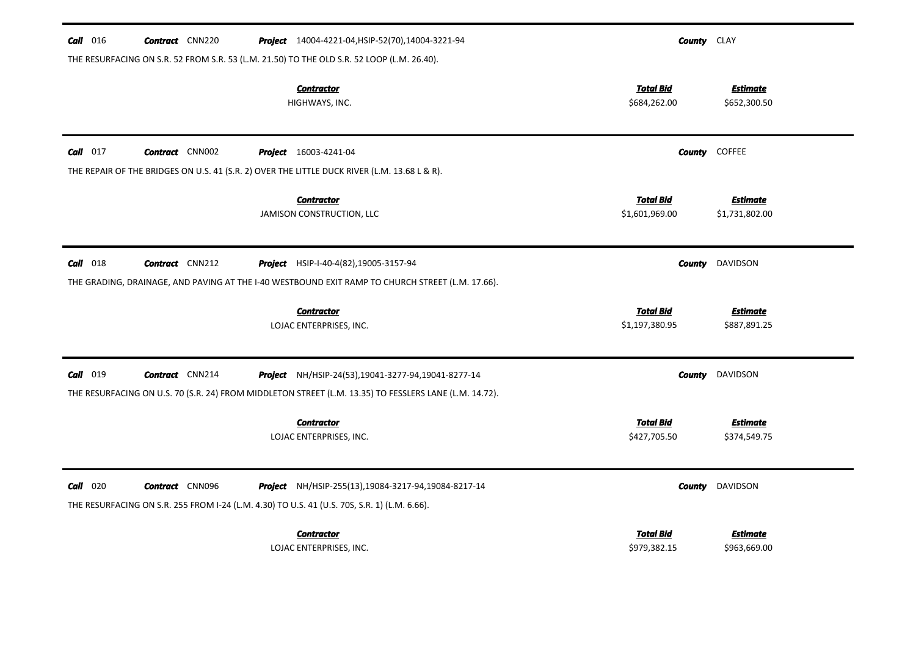| $Call$ 016      | <b>Contract</b> CNN220 | <b>Project</b> 14004-4221-04, HSIP-52(70), 14004-3221-94                                                                                                       | <b>County</b> CLAY                 |                                   |
|-----------------|------------------------|----------------------------------------------------------------------------------------------------------------------------------------------------------------|------------------------------------|-----------------------------------|
|                 |                        | THE RESURFACING ON S.R. 52 FROM S.R. 53 (L.M. 21.50) TO THE OLD S.R. 52 LOOP (L.M. 26.40).                                                                     |                                    |                                   |
|                 |                        | <b>Contractor</b><br>HIGHWAYS, INC.                                                                                                                            | <b>Total Bid</b><br>\$684,262.00   | <b>Estimate</b><br>\$652,300.50   |
| $Call$ 017      | <b>Contract</b> CNN002 | <b>Project</b> 16003-4241-04                                                                                                                                   |                                    | <b>County</b> COFFEE              |
|                 |                        | THE REPAIR OF THE BRIDGES ON U.S. 41 (S.R. 2) OVER THE LITTLE DUCK RIVER (L.M. 13.68 L & R).                                                                   |                                    |                                   |
|                 |                        | <b>Contractor</b><br>JAMISON CONSTRUCTION, LLC                                                                                                                 | <b>Total Bid</b><br>\$1,601,969.00 | <b>Estimate</b><br>\$1,731,802.00 |
| $Call$ 018      | <b>Contract</b> CNN212 | Project HSIP-I-40-4(82), 19005-3157-94<br>THE GRADING, DRAINAGE, AND PAVING AT THE I-40 WESTBOUND EXIT RAMP TO CHURCH STREET (L.M. 17.66).                     | County                             | DAVIDSON                          |
|                 |                        | <b>Contractor</b><br>LOJAC ENTERPRISES, INC.                                                                                                                   | <b>Total Bid</b><br>\$1,197,380.95 | <b>Estimate</b><br>\$887,891.25   |
| <b>Call</b> 019 | <b>Contract</b> CNN214 | Project NH/HSIP-24(53), 19041-3277-94, 19041-8277-14<br>THE RESURFACING ON U.S. 70 (S.R. 24) FROM MIDDLETON STREET (L.M. 13.35) TO FESSLERS LANE (L.M. 14.72). | County                             | DAVIDSON                          |
|                 |                        | <b>Contractor</b><br>LOJAC ENTERPRISES, INC.                                                                                                                   | <b>Total Bid</b><br>\$427,705.50   | <b>Estimate</b><br>\$374,549.75   |
| $Call$ 020      | <b>Contract</b> CNN096 | Project NH/HSIP-255(13),19084-3217-94,19084-8217-14<br>THE RESURFACING ON S.R. 255 FROM I-24 (L.M. 4.30) TO U.S. 41 (U.S. 70S, S.R. 1) (L.M. 6.66).            | <b>County</b>                      | DAVIDSON                          |
|                 |                        | <b>Contractor</b><br>LOJAC ENTERPRISES, INC.                                                                                                                   | <b>Total Bid</b><br>\$979,382.15   | <b>Estimate</b><br>\$963,669.00   |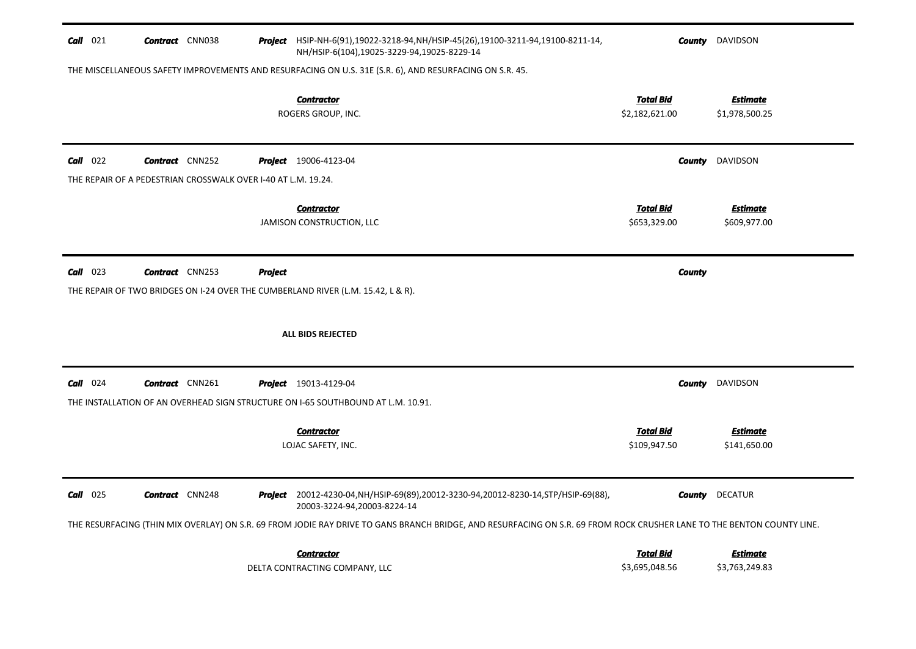| $Call$ 021                                                                  | <b>Contract</b> CNN038 |                | Project HSIP-NH-6(91),19022-3218-94, NH/HSIP-45(26),19100-3211-94,19100-8211-14,<br>NH/HSIP-6(104),19025-3229-94,19025-8229-14                                         | County                             | DAVIDSON                          |
|-----------------------------------------------------------------------------|------------------------|----------------|------------------------------------------------------------------------------------------------------------------------------------------------------------------------|------------------------------------|-----------------------------------|
|                                                                             |                        |                | THE MISCELLANEOUS SAFETY IMPROVEMENTS AND RESURFACING ON U.S. 31E (S.R. 6), AND RESURFACING ON S.R. 45.                                                                |                                    |                                   |
|                                                                             |                        |                | <b>Contractor</b><br>ROGERS GROUP, INC.                                                                                                                                | <b>Total Bid</b><br>\$2,182,621.00 | <b>Estimate</b><br>\$1,978,500.25 |
| $Call$ 022<br>THE REPAIR OF A PEDESTRIAN CROSSWALK OVER I-40 AT L.M. 19.24. | <b>Contract</b> CNN252 |                | Project 19006-4123-04                                                                                                                                                  | County                             | DAVIDSON                          |
|                                                                             |                        |                | <b>Contractor</b><br>JAMISON CONSTRUCTION, LLC                                                                                                                         | <b>Total Bid</b><br>\$653,329.00   | <b>Estimate</b><br>\$609,977.00   |
| $Call$ 023                                                                  | <b>Contract</b> CNN253 | <b>Project</b> | THE REPAIR OF TWO BRIDGES ON 1-24 OVER THE CUMBERLAND RIVER (L.M. 15.42, L & R).                                                                                       | <b>County</b>                      |                                   |
|                                                                             |                        |                | <b>ALL BIDS REJECTED</b>                                                                                                                                               |                                    |                                   |
| $Call$ 024                                                                  | <b>Contract</b> CNN261 |                | <b>Project</b> 19013-4129-04<br>THE INSTALLATION OF AN OVERHEAD SIGN STRUCTURE ON I-65 SOUTHBOUND AT L.M. 10.91.                                                       | County                             | DAVIDSON                          |
|                                                                             |                        |                | <b>Contractor</b><br>LOJAC SAFETY, INC.                                                                                                                                | <b>Total Bid</b><br>\$109,947.50   | <b>Estimate</b><br>\$141,650.00   |
| $Call$ 025                                                                  | <b>Contract</b> CNN248 |                | Project 20012-4230-04, NH/HSIP-69(89), 20012-3230-94, 20012-8230-14, STP/HSIP-69(88),<br>20003-3224-94,20003-8224-14                                                   | County                             | <b>DECATUR</b>                    |
|                                                                             |                        |                | THE RESURFACING (THIN MIX OVERLAY) ON S.R. 69 FROM JODIE RAY DRIVE TO GANS BRANCH BRIDGE, AND RESURFACING ON S.R. 69 FROM ROCK CRUSHER LANE TO THE BENTON COUNTY LINE. |                                    |                                   |
|                                                                             |                        |                | <b>Contractor</b><br>DELTA CONTRACTING COMPANY, LLC                                                                                                                    | <b>Total Bid</b><br>\$3,695,048.56 | <b>Estimate</b><br>\$3,763,249.83 |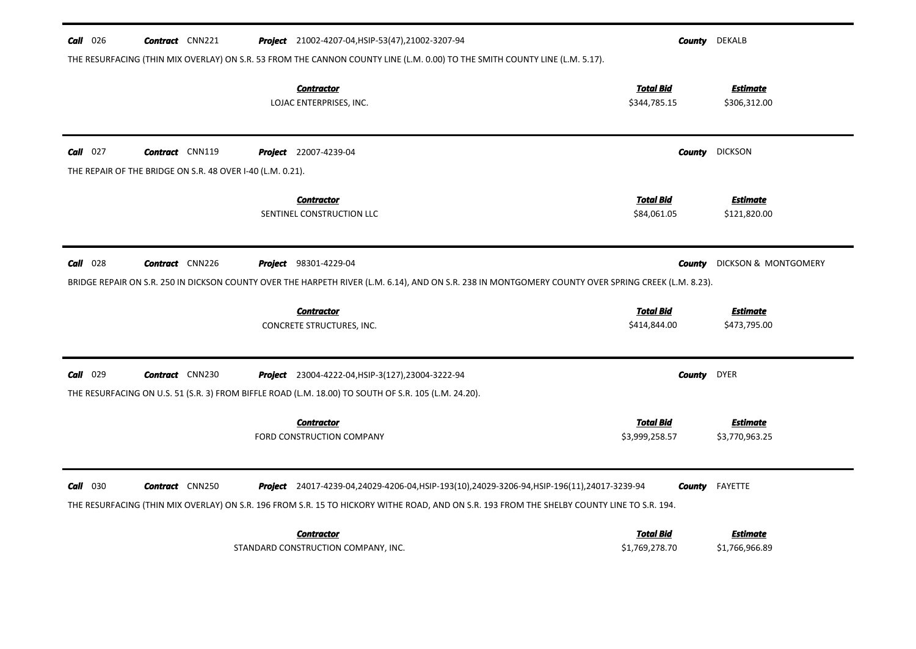| $Call$ 026 | <b>Contract</b> CNN221                                     | <b>Project</b> 21002-4207-04, HSIP-53(47), 21002-3207-94                                                                                                                                                                                        |                                    |        | <b>County</b> DEKALB              |
|------------|------------------------------------------------------------|-------------------------------------------------------------------------------------------------------------------------------------------------------------------------------------------------------------------------------------------------|------------------------------------|--------|-----------------------------------|
|            |                                                            | THE RESURFACING (THIN MIX OVERLAY) ON S.R. 53 FROM THE CANNON COUNTY LINE (L.M. 0.00) TO THE SMITH COUNTY LINE (L.M. 5.17).                                                                                                                     |                                    |        |                                   |
|            |                                                            | <b>Contractor</b><br>LOJAC ENTERPRISES, INC.                                                                                                                                                                                                    | <b>Total Bid</b><br>\$344,785.15   |        | <b>Estimate</b><br>\$306,312.00   |
| $Call$ 027 | <b>Contract</b> CNN119                                     | <b>Project</b> 22007-4239-04                                                                                                                                                                                                                    |                                    | County | <b>DICKSON</b>                    |
|            | THE REPAIR OF THE BRIDGE ON S.R. 48 OVER I-40 (L.M. 0.21). |                                                                                                                                                                                                                                                 |                                    |        |                                   |
|            |                                                            | <b>Contractor</b><br>SENTINEL CONSTRUCTION LLC                                                                                                                                                                                                  | <b>Total Bid</b><br>\$84,061.05    |        | <b>Estimate</b><br>\$121,820.00   |
| $Call$ 028 | <b>Contract</b> CNN226                                     | <b>Project</b> 98301-4229-04                                                                                                                                                                                                                    |                                    | County | DICKSON & MONTGOMERY              |
|            |                                                            | BRIDGE REPAIR ON S.R. 250 IN DICKSON COUNTY OVER THE HARPETH RIVER (L.M. 6.14), AND ON S.R. 238 IN MONTGOMERY COUNTY OVER SPRING CREEK (L.M. 8.23).                                                                                             |                                    |        |                                   |
|            |                                                            | <b>Contractor</b><br>CONCRETE STRUCTURES, INC.                                                                                                                                                                                                  | <b>Total Bid</b><br>\$414,844.00   |        | <b>Estimate</b><br>\$473,795.00   |
| $Call$ 029 | <b>Contract</b> CNN230                                     | Project 23004-4222-04, HSIP-3(127), 23004-3222-94<br>THE RESURFACING ON U.S. 51 (S.R. 3) FROM BIFFLE ROAD (L.M. 18.00) TO SOUTH OF S.R. 105 (L.M. 24.20).                                                                                       |                                    | County | <b>DYER</b>                       |
|            |                                                            | <b>Contractor</b><br>FORD CONSTRUCTION COMPANY                                                                                                                                                                                                  | <b>Total Bid</b><br>\$3,999,258.57 |        | <b>Estimate</b><br>\$3,770,963.25 |
| $Call$ 030 | <b>Contract</b> CNN250                                     | <b>Project</b> 24017-4239-04,24029-4206-04,HSIP-193(10),24029-3206-94,HSIP-196(11),24017-3239-94<br>THE RESURFACING (THIN MIX OVERLAY) ON S.R. 196 FROM S.R. 15 TO HICKORY WITHE ROAD, AND ON S.R. 193 FROM THE SHELBY COUNTY LINE TO S.R. 194. |                                    | County | FAYETTE                           |
|            |                                                            | <b>Contractor</b><br>STANDARD CONSTRUCTION COMPANY, INC.                                                                                                                                                                                        | <b>Total Bid</b><br>\$1,769,278.70 |        | <b>Estimate</b><br>\$1,766,966.89 |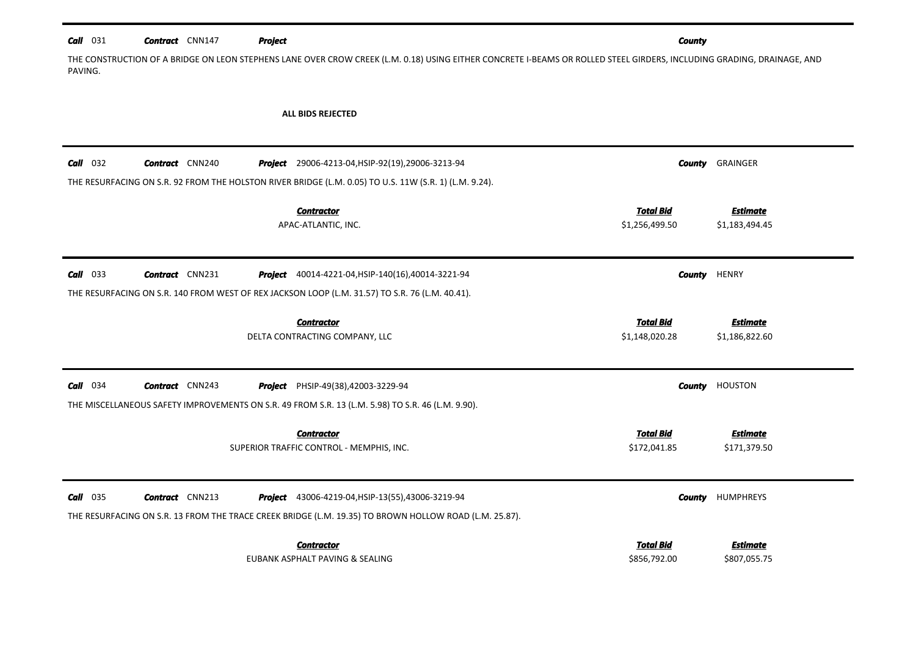## *Call* 031 *Contract* CNN147 *Project*

*County*

THE CONSTRUCTION OF A BRIDGE ON LEON STEPHENS LANE OVER CROW CREEK (L.M. 0.18) USING EITHER CONCRETE I-BEAMS OR ROLLED STEEL GIRDERS, INCLUDING GRADING, DRAINAGE, AND PAVING.

### ALL BIDS REJECTED

| <b>Call</b> 032 | <b>Contract</b> CNN240 | Project 29006-4213-04, HSIP-92(19), 29006-3213-94                                                      |                                    | <b>County GRAINGER</b>            |
|-----------------|------------------------|--------------------------------------------------------------------------------------------------------|------------------------------------|-----------------------------------|
|                 |                        | THE RESURFACING ON S.R. 92 FROM THE HOLSTON RIVER BRIDGE (L.M. 0.05) TO U.S. 11W (S.R. 1) (L.M. 9.24). |                                    |                                   |
|                 |                        |                                                                                                        |                                    |                                   |
|                 |                        | <b>Contractor</b><br>APAC-ATLANTIC, INC.                                                               | <b>Total Bid</b><br>\$1,256,499.50 | <b>Estimate</b><br>\$1,183,494.45 |
|                 |                        |                                                                                                        |                                    |                                   |
|                 |                        |                                                                                                        |                                    |                                   |
| Call 033        | <b>Contract</b> CNN231 | <b>Project</b> 40014-4221-04, HSIP-140(16), 40014-3221-94                                              | County                             | HENRY                             |
|                 |                        | THE RESURFACING ON S.R. 140 FROM WEST OF REX JACKSON LOOP (L.M. 31.57) TO S.R. 76 (L.M. 40.41).        |                                    |                                   |
|                 |                        |                                                                                                        |                                    |                                   |
|                 |                        | <b>Contractor</b><br>DELTA CONTRACTING COMPANY, LLC                                                    | <b>Total Bid</b><br>\$1,148,020.28 | <b>Estimate</b><br>\$1,186,822.60 |
|                 |                        |                                                                                                        |                                    |                                   |
|                 |                        |                                                                                                        |                                    |                                   |
|                 |                        |                                                                                                        |                                    |                                   |
| $Call$ 034      | <b>Contract</b> CNN243 | <b>Project</b> PHSIP-49(38),42003-3229-94                                                              | County                             | HOUSTON                           |
|                 |                        | THE MISCELLANEOUS SAFETY IMPROVEMENTS ON S.R. 49 FROM S.R. 13 (L.M. 5.98) TO S.R. 46 (L.M. 9.90).      |                                    |                                   |
|                 |                        |                                                                                                        |                                    |                                   |
|                 |                        | <b>Contractor</b>                                                                                      | <b>Total Bid</b>                   | <b>Estimate</b>                   |
|                 |                        | SUPERIOR TRAFFIC CONTROL - MEMPHIS, INC.                                                               | \$172,041.85                       | \$171,379.50                      |
|                 |                        |                                                                                                        |                                    |                                   |
| <b>Call</b> 035 | <b>Contract</b> CNN213 | <b>Project</b> 43006-4219-04, HSIP-13(55), 43006-3219-94                                               | <b>County</b>                      | HUMPHREYS                         |
|                 |                        |                                                                                                        |                                    |                                   |
|                 |                        | THE RESURFACING ON S.R. 13 FROM THE TRACE CREEK BRIDGE (L.M. 19.35) TO BROWN HOLLOW ROAD (L.M. 25.87). |                                    |                                   |
|                 |                        | <b>Contractor</b>                                                                                      | <b>Total Bid</b>                   | <b>Estimate</b>                   |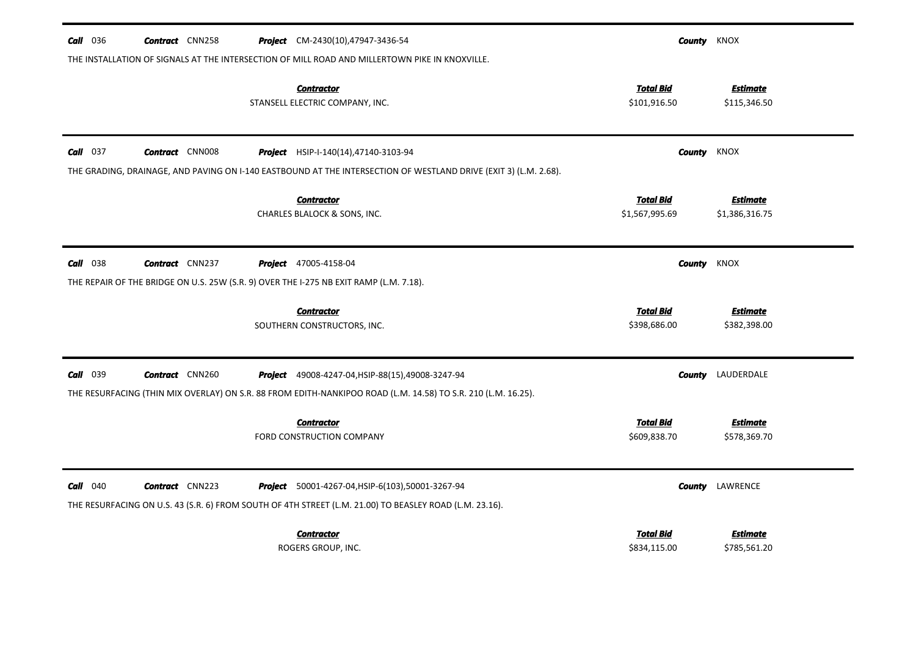| $Call$ 036 | <b>Contract</b> CNN258 | <b>Project</b> CM-2430(10),47947-3436-54                                                                         |                                  | <b>County</b> KNOX              |
|------------|------------------------|------------------------------------------------------------------------------------------------------------------|----------------------------------|---------------------------------|
|            |                        | THE INSTALLATION OF SIGNALS AT THE INTERSECTION OF MILL ROAD AND MILLERTOWN PIKE IN KNOXVILLE.                   |                                  |                                 |
|            |                        | <b>Contractor</b><br>STANSELL ELECTRIC COMPANY, INC.                                                             | <b>Total Bid</b><br>\$101,916.50 | <b>Estimate</b><br>\$115,346.50 |
| $Call$ 037 | <b>Contract</b> CNN008 | <b>Project</b> HSIP-I-140(14),47140-3103-94                                                                      |                                  | <b>County</b> KNOX              |
|            |                        | THE GRADING, DRAINAGE, AND PAVING ON I-140 EASTBOUND AT THE INTERSECTION OF WESTLAND DRIVE (EXIT 3) (L.M. 2.68). |                                  |                                 |
|            |                        | <b>Contractor</b>                                                                                                | <b>Total Bid</b>                 | <b>Estimate</b>                 |
|            |                        | CHARLES BLALOCK & SONS, INC.                                                                                     | \$1,567,995.69                   | \$1,386,316.75                  |
| $Call$ 038 | <b>Contract</b> CNN237 | <b>Project</b> 47005-4158-04                                                                                     | County                           | KNOX                            |
|            |                        | THE REPAIR OF THE BRIDGE ON U.S. 25W (S.R. 9) OVER THE I-275 NB EXIT RAMP (L.M. 7.18).                           |                                  |                                 |
|            |                        | <b>Contractor</b>                                                                                                | <b>Total Bid</b>                 | <b>Estimate</b>                 |
|            |                        | SOUTHERN CONSTRUCTORS, INC.                                                                                      | \$398,686.00                     | \$382,398.00                    |
| $Call$ 039 | <b>Contract</b> CNN260 | Project 49008-4247-04, HSIP-88(15), 49008-3247-94                                                                |                                  | <b>County</b> LAUDERDALE        |
|            |                        | THE RESURFACING (THIN MIX OVERLAY) ON S.R. 88 FROM EDITH-NANKIPOO ROAD (L.M. 14.58) TO S.R. 210 (L.M. 16.25).    |                                  |                                 |
|            |                        | <b>Contractor</b>                                                                                                | <b>Total Bid</b>                 | <b>Estimate</b>                 |
|            |                        | <b>FORD CONSTRUCTION COMPANY</b>                                                                                 | \$609,838.70                     | \$578,369.70                    |
| $Call$ 040 | <b>Contract</b> CNN223 | <b>Project</b> 50001-4267-04, HSIP-6(103), 50001-3267-94                                                         |                                  | <b>County</b> LAWRENCE          |
|            |                        | THE RESURFACING ON U.S. 43 (S.R. 6) FROM SOUTH OF 4TH STREET (L.M. 21.00) TO BEASLEY ROAD (L.M. 23.16).          |                                  |                                 |
|            |                        | <b>Contractor</b>                                                                                                | <b>Total Bid</b>                 | Estimate                        |
|            |                        | ROGERS GROUP, INC.                                                                                               | \$834,115.00                     | \$785,561.20                    |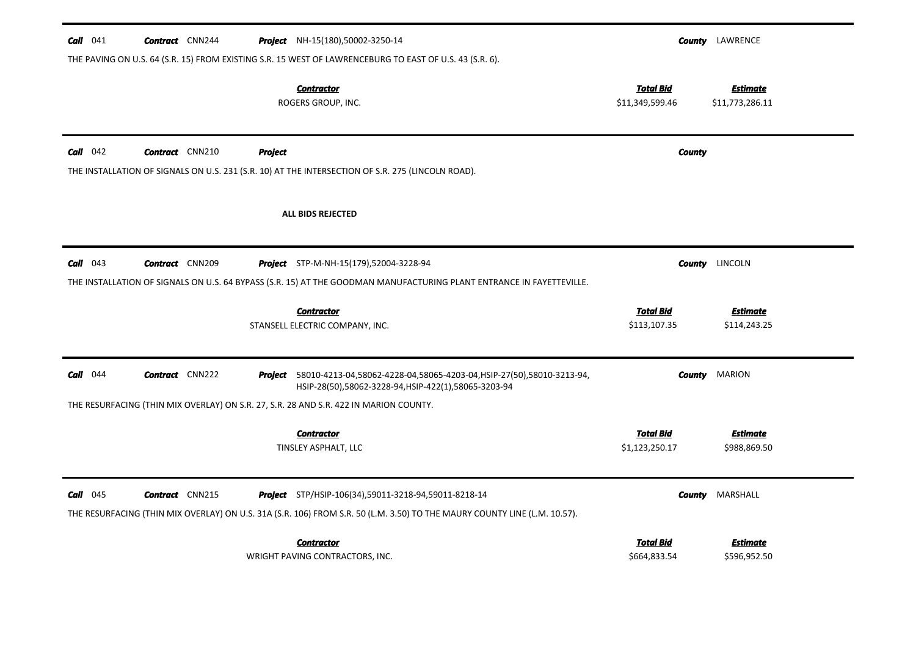| <b>Call</b> $041$ | <b>Contract</b> CNN244 |         | <b>Project</b> NH-15(180),50002-3250-14                                                                                                                                                  |                                    |               | <b>County</b> LAWRENCE          |
|-------------------|------------------------|---------|------------------------------------------------------------------------------------------------------------------------------------------------------------------------------------------|------------------------------------|---------------|---------------------------------|
|                   |                        |         | THE PAVING ON U.S. 64 (S.R. 15) FROM EXISTING S.R. 15 WEST OF LAWRENCEBURG TO EAST OF U.S. 43 (S.R. 6).<br><b>Contractor</b>                                                             | Total Bid                          |               | Estimate                        |
|                   |                        |         | ROGERS GROUP, INC.                                                                                                                                                                       | \$11,349,599.46                    |               | \$11,773,286.11                 |
| $Call$ 042        | <b>Contract</b> CNN210 | Project | THE INSTALLATION OF SIGNALS ON U.S. 231 (S.R. 10) AT THE INTERSECTION OF S.R. 275 (LINCOLN ROAD).                                                                                        |                                    | <b>County</b> |                                 |
|                   |                        |         | ALL BIDS REJECTED                                                                                                                                                                        |                                    |               |                                 |
| $Call$ 043        | <b>Contract</b> CNN209 |         | <b>Project</b> STP-M-NH-15(179),52004-3228-94                                                                                                                                            |                                    |               | <b>County</b> LINCOLN           |
|                   |                        |         | THE INSTALLATION OF SIGNALS ON U.S. 64 BYPASS (S.R. 15) AT THE GOODMAN MANUFACTURING PLANT ENTRANCE IN FAYETTEVILLE.                                                                     |                                    |               |                                 |
|                   |                        |         | <b>Contractor</b><br>STANSELL ELECTRIC COMPANY, INC.                                                                                                                                     | <b>Total Bid</b><br>\$113,107.35   |               | Estimate<br>\$114,243.25        |
| $Call$ 044        | <b>Contract</b> CNN222 |         | Project 58010-4213-04,58062-4228-04,58065-4203-04, HSIP-27(50),58010-3213-94,<br>HSIP-28(50),58062-3228-94,HSIP-422(1),58065-3203-94                                                     |                                    |               | <b>County</b> MARION            |
|                   |                        |         | THE RESURFACING (THIN MIX OVERLAY) ON S.R. 27, S.R. 28 AND S.R. 422 IN MARION COUNTY.                                                                                                    |                                    |               |                                 |
|                   |                        |         | <b>Contractor</b><br>TINSLEY ASPHALT, LLC                                                                                                                                                | <b>Total Bid</b><br>\$1,123,250.17 |               | <b>Estimate</b><br>\$988,869.50 |
| $Call$ 045        | <b>Contract</b> CNN215 |         | <b>Project</b> STP/HSIP-106(34),59011-3218-94,59011-8218-14<br>THE RESURFACING (THIN MIX OVERLAY) ON U.S. 31A (S.R. 106) FROM S.R. 50 (L.M. 3.50) TO THE MAURY COUNTY LINE (L.M. 10.57). |                                    | County        | MARSHALL                        |
|                   |                        |         | <b>Contractor</b><br>WRIGHT PAVING CONTRACTORS, INC.                                                                                                                                     | Total Bid<br>\$664,833.54          |               | <b>Estimate</b><br>\$596,952.50 |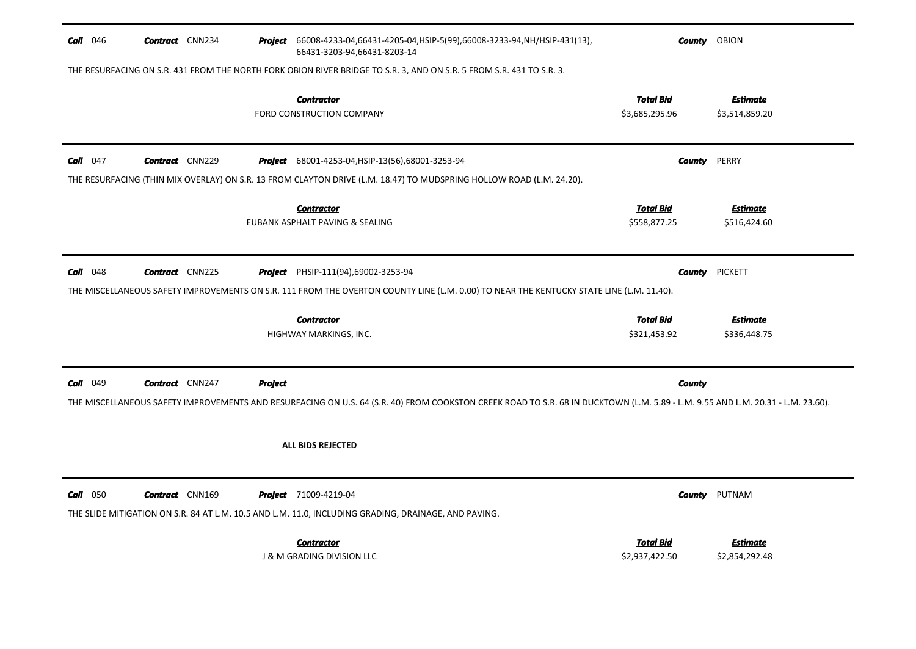| Call 046<br><b>Contract</b> CNN234   |                | Project 66008-4233-04,66431-4205-04, HSIP-5(99),66008-3233-94, NH/HSIP-431(13),<br>66431-3203-94,66431-8203-14                                                                  | <b>County</b> OBION                |                                   |
|--------------------------------------|----------------|---------------------------------------------------------------------------------------------------------------------------------------------------------------------------------|------------------------------------|-----------------------------------|
|                                      |                | THE RESURFACING ON S.R. 431 FROM THE NORTH FORK OBION RIVER BRIDGE TO S.R. 3, AND ON S.R. 5 FROM S.R. 431 TO S.R. 3.                                                            |                                    |                                   |
|                                      |                | <b>Contractor</b><br><b>FORD CONSTRUCTION COMPANY</b>                                                                                                                           | <b>Total Bid</b><br>\$3,685,295.96 | <b>Estimate</b><br>\$3,514,859.20 |
| Call $047$<br><b>Contract</b> CNN229 |                | Project 68001-4253-04, HSIP-13(56), 68001-3253-94                                                                                                                               | <b>County</b>                      | PERRY                             |
|                                      |                | THE RESURFACING (THIN MIX OVERLAY) ON S.R. 13 FROM CLAYTON DRIVE (L.M. 18.47) TO MUDSPRING HOLLOW ROAD (L.M. 24.20).                                                            |                                    |                                   |
|                                      |                | <b>Contractor</b><br>EUBANK ASPHALT PAVING & SEALING                                                                                                                            | <b>Total Bid</b><br>\$558,877.25   | <b>Estimate</b><br>\$516,424.60   |
| $Call$ 048<br><b>Contract</b> CNN225 |                | <b>Project</b> PHSIP-111(94),69002-3253-94                                                                                                                                      | County                             | <b>PICKETT</b>                    |
|                                      |                | THE MISCELLANEOUS SAFETY IMPROVEMENTS ON S.R. 111 FROM THE OVERTON COUNTY LINE (L.M. 0.00) TO NEAR THE KENTUCKY STATE LINE (L.M. 11.40).                                        |                                    |                                   |
|                                      |                | <b>Contractor</b><br>HIGHWAY MARKINGS, INC.                                                                                                                                     | <b>Total Bid</b><br>\$321,453.92   | <b>Estimate</b><br>\$336,448.75   |
| Call 049<br><b>Contract</b> CNN247   | <b>Project</b> |                                                                                                                                                                                 | County                             |                                   |
|                                      |                | THE MISCELLANEOUS SAFETY IMPROVEMENTS AND RESURFACING ON U.S. 64 (S.R. 40) FROM COOKSTON CREEK ROAD TO S.R. 68 IN DUCKTOWN (L.M. 5.89 - L.M. 9.55 AND L.M. 20.31 - L.M. 23.60). |                                    |                                   |
|                                      |                | <b>ALL BIDS REJECTED</b>                                                                                                                                                        |                                    |                                   |
|                                      |                |                                                                                                                                                                                 |                                    |                                   |
| $Call$ 050<br><b>Contract</b> CNN169 |                | Project 71009-4219-04                                                                                                                                                           | County                             | PUTNAM                            |
|                                      |                | THE SLIDE MITIGATION ON S.R. 84 AT L.M. 10.5 AND L.M. 11.0, INCLUDING GRADING, DRAINAGE, AND PAVING.                                                                            |                                    |                                   |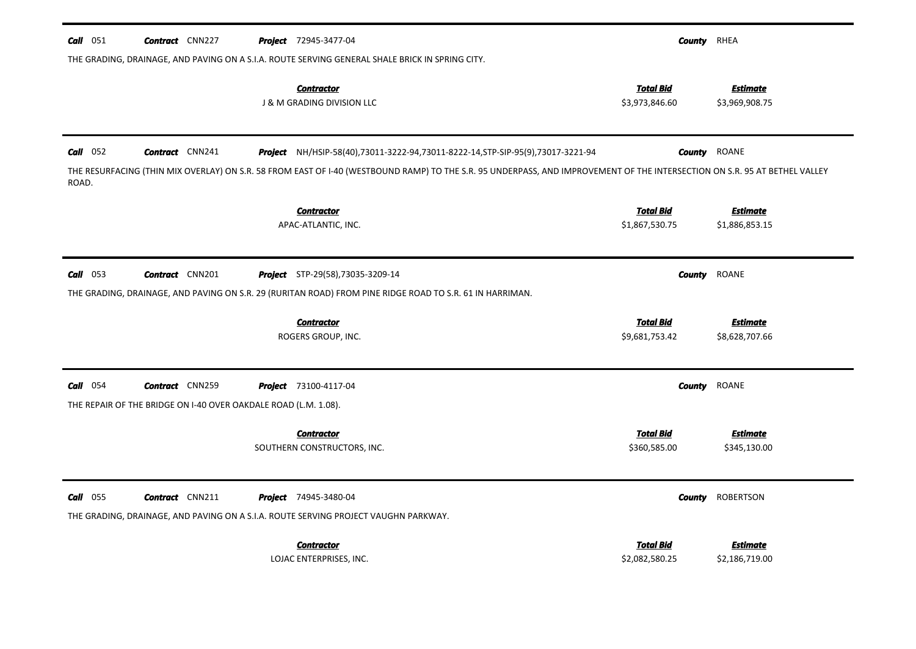| Call 051        | <b>Contract</b> CNN227                                          | <b>Project</b> 72945-3477-04                                                                                                                                               | <b>County</b> RHEA                 |                                   |
|-----------------|-----------------------------------------------------------------|----------------------------------------------------------------------------------------------------------------------------------------------------------------------------|------------------------------------|-----------------------------------|
|                 |                                                                 | THE GRADING, DRAINAGE, AND PAVING ON A S.I.A. ROUTE SERVING GENERAL SHALE BRICK IN SPRING CITY.                                                                            |                                    |                                   |
|                 |                                                                 | <b>Contractor</b><br><b>J &amp; M GRADING DIVISION LLC</b>                                                                                                                 | <b>Total Bid</b><br>\$3,973,846.60 | <b>Estimate</b><br>\$3,969,908.75 |
| $Call$ 052      | <b>Contract</b> CNN241                                          | Project NH/HSIP-58(40),73011-3222-94,73011-8222-14, STP-SIP-95(9),73017-3221-94                                                                                            |                                    | <b>County</b> ROANE               |
| ROAD.           |                                                                 | THE RESURFACING (THIN MIX OVERLAY) ON S.R. 58 FROM EAST OF I-40 (WESTBOUND RAMP) TO THE S.R. 95 UNDERPASS, AND IMPROVEMENT OF THE INTERSECTION ON S.R. 95 AT BETHEL VALLEY |                                    |                                   |
|                 |                                                                 | <b>Contractor</b>                                                                                                                                                          | <b>Total Bid</b>                   | <b>Estimate</b>                   |
|                 |                                                                 | APAC-ATLANTIC, INC.                                                                                                                                                        | \$1,867,530.75                     | \$1,886,853.15                    |
| $Call$ 053      | <b>Contract</b> CNN201                                          | Project STP-29(58),73035-3209-14                                                                                                                                           | County                             | ROANE                             |
|                 |                                                                 | THE GRADING, DRAINAGE, AND PAVING ON S.R. 29 (RURITAN ROAD) FROM PINE RIDGE ROAD TO S.R. 61 IN HARRIMAN.                                                                   |                                    |                                   |
|                 |                                                                 | <b>Contractor</b>                                                                                                                                                          | <u>Total Bid</u>                   | <b>Estimate</b>                   |
|                 |                                                                 | ROGERS GROUP, INC.                                                                                                                                                         | \$9,681,753.42                     | \$8,628,707.66                    |
| $Call$ 054      | <b>Contract</b> CNN259                                          | <b>Project</b> 73100-4117-04                                                                                                                                               | County                             | ROANE                             |
|                 | THE REPAIR OF THE BRIDGE ON I-40 OVER OAKDALE ROAD (L.M. 1.08). |                                                                                                                                                                            |                                    |                                   |
|                 |                                                                 | <b>Contractor</b>                                                                                                                                                          | <b>Total Bid</b>                   | <b>Estimate</b>                   |
|                 |                                                                 | SOUTHERN CONSTRUCTORS, INC.                                                                                                                                                | \$360,585.00                       | \$345,130.00                      |
| <b>Call</b> 055 | <b>Contract</b> CNN211                                          | <b>Project</b> 74945-3480-04                                                                                                                                               | <b>County</b>                      | ROBERTSON                         |
|                 |                                                                 | THE GRADING, DRAINAGE, AND PAVING ON A S.I.A. ROUTE SERVING PROJECT VAUGHN PARKWAY.                                                                                        |                                    |                                   |
|                 |                                                                 | <b>Contractor</b>                                                                                                                                                          | <b>Total Bid</b><br>\$2,082,580.25 | <b>Estimate</b>                   |
|                 |                                                                 | LOJAC ENTERPRISES, INC.                                                                                                                                                    |                                    | \$2,186,719.00                    |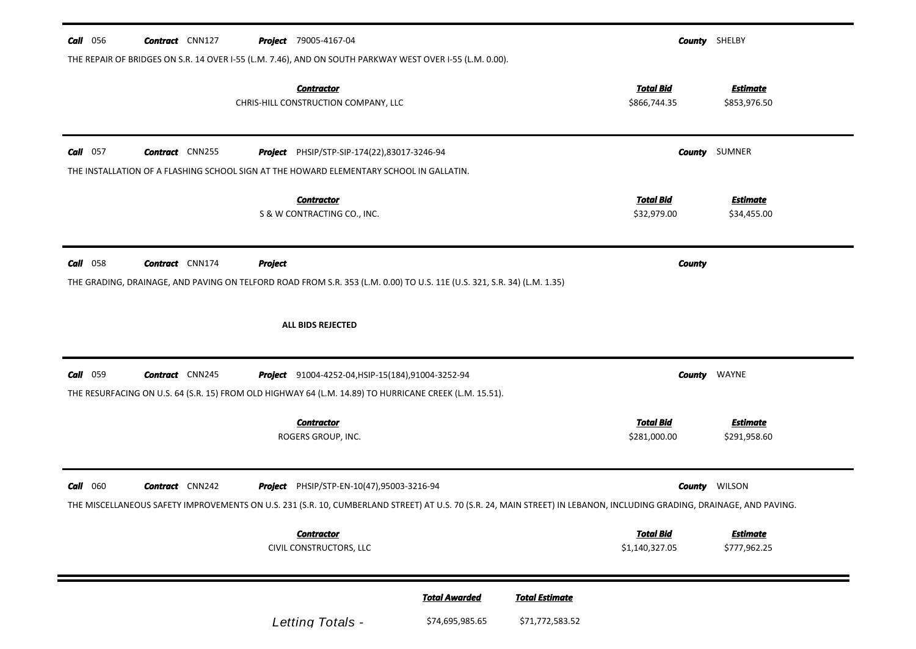| <b>Call</b> 056 | <b>Contract</b> CNN127 | <b>Project</b> 79005-4167-04                                                                                                                                                                                       |                      |                       |                                    | <b>County</b> SHELBY            |
|-----------------|------------------------|--------------------------------------------------------------------------------------------------------------------------------------------------------------------------------------------------------------------|----------------------|-----------------------|------------------------------------|---------------------------------|
|                 |                        | THE REPAIR OF BRIDGES ON S.R. 14 OVER I-55 (L.M. 7.46), AND ON SOUTH PARKWAY WEST OVER I-55 (L.M. 0.00).<br><b>Contractor</b><br>CHRIS-HILL CONSTRUCTION COMPANY, LLC                                              |                      |                       | <b>Total Bid</b><br>\$866,744.35   | <b>Estimate</b><br>\$853,976.50 |
| $Call$ 057      | <b>Contract</b> CNN255 | Project PHSIP/STP-SIP-174(22),83017-3246-94                                                                                                                                                                        |                      |                       |                                    | <b>County</b> SUMNER            |
|                 |                        | THE INSTALLATION OF A FLASHING SCHOOL SIGN AT THE HOWARD ELEMENTARY SCHOOL IN GALLATIN.<br><b>Contractor</b><br>S & W CONTRACTING CO., INC.                                                                        |                      |                       | <b>Total Bid</b><br>\$32,979.00    | <b>Estimate</b><br>\$34,455.00  |
| <b>Call</b> 058 | <b>Contract</b> CNN174 | <b>Project</b>                                                                                                                                                                                                     |                      |                       | <b>County</b>                      |                                 |
|                 |                        | THE GRADING, DRAINAGE, AND PAVING ON TELFORD ROAD FROM S.R. 353 (L.M. 0.00) TO U.S. 11E (U.S. 321, S.R. 34) (L.M. 1.35)<br>ALL BIDS REJECTED                                                                       |                      |                       |                                    |                                 |
|                 |                        |                                                                                                                                                                                                                    |                      |                       |                                    |                                 |
| <b>Call</b> 059 | <b>Contract</b> CNN245 | <b>Project</b> 91004-4252-04, HSIP-15(184), 91004-3252-94<br>THE RESURFACING ON U.S. 64 (S.R. 15) FROM OLD HIGHWAY 64 (L.M. 14.89) TO HURRICANE CREEK (L.M. 15.51).                                                |                      |                       | County                             | WAYNE                           |
|                 |                        | <b>Contractor</b><br>ROGERS GROUP, INC.                                                                                                                                                                            |                      |                       | <b>Total Bid</b><br>\$281,000.00   | <b>Estimate</b><br>\$291,958.60 |
| <b>Call</b> 060 | <b>Contract</b> CNN242 | Project PHSIP/STP-EN-10(47),95003-3216-94<br>THE MISCELLANEOUS SAFETY IMPROVEMENTS ON U.S. 231 (S.R. 10, CUMBERLAND STREET) AT U.S. 70 (S.R. 24, MAIN STREET) IN LEBANON, INCLUDING GRADING, DRAINAGE, AND PAVING. |                      |                       |                                    | <b>County</b> WILSON            |
|                 |                        | <b>Contractor</b><br>CIVIL CONSTRUCTORS, LLC                                                                                                                                                                       |                      |                       | <b>Total Bid</b><br>\$1,140,327.05 | <b>Estimate</b><br>\$777,962.25 |
|                 |                        |                                                                                                                                                                                                                    | <b>Total Awarded</b> | <b>Total Estimate</b> |                                    |                                 |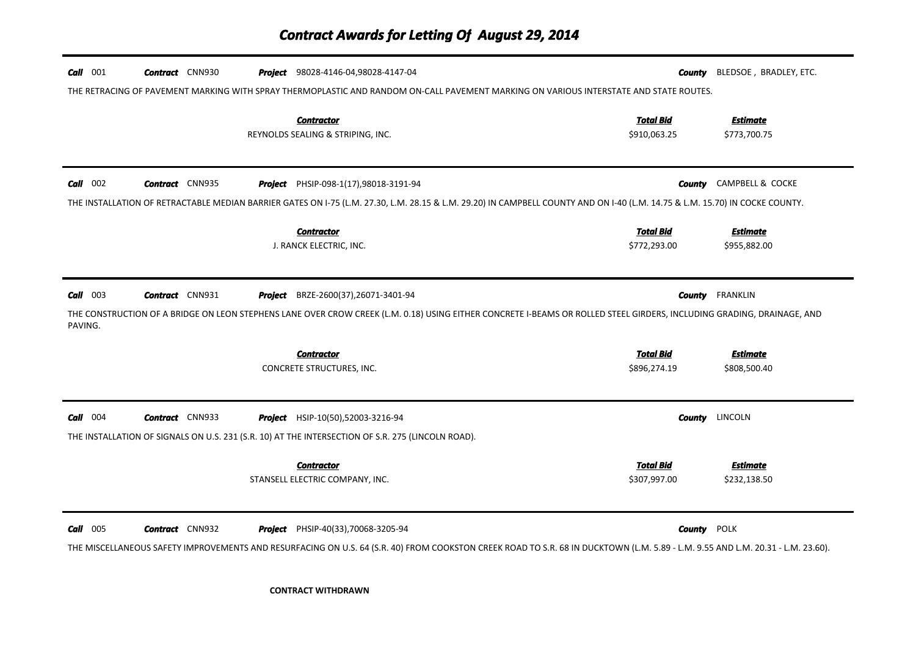| <b>Call</b> 001       | <b>Contract</b> CNN930 | <b>Project</b> 98028-4146-04,98028-4147-04                                                                                                    | County<br>THE RETRACING OF PAVEMENT MARKING WITH SPRAY THERMOPLASTIC AND RANDOM ON-CALL PAVEMENT MARKING ON VARIOUS INTERSTATE AND STATE ROUTES.                                                      | BLEDSOE, BRADLEY, ETC.          |
|-----------------------|------------------------|-----------------------------------------------------------------------------------------------------------------------------------------------|-------------------------------------------------------------------------------------------------------------------------------------------------------------------------------------------------------|---------------------------------|
|                       |                        | <b>Contractor</b><br>REYNOLDS SEALING & STRIPING, INC.                                                                                        | <b>Total Bid</b><br>\$910,063.25                                                                                                                                                                      | <b>Estimate</b><br>\$773,700.75 |
| $Call$ 002            | <b>Contract</b> CNN935 | <b>Project</b> PHSIP-098-1(17),98018-3191-94                                                                                                  | THE INSTALLATION OF RETRACTABLE MEDIAN BARRIER GATES ON 1-75 (L.M. 27.30, L.M. 28.15 & L.M. 29.20) IN CAMPBELL COUNTY AND ON 1-40 (L.M. 14.75 & L.M. 15.70) IN COCKE COUNTY.                          | <b>County</b> CAMPBELL & COCKE  |
|                       |                        | <b>Contractor</b><br>J. RANCK ELECTRIC, INC.                                                                                                  | <b>Total Bid</b><br>\$772,293.00                                                                                                                                                                      | <b>Estimate</b><br>\$955,882.00 |
| $Call$ 003<br>PAVING. | <b>Contract</b> CNN931 | <b>Project</b> BRZE-2600(37), 26071-3401-94                                                                                                   | THE CONSTRUCTION OF A BRIDGE ON LEON STEPHENS LANE OVER CROW CREEK (L.M. 0.18) USING EITHER CONCRETE I-BEAMS OR ROLLED STEEL GIRDERS, INCLUDING GRADING, DRAINAGE, AND                                | <b>County</b> FRANKLIN          |
|                       |                        | <b>Contractor</b><br>CONCRETE STRUCTURES, INC.                                                                                                | <b>Total Bid</b><br>\$896,274.19                                                                                                                                                                      | <b>Estimate</b><br>\$808,500.40 |
| $Call$ 004            | <b>Contract</b> CNN933 | <b>Project</b> HSIP-10(50),52003-3216-94<br>THE INSTALLATION OF SIGNALS ON U.S. 231 (S.R. 10) AT THE INTERSECTION OF S.R. 275 (LINCOLN ROAD). | <b>County</b>                                                                                                                                                                                         | LINCOLN                         |
|                       |                        | <b>Contractor</b><br>STANSELL ELECTRIC COMPANY, INC.                                                                                          | <b>Total Bid</b><br>\$307,997.00                                                                                                                                                                      | Estimate<br>\$232,138.50        |
| <b>Call</b> 005       | <b>Contract</b> CNN932 | <b>Project</b> PHSIP-40(33), 70068-3205-94                                                                                                    | <b>County POLK</b><br>THE MISCELLANEOUS SAFETY IMPROVEMENTS AND RESURFACING ON U.S. 64 (S.R. 40) FROM COOKSTON CREEK ROAD TO S.R. 68 IN DUCKTOWN (L.M. 5.89 - L.M. 9.55 AND L.M. 20.31 - L.M. 23.60). |                                 |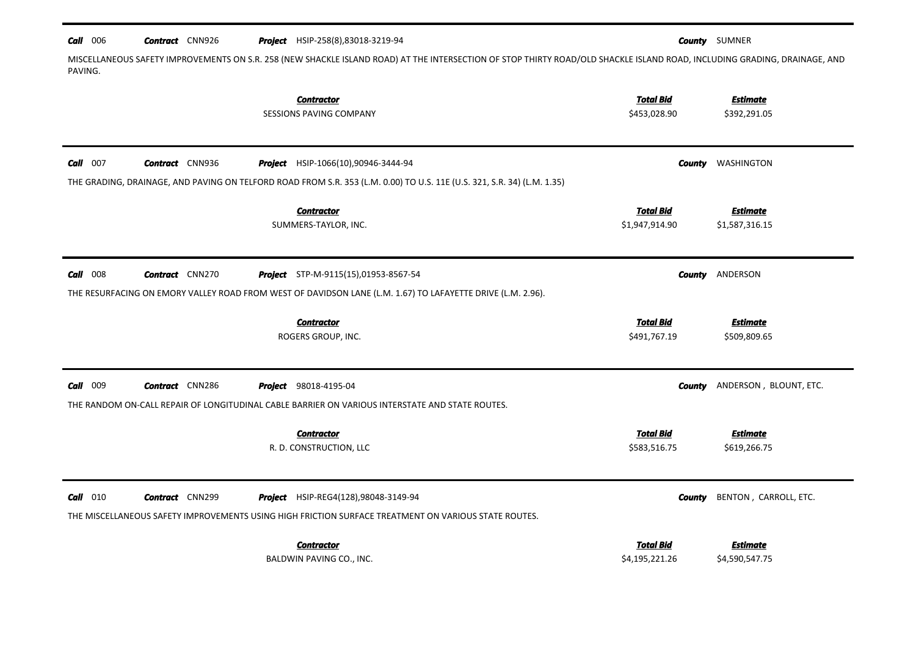#### $Call$  006 *Contract* **CNN926** Project HSIP-258(8),83018-3219-94

*County* SUMNER

MISCELLANEOUS SAFETY IMPROVEMENTS ON S.R. 258 (NEW SHACKLE ISLAND ROAD) AT THE INTERSECTION OF STOP THIRTY ROAD/OLD SHACKLE ISLAND ROAD, INCLUDING GRADING, DRAINAGE, AND PAVING.

| <b>Contractor</b><br><b>SESSIONS PAVING COMPANY</b>                                                                                                                                                                | <b>Total Bid</b><br>\$453,028.90   | <b>Estimate</b><br>\$392,291.05         |
|--------------------------------------------------------------------------------------------------------------------------------------------------------------------------------------------------------------------|------------------------------------|-----------------------------------------|
| <b>Call</b> 007<br><b>Contract</b> CNN936<br><b>Project</b> HSIP-1066(10),90946-3444-94<br>THE GRADING, DRAINAGE, AND PAVING ON TELFORD ROAD FROM S.R. 353 (L.M. 0.00) TO U.S. 11E (U.S. 321, S.R. 34) (L.M. 1.35) |                                    | WASHINGTON<br>County                    |
| <b>Contractor</b><br>SUMMERS-TAYLOR, INC.                                                                                                                                                                          | <b>Total Bid</b><br>\$1,947,914.90 | <b>Estimate</b><br>\$1,587,316.15       |
| <b>Call</b> 008<br><b>Contract</b> CNN270<br><b>Project</b> STP-M-9115(15),01953-8567-54                                                                                                                           |                                    | ANDERSON<br>County                      |
| THE RESURFACING ON EMORY VALLEY ROAD FROM WEST OF DAVIDSON LANE (L.M. 1.67) TO LAFAYETTE DRIVE (L.M. 2.96).<br><b>Contractor</b><br>ROGERS GROUP, INC.                                                             | <b>Total Bid</b><br>\$491,767.19   | <b>Estimate</b><br>\$509,809.65         |
| 009<br>Call<br><b>Contract</b> CNN286<br><b>Project</b> 98018-4195-04<br>THE RANDOM ON-CALL REPAIR OF LONGITUDINAL CABLE BARRIER ON VARIOUS INTERSTATE AND STATE ROUTES.                                           |                                    | ANDERSON, BLOUNT, ETC.<br><b>County</b> |
| <b>Contractor</b><br>R. D. CONSTRUCTION, LLC                                                                                                                                                                       | <b>Total Bid</b><br>\$583,516.75   | <b>Estimate</b><br>\$619,266.75         |
| $Call$ 010<br><b>Contract</b> CNN299<br>Project HSIP-REG4(128),98048-3149-94<br>THE MISCELLANEOUS SAFETY IMPROVEMENTS USING HIGH FRICTION SURFACE TREATMENT ON VARIOUS STATE ROUTES.                               |                                    | BENTON, CARROLL, ETC.<br><b>County</b>  |
| Contractor<br>BALDWIN PAVING CO., INC.                                                                                                                                                                             | <b>Total Bid</b><br>\$4,195,221.26 | <b>Estimate</b><br>\$4,590,547.75       |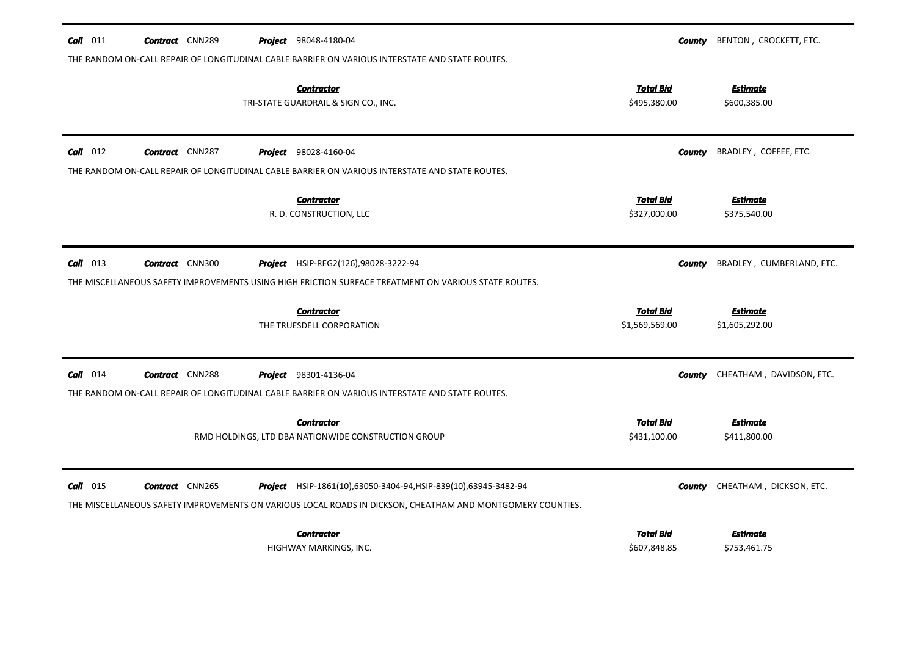| $Call$ 011 | <b>Contract</b> CNN289 | <b>Project</b> 98048-4180-04                                                                                                                                 | County                           | BENTON, CROCKETT, ETC.          |
|------------|------------------------|--------------------------------------------------------------------------------------------------------------------------------------------------------------|----------------------------------|---------------------------------|
|            |                        | THE RANDOM ON-CALL REPAIR OF LONGITUDINAL CABLE BARRIER ON VARIOUS INTERSTATE AND STATE ROUTES.<br><b>Contractor</b><br>TRI-STATE GUARDRAIL & SIGN CO., INC. | <b>Total Bid</b><br>\$495,380.00 | <b>Estimate</b><br>\$600,385.00 |
| $Call$ 012 | <b>Contract</b> CNN287 | <b>Project</b> 98028-4160-04                                                                                                                                 | County                           | BRADLEY, COFFEE, ETC.           |
|            |                        | THE RANDOM ON-CALL REPAIR OF LONGITUDINAL CABLE BARRIER ON VARIOUS INTERSTATE AND STATE ROUTES.                                                              |                                  |                                 |
|            |                        | <b>Contractor</b>                                                                                                                                            | <b>Total Bid</b>                 | <b>Estimate</b>                 |
|            |                        | R. D. CONSTRUCTION, LLC                                                                                                                                      | \$327,000.00                     | \$375,540.00                    |
| $Call$ 013 | <b>Contract</b> CNN300 | <b>Project</b> HSIP-REG2(126),98028-3222-94                                                                                                                  | County                           | BRADLEY, CUMBERLAND, ETC.       |
|            |                        | THE MISCELLANEOUS SAFETY IMPROVEMENTS USING HIGH FRICTION SURFACE TREATMENT ON VARIOUS STATE ROUTES.                                                         |                                  |                                 |
|            |                        | <b>Contractor</b>                                                                                                                                            | <b>Total Bid</b>                 | <b>Estimate</b>                 |
|            |                        | THE TRUESDELL CORPORATION                                                                                                                                    | \$1,569,569.00                   | \$1,605,292.00                  |
| $Call$ 014 | <b>Contract</b> CNN288 | <b>Project</b> 98301-4136-04                                                                                                                                 | County                           | CHEATHAM, DAVIDSON, ETC.        |
|            |                        | THE RANDOM ON-CALL REPAIR OF LONGITUDINAL CABLE BARRIER ON VARIOUS INTERSTATE AND STATE ROUTES.                                                              |                                  |                                 |
|            |                        | <b>Contractor</b>                                                                                                                                            | <b>Total Bid</b>                 | <b>Estimate</b>                 |
|            |                        | RMD HOLDINGS, LTD DBA NATIONWIDE CONSTRUCTION GROUP                                                                                                          | \$431,100.00                     | \$411,800.00                    |
|            |                        |                                                                                                                                                              |                                  |                                 |
| $Call$ 015 | <b>Contract</b> CNN265 | <b>Project</b> HSIP-1861(10),63050-3404-94, HSIP-839(10),63945-3482-94                                                                                       | <b>County</b>                    | CHEATHAM, DICKSON, ETC.         |
|            |                        | THE MISCELLANEOUS SAFETY IMPROVEMENTS ON VARIOUS LOCAL ROADS IN DICKSON, CHEATHAM AND MONTGOMERY COUNTIES.                                                   |                                  |                                 |
|            |                        | <b>Contractor</b>                                                                                                                                            | <b>Total Bid</b>                 | <b>Estimate</b>                 |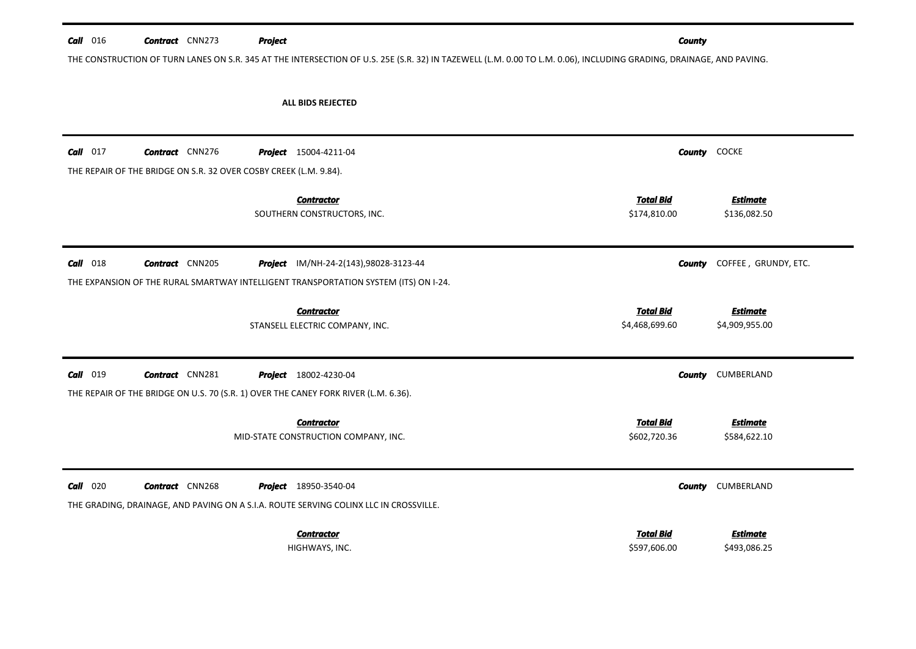| $Call$ 016 | <b>Contract</b> CNN273                                            | Project                                                                                                                                                             | <b>County</b>                                                           |
|------------|-------------------------------------------------------------------|---------------------------------------------------------------------------------------------------------------------------------------------------------------------|-------------------------------------------------------------------------|
|            |                                                                   | THE CONSTRUCTION OF TURN LANES ON S.R. 345 AT THE INTERSECTION OF U.S. 25E (S.R. 32) IN TAZEWELL (L.M. 0.00 TO L.M. 0.06), INCLUDING GRADING, DRAINAGE, AND PAVING. |                                                                         |
|            |                                                                   | <b>ALL BIDS REJECTED</b>                                                                                                                                            |                                                                         |
| $Call$ 017 | <b>Contract</b> CNN276                                            | <b>Project</b> 15004-4211-04                                                                                                                                        | COCKE<br>County                                                         |
|            | THE REPAIR OF THE BRIDGE ON S.R. 32 OVER COSBY CREEK (L.M. 9.84). |                                                                                                                                                                     |                                                                         |
|            |                                                                   | <b>Contractor</b><br>SOUTHERN CONSTRUCTORS, INC.                                                                                                                    | <b>Total Bid</b><br><b>Estimate</b><br>\$174,810.00<br>\$136,082.50     |
| $Call$ 018 | <b>Contract</b> CNN205                                            | Project IM/NH-24-2(143),98028-3123-44                                                                                                                               | COFFEE, GRUNDY, ETC.<br>County                                          |
|            |                                                                   | THE EXPANSION OF THE RURAL SMARTWAY INTELLIGENT TRANSPORTATION SYSTEM (ITS) ON I-24.                                                                                |                                                                         |
|            |                                                                   | <b>Contractor</b><br>STANSELL ELECTRIC COMPANY, INC.                                                                                                                | <b>Total Bid</b><br><b>Estimate</b><br>\$4,468,699.60<br>\$4,909,955.00 |
| Call 019   | <b>Contract</b> CNN281                                            | <b>Project</b> 18002-4230-04                                                                                                                                        | CUMBERLAND<br>County                                                    |
|            |                                                                   | THE REPAIR OF THE BRIDGE ON U.S. 70 (S.R. 1) OVER THE CANEY FORK RIVER (L.M. 6.36).                                                                                 |                                                                         |
|            |                                                                   | <b>Contractor</b><br>MID-STATE CONSTRUCTION COMPANY, INC.                                                                                                           | <b>Total Bid</b><br><b>Estimate</b><br>\$602,720.36<br>\$584,622.10     |
| $Call$ 020 | <b>Contract</b> CNN268                                            | <b>Project</b> 18950-3540-04                                                                                                                                        | CUMBERLAND<br>County                                                    |
|            |                                                                   | THE GRADING, DRAINAGE, AND PAVING ON A S.I.A. ROUTE SERVING COLINX LLC IN CROSSVILLE.                                                                               |                                                                         |
|            |                                                                   | <b>Contractor</b>                                                                                                                                                   | <b>Total Bid</b><br><b>Estimate</b>                                     |
|            |                                                                   | HIGHWAYS, INC.                                                                                                                                                      | \$597,606.00<br>\$493,086.25                                            |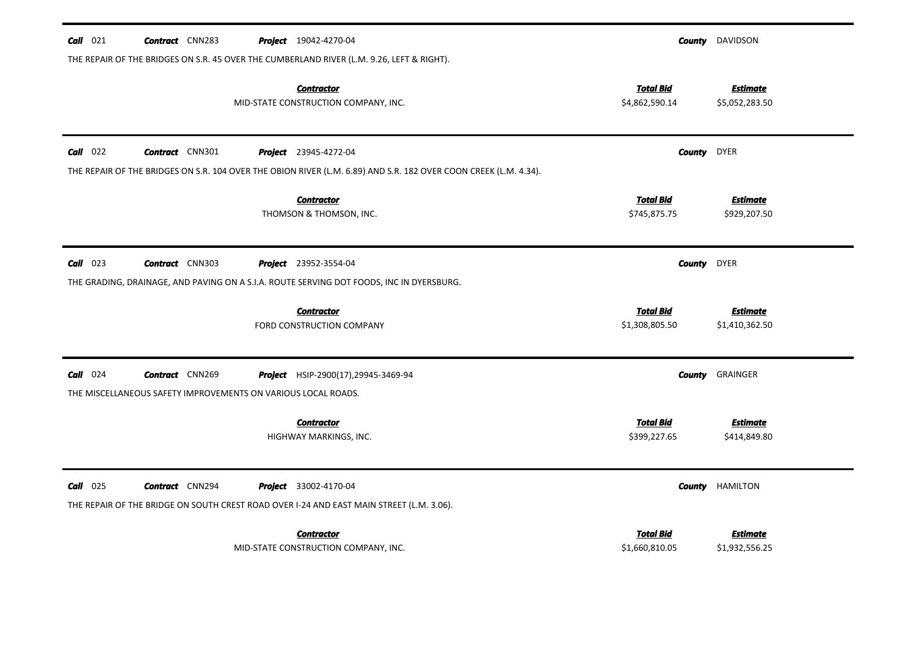| $Call$ 021 | <b>Contract</b> CNN283                                        | <b>Project</b> 19042-4270-04                                                                                     | County                             | DAVIDSON                          |
|------------|---------------------------------------------------------------|------------------------------------------------------------------------------------------------------------------|------------------------------------|-----------------------------------|
|            |                                                               | THE REPAIR OF THE BRIDGES ON S.R. 45 OVER THE CUMBERLAND RIVER (L.M. 9.26, LEFT & RIGHT).                        |                                    |                                   |
|            |                                                               | <b>Contractor</b><br>MID-STATE CONSTRUCTION COMPANY, INC.                                                        | <b>Total Bid</b><br>\$4,862,590.14 | <b>Estimate</b><br>\$5,052,283.50 |
| $Call$ 022 | <b>Contract</b> CNN301                                        | <b>Project</b> 23945-4272-04                                                                                     | County                             | <b>DYER</b>                       |
|            |                                                               | THE REPAIR OF THE BRIDGES ON S.R. 104 OVER THE OBION RIVER (L.M. 6.89) AND S.R. 182 OVER COON CREEK (L.M. 4.34). |                                    |                                   |
|            |                                                               | <b>Contractor</b><br>THOMSON & THOMSON, INC.                                                                     | <b>Total Bid</b><br>\$745,875.75   | <b>Estimate</b><br>\$929,207.50   |
| $Call$ 023 | <b>Contract</b> CNN303                                        | <b>Project</b> 23952-3554-04                                                                                     | <b>County</b>                      | DYER                              |
|            |                                                               | THE GRADING, DRAINAGE, AND PAVING ON A S.I.A. ROUTE SERVING DOT FOODS, INC IN DYERSBURG.                         |                                    |                                   |
|            |                                                               | <b>Contractor</b><br>FORD CONSTRUCTION COMPANY                                                                   | <b>Total Bid</b><br>\$1,308,805.50 | <b>Estimate</b><br>\$1,410,362.50 |
| $Call$ 024 | <b>Contract</b> CNN269                                        | Project HSIP-2900(17), 29945-3469-94                                                                             | County                             | GRAINGER                          |
|            | THE MISCELLANEOUS SAFETY IMPROVEMENTS ON VARIOUS LOCAL ROADS. |                                                                                                                  |                                    |                                   |
|            |                                                               | <b>Contractor</b><br>HIGHWAY MARKINGS, INC.                                                                      | <b>Total Bid</b><br>\$399,227.65   | <b>Estimate</b><br>\$414,849.80   |
| $Call$ 025 | <b>Contract</b> CNN294                                        | <b>Project</b> 33002-4170-04                                                                                     | <b>County</b>                      | <b>HAMILTON</b>                   |
|            |                                                               | THE REPAIR OF THE BRIDGE ON SOUTH CREST ROAD OVER I-24 AND EAST MAIN STREET (L.M. 3.06).                         |                                    |                                   |
|            |                                                               | <b>Contractor</b>                                                                                                | <b>Total Bid</b>                   | Estimate                          |
|            |                                                               | MID-STATE CONSTRUCTION COMPANY, INC.                                                                             | \$1,660,810.05                     | \$1,932,556.25                    |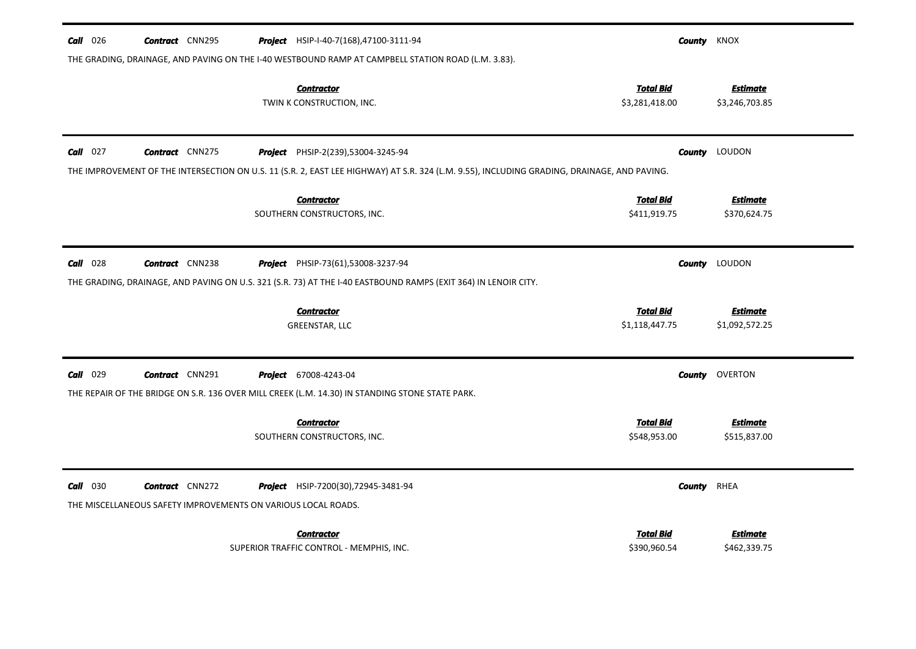| $Call$ 026 | <b>Contract</b> CNN295                                        | <b>Project</b> HSIP-I-40-7(168),47100-3111-94                                                                                               |                                    | <b>County KNOX</b>                |
|------------|---------------------------------------------------------------|---------------------------------------------------------------------------------------------------------------------------------------------|------------------------------------|-----------------------------------|
|            |                                                               | THE GRADING, DRAINAGE, AND PAVING ON THE I-40 WESTBOUND RAMP AT CAMPBELL STATION ROAD (L.M. 3.83).                                          |                                    |                                   |
|            |                                                               | <b>Contractor</b><br>TWIN K CONSTRUCTION, INC.                                                                                              | <b>Total Bid</b><br>\$3,281,418.00 | <b>Estimate</b><br>\$3,246,703.85 |
| $Call$ 027 | <b>Contract</b> CNN275                                        | <b>Project</b> PHSIP-2(239),53004-3245-94                                                                                                   | County                             | LOUDON                            |
|            |                                                               | THE IMPROVEMENT OF THE INTERSECTION ON U.S. 11 (S.R. 2, EAST LEE HIGHWAY) AT S.R. 324 (L.M. 9.55), INCLUDING GRADING, DRAINAGE, AND PAVING. |                                    |                                   |
|            |                                                               | <b>Contractor</b>                                                                                                                           | <b>Total Bid</b>                   | <b>Estimate</b>                   |
|            |                                                               | SOUTHERN CONSTRUCTORS, INC.                                                                                                                 | \$411,919.75                       | \$370,624.75                      |
|            |                                                               |                                                                                                                                             |                                    |                                   |
| $Call$ 028 | <b>Contract</b> CNN238                                        | <b>Project</b> PHSIP-73(61),53008-3237-94                                                                                                   |                                    | <b>County</b> LOUDON              |
|            |                                                               | THE GRADING, DRAINAGE, AND PAVING ON U.S. 321 (S.R. 73) AT THE I-40 EASTBOUND RAMPS (EXIT 364) IN LENOIR CITY.                              |                                    |                                   |
|            |                                                               | <b>Contractor</b>                                                                                                                           | <b>Total Bid</b>                   | <b>Estimate</b>                   |
|            |                                                               | GREENSTAR, LLC                                                                                                                              | \$1,118,447.75                     | \$1,092,572.25                    |
|            |                                                               |                                                                                                                                             |                                    |                                   |
| $Call$ 029 | <b>Contract</b> CNN291                                        | <b>Project</b> 67008-4243-04                                                                                                                |                                    | <b>County</b> OVERTON             |
|            |                                                               | THE REPAIR OF THE BRIDGE ON S.R. 136 OVER MILL CREEK (L.M. 14.30) IN STANDING STONE STATE PARK.                                             |                                    |                                   |
|            |                                                               | <b>Contractor</b>                                                                                                                           | <b>Total Bid</b>                   | <b>Estimate</b>                   |
|            |                                                               | SOUTHERN CONSTRUCTORS, INC.                                                                                                                 | \$548,953.00                       | \$515,837.00                      |
| $Call$ 030 | <b>Contract</b> CNN272                                        | <b>Project</b> HSIP-7200(30), 72945-3481-94                                                                                                 | County                             | RHEA                              |
|            | THE MISCELLANEOUS SAFETY IMPROVEMENTS ON VARIOUS LOCAL ROADS. |                                                                                                                                             |                                    |                                   |
|            |                                                               |                                                                                                                                             |                                    |                                   |
|            |                                                               | <b>Contractor</b>                                                                                                                           | <b>Total Bid</b>                   | <u>Estimate</u>                   |
|            |                                                               | SUPERIOR TRAFFIC CONTROL - MEMPHIS, INC.                                                                                                    | \$390,960.54                       | \$462,339.75                      |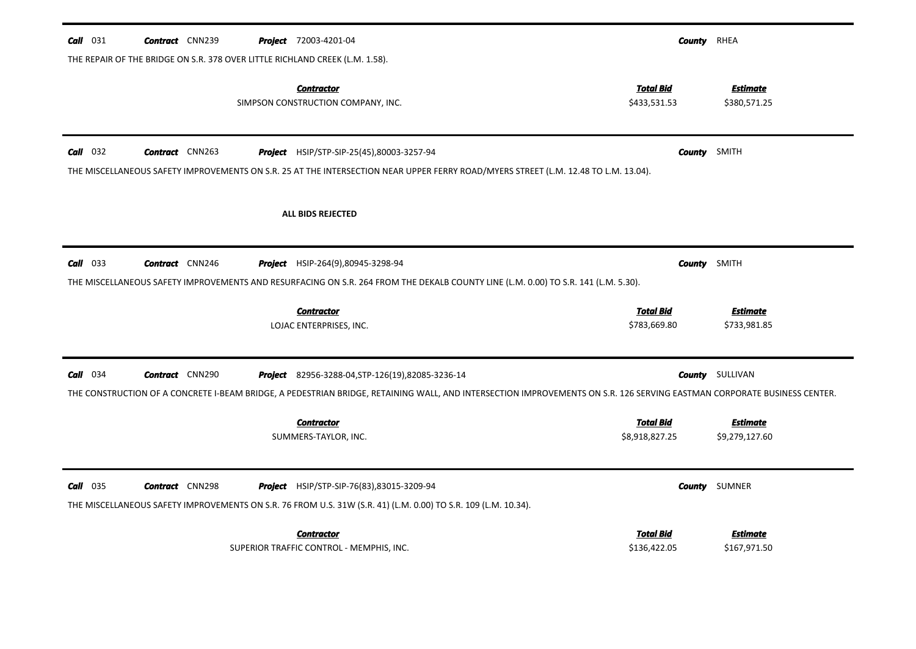| $Call$ 031 | <b>Contract</b> CNN239 | <b>Project</b> 72003-4201-04                                                                                                                                            | County                           | RHEA                            |
|------------|------------------------|-------------------------------------------------------------------------------------------------------------------------------------------------------------------------|----------------------------------|---------------------------------|
|            |                        | THE REPAIR OF THE BRIDGE ON S.R. 378 OVER LITTLE RICHLAND CREEK (L.M. 1.58).                                                                                            |                                  |                                 |
|            |                        | <b>Contractor</b><br>SIMPSON CONSTRUCTION COMPANY, INC.                                                                                                                 | <b>Total Bid</b><br>\$433,531.53 | <b>Estimate</b><br>\$380,571.25 |
| $Call$ 032 | <b>Contract</b> CNN263 | Project HSIP/STP-SIP-25(45),80003-3257-94                                                                                                                               | <b>County</b> SMITH              |                                 |
|            |                        | THE MISCELLANEOUS SAFETY IMPROVEMENTS ON S.R. 25 AT THE INTERSECTION NEAR UPPER FERRY ROAD/MYERS STREET (L.M. 12.48 TO L.M. 13.04).                                     |                                  |                                 |
|            |                        | <b>ALL BIDS REJECTED</b>                                                                                                                                                |                                  |                                 |
| $Call$ 033 | <b>Contract</b> CNN246 | <b>Project</b> HSIP-264(9),80945-3298-94                                                                                                                                | County                           | SMITH                           |
|            |                        | THE MISCELLANEOUS SAFETY IMPROVEMENTS AND RESURFACING ON S.R. 264 FROM THE DEKALB COUNTY LINE (L.M. 0.00) TO S.R. 141 (L.M. 5.30).                                      |                                  |                                 |
|            |                        |                                                                                                                                                                         |                                  |                                 |
|            |                        | <b>Contractor</b><br>LOJAC ENTERPRISES, INC.                                                                                                                            | <b>Total Bid</b><br>\$783,669.80 | Estimate<br>\$733,981.85        |
| $Call$ 034 | <b>Contract</b> CNN290 | <b>Project</b> 82956-3288-04, STP-126(19), 82085-3236-14                                                                                                                |                                  | <b>County</b> SULLIVAN          |
|            |                        | THE CONSTRUCTION OF A CONCRETE I-BEAM BRIDGE, A PEDESTRIAN BRIDGE, RETAINING WALL, AND INTERSECTION IMPROVEMENTS ON S.R. 126 SERVING EASTMAN CORPORATE BUSINESS CENTER. |                                  |                                 |
|            |                        | <b>Contractor</b>                                                                                                                                                       | <b>Total Bid</b>                 | <b>Estimate</b>                 |
|            |                        | SUMMERS-TAYLOR, INC.                                                                                                                                                    | \$8,918,827.25                   | \$9,279,127.60                  |
| $Call$ 035 | <b>Contract</b> CNN298 | <b>Project</b> HSIP/STP-SIP-76(83),83015-3209-94<br>THE MISCELLANEOUS SAFETY IMPROVEMENTS ON S.R. 76 FROM U.S. 31W (S.R. 41) (L.M. 0.00) TO S.R. 109 (L.M. 10.34).      |                                  | <b>County</b> SUMNER            |
|            |                        | <b>Contractor</b>                                                                                                                                                       | <b>Total Bid</b>                 | <b>Estimate</b>                 |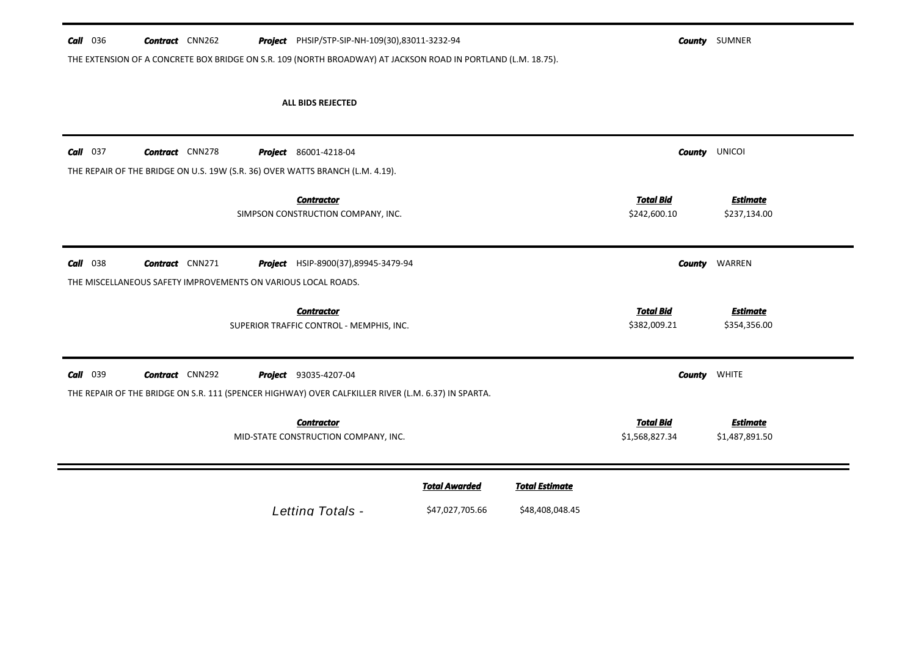| $Call$ 036 |  | <b>Contract</b> CNN262 |  |  | <b>Project</b> PHSIP/STP-SIP-NH-109(30),83011-3232-94 |
|------------|--|------------------------|--|--|-------------------------------------------------------|
|------------|--|------------------------|--|--|-------------------------------------------------------|

**County** SUMNER

THE EXTENSION OF A CONCRETE BOX BRIDGE ON S.R. 109 (NORTH BROADWAY) AT JACKSON ROAD IN PORTLAND (L.M. 18.75).

# **ALL BIDS REJECTED**

| $Call$ 037                                                                   | <b>Contract</b> CNN278 |  | <b>Project</b> 86001-4218-04<br>THE REPAIR OF THE BRIDGE ON U.S. 19W (S.R. 36) OVER WATTS BRANCH (L.M. 4.19).                       |                                         |                                          | County                             | <b>UNICOI</b>                     |
|------------------------------------------------------------------------------|------------------------|--|-------------------------------------------------------------------------------------------------------------------------------------|-----------------------------------------|------------------------------------------|------------------------------------|-----------------------------------|
|                                                                              |                        |  | <b>Contractor</b><br>SIMPSON CONSTRUCTION COMPANY, INC.                                                                             |                                         |                                          | <b>Total Bid</b><br>\$242,600.10   | <b>Estimate</b><br>\$237,134.00   |
| 038<br>Call<br>THE MISCELLANEOUS SAFETY IMPROVEMENTS ON VARIOUS LOCAL ROADS. | <b>Contract</b> CNN271 |  | <b>Project</b> HSIP-8900(37),89945-3479-94                                                                                          |                                         |                                          | <b>County</b>                      | WARREN                            |
|                                                                              |                        |  | <b>Contractor</b><br>SUPERIOR TRAFFIC CONTROL - MEMPHIS, INC.                                                                       |                                         |                                          | <b>Total Bid</b><br>\$382,009.21   | <b>Estimate</b><br>\$354,356.00   |
| Call<br>039                                                                  | <b>Contract</b> CNN292 |  | <b>Project</b> 93035-4207-04<br>THE REPAIR OF THE BRIDGE ON S.R. 111 (SPENCER HIGHWAY) OVER CALFKILLER RIVER (L.M. 6.37) IN SPARTA. |                                         |                                          | <b>County</b>                      | <b>WHITE</b>                      |
|                                                                              |                        |  | <b>Contractor</b><br>MID-STATE CONSTRUCTION COMPANY, INC.                                                                           |                                         |                                          | <b>Total Bid</b><br>\$1,568,827.34 | <b>Estimate</b><br>\$1,487,891.50 |
|                                                                              |                        |  | Letting Totals -                                                                                                                    | <b>Total Awarded</b><br>\$47,027,705.66 | <b>Total Estimate</b><br>\$48,408,048.45 |                                    |                                   |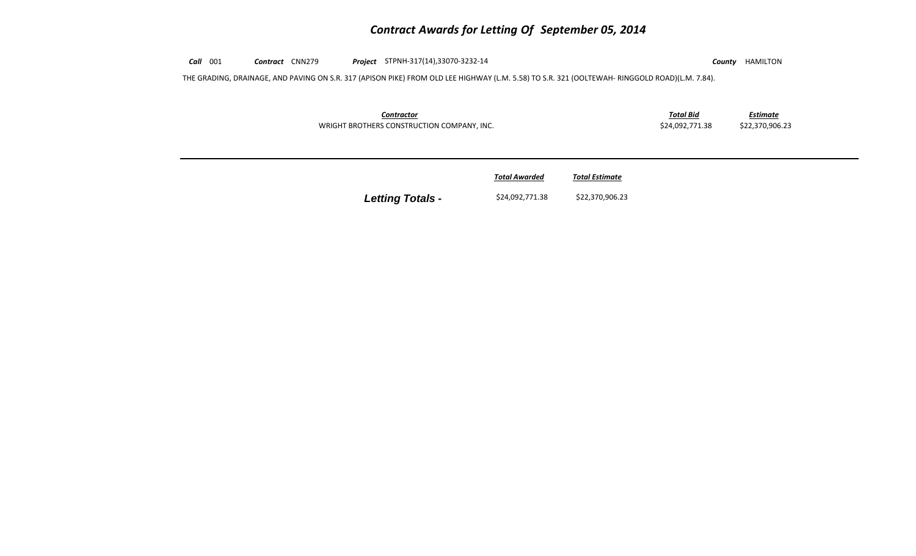# *Contract Awards for Letting Of September 05, 2014*

*Call* 001 *Contract* CNN279 *Project* STPNH‐317(14),33070‐3232‐<sup>14</sup> *County* HAMILTON THE GRADING, DRAINAGE, AND PAVING ON S.R. 317 (APISON PIKE) FROM OLD LEE HIGHWAY (L.M. 5.58) TO S.R. 321 (OOLTEWAH‐ RINGGOLD ROAD)(L.M. 7.84). *Contractor Total Bid Estimate* WRIGHT BROTHERS CONSTRUCTION COMPANY, INC. \$24,092,771.38 \$22,370,906.23 *Total AwardedTotal Estimate*

**Letting Totals -** \$24,092,771.38 \$22,370,906.23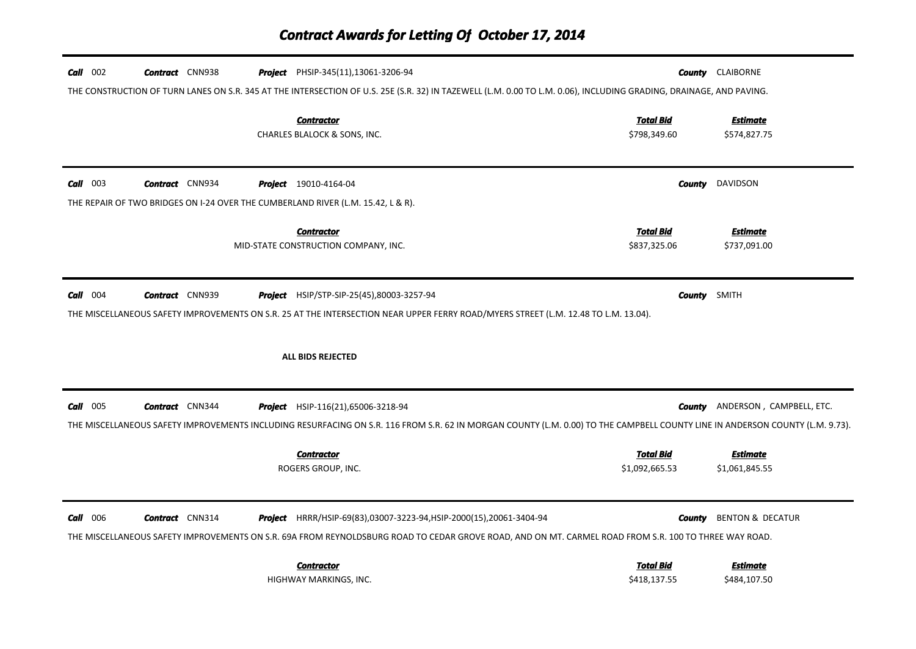| $Call$ 002 | <b>Contract</b> CNN938                                                                                                                                              |  | <b>Project</b> PHSIP-345(11), 13061-3206-94                                                                                                                                                                                         |                                    | <b>County CLAIBORNE</b>           |  |  |  |
|------------|---------------------------------------------------------------------------------------------------------------------------------------------------------------------|--|-------------------------------------------------------------------------------------------------------------------------------------------------------------------------------------------------------------------------------------|------------------------------------|-----------------------------------|--|--|--|
|            | THE CONSTRUCTION OF TURN LANES ON S.R. 345 AT THE INTERSECTION OF U.S. 25E (S.R. 32) IN TAZEWELL (L.M. 0.00 TO L.M. 0.06), INCLUDING GRADING, DRAINAGE, AND PAVING. |  |                                                                                                                                                                                                                                     |                                    |                                   |  |  |  |
|            |                                                                                                                                                                     |  | <b>Contractor</b><br>CHARLES BLALOCK & SONS, INC.                                                                                                                                                                                   | <b>Total Bid</b><br>\$798,349.60   | <b>Estimate</b><br>\$574,827.75   |  |  |  |
| $Call$ 003 | <b>Contract</b> CNN934                                                                                                                                              |  | <b>Project</b> 19010-4164-04                                                                                                                                                                                                        | County                             | DAVIDSON                          |  |  |  |
|            |                                                                                                                                                                     |  | THE REPAIR OF TWO BRIDGES ON I-24 OVER THE CUMBERLAND RIVER (L.M. 15.42, L & R).                                                                                                                                                    |                                    |                                   |  |  |  |
|            |                                                                                                                                                                     |  | <b>Contractor</b><br>MID-STATE CONSTRUCTION COMPANY, INC.                                                                                                                                                                           | <b>Total Bid</b><br>\$837,325.06   | <b>Estimate</b><br>\$737,091.00   |  |  |  |
| $Call$ 004 | <b>Contract</b> CNN939                                                                                                                                              |  | <b>Project</b> HSIP/STP-SIP-25(45),80003-3257-94<br>THE MISCELLANEOUS SAFETY IMPROVEMENTS ON S.R. 25 AT THE INTERSECTION NEAR UPPER FERRY ROAD/MYERS STREET (L.M. 12.48 TO L.M. 13.04).                                             |                                    | <b>County</b> SMITH               |  |  |  |
|            |                                                                                                                                                                     |  | <b>ALL BIDS REJECTED</b>                                                                                                                                                                                                            |                                    |                                   |  |  |  |
| $Call$ 005 | <b>Contract</b> CNN344                                                                                                                                              |  | <b>Project</b> HSIP-116(21),65006-3218-94<br>THE MISCELLANEOUS SAFETY IMPROVEMENTS INCLUDING RESURFACING ON S.R. 116 FROM S.R. 62 IN MORGAN COUNTY (L.M. 0.00) TO THE CAMPBELL COUNTY LINE IN ANDERSON COUNTY (L.M. 9.73).          | County                             | ANDERSON, CAMPBELL, ETC.          |  |  |  |
|            |                                                                                                                                                                     |  | <b>Contractor</b><br>ROGERS GROUP, INC.                                                                                                                                                                                             | <b>Total Bid</b><br>\$1,092,665.53 | <b>Estimate</b><br>\$1,061,845.55 |  |  |  |
| $Call$ 006 | <b>Contract</b> CNN314                                                                                                                                              |  | <b>Project</b> HRRR/HSIP-69(83),03007-3223-94, HSIP-2000(15),20061-3404-94<br>THE MISCELLANEOUS SAFETY IMPROVEMENTS ON S.R. 69A FROM REYNOLDSBURG ROAD TO CEDAR GROVE ROAD, AND ON MT. CARMEL ROAD FROM S.R. 100 TO THREE WAY ROAD. | County                             | <b>BENTON &amp; DECATUR</b>       |  |  |  |
|            |                                                                                                                                                                     |  | <b>Contractor</b><br>HIGHWAY MARKINGS, INC.                                                                                                                                                                                         | <b>Total Bid</b><br>\$418,137.55   | <b>Estimate</b><br>\$484,107.50   |  |  |  |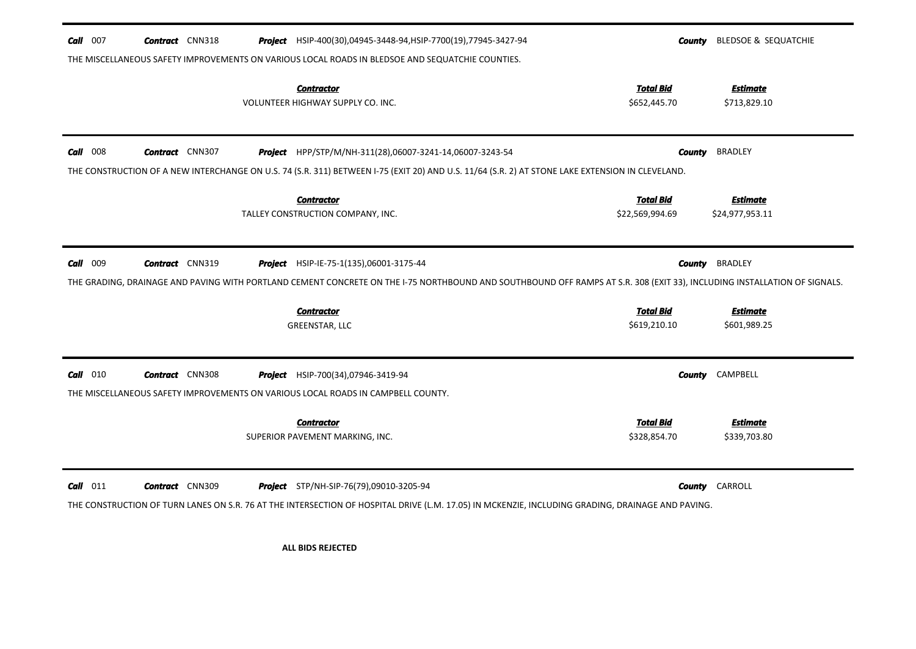| $Call$ 007  | <b>Contract</b> CNN318 | Project HSIP-400(30),04945-3448-94, HSIP-7700(19), 77945-3427-94                                                                                                                                                    |                                     | <b>County</b> BLEDSOE & SEQUATCHIE |
|-------------|------------------------|---------------------------------------------------------------------------------------------------------------------------------------------------------------------------------------------------------------------|-------------------------------------|------------------------------------|
|             |                        | THE MISCELLANEOUS SAFETY IMPROVEMENTS ON VARIOUS LOCAL ROADS IN BLEDSOE AND SEQUATCHIE COUNTIES.                                                                                                                    |                                     |                                    |
|             |                        | <b>Contractor</b><br>VOLUNTEER HIGHWAY SUPPLY CO. INC.                                                                                                                                                              | <b>Total Bid</b><br>\$652,445.70    | <b>Estimate</b><br>\$713,829.10    |
| 008<br>Call | <b>Contract</b> CNN307 | Project HPP/STP/M/NH-311(28),06007-3241-14,06007-3243-54                                                                                                                                                            | <b>County</b>                       | <b>BRADLEY</b>                     |
|             |                        | THE CONSTRUCTION OF A NEW INTERCHANGE ON U.S. 74 (S.R. 311) BETWEEN I-75 (EXIT 20) AND U.S. 11/64 (S.R. 2) AT STONE LAKE EXTENSION IN CLEVELAND.                                                                    |                                     |                                    |
|             |                        | <b>Contractor</b><br>TALLEY CONSTRUCTION COMPANY, INC.                                                                                                                                                              | <b>Total Bid</b><br>\$22,569,994.69 | <b>Estimate</b><br>\$24,977,953.11 |
| Call 009    | <b>Contract</b> CNN319 | Project HSIP-IE-75-1(135),06001-3175-44<br>THE GRADING, DRAINAGE AND PAVING WITH PORTLAND CEMENT CONCRETE ON THE 1-75 NORTHBOUND AND SOUTHBOUND OFF RAMPS AT S.R. 308 (EXIT 33), INCLUDING INSTALLATION OF SIGNALS. | <b>County</b>                       | <b>BRADLEY</b>                     |
|             |                        | <b>Contractor</b><br>GREENSTAR, LLC                                                                                                                                                                                 | <b>Total Bid</b><br>\$619,210.10    | <b>Estimate</b><br>\$601,989.25    |
| $Call$ 010  | <b>Contract</b> CNN308 | <b>Project</b> HSIP-700(34),07946-3419-94<br>THE MISCELLANEOUS SAFETY IMPROVEMENTS ON VARIOUS LOCAL ROADS IN CAMPBELL COUNTY.                                                                                       | <b>County</b>                       | CAMPBELL                           |
|             |                        | <b>Contractor</b><br>SUPERIOR PAVEMENT MARKING, INC.                                                                                                                                                                | <b>Total Bid</b><br>\$328,854.70    | <b>Estimate</b><br>\$339,703.80    |
| $Call$ 011  | <b>Contract</b> CNN309 | <b>Project</b> STP/NH-SIP-76(79),09010-3205-94<br>THE CONSTRUCTION OF TURN LANES ON S.R. 76 AT THE INTERSECTION OF HOSPITAL DRIVE (L.M. 17.05) IN MCKENZIE, INCLUDING GRADING, DRAINAGE AND PAVING.                 |                                     | <b>County</b> CARROLL              |

**ALL BIDS REJECTED**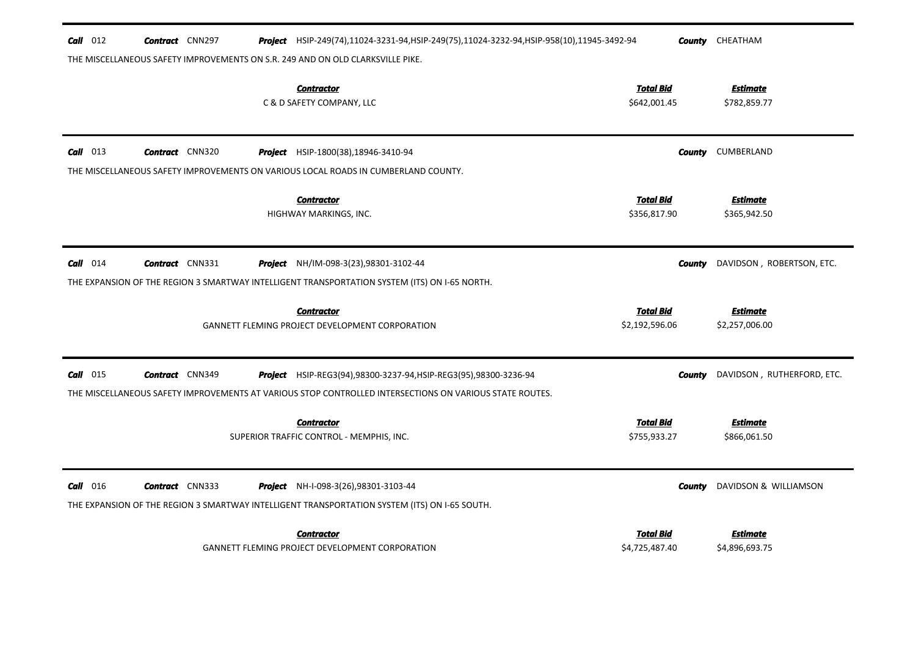| $Call$ 012 | <b>Contract</b> CNN297 | <b>Project</b> HSIP-249(74),11024-3231-94,HSIP-249(75),11024-3232-94,HSIP-958(10),11945-3492-94                                              |                                    | <b>County</b> CHEATHAM            |
|------------|------------------------|----------------------------------------------------------------------------------------------------------------------------------------------|------------------------------------|-----------------------------------|
|            |                        | THE MISCELLANEOUS SAFETY IMPROVEMENTS ON S.R. 249 AND ON OLD CLARKSVILLE PIKE.                                                               |                                    |                                   |
|            |                        | <b>Contractor</b><br>C & D SAFETY COMPANY, LLC                                                                                               | <b>Total Bid</b><br>\$642,001.45   | <b>Estimate</b><br>\$782,859.77   |
| $Call$ 013 | <b>Contract</b> CNN320 | Project HSIP-1800(38), 18946-3410-94                                                                                                         |                                    | <b>County</b> CUMBERLAND          |
|            |                        | THE MISCELLANEOUS SAFETY IMPROVEMENTS ON VARIOUS LOCAL ROADS IN CUMBERLAND COUNTY.                                                           |                                    |                                   |
|            |                        | <b>Contractor</b><br>HIGHWAY MARKINGS, INC.                                                                                                  | <b>Total Bid</b><br>\$356,817.90   | <b>Estimate</b><br>\$365,942.50   |
| $Call$ 014 | <b>Contract</b> CNN331 | <b>Project</b> NH/IM-098-3(23),98301-3102-44                                                                                                 | County                             | DAVIDSON, ROBERTSON, ETC.         |
|            |                        | THE EXPANSION OF THE REGION 3 SMARTWAY INTELLIGENT TRANSPORTATION SYSTEM (ITS) ON I-65 NORTH.                                                |                                    |                                   |
|            |                        | <b>Contractor</b><br>GANNETT FLEMING PROJECT DEVELOPMENT CORPORATION                                                                         | <b>Total Bid</b><br>\$2,192,596.06 | <b>Estimate</b><br>\$2,257,006.00 |
| $Call$ 015 | <b>Contract</b> CNN349 | <b>Project</b> HSIP-REG3(94),98300-3237-94, HSIP-REG3(95),98300-3236-94                                                                      | County                             | DAVIDSON, RUTHERFORD, ETC.        |
|            |                        | THE MISCELLANEOUS SAFETY IMPROVEMENTS AT VARIOUS STOP CONTROLLED INTERSECTIONS ON VARIOUS STATE ROUTES.                                      |                                    |                                   |
|            |                        | <b>Contractor</b><br>SUPERIOR TRAFFIC CONTROL - MEMPHIS, INC.                                                                                | <b>Total Bid</b><br>\$755,933.27   | <b>Estimate</b><br>\$866,061.50   |
| $Call$ 016 | <b>Contract</b> CNN333 | <b>Project</b> NH-I-098-3(26),98301-3103-44<br>THE EXPANSION OF THE REGION 3 SMARTWAY INTELLIGENT TRANSPORTATION SYSTEM (ITS) ON I-65 SOUTH. | <b>County</b>                      | DAVIDSON & WILLIAMSON             |
|            |                        |                                                                                                                                              |                                    |                                   |
|            |                        | <b>Contractor</b>                                                                                                                            | Total Bid                          | Estimate                          |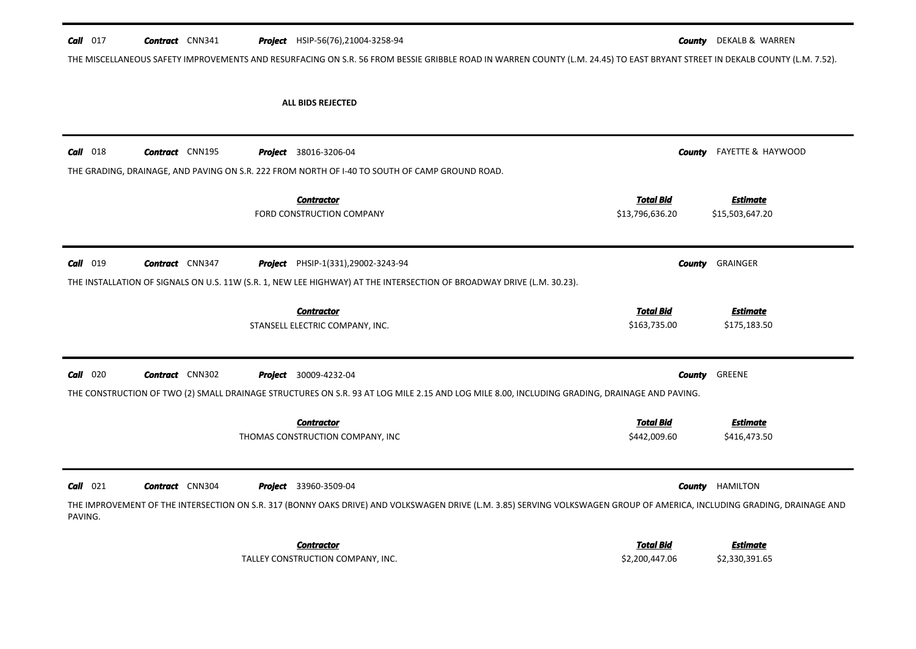| Call $017$ | <b>Contract</b> CNN341 |  | Project HSIP-56(76),21004-3258-94                                                                                                                                           |                                     | <b>County</b> DEKALB & WARREN      |
|------------|------------------------|--|-----------------------------------------------------------------------------------------------------------------------------------------------------------------------------|-------------------------------------|------------------------------------|
|            |                        |  | THE MISCELLANEOUS SAFETY IMPROVEMENTS AND RESURFACING ON S.R. 56 FROM BESSIE GRIBBLE ROAD IN WARREN COUNTY (L.M. 24.45) TO EAST BRYANT STREET IN DEKALB COUNTY (L.M. 7.52). |                                     |                                    |
|            |                        |  | ALL BIDS REJECTED                                                                                                                                                           |                                     |                                    |
| Call 018   | <b>Contract</b> CNN195 |  | <b>Project</b> 38016-3206-04                                                                                                                                                | County                              | FAYETTE & HAYWOOD                  |
|            |                        |  | THE GRADING, DRAINAGE, AND PAVING ON S.R. 222 FROM NORTH OF 1-40 TO SOUTH OF CAMP GROUND ROAD.                                                                              |                                     |                                    |
|            |                        |  | <b>Contractor</b><br>FORD CONSTRUCTION COMPANY                                                                                                                              | <b>Total Bid</b><br>\$13,796,636.20 | <b>Estimate</b><br>\$15,503,647.20 |
| Call 019   | <b>Contract</b> CNN347 |  | Project PHSIP-1(331),29002-3243-94                                                                                                                                          | County                              | GRAINGER                           |
|            |                        |  | THE INSTALLATION OF SIGNALS ON U.S. 11W (S.R. 1, NEW LEE HIGHWAY) AT THE INTERSECTION OF BROADWAY DRIVE (L.M. 30.23).                                                       |                                     |                                    |
|            |                        |  | <b>Contractor</b><br>STANSELL ELECTRIC COMPANY, INC.                                                                                                                        | <u>Total Bid</u><br>\$163,735.00    | <b>Estimate</b><br>\$175,183.50    |
| $Call$ 020 | <b>Contract</b> CNN302 |  | <b>Project</b> 30009-4232-04                                                                                                                                                | <b>County</b>                       | GREENE                             |
|            |                        |  | THE CONSTRUCTION OF TWO (2) SMALL DRAINAGE STRUCTURES ON S.R. 93 AT LOG MILE 2.15 AND LOG MILE 8.00, INCLUDING GRADING, DRAINAGE AND PAVING.                                |                                     |                                    |
|            |                        |  | <b>Contractor</b><br>THOMAS CONSTRUCTION COMPANY, INC                                                                                                                       | <b>Total Bid</b><br>\$442,009.60    | <b>Estimate</b><br>\$416,473.50    |
| $Call$ 021 | <b>Contract</b> CNN304 |  | <b>Project</b> 33960-3509-04                                                                                                                                                |                                     | <b>County HAMILTON</b>             |
| PAVING.    |                        |  | THE IMPROVEMENT OF THE INTERSECTION ON S.R. 317 (BONNY OAKS DRIVE) AND VOLKSWAGEN DRIVE (L.M. 3.85) SERVING VOLKSWAGEN GROUP OF AMERICA, INCLUDING GRADING, DRAINAGE AND    |                                     |                                    |
|            |                        |  | <b>Contractor</b><br>TALLEY CONSTRUCTION COMPANY, INC.                                                                                                                      | <b>Total Bid</b><br>\$2,200,447.06  | <b>Estimate</b><br>\$2,330,391.65  |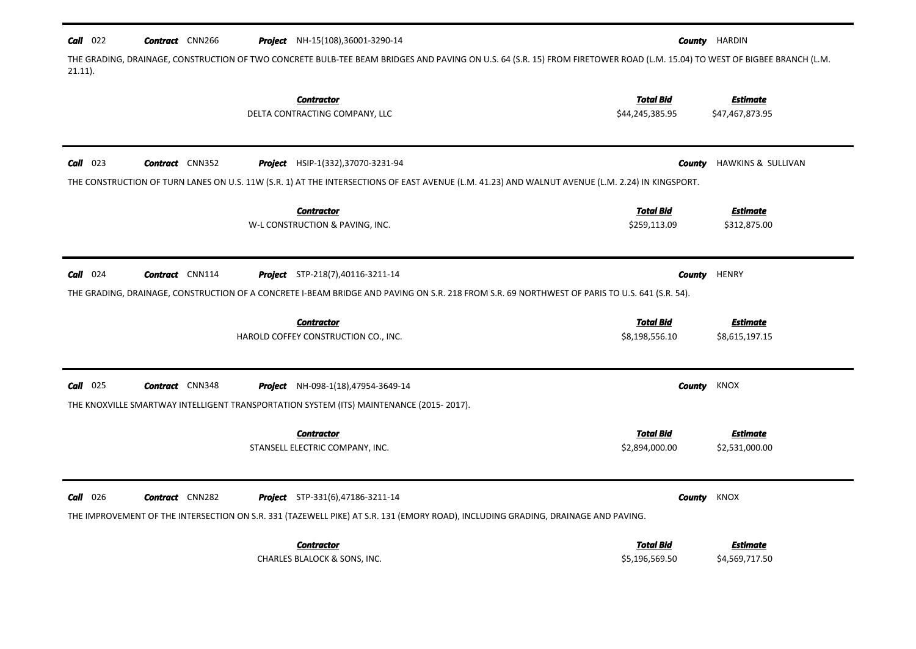| $Call$ 022 | <b>Contract</b> CNN266 | <b>Project</b> NH-15(108),36001-3290-14                                                                                                                                   | County           | HARDIN             |
|------------|------------------------|---------------------------------------------------------------------------------------------------------------------------------------------------------------------------|------------------|--------------------|
| $21.11$ ). |                        | THE GRADING, DRAINAGE, CONSTRUCTION OF TWO CONCRETE BULB-TEE BEAM BRIDGES AND PAVING ON U.S. 64 (S.R. 15) FROM FIRETOWER ROAD (L.M. 15.04) TO WEST OF BIGBEE BRANCH (L.M. |                  |                    |
|            |                        | <b>Contractor</b>                                                                                                                                                         | <b>Total Bid</b> | <b>Estimate</b>    |
|            |                        | DELTA CONTRACTING COMPANY, LLC                                                                                                                                            | \$44,245,385.95  | \$47,467,873.95    |
| Call 023   | <b>Contract</b> CNN352 | Project HSIP-1(332), 37070-3231-94                                                                                                                                        | <b>County</b>    | HAWKINS & SULLIVAN |
|            |                        | THE CONSTRUCTION OF TURN LANES ON U.S. 11W (S.R. 1) AT THE INTERSECTIONS OF EAST AVENUE (L.M. 41.23) AND WALNUT AVENUE (L.M. 2.24) IN KINGSPORT.                          |                  |                    |
|            |                        | <b>Contractor</b>                                                                                                                                                         | <b>Total Bid</b> | <b>Estimate</b>    |
|            |                        | W-L CONSTRUCTION & PAVING, INC.                                                                                                                                           | \$259,113.09     | \$312,875.00       |
| $Call$ 024 | <b>Contract</b> CNN114 | <b>Project</b> STP-218(7),40116-3211-14                                                                                                                                   | <b>County</b>    | <b>HENRY</b>       |
|            |                        | THE GRADING, DRAINAGE, CONSTRUCTION OF A CONCRETE I-BEAM BRIDGE AND PAVING ON S.R. 218 FROM S.R. 69 NORTHWEST OF PARIS TO U.S. 641 (S.R. 54).                             |                  |                    |
|            |                        | <b>Contractor</b>                                                                                                                                                         | <b>Total Bid</b> | <b>Estimate</b>    |
|            |                        | HAROLD COFFEY CONSTRUCTION CO., INC.                                                                                                                                      | \$8,198,556.10   | \$8,615,197.15     |
| Call 025   | <b>Contract</b> CNN348 | <b>Project</b> NH-098-1(18),47954-3649-14                                                                                                                                 | <b>County</b>    | KNOX               |
|            |                        | THE KNOXVILLE SMARTWAY INTELLIGENT TRANSPORTATION SYSTEM (ITS) MAINTENANCE (2015-2017).                                                                                   |                  |                    |
|            |                        | <b>Contractor</b>                                                                                                                                                         | <b>Total Bid</b> | <b>Estimate</b>    |
|            |                        | STANSELL ELECTRIC COMPANY, INC.                                                                                                                                           | \$2,894,000.00   | \$2,531,000.00     |
| $Call$ 026 | <b>Contract</b> CNN282 | <b>Project</b> STP-331(6),47186-3211-14                                                                                                                                   | County           | <b>KNOX</b>        |
|            |                        | THE IMPROVEMENT OF THE INTERSECTION ON S.R. 331 (TAZEWELL PIKE) AT S.R. 131 (EMORY ROAD), INCLUDING GRADING, DRAINAGE AND PAVING.                                         |                  |                    |
|            |                        | <b>Contractor</b>                                                                                                                                                         | <b>Total Bid</b> | <b>Estimate</b>    |
|            |                        | <b>CHARLES BLALOCK &amp; SONS, INC.</b>                                                                                                                                   | \$5,196,569.50   | \$4,569,717.50     |
|            |                        |                                                                                                                                                                           |                  |                    |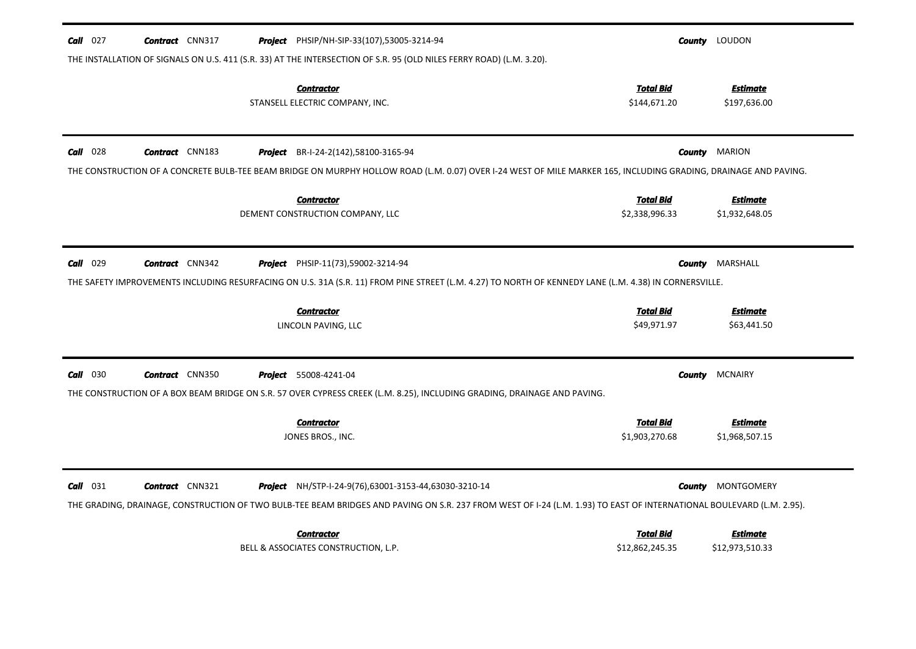| <b>Call</b> $027$<br><b>Contract</b> CNN317<br><b>Project</b> PHSIP/NH-SIP-33(107),53005-3214-94<br>THE INSTALLATION OF SIGNALS ON U.S. 411 (S.R. 33) AT THE INTERSECTION OF S.R. 95 (OLD NILES FERRY ROAD) (L.M. 3.20).                                               |                                    | <b>County</b> LOUDON              |
|------------------------------------------------------------------------------------------------------------------------------------------------------------------------------------------------------------------------------------------------------------------------|------------------------------------|-----------------------------------|
| <b>Contractor</b><br>STANSELL ELECTRIC COMPANY, INC.                                                                                                                                                                                                                   | <b>Total Bid</b><br>\$144,671.20   | <b>Estimate</b><br>\$197,636.00   |
| <b>Contract</b> CNN183<br>$Call$ 028<br><b>Project</b> BR-I-24-2(142),58100-3165-94<br>THE CONSTRUCTION OF A CONCRETE BULB-TEE BEAM BRIDGE ON MURPHY HOLLOW ROAD (L.M. 0.07) OVER I-24 WEST OF MILE MARKER 165, INCLUDING GRADING, DRAINAGE AND PAVING.                | <b>County</b>                      | MARION                            |
| <b>Contractor</b><br>DEMENT CONSTRUCTION COMPANY, LLC                                                                                                                                                                                                                  | <b>Total Bid</b><br>\$2,338,996.33 | <b>Estimate</b><br>\$1,932,648.05 |
| $Call$ 029<br><b>Contract</b> CNN342<br><b>Project</b> PHSIP-11(73),59002-3214-94<br>THE SAFETY IMPROVEMENTS INCLUDING RESURFACING ON U.S. 31A (S.R. 11) FROM PINE STREET (L.M. 4.27) TO NORTH OF KENNEDY LANE (L.M. 4.38) IN CORNERSVILLE.                            | County                             | MARSHALL                          |
| <b>Contractor</b>                                                                                                                                                                                                                                                      | <b>Total Bid</b>                   | <b>Estimate</b>                   |
| LINCOLN PAVING, LLC                                                                                                                                                                                                                                                    | \$49,971.97                        | \$63,441.50                       |
| $Call$ 030<br><b>Contract</b> CNN350<br><b>Project</b> 55008-4241-04<br>THE CONSTRUCTION OF A BOX BEAM BRIDGE ON S.R. 57 OVER CYPRESS CREEK (L.M. 8.25), INCLUDING GRADING, DRAINAGE AND PAVING.                                                                       | <b>County</b>                      | <b>MCNAIRY</b>                    |
| <b>Contractor</b><br>JONES BROS., INC.                                                                                                                                                                                                                                 | <b>Total Bid</b><br>\$1,903,270.68 | <b>Estimate</b><br>\$1,968,507.15 |
| $Call$ 031<br><b>Contract</b> CNN321<br>Project NH/STP-I-24-9(76),63001-3153-44,63030-3210-14<br>THE GRADING, DRAINAGE, CONSTRUCTION OF TWO BULB-TEE BEAM BRIDGES AND PAVING ON S.R. 237 FROM WEST OF I-24 (L.M. 1.93) TO EAST OF INTERNATIONAL BOULEVARD (L.M. 2.95). | <b>County</b>                      | MONTGOMERY                        |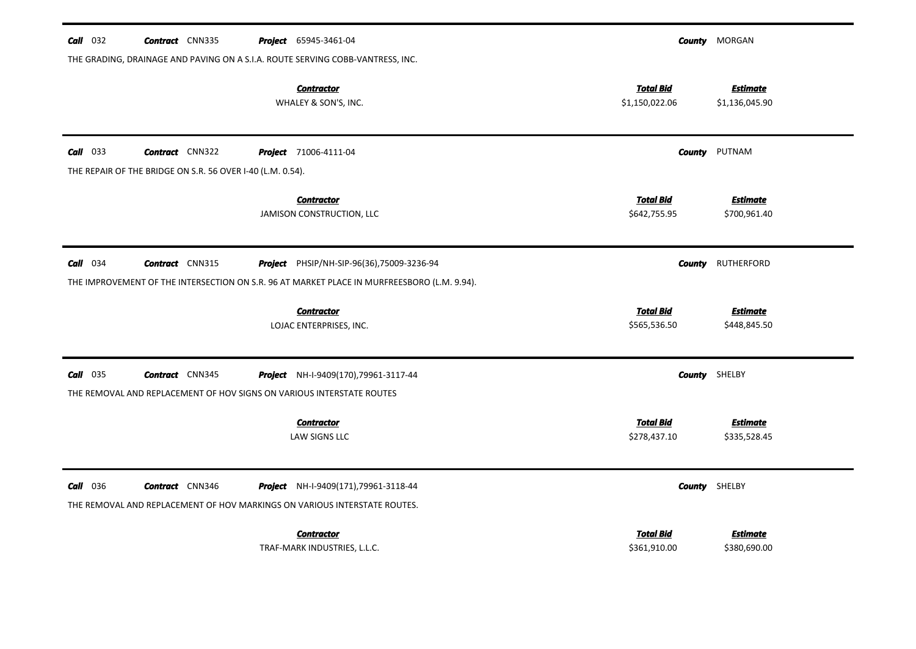| $Call$ 032      | <b>Contract</b> CNN335                                                                          | Project 65945-3461-04                                                                                                                    |                                    | <b>County</b> MORGAN              |
|-----------------|-------------------------------------------------------------------------------------------------|------------------------------------------------------------------------------------------------------------------------------------------|------------------------------------|-----------------------------------|
|                 |                                                                                                 | THE GRADING, DRAINAGE AND PAVING ON A S.I.A. ROUTE SERVING COBB-VANTRESS, INC.                                                           |                                    |                                   |
|                 |                                                                                                 | <b>Contractor</b><br>WHALEY & SON'S, INC.                                                                                                | <b>Total Bid</b><br>\$1,150,022.06 | <b>Estimate</b><br>\$1,136,045.90 |
| $Call$ 033      | <b>Contract</b> CNN322                                                                          | <b>Project</b> 71006-4111-04                                                                                                             | County                             | PUTNAM                            |
|                 | THE REPAIR OF THE BRIDGE ON S.R. 56 OVER I-40 (L.M. 0.54).                                      |                                                                                                                                          |                                    |                                   |
|                 |                                                                                                 | <b>Contractor</b><br>JAMISON CONSTRUCTION, LLC                                                                                           | <b>Total Bid</b><br>\$642,755.95   | <b>Estimate</b><br>\$700,961.40   |
| $Call$ 034      | <b>Contract</b> CNN315                                                                          | Project PHSIP/NH-SIP-96(36),75009-3236-94<br>THE IMPROVEMENT OF THE INTERSECTION ON S.R. 96 AT MARKET PLACE IN MURFREESBORO (L.M. 9.94). | County                             | RUTHERFORD                        |
|                 |                                                                                                 | <b>Contractor</b><br>LOJAC ENTERPRISES, INC.                                                                                             | <b>Total Bid</b><br>\$565,536.50   | <b>Estimate</b><br>\$448,845.50   |
| $Call$ 035      | <b>Contract</b> CNN345<br>THE REMOVAL AND REPLACEMENT OF HOV SIGNS ON VARIOUS INTERSTATE ROUTES | Project NH-I-9409(170),79961-3117-44                                                                                                     | <b>County</b> SHELBY               |                                   |
|                 |                                                                                                 | <b>Contractor</b><br>LAW SIGNS LLC                                                                                                       | <b>Total Bid</b><br>\$278,437.10   | <b>Estimate</b><br>\$335,528.45   |
| <b>Call</b> 036 | <b>Contract</b> CNN346                                                                          | Project NH-I-9409(171),79961-3118-44<br>THE REMOVAL AND REPLACEMENT OF HOV MARKINGS ON VARIOUS INTERSTATE ROUTES.                        |                                    | <b>County</b> SHELBY              |
|                 |                                                                                                 | <b>Contractor</b><br>TRAF-MARK INDUSTRIES, L.L.C.                                                                                        | Total Bid<br>\$361,910.00          | <b>Estimate</b><br>\$380,690.00   |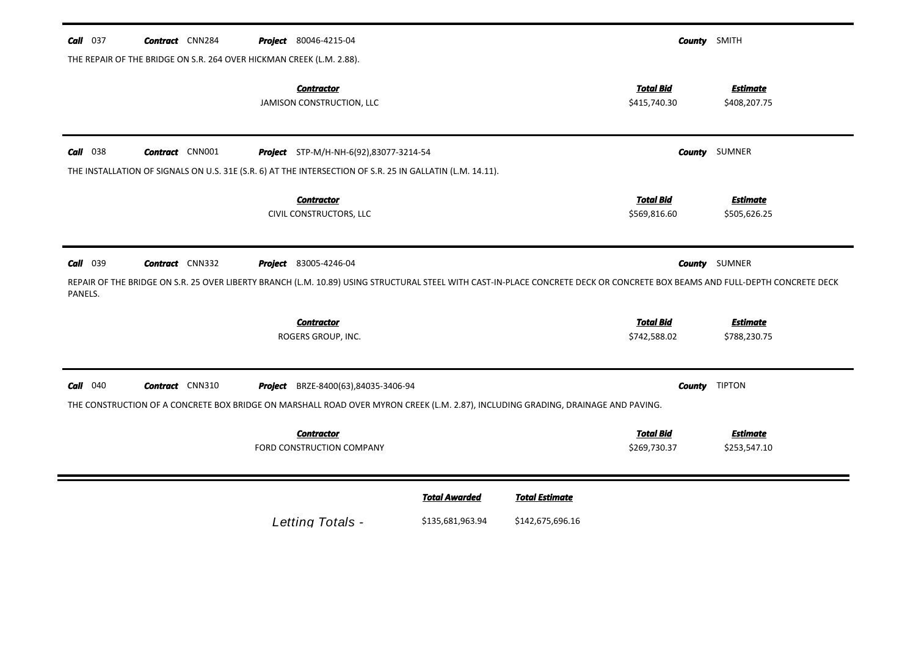| $Call$ 037            | <b>Contract</b> CNN284 | <b>Project</b> 80046-4215-04<br>THE REPAIR OF THE BRIDGE ON S.R. 264 OVER HICKMAN CREEK (L.M. 2.88).                                                                                                        |                      |                       |                                  | <b>County</b> SMITH             |
|-----------------------|------------------------|-------------------------------------------------------------------------------------------------------------------------------------------------------------------------------------------------------------|----------------------|-----------------------|----------------------------------|---------------------------------|
|                       |                        | <b>Contractor</b><br>JAMISON CONSTRUCTION, LLC                                                                                                                                                              |                      |                       | <b>Total Bid</b><br>\$415,740.30 | <b>Estimate</b><br>\$408,207.75 |
| $Call$ 038            | <b>Contract</b> CNN001 | Project STP-M/H-NH-6(92),83077-3214-54                                                                                                                                                                      |                      |                       |                                  | <b>County</b> SUMNER            |
|                       |                        | THE INSTALLATION OF SIGNALS ON U.S. 31E (S.R. 6) AT THE INTERSECTION OF S.R. 25 IN GALLATIN (L.M. 14.11).                                                                                                   |                      |                       |                                  |                                 |
|                       |                        | <b>Contractor</b><br>CIVIL CONSTRUCTORS, LLC                                                                                                                                                                |                      |                       | <b>Total Bid</b><br>\$569,816.60 | <b>Estimate</b><br>\$505,626.25 |
| $Call$ 039<br>PANELS. | <b>Contract</b> CNN332 | <b>Project</b> 83005-4246-04<br>REPAIR OF THE BRIDGE ON S.R. 25 OVER LIBERTY BRANCH (L.M. 10.89) USING STRUCTURAL STEEL WITH CAST-IN-PLACE CONCRETE DECK OR CONCRETE BOX BEAMS AND FULL-DEPTH CONCRETE DECK |                      |                       |                                  | <b>County</b> SUMNER            |
|                       |                        | <b>Contractor</b>                                                                                                                                                                                           |                      |                       | <b>Total Bid</b>                 | <b>Estimate</b>                 |
|                       |                        | ROGERS GROUP, INC.                                                                                                                                                                                          |                      |                       | \$742,588.02                     | \$788,230.75                    |
| $Call$ 040            | <b>Contract</b> CNN310 | Project BRZE-8400(63),84035-3406-94<br>THE CONSTRUCTION OF A CONCRETE BOX BRIDGE ON MARSHALL ROAD OVER MYRON CREEK (L.M. 2.87), INCLUDING GRADING, DRAINAGE AND PAVING.                                     |                      |                       |                                  | <b>County</b> TIPTON            |
|                       |                        | <b>Contractor</b>                                                                                                                                                                                           |                      |                       | <b>Total Bid</b>                 | <b>Estimate</b>                 |
|                       |                        | <b>FORD CONSTRUCTION COMPANY</b>                                                                                                                                                                            |                      |                       | \$269,730.37                     | \$253,547.10                    |
|                       |                        |                                                                                                                                                                                                             | <b>Total Awarded</b> | <b>Total Estimate</b> |                                  |                                 |
|                       |                        | Letting Totals -                                                                                                                                                                                            | \$135,681,963.94     | \$142,675,696.16      |                                  |                                 |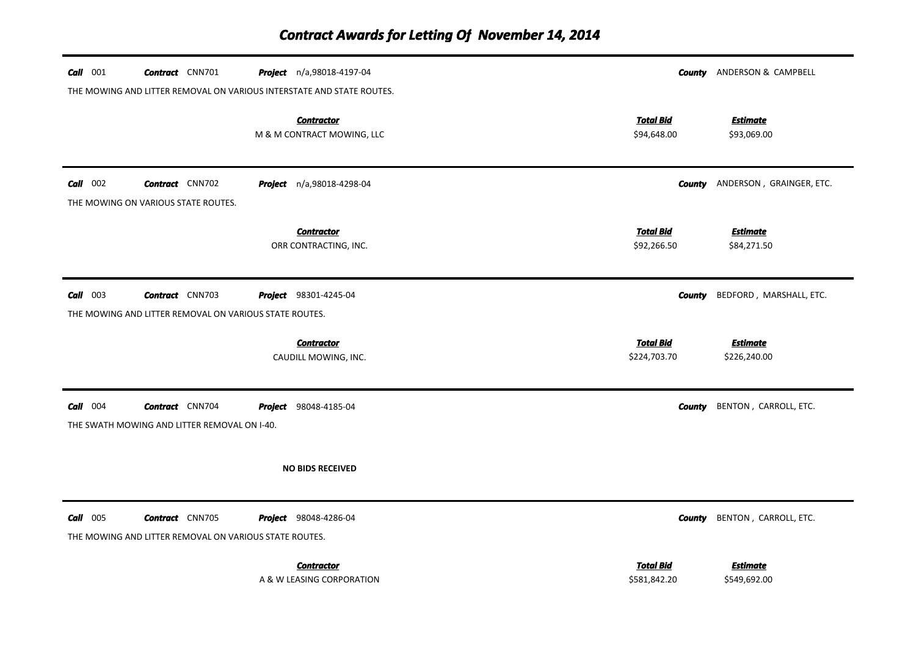| $Call$ 001 | <b>Contract</b> CNN701                                                           | <b>Project</b> n/a,98018-4197-04<br>THE MOWING AND LITTER REMOVAL ON VARIOUS INTERSTATE AND STATE ROUTES. |                                  | <b>County</b> ANDERSON & CAMPBELL      |
|------------|----------------------------------------------------------------------------------|-----------------------------------------------------------------------------------------------------------|----------------------------------|----------------------------------------|
|            |                                                                                  | <b>Contractor</b><br>M & M CONTRACT MOWING, LLC                                                           | <b>Total Bid</b><br>\$94,648.00  | <b>Estimate</b><br>\$93,069.00         |
| $Call$ 002 | <b>Contract</b> CNN702<br>THE MOWING ON VARIOUS STATE ROUTES.                    | Project n/a,98018-4298-04                                                                                 |                                  | <b>County</b> ANDERSON, GRAINGER, ETC. |
|            |                                                                                  | <b>Contractor</b><br>ORR CONTRACTING, INC.                                                                | <b>Total Bid</b><br>\$92,266.50  | <b>Estimate</b><br>\$84,271.50         |
| $Call$ 003 | <b>Contract</b> CNN703<br>THE MOWING AND LITTER REMOVAL ON VARIOUS STATE ROUTES. | Project 98301-4245-04                                                                                     |                                  | <b>County</b> BEDFORD, MARSHALL, ETC.  |
|            |                                                                                  | <b>Contractor</b><br>CAUDILL MOWING, INC.                                                                 | <b>Total Bid</b><br>\$224,703.70 | <b>Estimate</b><br>\$226,240.00        |
| $Call$ 004 | <b>Contract</b> CNN704<br>THE SWATH MOWING AND LITTER REMOVAL ON I-40.           | <b>Project</b> 98048-4185-04                                                                              |                                  | <b>County</b> BENTON, CARROLL, ETC.    |
|            |                                                                                  | <b>NO BIDS RECEIVED</b>                                                                                   |                                  |                                        |
| $Call$ 005 | <b>Contract</b> CNN705<br>THE MOWING AND LITTER REMOVAL ON VARIOUS STATE ROUTES. | Project 98048-4286-04                                                                                     |                                  | <b>County</b> BENTON, CARROLL, ETC.    |
|            |                                                                                  | <b>Contractor</b><br>A & W LEASING CORPORATION                                                            | <b>Total Bid</b><br>\$581,842.20 | <b>Estimate</b><br>\$549,692.00        |

A & W LEASING CORPORATION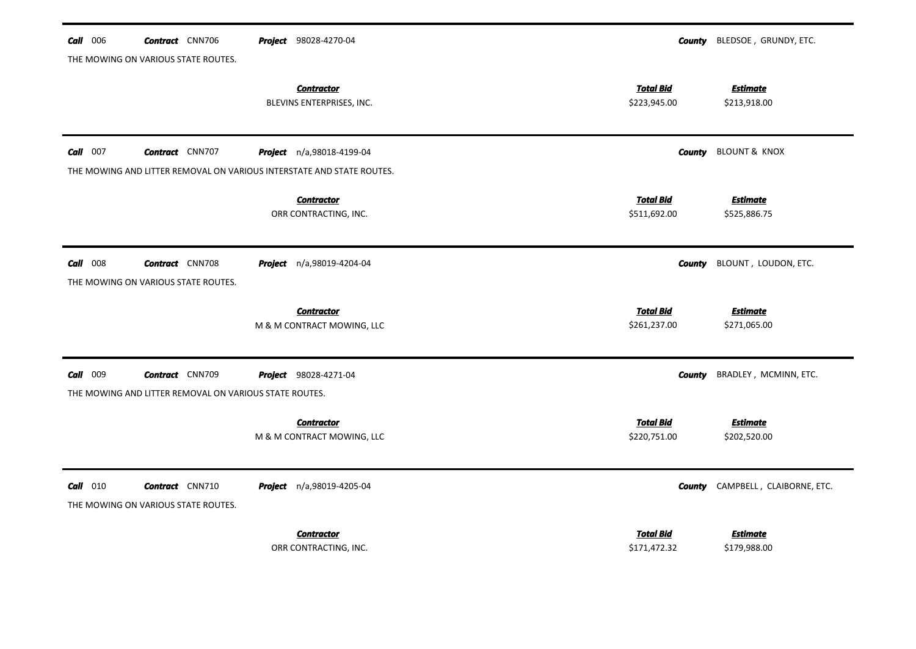| $Call$ 006 | <b>Contract</b> CNN706                                 | Project 98028-4270-04                                                 |                                  | <b>County</b> BLEDSOE, GRUNDY, ETC. |
|------------|--------------------------------------------------------|-----------------------------------------------------------------------|----------------------------------|-------------------------------------|
|            | THE MOWING ON VARIOUS STATE ROUTES.                    |                                                                       |                                  |                                     |
|            |                                                        | <b>Contractor</b><br>BLEVINS ENTERPRISES, INC.                        | <b>Total Bid</b><br>\$223,945.00 | <b>Estimate</b><br>\$213,918.00     |
|            |                                                        |                                                                       |                                  |                                     |
| $Call$ 007 | <b>Contract</b> CNN707                                 | Project n/a,98018-4199-04                                             | County                           | <b>BLOUNT &amp; KNOX</b>            |
|            |                                                        | THE MOWING AND LITTER REMOVAL ON VARIOUS INTERSTATE AND STATE ROUTES. |                                  |                                     |
|            |                                                        | <b>Contractor</b>                                                     | <b>Total Bid</b>                 | <b>Estimate</b>                     |
|            |                                                        | ORR CONTRACTING, INC.                                                 | \$511,692.00                     | \$525,886.75                        |
|            |                                                        |                                                                       |                                  |                                     |
| $Call$ 008 | <b>Contract</b> CNN708                                 | <b>Project</b> n/a,98019-4204-04                                      | County                           | BLOUNT, LOUDON, ETC.                |
|            | THE MOWING ON VARIOUS STATE ROUTES.                    |                                                                       |                                  |                                     |
|            |                                                        | <b>Contractor</b>                                                     | <b>Total Bid</b>                 | <u>Estimate</u>                     |
|            |                                                        | M & M CONTRACT MOWING, LLC                                            | \$261,237.00                     | \$271,065.00                        |
|            |                                                        |                                                                       |                                  |                                     |
| Call 009   | <b>Contract</b> CNN709                                 | Project 98028-4271-04                                                 | County                           | BRADLEY, MCMINN, ETC.               |
|            | THE MOWING AND LITTER REMOVAL ON VARIOUS STATE ROUTES. |                                                                       |                                  |                                     |
|            |                                                        | <b>Contractor</b>                                                     | <b>Total Bid</b>                 | <b>Estimate</b>                     |
|            |                                                        | M & M CONTRACT MOWING, LLC                                            | \$220,751.00                     | \$202,520.00                        |
|            |                                                        |                                                                       |                                  |                                     |
| $Call$ 010 | <b>Contract</b> CNN710                                 | Project n/a,98019-4205-04                                             | County                           | CAMPBELL, CLAIBORNE, ETC.           |
|            | THE MOWING ON VARIOUS STATE ROUTES.                    |                                                                       |                                  |                                     |
|            |                                                        |                                                                       |                                  |                                     |
|            |                                                        | <b>Contractor</b>                                                     | <b>Total Bid</b>                 | <u>Estimate</u>                     |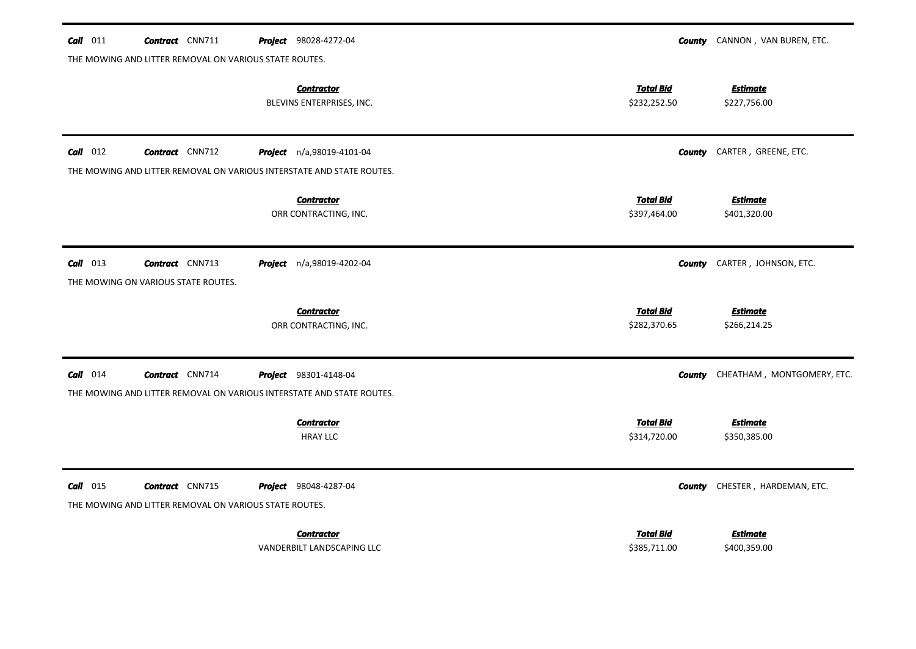| $Call$ 011 | <b>Contract</b> CNN711                                                                          | Project 98028-4272-04                          | County                           | CANNON, VAN BUREN, ETC.         |
|------------|-------------------------------------------------------------------------------------------------|------------------------------------------------|----------------------------------|---------------------------------|
|            | THE MOWING AND LITTER REMOVAL ON VARIOUS STATE ROUTES.                                          |                                                |                                  |                                 |
|            |                                                                                                 | <b>Contractor</b><br>BLEVINS ENTERPRISES, INC. | <b>Total Bid</b><br>\$232,252.50 | <b>Estimate</b><br>\$227,756.00 |
| $Call$ 012 | <b>Contract</b> CNN712                                                                          | Project n/a,98019-4101-04                      | <b>County</b>                    | CARTER, GREENE, ETC.            |
|            | THE MOWING AND LITTER REMOVAL ON VARIOUS INTERSTATE AND STATE ROUTES.                           |                                                |                                  |                                 |
|            |                                                                                                 | <b>Contractor</b><br>ORR CONTRACTING, INC.     | <b>Total Bid</b><br>\$397,464.00 | <b>Estimate</b><br>\$401,320.00 |
| $Call$ 013 | <b>Contract</b> CNN713<br>THE MOWING ON VARIOUS STATE ROUTES.                                   | Project n/a,98019-4202-04                      | County                           | CARTER, JOHNSON, ETC.           |
|            |                                                                                                 | <b>Contractor</b>                              | <b>Total Bid</b>                 | <b>Estimate</b>                 |
|            |                                                                                                 | ORR CONTRACTING, INC.                          | \$282,370.65                     | \$266,214.25                    |
| $Call$ 014 | <b>Contract</b> CNN714<br>THE MOWING AND LITTER REMOVAL ON VARIOUS INTERSTATE AND STATE ROUTES. | Project 98301-4148-04                          | County                           | CHEATHAM, MONTGOMERY, ETC.      |
|            |                                                                                                 |                                                |                                  |                                 |
|            |                                                                                                 | <b>Contractor</b><br><b>HRAY LLC</b>           | <b>Total Bid</b><br>\$314,720.00 | <b>Estimate</b><br>\$350,385.00 |
| $Call$ 015 | <b>Contract</b> CNN715<br>THE MOWING AND LITTER REMOVAL ON VARIOUS STATE ROUTES.                | Project 98048-4287-04                          | County                           | CHESTER, HARDEMAN, ETC.         |
|            |                                                                                                 |                                                |                                  |                                 |
|            |                                                                                                 | <b>Contractor</b>                              | <b>Total Bid</b>                 | <b>Estimate</b>                 |
|            |                                                                                                 | VANDERBILT LANDSCAPING LLC                     | \$385,711.00                     | \$400,359.00                    |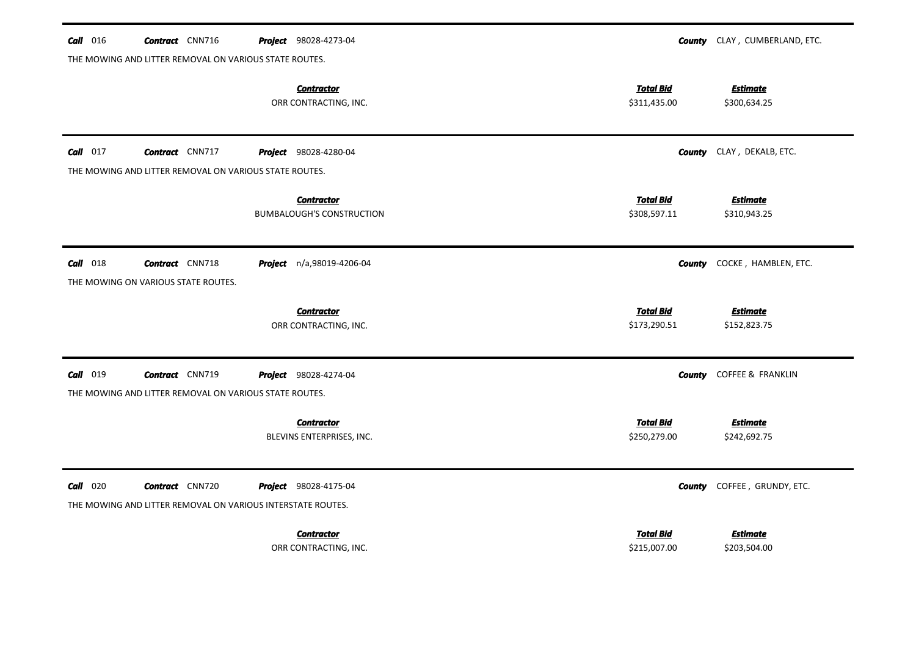| $Call$ 016 | <b>Contract</b> CNN716                                        | Project 98028-4273-04                                                                       | CLAY, CUMBERLAND, ETC.<br>County                                    |
|------------|---------------------------------------------------------------|---------------------------------------------------------------------------------------------|---------------------------------------------------------------------|
|            | THE MOWING AND LITTER REMOVAL ON VARIOUS STATE ROUTES.        |                                                                                             |                                                                     |
|            |                                                               | <b>Contractor</b><br>ORR CONTRACTING, INC.                                                  | <b>Total Bid</b><br><b>Estimate</b><br>\$311,435.00<br>\$300,634.25 |
| $Call$ 017 | <b>Contract</b> CNN717                                        | <b>Project</b> 98028-4280-04                                                                | CLAY, DEKALB, ETC.<br><b>County</b>                                 |
|            | THE MOWING AND LITTER REMOVAL ON VARIOUS STATE ROUTES.        |                                                                                             |                                                                     |
|            |                                                               | <b>Contractor</b><br><b>BUMBALOUGH'S CONSTRUCTION</b>                                       | <b>Total Bid</b><br><b>Estimate</b><br>\$308,597.11<br>\$310,943.25 |
| $Call$ 018 | <b>Contract</b> CNN718<br>THE MOWING ON VARIOUS STATE ROUTES. | <b>Project</b> n/a,98019-4206-04                                                            | COCKE, HAMBLEN, ETC.<br>County                                      |
|            |                                                               | <b>Contractor</b>                                                                           | <b>Total Bid</b><br><b>Estimate</b>                                 |
|            |                                                               | ORR CONTRACTING, INC.                                                                       | \$173,290.51<br>\$152,823.75                                        |
| $Call$ 019 | <b>Contract</b> CNN719                                        | Project 98028-4274-04                                                                       | <b>COFFEE &amp; FRANKLIN</b><br>County                              |
|            | THE MOWING AND LITTER REMOVAL ON VARIOUS STATE ROUTES.        |                                                                                             |                                                                     |
|            |                                                               | <b>Contractor</b><br>BLEVINS ENTERPRISES, INC.                                              | <b>Total Bid</b><br><b>Estimate</b><br>\$250,279.00<br>\$242,692.75 |
| $Call$ 020 | <b>Contract</b> CNN720                                        | <b>Project</b> 98028-4175-04<br>THE MOWING AND LITTER REMOVAL ON VARIOUS INTERSTATE ROUTES. | COFFEE, GRUNDY, ETC.<br><b>County</b>                               |
|            |                                                               |                                                                                             |                                                                     |
|            |                                                               | <b>Contractor</b>                                                                           | <b>Total Bid</b><br>Estimate                                        |
|            |                                                               | ORR CONTRACTING, INC.                                                                       | \$215,007.00<br>\$203,504.00                                        |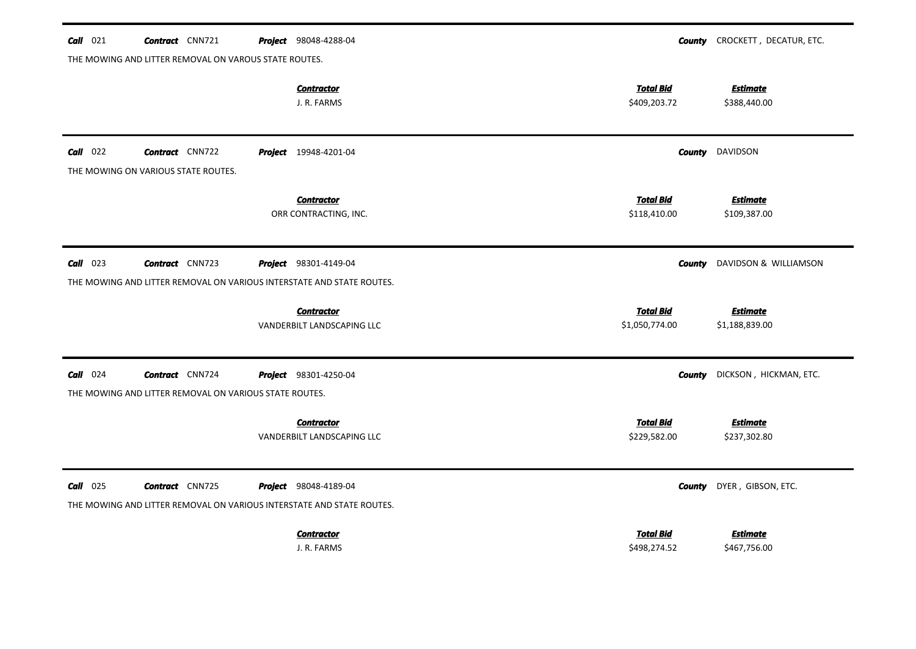| <b>Call</b> 021 | <b>Contract</b> CNN721                                                | <b>Project</b> 98048-4288-04                    |                                    | <b>County</b> CROCKETT, DECATUR, ETC. |
|-----------------|-----------------------------------------------------------------------|-------------------------------------------------|------------------------------------|---------------------------------------|
|                 | THE MOWING AND LITTER REMOVAL ON VAROUS STATE ROUTES.                 |                                                 |                                    |                                       |
|                 |                                                                       | <b>Contractor</b><br>J. R. FARMS                | <b>Total Bid</b><br>\$409,203.72   | <b>Estimate</b><br>\$388,440.00       |
| $Call$ 022      | <b>Contract</b> CNN722<br>THE MOWING ON VARIOUS STATE ROUTES.         | <b>Project</b> 19948-4201-04                    | <b>County</b>                      | DAVIDSON                              |
|                 |                                                                       | <b>Contractor</b><br>ORR CONTRACTING, INC.      | <b>Total Bid</b><br>\$118,410.00   | <b>Estimate</b><br>\$109,387.00       |
| $Call$ 023      | <b>Contract</b> CNN723                                                | <b>Project</b> 98301-4149-04                    | <b>County</b>                      | DAVIDSON & WILLIAMSON                 |
|                 | THE MOWING AND LITTER REMOVAL ON VARIOUS INTERSTATE AND STATE ROUTES. |                                                 |                                    |                                       |
|                 |                                                                       | <b>Contractor</b><br>VANDERBILT LANDSCAPING LLC | <b>Total Bid</b><br>\$1,050,774.00 | <b>Estimate</b><br>\$1,188,839.00     |
| $Call$ 024      | <b>Contract</b> CNN724                                                | Project 98301-4250-04                           | <b>County</b>                      | DICKSON, HICKMAN, ETC.                |
|                 | THE MOWING AND LITTER REMOVAL ON VARIOUS STATE ROUTES.                |                                                 |                                    |                                       |
|                 |                                                                       | <b>Contractor</b><br>VANDERBILT LANDSCAPING LLC | <b>Total Bid</b><br>\$229,582.00   | <b>Estimate</b><br>\$237,302.80       |
| $Call$ 025      | <b>Contract</b> CNN725                                                | <b>Project</b> 98048-4189-04                    | County                             | DYER, GIBSON, ETC.                    |
|                 | THE MOWING AND LITTER REMOVAL ON VARIOUS INTERSTATE AND STATE ROUTES. |                                                 |                                    |                                       |
|                 |                                                                       | <b>Contractor</b><br>J. R. FARMS                | <b>Total Bid</b><br>\$498,274.52   | <b>Estimate</b><br>\$467,756.00       |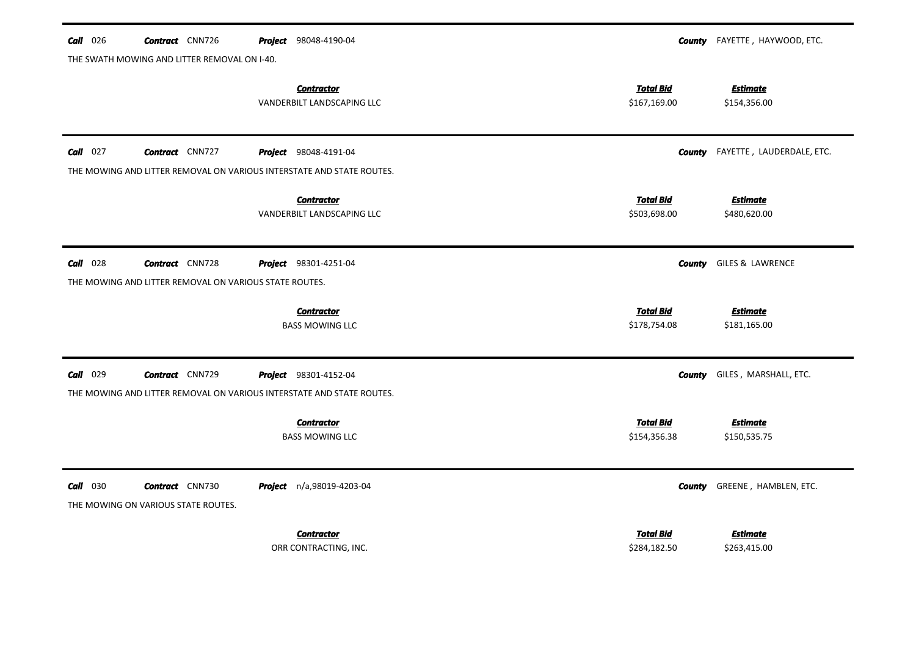| $Call$ 026 | <b>Contract</b> CNN726                                        | 98048-4190-04<br>Project                                              | County                           | FAYETTE, HAYWOOD, ETC.          |
|------------|---------------------------------------------------------------|-----------------------------------------------------------------------|----------------------------------|---------------------------------|
|            | THE SWATH MOWING AND LITTER REMOVAL ON I-40.                  |                                                                       |                                  |                                 |
|            |                                                               | <b>Contractor</b><br>VANDERBILT LANDSCAPING LLC                       | <b>Total Bid</b><br>\$167,169.00 | <b>Estimate</b><br>\$154,356.00 |
| $Call$ 027 | <b>Contract</b> CNN727                                        | <b>Project</b> 98048-4191-04                                          | County                           | FAYETTE, LAUDERDALE, ETC.       |
|            |                                                               | THE MOWING AND LITTER REMOVAL ON VARIOUS INTERSTATE AND STATE ROUTES. |                                  |                                 |
|            |                                                               | <b>Contractor</b><br>VANDERBILT LANDSCAPING LLC                       | <b>Total Bid</b><br>\$503,698.00 | <b>Estimate</b><br>\$480,620.00 |
| $Call$ 028 | <b>Contract</b> CNN728                                        | <b>Project</b> 98301-4251-04                                          | <b>County</b>                    | <b>GILES &amp; LAWRENCE</b>     |
|            | THE MOWING AND LITTER REMOVAL ON VARIOUS STATE ROUTES.        |                                                                       |                                  |                                 |
|            |                                                               | <b>Contractor</b>                                                     | <b>Total Bid</b>                 | <b>Estimate</b>                 |
|            |                                                               | <b>BASS MOWING LLC</b>                                                | \$178,754.08                     | \$181,165.00                    |
| $Call$ 029 | <b>Contract</b> CNN729                                        | <b>Project</b> 98301-4152-04                                          | <b>County</b>                    | GILES, MARSHALL, ETC.           |
|            |                                                               | THE MOWING AND LITTER REMOVAL ON VARIOUS INTERSTATE AND STATE ROUTES. |                                  |                                 |
|            |                                                               | <b>Contractor</b>                                                     | <b>Total Bid</b>                 | <b>Estimate</b>                 |
|            |                                                               | <b>BASS MOWING LLC</b>                                                | \$154,356.38                     | \$150,535.75                    |
| $Call$ 030 | <b>Contract</b> CNN730<br>THE MOWING ON VARIOUS STATE ROUTES. | Project n/a,98019-4203-04                                             | <b>County</b>                    | GREENE, HAMBLEN, ETC.           |
|            |                                                               | <b>Contractor</b>                                                     | <b>Total Bid</b>                 | <b>Estimate</b>                 |
|            |                                                               | ORR CONTRACTING, INC.                                                 | \$284,182.50                     | \$263,415.00                    |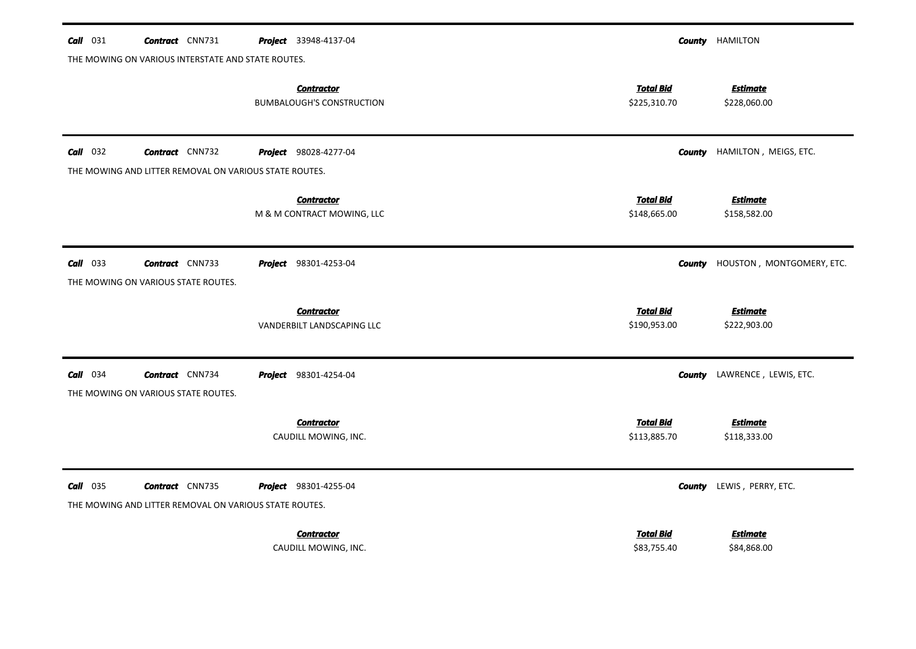| $Call$ 031 | <b>Contract</b> CNN731                                                           | Project 33948-4137-04                                 |                                  | <b>County HAMILTON</b>          |
|------------|----------------------------------------------------------------------------------|-------------------------------------------------------|----------------------------------|---------------------------------|
|            | THE MOWING ON VARIOUS INTERSTATE AND STATE ROUTES.                               |                                                       |                                  |                                 |
|            |                                                                                  | <b>Contractor</b><br><b>BUMBALOUGH'S CONSTRUCTION</b> | <b>Total Bid</b><br>\$225,310.70 | <b>Estimate</b><br>\$228,060.00 |
| $Call$ 032 | <b>Contract</b> CNN732                                                           | Project 98028-4277-04                                 | County                           | HAMILTON, MEIGS, ETC.           |
|            | THE MOWING AND LITTER REMOVAL ON VARIOUS STATE ROUTES.                           |                                                       |                                  |                                 |
|            |                                                                                  | <b>Contractor</b><br>M & M CONTRACT MOWING, LLC       | <b>Total Bid</b><br>\$148,665.00 | <b>Estimate</b><br>\$158,582.00 |
| $Call$ 033 | <b>Contract</b> CNN733<br>THE MOWING ON VARIOUS STATE ROUTES.                    | <b>Project</b> 98301-4253-04                          | <b>County</b>                    | HOUSTON, MONTGOMERY, ETC.       |
|            |                                                                                  | <b>Contractor</b>                                     | <b>Total Bid</b>                 | <b>Estimate</b>                 |
|            |                                                                                  | VANDERBILT LANDSCAPING LLC                            | \$190,953.00                     | \$222,903.00                    |
| $Call$ 034 | <b>Contract</b> CNN734<br>THE MOWING ON VARIOUS STATE ROUTES.                    | <b>Project</b> 98301-4254-04                          | County                           | LAWRENCE, LEWIS, ETC.           |
|            |                                                                                  | <b>Contractor</b>                                     | <b>Total Bid</b>                 | <b>Estimate</b>                 |
|            |                                                                                  | CAUDILL MOWING, INC.                                  | \$113,885.70                     | \$118,333.00                    |
| $Call$ 035 | <b>Contract</b> CNN735<br>THE MOWING AND LITTER REMOVAL ON VARIOUS STATE ROUTES. | <b>Project</b> 98301-4255-04                          | County                           | LEWIS, PERRY, ETC.              |
|            |                                                                                  | <b>Contractor</b>                                     | <b>Total Bid</b>                 | <b>Estimate</b>                 |
|            |                                                                                  | CAUDILL MOWING, INC.                                  | \$83,755.40                      | \$84,868.00                     |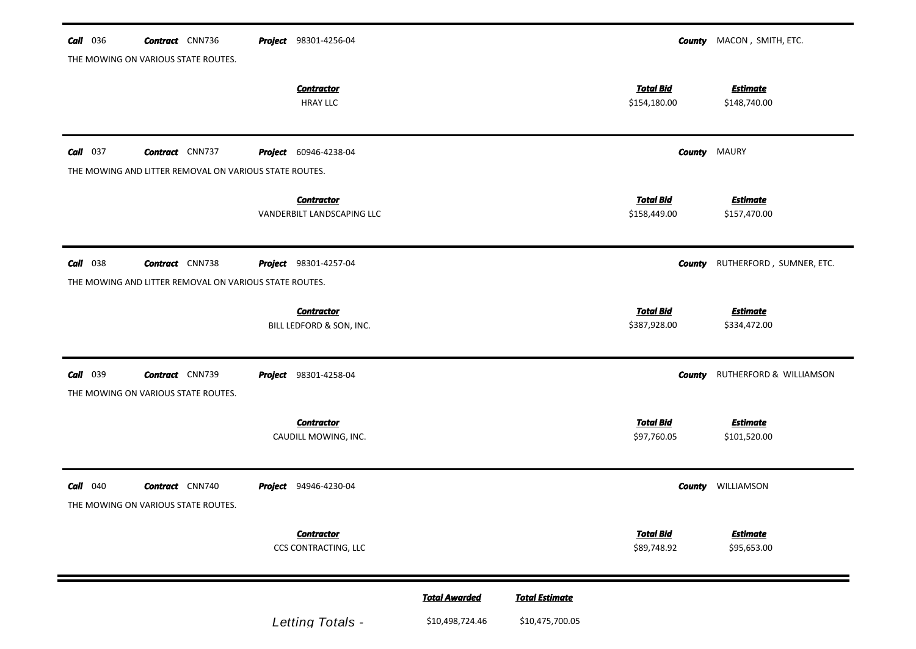| <b>Call</b> 036 | <b>Contract</b> CNN736                                                           | Project 98301-4256-04                           |                                         |                                          |                                  | <b>County</b> MACON, SMITH, ETC. |
|-----------------|----------------------------------------------------------------------------------|-------------------------------------------------|-----------------------------------------|------------------------------------------|----------------------------------|----------------------------------|
|                 | THE MOWING ON VARIOUS STATE ROUTES.                                              | <b>Contractor</b><br><b>HRAY LLC</b>            |                                         |                                          | <b>Total Bid</b><br>\$154,180.00 | <b>Estimate</b><br>\$148,740.00  |
| $Call$ 037      | <b>Contract</b> CNN737<br>THE MOWING AND LITTER REMOVAL ON VARIOUS STATE ROUTES. | <b>Project</b> 60946-4238-04                    |                                         |                                          |                                  | <b>County MAURY</b>              |
|                 |                                                                                  | <b>Contractor</b><br>VANDERBILT LANDSCAPING LLC |                                         |                                          | <b>Total Bid</b><br>\$158,449.00 | <b>Estimate</b><br>\$157,470.00  |
| <b>Call</b> 038 | <b>Contract</b> CNN738<br>THE MOWING AND LITTER REMOVAL ON VARIOUS STATE ROUTES. | Project 98301-4257-04                           |                                         |                                          | County                           | RUTHERFORD, SUMNER, ETC.         |
|                 |                                                                                  | <b>Contractor</b><br>BILL LEDFORD & SON, INC.   |                                         |                                          | <b>Total Bid</b><br>\$387,928.00 | <b>Estimate</b><br>\$334,472.00  |
| <b>Call</b> 039 | <b>Contract</b> CNN739<br>THE MOWING ON VARIOUS STATE ROUTES.                    | <b>Project</b> 98301-4258-04                    |                                         |                                          | County                           | RUTHERFORD & WILLIAMSON          |
|                 |                                                                                  | <b>Contractor</b><br>CAUDILL MOWING, INC.       |                                         |                                          | <b>Total Bid</b><br>\$97,760.05  | <b>Estimate</b><br>\$101,520.00  |
| <b>Call</b> 040 | <b>Contract</b> CNN740<br>THE MOWING ON VARIOUS STATE ROUTES.                    | Project 94946-4230-04                           |                                         |                                          | County                           | WILLIAMSON                       |
|                 |                                                                                  | <b>Contractor</b><br>CCS CONTRACTING, LLC       |                                         |                                          | <b>Total Bid</b><br>\$89,748.92  | <b>Estimate</b><br>\$95,653.00   |
|                 |                                                                                  | Letting Totals -                                | <b>Total Awarded</b><br>\$10,498,724.46 | <b>Total Estimate</b><br>\$10,475,700.05 |                                  |                                  |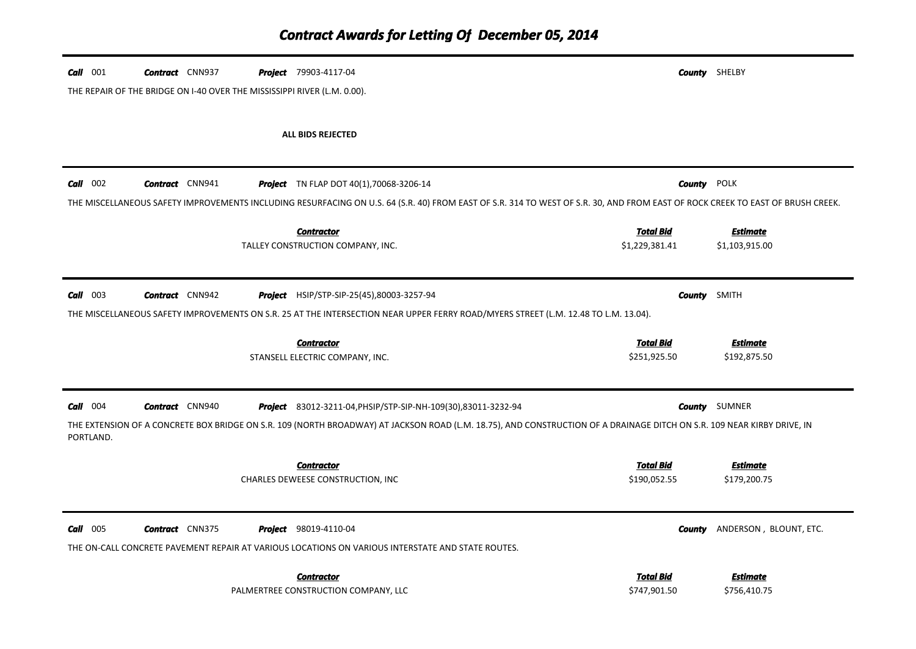| $Call$ 001 | <b>Contract</b> CNN937<br>THE REPAIR OF THE BRIDGE ON 1-40 OVER THE MISSISSIPPI RIVER (L.M. 0.00). | <b>Project</b> 79903-4117-04                                                                                                                                                                                                             |                                    | <b>County</b> SHELBY              |
|------------|----------------------------------------------------------------------------------------------------|------------------------------------------------------------------------------------------------------------------------------------------------------------------------------------------------------------------------------------------|------------------------------------|-----------------------------------|
|            |                                                                                                    | ALL BIDS REJECTED                                                                                                                                                                                                                        |                                    |                                   |
| $Call$ 002 | <b>Contract</b> CNN941                                                                             | <b>Project</b> TN FLAP DOT 40(1),70068-3206-14                                                                                                                                                                                           | <b>County POLK</b>                 |                                   |
|            |                                                                                                    | THE MISCELLANEOUS SAFETY IMPROVEMENTS INCLUDING RESURFACING ON U.S. 64 (S.R. 40) FROM EAST OF S.R. 314 TO WEST OF S.R. 30, AND FROM EAST OF ROCK CREEK TO EAST OF BRUSH CREEK.<br><b>Contractor</b><br>TALLEY CONSTRUCTION COMPANY, INC. | <b>Total Bid</b><br>\$1,229,381.41 | <u>Estimate</u><br>\$1,103,915.00 |
| $Call$ 003 | <b>Contract</b> CNN942                                                                             | <b>Project</b> HSIP/STP-SIP-25(45),80003-3257-94                                                                                                                                                                                         | <b>County</b> SMITH                |                                   |
|            |                                                                                                    | THE MISCELLANEOUS SAFETY IMPROVEMENTS ON S.R. 25 AT THE INTERSECTION NEAR UPPER FERRY ROAD/MYERS STREET (L.M. 12.48 TO L.M. 13.04).                                                                                                      |                                    |                                   |
|            |                                                                                                    | <b>Contractor</b><br>STANSELL ELECTRIC COMPANY, INC.                                                                                                                                                                                     | <b>Total Bid</b><br>\$251,925.50   | <b>Estimate</b><br>\$192,875.50   |
| $Call$ 004 | <b>Contract</b> CNN940                                                                             | <b>Project</b> 83012-3211-04, PHSIP/STP-SIP-NH-109(30), 83011-3232-94                                                                                                                                                                    |                                    | <b>County</b> SUMNER              |
| PORTLAND.  |                                                                                                    | THE EXTENSION OF A CONCRETE BOX BRIDGE ON S.R. 109 (NORTH BROADWAY) AT JACKSON ROAD (L.M. 18.75), AND CONSTRUCTION OF A DRAINAGE DITCH ON S.R. 109 NEAR KIRBY DRIVE, IN                                                                  |                                    |                                   |
|            |                                                                                                    | <b>Contractor</b><br>CHARLES DEWEESE CONSTRUCTION, INC                                                                                                                                                                                   | <u>Total Bid</u><br>\$190,052.55   | <u>Estimate</u><br>\$179,200.75   |
| Call 005   | <b>Contract</b> CNN375                                                                             | <b>Project</b> 98019-4110-04<br>THE ON-CALL CONCRETE PAVEMENT REPAIR AT VARIOUS LOCATIONS ON VARIOUS INTERSTATE AND STATE ROUTES.                                                                                                        | County                             | ANDERSON, BLOUNT, ETC.            |
|            |                                                                                                    | <b>Contractor</b><br>PALMERTREE CONSTRUCTION COMPANY, LLC                                                                                                                                                                                | <u>Total Bid</u><br>\$747,901.50   | Estimate<br>\$756,410.75          |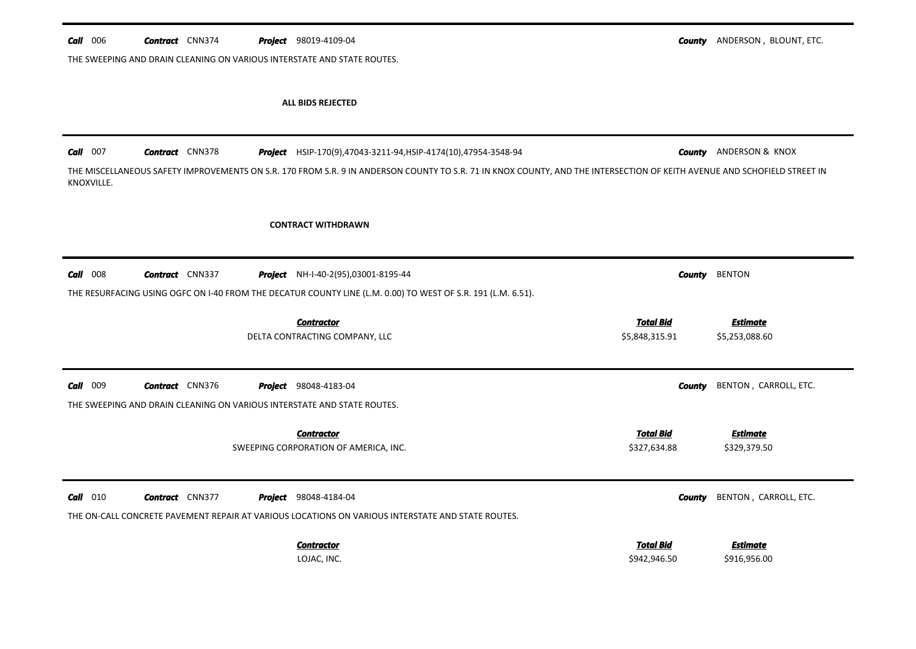| $Call$ 006 | <b>Contract</b> CNN374 | <b>Project</b> 98019-4109-04                                                                                                                                             |                  | <b>County</b> ANDERSON, BLOUNT, ETC. |
|------------|------------------------|--------------------------------------------------------------------------------------------------------------------------------------------------------------------------|------------------|--------------------------------------|
|            |                        | THE SWEEPING AND DRAIN CLEANING ON VARIOUS INTERSTATE AND STATE ROUTES.                                                                                                  |                  |                                      |
|            |                        | ALL BIDS REJECTED                                                                                                                                                        |                  |                                      |
| $Call$ 007 | <b>Contract</b> CNN378 | Project HSIP-170(9),47043-3211-94, HSIP-4174(10),47954-3548-94                                                                                                           |                  | <b>County</b> ANDERSON & KNOX        |
| KNOXVILLE. |                        | THE MISCELLANEOUS SAFETY IMPROVEMENTS ON S.R. 170 FROM S.R. 9 IN ANDERSON COUNTY TO S.R. 71 IN KNOX COUNTY, AND THE INTERSECTION OF KEITH AVENUE AND SCHOFIELD STREET IN |                  |                                      |
|            |                        | <b>CONTRACT WITHDRAWN</b>                                                                                                                                                |                  |                                      |
| $Call$ 008 | <b>Contract</b> CNN337 | Project NH-I-40-2(95),03001-8195-44                                                                                                                                      | County           | <b>BENTON</b>                        |
|            |                        | THE RESURFACING USING OGFC ON I-40 FROM THE DECATUR COUNTY LINE (L.M. 0.00) TO WEST OF S.R. 191 (L.M. 6.51).                                                             |                  |                                      |
|            |                        | <b>Contractor</b>                                                                                                                                                        | <b>Total Bid</b> | <b>Estimate</b>                      |
|            |                        | DELTA CONTRACTING COMPANY, LLC                                                                                                                                           | \$5,848,315.91   | \$5,253,088.60                       |
| $Call$ 009 | <b>Contract</b> CNN376 | Project 98048-4183-04                                                                                                                                                    | <b>County</b>    | BENTON, CARROLL, ETC.                |
|            |                        |                                                                                                                                                                          |                  |                                      |
|            |                        | THE SWEEPING AND DRAIN CLEANING ON VARIOUS INTERSTATE AND STATE ROUTES.                                                                                                  |                  |                                      |
|            |                        | <b>Contractor</b>                                                                                                                                                        | <b>Total Bid</b> | <b>Estimate</b>                      |
|            |                        | SWEEPING CORPORATION OF AMERICA, INC.                                                                                                                                    | \$327,634.88     | \$329,379.50                         |
| $Call$ 010 | <b>Contract</b> CNN377 | <b>Project</b> 98048-4184-04                                                                                                                                             | County           | BENTON, CARROLL, ETC.                |
|            |                        | THE ON-CALL CONCRETE PAVEMENT REPAIR AT VARIOUS LOCATIONS ON VARIOUS INTERSTATE AND STATE ROUTES.                                                                        |                  |                                      |
|            |                        | <b>Contractor</b>                                                                                                                                                        | <b>Total Bid</b> | Estimate                             |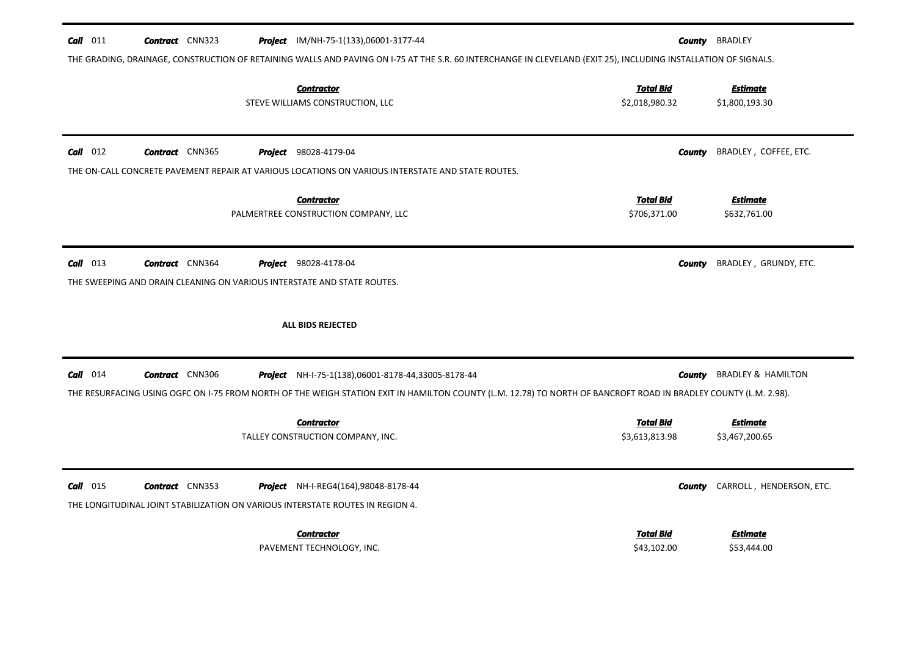| $Call$ 011<br><b>Contract</b> CNN323<br><b>Project</b> IM/NH-75-1(133),06001-3177-44                                                                             |               | <b>County BRADLEY</b>             |
|------------------------------------------------------------------------------------------------------------------------------------------------------------------|---------------|-----------------------------------|
| THE GRADING, DRAINAGE, CONSTRUCTION OF RETAINING WALLS AND PAVING ON 1-75 AT THE S.R. 60 INTERCHANGE IN CLEVELAND (EXIT 25), INCLUDING INSTALLATION OF SIGNALS.  |               |                                   |
| <b>Contractor</b><br><b>Total Bid</b><br>STEVE WILLIAMS CONSTRUCTION, LLC<br>\$2,018,980.32                                                                      |               | <b>Estimate</b><br>\$1,800,193.30 |
| $Call$ 012<br><b>Contract</b> CNN365<br><b>Project</b> 98028-4179-04                                                                                             | <b>County</b> | BRADLEY, COFFEE, ETC.             |
| THE ON-CALL CONCRETE PAVEMENT REPAIR AT VARIOUS LOCATIONS ON VARIOUS INTERSTATE AND STATE ROUTES.                                                                |               |                                   |
| <b>Total Bid</b><br><b>Contractor</b><br>PALMERTREE CONSTRUCTION COMPANY, LLC<br>\$706,371.00                                                                    |               | <b>Estimate</b><br>\$632,761.00   |
| $Call$ 013<br><b>Contract</b> CNN364<br>Project 98028-4178-04<br>THE SWEEPING AND DRAIN CLEANING ON VARIOUS INTERSTATE AND STATE ROUTES.                         | <b>County</b> | BRADLEY, GRUNDY, ETC.             |
| <b>ALL BIDS REJECTED</b>                                                                                                                                         |               |                                   |
| $Call$ 014<br><b>Contract</b> CNN306<br>Project NH-I-75-1(138),06001-8178-44,33005-8178-44                                                                       | County        | <b>BRADLEY &amp; HAMILTON</b>     |
|                                                                                                                                                                  |               |                                   |
| THE RESURFACING USING OGFC ON 1-75 FROM NORTH OF THE WEIGH STATION EXIT IN HAMILTON COUNTY (L.M. 12.78) TO NORTH OF BANCROFT ROAD IN BRADLEY COUNTY (L.M. 2.98). |               |                                   |
| <u>Total Bid</u><br><b>Contractor</b><br>\$3,613,813.98<br>TALLEY CONSTRUCTION COMPANY, INC.                                                                     |               | <b>Estimate</b><br>\$3,467,200.65 |
| $Call$ 015<br><b>Contract</b> CNN353<br><b>Project</b> NH-I-REG4(164),98048-8178-44                                                                              | County        | CARROLL, HENDERSON, ETC.          |
| THE LONGITUDINAL JOINT STABILIZATION ON VARIOUS INTERSTATE ROUTES IN REGION 4.<br><b>Total Bid</b>                                                               |               | <b>Estimate</b>                   |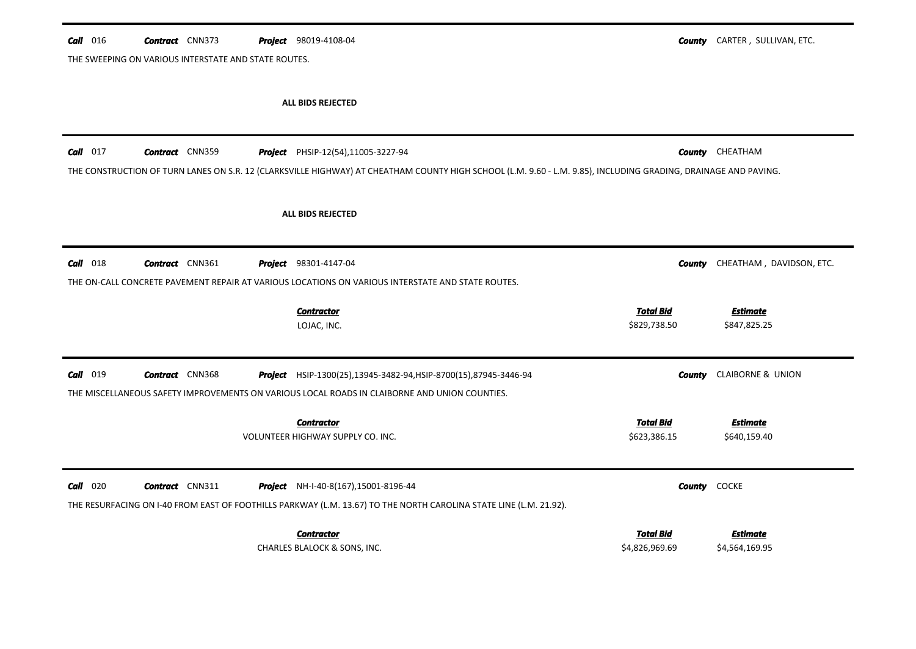| $Call$ 016 | <b>Contract</b> CNN373                               | <b>Project</b> 98019-4108-04                                                                                                                                    |                  | <b>County</b> CARTER, SULLIVAN, ETC. |
|------------|------------------------------------------------------|-----------------------------------------------------------------------------------------------------------------------------------------------------------------|------------------|--------------------------------------|
|            | THE SWEEPING ON VARIOUS INTERSTATE AND STATE ROUTES. |                                                                                                                                                                 |                  |                                      |
|            |                                                      |                                                                                                                                                                 |                  |                                      |
|            |                                                      | ALL BIDS REJECTED                                                                                                                                               |                  |                                      |
| $Call$ 017 | <b>Contract</b> CNN359                               | Project PHSIP-12(54),11005-3227-94                                                                                                                              |                  | <b>County</b> CHEATHAM               |
|            |                                                      | THE CONSTRUCTION OF TURN LANES ON S.R. 12 (CLARKSVILLE HIGHWAY) AT CHEATHAM COUNTY HIGH SCHOOL (L.M. 9.60 - L.M. 9.85), INCLUDING GRADING, DRAINAGE AND PAVING. |                  |                                      |
|            |                                                      | ALL BIDS REJECTED                                                                                                                                               |                  |                                      |
|            |                                                      |                                                                                                                                                                 |                  |                                      |
| $Call$ 018 | <b>Contract</b> CNN361                               | <b>Project</b> 98301-4147-04                                                                                                                                    | County           | CHEATHAM, DAVIDSON, ETC.             |
|            |                                                      | THE ON-CALL CONCRETE PAVEMENT REPAIR AT VARIOUS LOCATIONS ON VARIOUS INTERSTATE AND STATE ROUTES.                                                               |                  |                                      |
|            |                                                      | <b>Contractor</b>                                                                                                                                               | <b>Total Bid</b> | <b>Estimate</b>                      |
|            |                                                      | LOJAC, INC.                                                                                                                                                     | \$829,738.50     | \$847,825.25                         |
| $Call$ 019 | <b>Contract</b> CNN368                               | Project HSIP-1300(25),13945-3482-94, HSIP-8700(15), 87945-3446-94                                                                                               | County           | <b>CLAIBORNE &amp; UNION</b>         |
|            |                                                      | THE MISCELLANEOUS SAFETY IMPROVEMENTS ON VARIOUS LOCAL ROADS IN CLAIBORNE AND UNION COUNTIES.                                                                   |                  |                                      |
|            |                                                      | <b>Contractor</b>                                                                                                                                               | <b>Total Bid</b> | <b>Estimate</b>                      |
|            |                                                      | VOLUNTEER HIGHWAY SUPPLY CO. INC.                                                                                                                               | \$623,386.15     | \$640,159.40                         |
| $Call$ 020 | <b>Contract</b> CNN311                               | Project NH-I-40-8(167), 15001-8196-44                                                                                                                           |                  | <b>County</b> COCKE                  |
|            |                                                      | THE RESURFACING ON I-40 FROM EAST OF FOOTHILLS PARKWAY (L.M. 13.67) TO THE NORTH CAROLINA STATE LINE (L.M. 21.92).                                              |                  |                                      |
|            |                                                      | <b>Contractor</b>                                                                                                                                               | <b>Total Bid</b> | <b>Estimate</b>                      |
|            |                                                      | CHARLES BLALOCK & SONS, INC.                                                                                                                                    | \$4,826,969.69   | \$4,564,169.95                       |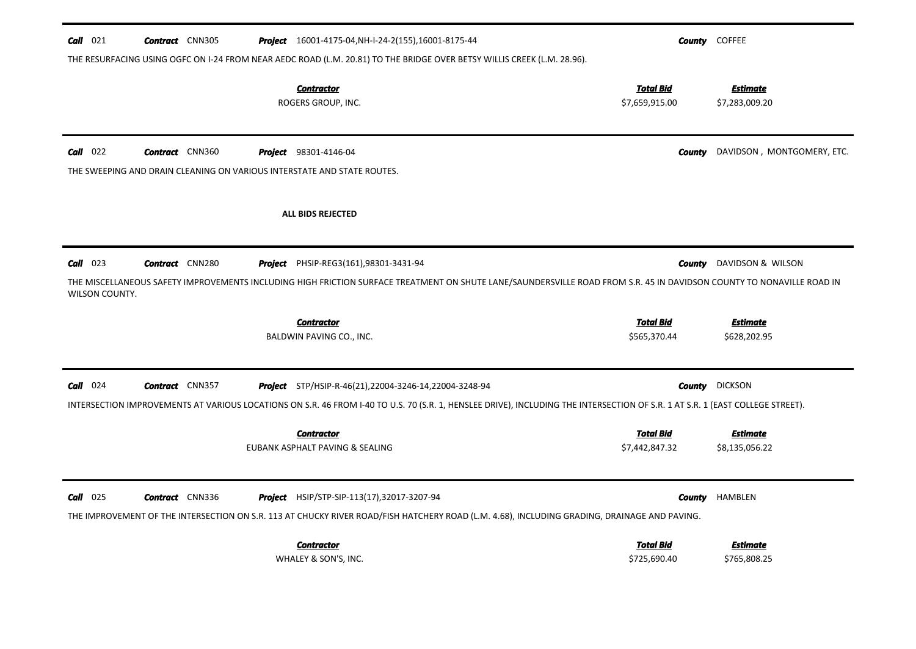| $Call$ 021                   | <b>Contract</b> CNN305                                                                            |         | <b>Project</b> 16001-4175-04, NH-I-24-2(155), 16001-8175-44<br>THE RESURFACING USING OGFC ON I-24 FROM NEAR AEDC ROAD (L.M. 20.81) TO THE BRIDGE OVER BETSY WILLIS CREEK (L.M. 28.96).                                                |                                    | County | <b>COFFEE</b>                     |
|------------------------------|---------------------------------------------------------------------------------------------------|---------|---------------------------------------------------------------------------------------------------------------------------------------------------------------------------------------------------------------------------------------|------------------------------------|--------|-----------------------------------|
|                              |                                                                                                   |         | <b>Contractor</b><br>ROGERS GROUP, INC.                                                                                                                                                                                               | <b>Total Bid</b><br>\$7,659,915.00 |        | <b>Estimate</b><br>\$7,283,009.20 |
| $Call$ 022                   | <b>Contract</b> CNN360<br>THE SWEEPING AND DRAIN CLEANING ON VARIOUS INTERSTATE AND STATE ROUTES. |         | <b>Project</b> 98301-4146-04                                                                                                                                                                                                          |                                    | County | DAVIDSON, MONTGOMERY, ETC.        |
|                              |                                                                                                   |         | ALL BIDS REJECTED                                                                                                                                                                                                                     |                                    |        |                                   |
| $Call$ 023<br>WILSON COUNTY. | <b>Contract</b> CNN280                                                                            |         | <b>Project</b> PHSIP-REG3(161),98301-3431-94<br>THE MISCELLANEOUS SAFETY IMPROVEMENTS INCLUDING HIGH FRICTION SURFACE TREATMENT ON SHUTE LANE/SAUNDERSVILLE ROAD FROM S.R. 45 IN DAVIDSON COUNTY TO NONAVILLE ROAD IN                 |                                    | County | DAVIDSON & WILSON                 |
|                              |                                                                                                   |         | <b>Contractor</b><br>BALDWIN PAVING CO., INC.                                                                                                                                                                                         | <b>Total Bid</b><br>\$565,370.44   |        | <b>Estimate</b><br>\$628,202.95   |
| $Call$ 024                   | <b>Contract</b> CNN357                                                                            |         | Project STP/HSIP-R-46(21),22004-3246-14,22004-3248-94                                                                                                                                                                                 |                                    |        | <b>County</b> DICKSON             |
|                              |                                                                                                   |         | INTERSECTION IMPROVEMENTS AT VARIOUS LOCATIONS ON S.R. 46 FROM I-40 TO U.S. 70 (S.R. 1, HENSLEE DRIVE), INCLUDING THE INTERSECTION OF S.R. 1 AT S.R. 1 (EAST COLLEGE STREET).<br><b>Contractor</b><br>EUBANK ASPHALT PAVING & SEALING | <b>Total Bid</b><br>\$7,442,847.32 |        | <b>Estimate</b><br>\$8,135,056.22 |
| $\frac{Call}{1025}$          |                                                                                                   | Proiect | HSIP/STP-SIP-113(17),32017-3207-94                                                                                                                                                                                                    |                                    |        | <b>County</b> HAMBLEN             |
|                              | <b>Contract</b> CNN336                                                                            |         | THE IMPROVEMENT OF THE INTERSECTION ON S.R. 113 AT CHUCKY RIVER ROAD/FISH HATCHERY ROAD (L.M. 4.68), INCLUDING GRADING, DRAINAGE AND PAVING.                                                                                          |                                    |        |                                   |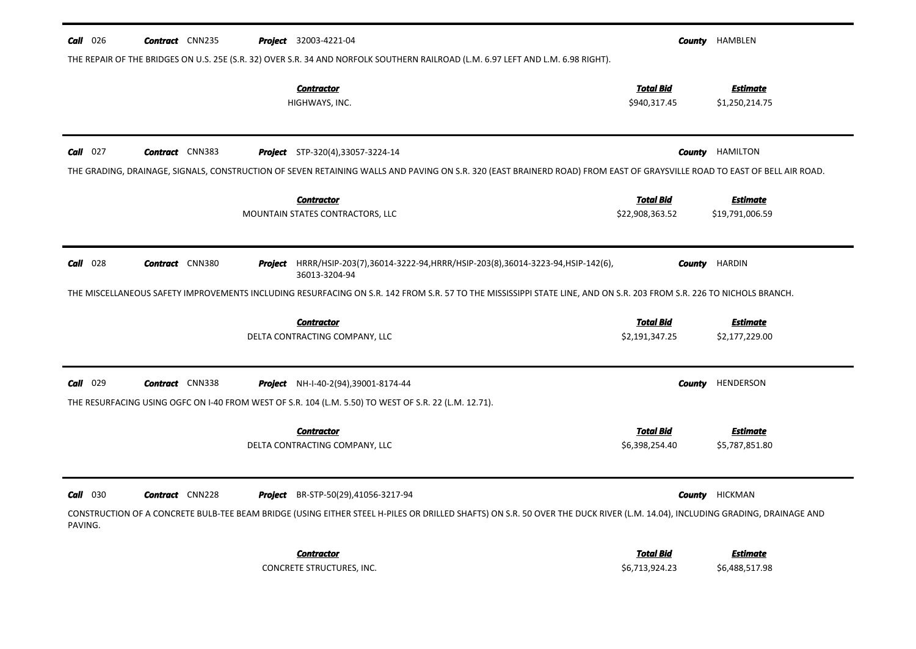| <b>Call</b> 026            | <b>Contract</b> CNN235 |         | <b>Project</b> 32003-4221-04                                                                                                                                                                               |                                     | <b>County HAMBLEN</b>              |
|----------------------------|------------------------|---------|------------------------------------------------------------------------------------------------------------------------------------------------------------------------------------------------------------|-------------------------------------|------------------------------------|
|                            |                        |         | THE REPAIR OF THE BRIDGES ON U.S. 25E (S.R. 32) OVER S.R. 34 AND NORFOLK SOUTHERN RAILROAD (L.M. 6.97 LEFT AND L.M. 6.98 RIGHT).<br><b>Contractor</b><br>HIGHWAYS, INC.                                    | <b>Total Bid</b><br>\$940,317.45    | <u>Estimate</u><br>\$1,250,214.75  |
| $Call$ 027                 | <b>Contract</b> CNN383 |         | <b>Project</b> STP-320(4),33057-3224-14                                                                                                                                                                    | County                              | HAMILTON                           |
|                            |                        |         | THE GRADING, DRAINAGE, SIGNALS, CONSTRUCTION OF SEVEN RETAINING WALLS AND PAVING ON S.R. 320 (EAST BRAINERD ROAD) FROM EAST OF GRAYSVILLE ROAD TO EAST OF BELL AIR ROAD.                                   |                                     |                                    |
|                            |                        |         | <b>Contractor</b><br>MOUNTAIN STATES CONTRACTORS, LLC                                                                                                                                                      | <b>Total Bid</b><br>\$22,908,363.52 | <b>Estimate</b><br>\$19,791,006.59 |
| $Call$ 028                 | <b>Contract</b> CNN380 |         | <b>Project</b> HRRR/HSIP-203(7),36014-3222-94,HRRR/HSIP-203(8),36014-3223-94,HSIP-142(6),<br>36013-3204-94                                                                                                 |                                     | <b>County HARDIN</b>               |
|                            |                        |         | THE MISCELLANEOUS SAFETY IMPROVEMENTS INCLUDING RESURFACING ON S.R. 142 FROM S.R. 57 TO THE MISSISSIPPI STATE LINE, AND ON S.R. 203 FROM S.R. 226 TO NICHOLS BRANCH.                                       |                                     |                                    |
|                            |                        |         | <b>Contractor</b><br>DELTA CONTRACTING COMPANY, LLC                                                                                                                                                        | <b>Total Bid</b><br>\$2,191,347.25  | <b>Estimate</b><br>\$2,177,229.00  |
| Call 029                   | <b>Contract</b> CNN338 |         | <b>Project</b> NH-I-40-2(94),39001-8174-44                                                                                                                                                                 |                                     | <b>County</b> HENDERSON            |
|                            |                        |         | THE RESURFACING USING OGFC ON 1-40 FROM WEST OF S.R. 104 (L.M. 5.50) TO WEST OF S.R. 22 (L.M. 12.71).                                                                                                      |                                     |                                    |
|                            |                        |         | <b>Contractor</b><br>DELTA CONTRACTING COMPANY, LLC                                                                                                                                                        | Total Bid<br>\$6,398,254.40         | <b>Estimate</b><br>\$5,787,851.80  |
| <b>Call</b> 030<br>PAVING. | <b>Contract</b> CNN228 | Project | BR-STP-50(29),41056-3217-94<br>CONSTRUCTION OF A CONCRETE BULB-TEE BEAM BRIDGE (USING EITHER STEEL H-PILES OR DRILLED SHAFTS) ON S.R. 50 OVER THE DUCK RIVER (L.M. 14.04), INCLUDING GRADING, DRAINAGE AND |                                     | <b>County HICKMAN</b>              |
|                            |                        |         | <b>Contractor</b><br>CONCRETE STRUCTURES, INC.                                                                                                                                                             | <b>Total Bid</b><br>\$6,713,924.23  | <b>Estimate</b><br>\$6,488,517.98  |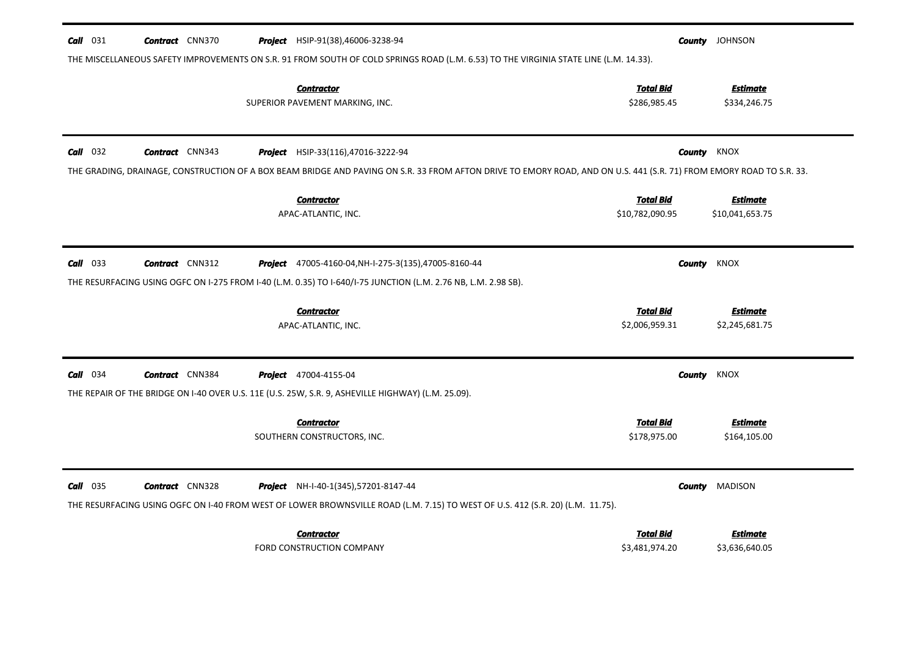| $Call$ 031<br><b>Contract</b> CNN370 | THE MISCELLANEOUS SAFETY IMPROVEMENTS ON S.R. 91 FROM SOUTH OF COLD SPRINGS ROAD (L.M. 6.53) TO THE VIRGINIA STATE LINE (L.M. 14.33).                                | <b>County</b> JOHNSON |                                 |  |
|--------------------------------------|----------------------------------------------------------------------------------------------------------------------------------------------------------------------|-----------------------|---------------------------------|--|
|                                      | <b>Contractor</b>                                                                                                                                                    | <b>Total Bid</b>      | <b>Estimate</b>                 |  |
|                                      | SUPERIOR PAVEMENT MARKING, INC.                                                                                                                                      | \$286,985.45          | \$334,246.75                    |  |
|                                      |                                                                                                                                                                      |                       |                                 |  |
| $Call$ 032<br><b>Contract</b> CNN343 | <b>Project</b> HSIP-33(116),47016-3222-94                                                                                                                            |                       | KNOX<br>County                  |  |
|                                      | THE GRADING, DRAINAGE, CONSTRUCTION OF A BOX BEAM BRIDGE AND PAVING ON S.R. 33 FROM AFTON DRIVE TO EMORY ROAD, AND ON U.S. 441 (S.R. 71) FROM EMORY ROAD TO S.R. 33. |                       |                                 |  |
|                                      | <b>Contractor</b>                                                                                                                                                    | <b>Total Bid</b>      | <b>Estimate</b>                 |  |
|                                      | APAC-ATLANTIC, INC.                                                                                                                                                  | \$10,782,090.95       | \$10,041,653.75                 |  |
|                                      |                                                                                                                                                                      |                       |                                 |  |
| $Call$ 033<br><b>Contract</b> CNN312 | <b>Project</b> 47005-4160-04, NH-I-275-3(135), 47005-8160-44                                                                                                         |                       | KNOX<br>County                  |  |
|                                      | THE RESURFACING USING OGFC ON I-275 FROM I-40 (L.M. 0.35) TO I-640/I-75 JUNCTION (L.M. 2.76 NB, L.M. 2.98 SB).                                                       |                       |                                 |  |
|                                      | <b>Contractor</b>                                                                                                                                                    | <b>Total Bid</b>      | <b>Estimate</b>                 |  |
|                                      | APAC-ATLANTIC, INC.                                                                                                                                                  | \$2,006,959.31        | \$2,245,681.75                  |  |
|                                      |                                                                                                                                                                      |                       |                                 |  |
| $Call$ 034<br><b>Contract</b> CNN384 | <b>Project</b> 47004-4155-04                                                                                                                                         |                       | <b>County</b><br>KNOX           |  |
|                                      | THE REPAIR OF THE BRIDGE ON I-40 OVER U.S. 11E (U.S. 25W, S.R. 9, ASHEVILLE HIGHWAY) (L.M. 25.09).                                                                   |                       |                                 |  |
|                                      | <b>Contractor</b>                                                                                                                                                    | <b>Total Bid</b>      | Estimate                        |  |
|                                      | SOUTHERN CONSTRUCTORS, INC.                                                                                                                                          | \$178,975.00          | \$164,105.00                    |  |
|                                      |                                                                                                                                                                      |                       |                                 |  |
| $Call$ 035<br><b>Contract</b> CNN328 | <b>Project</b> NH-I-40-1(345), 57201-8147-44                                                                                                                         |                       | <b>MADISON</b><br><b>County</b> |  |
|                                      | THE RESURFACING USING OGFC ON 1-40 FROM WEST OF LOWER BROWNSVILLE ROAD (L.M. 7.15) TO WEST OF U.S. 412 (S.R. 20) (L.M. 11.75).                                       |                       |                                 |  |
|                                      | <b>Contractor</b>                                                                                                                                                    | <b>Total Bid</b>      | Estimate                        |  |
|                                      | FORD CONSTRUCTION COMPANY                                                                                                                                            | \$3,481,974.20        | \$3,636,640.05                  |  |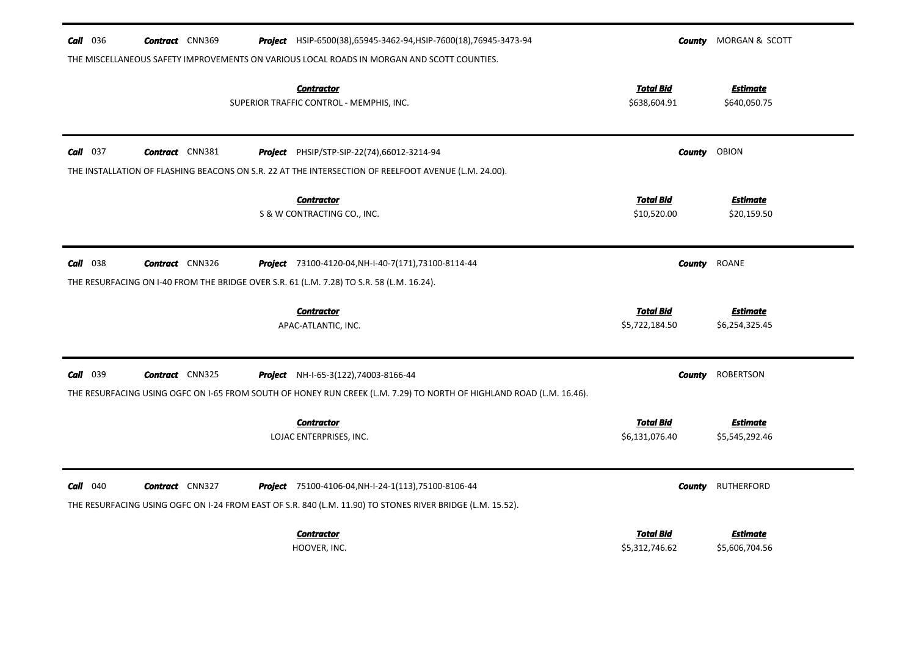| <b>Call</b> 036<br><b>Contract</b> CNN369<br>Project HSIP-6500(38), 65945-3462-94, HSIP-7600(18), 76945-3473-94                                                                                                   | County                             | MORGAN & SCOTT                    |
|-------------------------------------------------------------------------------------------------------------------------------------------------------------------------------------------------------------------|------------------------------------|-----------------------------------|
| THE MISCELLANEOUS SAFETY IMPROVEMENTS ON VARIOUS LOCAL ROADS IN MORGAN AND SCOTT COUNTIES.<br><b>Contractor</b><br>SUPERIOR TRAFFIC CONTROL - MEMPHIS, INC.                                                       | <b>Total Bid</b><br>\$638,604.91   | <b>Estimate</b><br>\$640,050.75   |
| $Call$ 037<br><b>Contract</b> CNN381<br>Project PHSIP/STP-SIP-22(74),66012-3214-94                                                                                                                                | County                             | <b>OBION</b>                      |
| THE INSTALLATION OF FLASHING BEACONS ON S.R. 22 AT THE INTERSECTION OF REELFOOT AVENUE (L.M. 24.00).                                                                                                              |                                    |                                   |
| <b>Contractor</b><br>S & W CONTRACTING CO., INC.                                                                                                                                                                  | <b>Total Bid</b><br>\$10,520.00    | <b>Estimate</b><br>\$20,159.50    |
| $Call$ 038<br><b>Contract</b> CNN326<br>Project 73100-4120-04, NH-I-40-7(171), 73100-8114-44                                                                                                                      | <b>County</b>                      | <b>ROANE</b>                      |
| THE RESURFACING ON 1-40 FROM THE BRIDGE OVER S.R. 61 (L.M. 7.28) TO S.R. 58 (L.M. 16.24).                                                                                                                         |                                    |                                   |
| <b>Contractor</b><br>APAC-ATLANTIC, INC.                                                                                                                                                                          | <b>Total Bid</b><br>\$5,722,184.50 | <b>Estimate</b><br>\$6,254,325.45 |
| Call 039<br><b>Contract</b> CNN325<br><b>Project</b> NH-I-65-3(122), 74003-8166-44<br>THE RESURFACING USING OGFC ON I-65 FROM SOUTH OF HONEY RUN CREEK (L.M. 7.29) TO NORTH OF HIGHLAND ROAD (L.M. 16.46).        | <b>County</b>                      | <b>ROBERTSON</b>                  |
| <b>Contractor</b><br>LOJAC ENTERPRISES, INC.                                                                                                                                                                      | <b>Total Bid</b><br>\$6,131,076.40 | <u>Estimate</u><br>\$5,545,292.46 |
| $Call$ 040<br><b>Contract</b> CNN327<br><b>Project</b> 75100-4106-04, NH-I-24-1(113), 75100-8106-44<br>THE RESURFACING USING OGFC ON I-24 FROM EAST OF S.R. 840 (L.M. 11.90) TO STONES RIVER BRIDGE (L.M. 15.52). | County                             | <b>RUTHERFORD</b>                 |
| <b>Contractor</b><br>HOOVER, INC.                                                                                                                                                                                 | <b>Total Bid</b><br>\$5,312,746.62 | <b>Estimate</b><br>\$5,606,704.56 |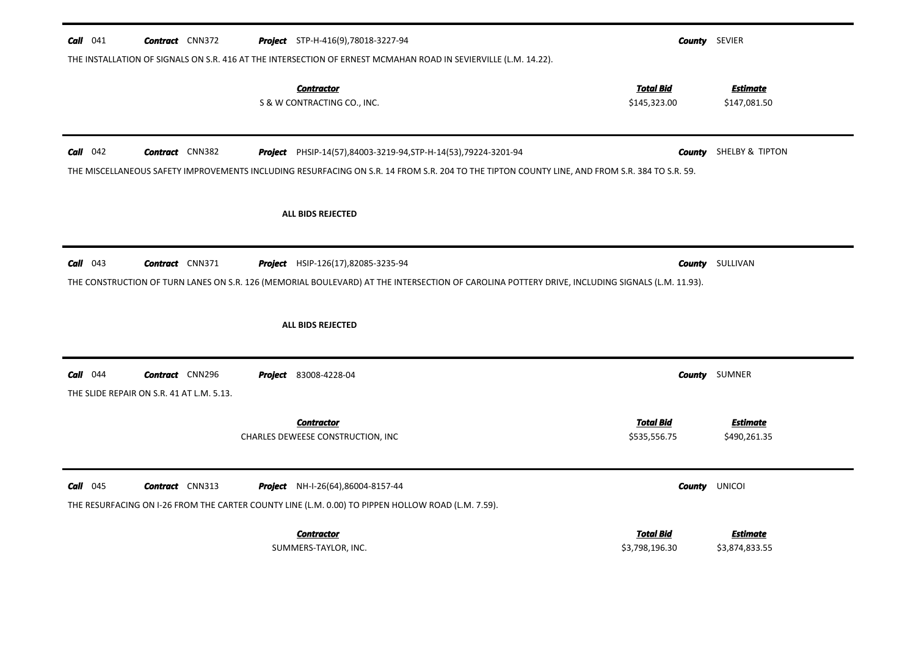| $Call$ 041 | <b>Contract</b> CNN372                                              | Project STP-H-416(9),78018-3227-94<br>THE INSTALLATION OF SIGNALS ON S.R. 416 AT THE INTERSECTION OF ERNEST MCMAHAN ROAD IN SEVIERVILLE (L.M. 14.22).                                                            |                                    | <b>County</b> SEVIER            |
|------------|---------------------------------------------------------------------|------------------------------------------------------------------------------------------------------------------------------------------------------------------------------------------------------------------|------------------------------------|---------------------------------|
|            |                                                                     | <b>Contractor</b><br>S & W CONTRACTING CO., INC.                                                                                                                                                                 | <b>Total Bid</b><br>\$145,323.00   | Estimate<br>\$147,081.50        |
| $Call$ 042 | <b>Contract</b> CNN382                                              | Project PHSIP-14(57),84003-3219-94, STP-H-14(53), 79224-3201-94<br>THE MISCELLANEOUS SAFETY IMPROVEMENTS INCLUDING RESURFACING ON S.R. 14 FROM S.R. 204 TO THE TIPTON COUNTY LINE, AND FROM S.R. 384 TO S.R. 59. | County                             | SHELBY & TIPTON                 |
|            |                                                                     | <b>ALL BIDS REJECTED</b>                                                                                                                                                                                         |                                    |                                 |
| $Call$ 043 | <b>Contract</b> CNN371                                              | <b>Project</b> HSIP-126(17),82085-3235-94<br>THE CONSTRUCTION OF TURN LANES ON S.R. 126 (MEMORIAL BOULEVARD) AT THE INTERSECTION OF CAROLINA POTTERY DRIVE, INCLUDING SIGNALS (L.M. 11.93).                      |                                    | <b>County</b> SULLIVAN          |
|            |                                                                     | <b>ALL BIDS REJECTED</b>                                                                                                                                                                                         |                                    |                                 |
| $Call$ 044 | <b>Contract</b> CNN296<br>THE SLIDE REPAIR ON S.R. 41 AT L.M. 5.13. | <b>Project</b> 83008-4228-04                                                                                                                                                                                     |                                    | <b>County</b> SUMNER            |
|            |                                                                     | <b>Contractor</b><br>CHARLES DEWEESE CONSTRUCTION, INC                                                                                                                                                           | <b>Total Bid</b><br>\$535,556.75   | <b>Estimate</b><br>\$490,261.35 |
| $Call$ 045 | <b>Contract</b> CNN313                                              | <b>Project</b> NH-I-26(64),86004-8157-44<br>THE RESURFACING ON I-26 FROM THE CARTER COUNTY LINE (L.M. 0.00) TO PIPPEN HOLLOW ROAD (L.M. 7.59).                                                                   |                                    | <b>County UNICOI</b>            |
|            |                                                                     | <b>Contractor</b><br>SUMMERS-TAYLOR, INC.                                                                                                                                                                        | <b>Total Bid</b><br>\$3,798,196.30 | Estimate<br>\$3,874,833.55      |